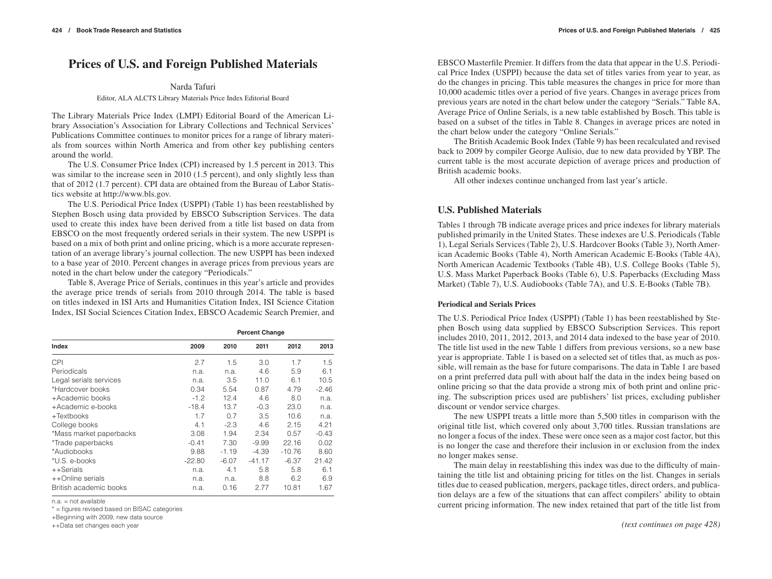# **Prices of U.S. and Foreign Published Materials**

### Narda Tafuri

### Editor, ALA ALCTS Library Materials Price Index Editorial Board

The Library Materials Price Index (LMPI) Editorial Board of the American Library Association's Association for Library Collections and Technical Services' Publications Committee continues to monitor prices for a range of library materials from sources within North America and from other key publishing centers around the world.

The U.S. Consumer Price Index (CPI) increased by 1.5 percent in 2013. This was similar to the increase seen in 2010 (1.5 percent), and only slightly less than that of 2012 (1.7 percent). CPI data are obtained from the Bureau of Labor Statistics website at http://www.bls.gov.

The U.S. Periodical Price Index (USPPI) (Table 1) has been reestablished by Stephen Bosch using data provided by EBSCO Subscription Services. The data used to create this index have been derived from a title list based on data from EBSCO on the most frequently ordered serials in their system. The new USPPI is based on a mix of both print and online pricing, which is a more accurate representation of an average library's journal collection. The new USPPI has been indexed to a base year of 2010. Percent changes in average prices from previous years are noted in the chart below under the category "Periodicals."

Table 8, Average Price of Serials, continues in this year's article and provides the average price trends of serials from 2010 through 2014. The table is based on titles indexed in ISI Arts and Humanities Citation Index, ISI Science Citation Index, ISI Social Sciences Citation Index, EBSCO Academic Search Premier, and

|                         |          |         | <b>Percent Change</b> |          |         |
|-------------------------|----------|---------|-----------------------|----------|---------|
| Index                   | 2009     | 2010    | 2011                  | 2012     | 2013    |
| CPI                     | 2.7      | 1.5     | 3.0                   | 1.7      | 1.5     |
| Periodicals             | n.a.     | n.a.    | 4.6                   | 5.9      | 6.1     |
| Legal serials services  | n.a.     | 3.5     | 11.0                  | 6.1      | 10.5    |
| *Hardcover books        | 0.34     | 5.54    | 0.87                  | 4.79     | $-2.46$ |
| +Academic books         | $-1.2$   | 12.4    | 4.6                   | 8.0      | n.a.    |
| +Academic e-books       | $-18.4$  | 13.7    | $-0.3$                | 23.0     | n.a.    |
| $+Textbooks$            | 1.7      | 0.7     | 3.5                   | 10.6     | n.a.    |
| College books           | 4.1      | $-2.3$  | 4.6                   | 2.15     | 4.21    |
| *Mass market paperbacks | 3.08     | 1.94    | 2.34                  | 0.57     | $-0.43$ |
| *Trade paperbacks       | $-0.41$  | 7.30    | $-9.99$               | 22.16    | 0.02    |
| *Audiobooks             | 9.88     | $-1.19$ | $-4.39$               | $-10.76$ | 8.60    |
| *U.S. e-books           | $-22.80$ | $-6.07$ | $-41.17$              | $-6.37$  | 21.42   |
| ++Serials               | n.a.     | 4.1     | 5.8                   | 5.8      | 6.1     |
| ++Online serials        | n.a.     | n.a.    | 8.8                   | 6.2      | 6.9     |
| British academic books  | n.a.     | 0.16    | 2.77                  | 10.81    | 1.67    |

n.a. = not available

\* = figures revised based on BISAC categories

+Beginning with 2009, new data source

EBSCO Masterfile Premier. It differs from the data that appear in the U.S. Periodical Price Index (USPPI) because the data set of titles varies from year to year, as do the changes in pricing. This table measures the changes in price for more than 10,000 academic titles over a period of five years. Changes in average prices from previous years are noted in the chart below under the category "Serials." Table 8A, Average Price of Online Serials, is a new table established by Bosch. This table is based on a subset of the titles in Table 8. Changes in average prices are noted in the chart below under the category "Online Serials."

The British Academic Book Index (Table 9) has been recalculated and revised back to 2009 by compiler George Aulisio, due to new data provided by YBP. The current table is the most accurate depiction of average prices and production of British academic books.

All other indexes continue unchanged from last year's article.

# **U.S. Published Materials**

Tables 1 through 7B indicate average prices and price indexes for library materials published primarily in the United States. These indexes are U.S. Periodicals (Table 1), Legal Serials Services (Table 2), U.S. Hardcover Books (Table 3), North American Academic Books (Table 4), North American Academic E-Books (Table 4A), North American Academic Textbooks (Table 4B), U.S. College Books (Table 5), U.S. Mass Market Paperback Books (Table 6), U.S. Paperbacks (Excluding Mass Market) (Table 7), U.S. Audiobooks (Table 7A), and U.S. E-Books (Table 7B).

### **Periodical and Serials Prices**

The U.S. Periodical Price Index (USPPI) (Table 1) has been reestablished by Stephen Bosch using data supplied by EBSCO Subscription Services. This report includes 2010, 2011, 2012, 2013, and 2014 data indexed to the base year of 2010. The title list used in the new Table 1 differs from previous versions, so a new base year is appropriate. Table 1 is based on a selected set of titles that, as much as possible, will remain as the base for future comparisons. The data in Table 1 are based on a print preferred data pull with about half the data in the index being based on online pricing so that the data provide a strong mix of both print and online pricing. The subscription prices used are publishers' list prices, excluding publisher discount or vendor service charges.

The new USPPI treats a little more than 5,500 titles in comparison with the original title list, which covered only about 3,700 titles. Russian translations are no longer a focus of the index. These were once seen as a major cost factor, but this is no longer the case and therefore their inclusion in or exclusion from the index no longer makes sense.

The main delay in reestablishing this index was due to the difficulty of maintaining the title list and obtaining pricing for titles on the list. Changes in serials titles due to ceased publication, mergers, package titles, direct orders, and publication delays are a few of the situations that can affect compilers' ability to obtain current pricing information. The new index retained that part of the title list from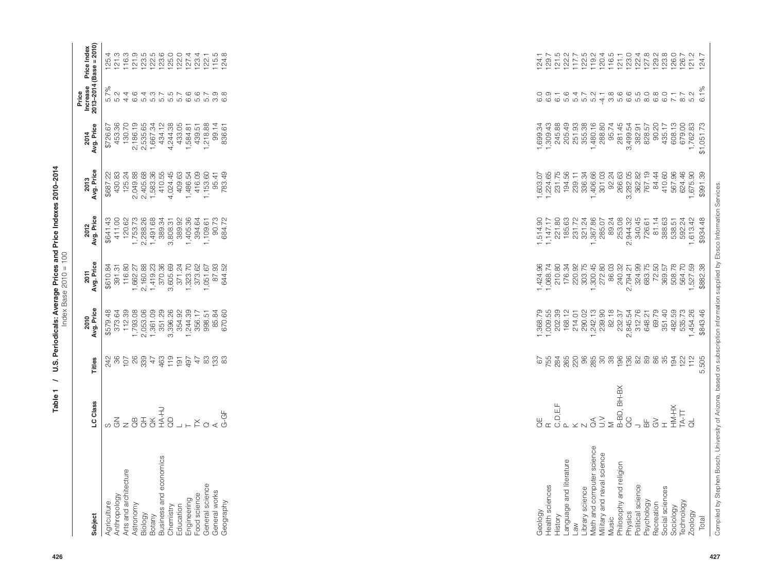| iubject                               | LC Class                                                                         | Titles | ${\footnotesize \begin{array}{l} {\bf 2016} \\ {\bf 218} \\ {\bf 221} \\ {\bf 231} \\ {\bf 242} \\ {\bf 253} \\ {\bf 261} \\ {\bf 273} \\ {\bf 281} \\ {\bf 292} \\ {\bf 203} \\ {\bf 213} \\ {\bf 223} \\ {\bf 233} \\ {\bf 243} \\ {\bf 254} \\ {\bf 263} \\ {\bf 273} \\ {\bf 281} \\ {\bf 292} \\ {\bf 203} \\ {\bf 283} \\ {\bf 284} \\ {\bf 293} \\ {\bf 294} \\ {\bf 214} \\$ | $\begin{array}{lll} \text{201} & \text{12} & \text{13} & \text{14} & \text{15} & \text{16} & \text{17} \\ \text{21} & \text{22} & \text{23} & \text{24} & \text{25} & \text{26} \\ \text{22} & \text{23} & \text{25} & \text{26} & \text{27} & \text{28} \\ \text{23} & \text{24} & \text{25} & \text{26} & \text{27} & \text{28} \\ \text{25} & \text{26} & \text{27} & \text{28} & \text{28} & \$ | $\begin{array}{l} \text{2012} \\ \text{213} \\ \text{224} \\ \text{235} \\ \text{246} \\ \text{257} \\ \text{268} \\ \text{279} \\ \text{280} \\ \text{290} \\ \text{201} \\ \text{210} \\ \text{221} \\ \text{231} \\ \text{242} \\ \text{253} \\ \text{268} \\ \text{270} \\ \text{280} \\ \text{290} \\ \text{201} \\ \text{202} \\ \text{203} \\ \text{204} \\ \text{205} \\ \text{206} \\ \text{2$ | $\begin{array}{r} 2013\\ \hline \text{201} \\ \text{202} \\ \text{203} \\ \text{204} \\ \text{205} \\ \text{206} \\ \text{207} \\ \text{208} \\ \text{209} \\ \text{200} \\ \text{201} \\ \text{202} \\ \text{203} \\ \text{204} \\ \text{205} \\ \text{206} \\ \text{207} \\ \text{208} \\ \text{209} \\ \text{200} \\ \text{200} \\ \text{201} \\ \text{202} \\ \text{203} \\ \text{204} \\ \text{2$ | 2014<br>Avg. Price                                                                                                                                                                                                                                                                                                                                                                               | Price<br>Increase<br>2013–2014 (                          | Price Index<br>$\textsf{Base} = 20^\circ$ |
|---------------------------------------|----------------------------------------------------------------------------------|--------|--------------------------------------------------------------------------------------------------------------------------------------------------------------------------------------------------------------------------------------------------------------------------------------------------------------------------------------------------------------------------------------|-----------------------------------------------------------------------------------------------------------------------------------------------------------------------------------------------------------------------------------------------------------------------------------------------------------------------------------------------------------------------------------------------------|---------------------------------------------------------------------------------------------------------------------------------------------------------------------------------------------------------------------------------------------------------------------------------------------------------------------------------------------------------------------------------------------------------|--------------------------------------------------------------------------------------------------------------------------------------------------------------------------------------------------------------------------------------------------------------------------------------------------------------------------------------------------------------------------------------------------------|--------------------------------------------------------------------------------------------------------------------------------------------------------------------------------------------------------------------------------------------------------------------------------------------------------------------------------------------------------------------------------------------------|-----------------------------------------------------------|-------------------------------------------|
| vgriculture                           |                                                                                  |        |                                                                                                                                                                                                                                                                                                                                                                                      |                                                                                                                                                                                                                                                                                                                                                                                                     |                                                                                                                                                                                                                                                                                                                                                                                                         |                                                                                                                                                                                                                                                                                                                                                                                                        | $\begin{array}{r} \hline \text{18.5 }\text{18.6 }\text{19.7 }\text{19.8 }\text{19.8 }\text{10.8 }\text{10.8 }\text{17.8 }\text{18.8 }\text{19.8 }\text{10.8 }\text{10.8 }\text{10.8 }\text{11.8 }\text{12.8 }\text{13.8 }\text{14.8 }\text{15.8 }\text{16.8 }\text{17.8 }\text{18.8 }\text{19.8 }\text{10.8 }\text{10.8 }\text{11.8 }\text{12.8 }\text{13.8 }\text{14.8 }\text{15.8 }\text{16.8$ |                                                           |                                           |
|                                       |                                                                                  |        |                                                                                                                                                                                                                                                                                                                                                                                      |                                                                                                                                                                                                                                                                                                                                                                                                     |                                                                                                                                                                                                                                                                                                                                                                                                         |                                                                                                                                                                                                                                                                                                                                                                                                        |                                                                                                                                                                                                                                                                                                                                                                                                  |                                                           |                                           |
| Anthropology<br>Arts and architecture |                                                                                  |        |                                                                                                                                                                                                                                                                                                                                                                                      |                                                                                                                                                                                                                                                                                                                                                                                                     |                                                                                                                                                                                                                                                                                                                                                                                                         |                                                                                                                                                                                                                                                                                                                                                                                                        |                                                                                                                                                                                                                                                                                                                                                                                                  |                                                           |                                           |
| Astronomy                             |                                                                                  |        |                                                                                                                                                                                                                                                                                                                                                                                      |                                                                                                                                                                                                                                                                                                                                                                                                     |                                                                                                                                                                                                                                                                                                                                                                                                         |                                                                                                                                                                                                                                                                                                                                                                                                        |                                                                                                                                                                                                                                                                                                                                                                                                  |                                                           |                                           |
|                                       |                                                                                  |        |                                                                                                                                                                                                                                                                                                                                                                                      |                                                                                                                                                                                                                                                                                                                                                                                                     |                                                                                                                                                                                                                                                                                                                                                                                                         |                                                                                                                                                                                                                                                                                                                                                                                                        |                                                                                                                                                                                                                                                                                                                                                                                                  |                                                           |                                           |
| Biology<br>Botany                     |                                                                                  |        |                                                                                                                                                                                                                                                                                                                                                                                      |                                                                                                                                                                                                                                                                                                                                                                                                     |                                                                                                                                                                                                                                                                                                                                                                                                         |                                                                                                                                                                                                                                                                                                                                                                                                        |                                                                                                                                                                                                                                                                                                                                                                                                  |                                                           |                                           |
| susiness and economics                |                                                                                  |        |                                                                                                                                                                                                                                                                                                                                                                                      |                                                                                                                                                                                                                                                                                                                                                                                                     |                                                                                                                                                                                                                                                                                                                                                                                                         |                                                                                                                                                                                                                                                                                                                                                                                                        |                                                                                                                                                                                                                                                                                                                                                                                                  |                                                           |                                           |
| Chemistry                             |                                                                                  |        |                                                                                                                                                                                                                                                                                                                                                                                      |                                                                                                                                                                                                                                                                                                                                                                                                     |                                                                                                                                                                                                                                                                                                                                                                                                         |                                                                                                                                                                                                                                                                                                                                                                                                        |                                                                                                                                                                                                                                                                                                                                                                                                  |                                                           |                                           |
| Education                             |                                                                                  |        |                                                                                                                                                                                                                                                                                                                                                                                      |                                                                                                                                                                                                                                                                                                                                                                                                     |                                                                                                                                                                                                                                                                                                                                                                                                         |                                                                                                                                                                                                                                                                                                                                                                                                        |                                                                                                                                                                                                                                                                                                                                                                                                  |                                                           |                                           |
|                                       |                                                                                  |        |                                                                                                                                                                                                                                                                                                                                                                                      |                                                                                                                                                                                                                                                                                                                                                                                                     |                                                                                                                                                                                                                                                                                                                                                                                                         |                                                                                                                                                                                                                                                                                                                                                                                                        |                                                                                                                                                                                                                                                                                                                                                                                                  | και του στη στη στη σαν<br>για του τη στη στη στη σα<br>γ |                                           |
| Engineering<br>Food science           |                                                                                  |        |                                                                                                                                                                                                                                                                                                                                                                                      |                                                                                                                                                                                                                                                                                                                                                                                                     |                                                                                                                                                                                                                                                                                                                                                                                                         |                                                                                                                                                                                                                                                                                                                                                                                                        |                                                                                                                                                                                                                                                                                                                                                                                                  |                                                           |                                           |
| General science                       |                                                                                  |        |                                                                                                                                                                                                                                                                                                                                                                                      |                                                                                                                                                                                                                                                                                                                                                                                                     |                                                                                                                                                                                                                                                                                                                                                                                                         |                                                                                                                                                                                                                                                                                                                                                                                                        |                                                                                                                                                                                                                                                                                                                                                                                                  |                                                           |                                           |
| General works                         | $\begin{aligned} \mathbf{y} &\in \mathbb{R} \\ \mathbf{0} &\infty \end{aligned}$ |        |                                                                                                                                                                                                                                                                                                                                                                                      |                                                                                                                                                                                                                                                                                                                                                                                                     |                                                                                                                                                                                                                                                                                                                                                                                                         |                                                                                                                                                                                                                                                                                                                                                                                                        |                                                                                                                                                                                                                                                                                                                                                                                                  |                                                           |                                           |
| Geography                             |                                                                                  |        |                                                                                                                                                                                                                                                                                                                                                                                      |                                                                                                                                                                                                                                                                                                                                                                                                     |                                                                                                                                                                                                                                                                                                                                                                                                         |                                                                                                                                                                                                                                                                                                                                                                                                        |                                                                                                                                                                                                                                                                                                                                                                                                  |                                                           |                                           |

|     | Subject                             | LC Class                                                                                      | <b>Titles</b>                 | 2010<br>Avg. Price             | 2011<br>Avg. Price                                  | 2012<br>Avg. Price               | 2013<br>Avg. Price                                                                                       | 2014<br>Avg. Price                                                                                                                                                                                                                                                    |                             | Price<br>Increase Price Index<br>2013–2014 (Base = 2010)                                                                                                                                                                                                                                     |
|-----|-------------------------------------|-----------------------------------------------------------------------------------------------|-------------------------------|--------------------------------|-----------------------------------------------------|----------------------------------|----------------------------------------------------------------------------------------------------------|-----------------------------------------------------------------------------------------------------------------------------------------------------------------------------------------------------------------------------------------------------------------------|-----------------------------|----------------------------------------------------------------------------------------------------------------------------------------------------------------------------------------------------------------------------------------------------------------------------------------------|
|     | Anthropology<br>Agriculture         | $\sigma$ $\frac{z}{\sigma}$ $z$                                                               | 86<br>242                     | \$579.48<br>373.64<br>112.39   | 391.31<br>116.80<br>\$610.84                        | \$641.43<br>411.00               | $\begin{array}{r} 6887.22 \\ 430.33 \\ 430.83 \\ 125.24 \\ 2,049.88 \\ 2,405.68 \\ 1,583.36 \end{array}$ | 453.36<br>130.70<br>\$726.67                                                                                                                                                                                                                                          | ι<br>ναία αννιστοσιοι<br>δε |                                                                                                                                                                                                                                                                                              |
|     | Arts and architecture<br>Astronomy  | $\mathbb{B}$                                                                                  | $107$<br>26                   | 1,793.08                       | 1,662.27                                            | 120.62                           |                                                                                                          |                                                                                                                                                                                                                                                                       |                             |                                                                                                                                                                                                                                                                                              |
|     | Biology<br>Botany                   | S<br>SRK5<br>SRK5                                                                             |                               | 2,053.06<br>1,361.09<br>351.29 | 2,160.88<br>1,419.23<br>370.36                      | 1,753.73<br>2,288.26<br>1,491.68 |                                                                                                          | $\begin{array}{l} 2,000\\ 2,000\\ 2,000\\ 2,000\\ 2,000\\ 1,000\\ 2,000\\ 3,000\\ 4,000\\ 4,000\\ 4,000\\ 4,000\\ 4,000\\ 4,000\\ 4,000\\ 4,000\\ 4,000\\ 4,000\\ 4,000\\ 4,000\\ 4,000\\ 4,000\\ 4,000\\ 4,000\\ 4,000\\ 4,000\\ 4,000\\ 4,000\\ 4,000\\ 4,000\\ 4,$ |                             |                                                                                                                                                                                                                                                                                              |
|     | Business and economics              |                                                                                               |                               |                                |                                                     | 389.34                           | 410.55<br>410.45<br>4,024.45<br>409.63                                                                   |                                                                                                                                                                                                                                                                       |                             |                                                                                                                                                                                                                                                                                              |
|     | Chemistry<br>Education              |                                                                                               |                               | 3,396.26<br>354.92             | 3,605.69                                            | 3,808.31<br>389.92               |                                                                                                          |                                                                                                                                                                                                                                                                       |                             |                                                                                                                                                                                                                                                                                              |
|     | Food science<br>Engineering         | $\lrcorner$ $\lrcorner$ $\lrcorner$                                                           | 47                            | 1,244.39<br>356.17             | 371.24<br>1,323.70<br>1,051.67<br>1,051.67<br>87.93 | 1,405.36<br>394.64               | 1,486.54<br>416.09                                                                                       | 1,584.81<br>439.51<br>1,218.88                                                                                                                                                                                                                                        |                             |                                                                                                                                                                                                                                                                                              |
|     | General science                     |                                                                                               |                               | 998.51                         |                                                     |                                  | 1,153.60                                                                                                 |                                                                                                                                                                                                                                                                       |                             |                                                                                                                                                                                                                                                                                              |
|     | General works<br>Geography          | $Q \propto \frac{1}{G}$                                                                       | 82 12 13<br>82 13 13          | 85.84<br>670.60                | 644.52                                              | 1,109.61<br>90.73<br>684.72      | 95.41<br>783.49                                                                                          | 99.14<br>836.61                                                                                                                                                                                                                                                       |                             |                                                                                                                                                                                                                                                                                              |
|     |                                     |                                                                                               |                               |                                |                                                     |                                  |                                                                                                          |                                                                                                                                                                                                                                                                       |                             |                                                                                                                                                                                                                                                                                              |
|     |                                     |                                                                                               |                               |                                |                                                     |                                  |                                                                                                          |                                                                                                                                                                                                                                                                       |                             |                                                                                                                                                                                                                                                                                              |
|     |                                     |                                                                                               |                               |                                |                                                     |                                  |                                                                                                          |                                                                                                                                                                                                                                                                       |                             |                                                                                                                                                                                                                                                                                              |
|     |                                     |                                                                                               |                               |                                |                                                     |                                  |                                                                                                          |                                                                                                                                                                                                                                                                       |                             |                                                                                                                                                                                                                                                                                              |
|     |                                     |                                                                                               |                               |                                |                                                     |                                  |                                                                                                          |                                                                                                                                                                                                                                                                       |                             |                                                                                                                                                                                                                                                                                              |
|     |                                     |                                                                                               |                               |                                |                                                     |                                  |                                                                                                          |                                                                                                                                                                                                                                                                       |                             |                                                                                                                                                                                                                                                                                              |
|     |                                     |                                                                                               |                               |                                |                                                     |                                  |                                                                                                          |                                                                                                                                                                                                                                                                       |                             |                                                                                                                                                                                                                                                                                              |
|     |                                     |                                                                                               |                               |                                |                                                     |                                  |                                                                                                          |                                                                                                                                                                                                                                                                       |                             |                                                                                                                                                                                                                                                                                              |
|     |                                     |                                                                                               |                               |                                |                                                     |                                  |                                                                                                          |                                                                                                                                                                                                                                                                       |                             |                                                                                                                                                                                                                                                                                              |
|     |                                     |                                                                                               |                               |                                |                                                     |                                  |                                                                                                          |                                                                                                                                                                                                                                                                       |                             |                                                                                                                                                                                                                                                                                              |
|     |                                     |                                                                                               |                               |                                |                                                     |                                  |                                                                                                          |                                                                                                                                                                                                                                                                       |                             |                                                                                                                                                                                                                                                                                              |
|     |                                     |                                                                                               |                               |                                |                                                     |                                  |                                                                                                          |                                                                                                                                                                                                                                                                       |                             |                                                                                                                                                                                                                                                                                              |
|     |                                     |                                                                                               |                               |                                |                                                     |                                  |                                                                                                          |                                                                                                                                                                                                                                                                       |                             |                                                                                                                                                                                                                                                                                              |
|     |                                     |                                                                                               |                               |                                |                                                     |                                  |                                                                                                          |                                                                                                                                                                                                                                                                       |                             |                                                                                                                                                                                                                                                                                              |
|     |                                     |                                                                                               |                               |                                |                                                     |                                  |                                                                                                          |                                                                                                                                                                                                                                                                       |                             |                                                                                                                                                                                                                                                                                              |
|     |                                     |                                                                                               |                               |                                |                                                     |                                  |                                                                                                          |                                                                                                                                                                                                                                                                       |                             |                                                                                                                                                                                                                                                                                              |
|     |                                     |                                                                                               |                               |                                |                                                     |                                  |                                                                                                          |                                                                                                                                                                                                                                                                       |                             |                                                                                                                                                                                                                                                                                              |
|     |                                     |                                                                                               |                               |                                |                                                     |                                  |                                                                                                          |                                                                                                                                                                                                                                                                       |                             |                                                                                                                                                                                                                                                                                              |
|     |                                     |                                                                                               |                               |                                |                                                     |                                  |                                                                                                          |                                                                                                                                                                                                                                                                       |                             |                                                                                                                                                                                                                                                                                              |
|     | Geology                             | $\overline{C}$<br>$\square$                                                                   | 67<br>7584<br>785             | 1,368.79<br>1,009.55           | 1,424.96<br>1,068.74                                | 1,514.90                         | 1,603.07<br>1,224.65<br>231.75<br>194.56                                                                 | 1,699.34                                                                                                                                                                                                                                                              | $\cup$                      |                                                                                                                                                                                                                                                                                              |
|     | Health sciences<br>History          | C, D, E, F                                                                                    |                               | 202.39                         | 210.80                                              | 1, 147.17<br>221.80              |                                                                                                          |                                                                                                                                                                                                                                                                       |                             |                                                                                                                                                                                                                                                                                              |
|     | Language and literature             | $\mathbf{\Omega}$<br>$\times$                                                                 |                               | 168.12                         | 176.34<br>220.92                                    | 185.63                           |                                                                                                          |                                                                                                                                                                                                                                                                       |                             |                                                                                                                                                                                                                                                                                              |
|     | Library science<br><b>Law</b>       |                                                                                               | <b>220</b><br>96              | 214.01<br>290.02               |                                                     | 231.72<br>321.24                 | 336.34<br>239.11                                                                                         | $\begin{array}{c} 1,309.43 \\ 245.88 \\ 205.49 \\ 205.33 \\ 355.38 \end{array}$                                                                                                                                                                                       |                             |                                                                                                                                                                                                                                                                                              |
|     | Math and computer science           | $\mathcal{E}_{\text{C}}$                                                                      | 285                           | 1,242.13                       | 303.75<br>1,300.45                                  | 1,367.86                         | 1,406.66                                                                                                 | 1,480.16                                                                                                                                                                                                                                                              |                             |                                                                                                                                                                                                                                                                                              |
|     | Military and naval science<br>Music | $\geq$<br>$\geq$                                                                              | 38<br>$\overline{\mathrm{S}}$ | 239.90<br>82.18                | 272.80<br>86.03                                     | 89.24<br>285.07                  | 301.03<br>92.24                                                                                          | 288.80                                                                                                                                                                                                                                                                |                             |                                                                                                                                                                                                                                                                                              |
|     | Philosophy and religion<br>Physics  | B-BD, BH-BX<br><b>C</b>                                                                       | 196                           | 2,845.54<br>232.37             | 240.32<br>2,794.21                                  | 253.08<br>2,944.32               | 266.63<br>3,282.05                                                                                       | 95.74<br>281.45<br>3,499.54                                                                                                                                                                                                                                           |                             | $\begin{array}{l} 1\  \  \, 1\  \  \, 7\  \  \, 7\  \  \, 8\  \  \, 7\  \  \, 8\  \  \, 9\  \  \, 7\  \  \, 8\  \  \, 9\  \  \, 9\  \  \, 9\  \  \, 9\  \  \, 9\  \  \, 9\  \  \, 9\  \  \, 9\  \  \, 9\  \  \, 9\  \  \, 9\  \  \, 9\  \  \, 9\  \  \, 9\  \  \, 9\  \  \, 9\  \  \, 9\  \$ |
|     | Political science                   | ⊃                                                                                             |                               | 312.76                         | 324.99                                              | 340.45                           | 362.82                                                                                                   | 382.91                                                                                                                                                                                                                                                                |                             |                                                                                                                                                                                                                                                                                              |
|     | Psychology<br>Recreation            | $\gtrsim$<br>$\frac{\mu}{\Delta}$                                                             |                               | 69.79<br>648.21                | 683.75<br>72.50                                     | 726.61<br>81.14                  | 767.19<br>84.44                                                                                          | 90.20<br>828.57                                                                                                                                                                                                                                                       |                             |                                                                                                                                                                                                                                                                                              |
|     | Social sciences                     | $\pm$                                                                                         |                               | 351.40                         | 369.57                                              | 388.63                           | 410.60                                                                                                   | 435.17                                                                                                                                                                                                                                                                |                             |                                                                                                                                                                                                                                                                                              |
|     | Technology<br>Sociology             | HM-HX<br>$TA-TT$                                                                              | 194                           | 482.59<br>535.73               | 508.78<br>564.70                                    | 538.51<br>592.24                 | 567.96<br>624.46                                                                                         | 608.13<br>679.00                                                                                                                                                                                                                                                      |                             |                                                                                                                                                                                                                                                                                              |
|     | Zoology                             | $\vec{\sigma}$                                                                                | $122$<br>$112$                | 1,454.26                       | 1,527.59                                            | 1,613.42                         | 1,675.90                                                                                                 | 1,762.83                                                                                                                                                                                                                                                              |                             |                                                                                                                                                                                                                                                                                              |
|     | Total                               |                                                                                               | 5,505                         | \$843.46                       | \$882.38                                            | \$934.48                         | \$991.39                                                                                                 | \$1,051.73                                                                                                                                                                                                                                                            | 6.1%                        |                                                                                                                                                                                                                                                                                              |
| 427 | Compiled by Stephen Bosch, Un       | iversity of Arizona, based on subscription information supplied by Ebsco Information Services |                               |                                |                                                     |                                  |                                                                                                          |                                                                                                                                                                                                                                                                       |                             |                                                                                                                                                                                                                                                                                              |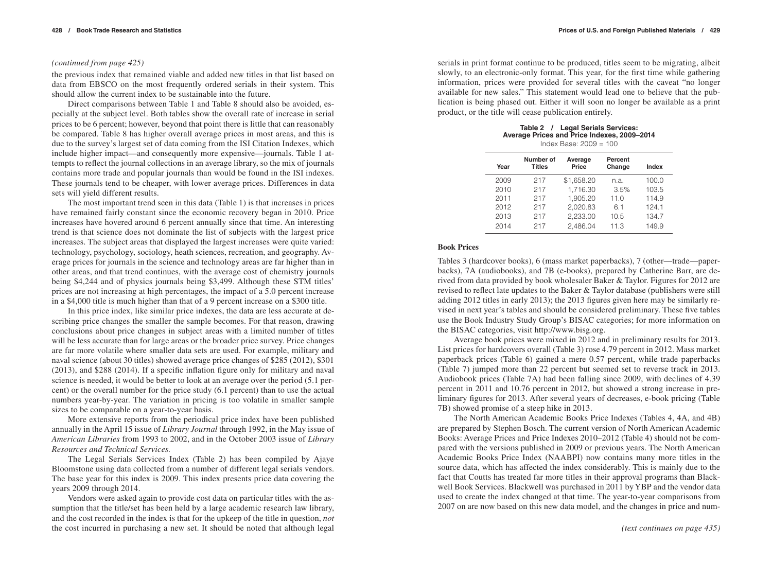### *(continued from page 425)*

the previous index that remained viable and added new titles in that list based on data from EBSCO on the most frequently ordered serials in their system. This should allow the current index to be sustainable into the future.

Direct comparisons between Table 1 and Table 8 should also be avoided, especially at the subject level. Both tables show the overall rate of increase in serial prices to be 6 percent; however, beyond that point there is little that can reasonably be compared. Table 8 has higher overall average prices in most areas, and this is due to the survey's largest set of data coming from the ISI Citation Indexes, which include higher impact—and consequently more expensive—journals. Table 1 attempts to reflect the journal collections in an average library, so the mix of journals contains more trade and popular journals than would be found in the ISI indexes. These journals tend to be cheaper, with lower average prices. Differences in data sets will yield different results.

The most important trend seen in this data (Table 1) is that increases in prices have remained fairly constant since the economic recovery began in 2010. Price increases have hovered around 6 percent annually since that time. An interesting trend is that science does not dominate the list of subjects with the largest price increases. The subject areas that displayed the largest increases were quite varied: technology, psychology, sociology, heath sciences, recreation, and geography. Average prices for journals in the science and technology areas are far higher than in other areas, and that trend continues, with the average cost of chemistry journals being \$4,244 and of physics journals being \$3,499. Although these STM titles' prices are not increasing at high percentages, the impact of a 5.0 percent increase in a \$4,000 title is much higher than that of a 9 percent increase on a \$300 title.

In this price index, like similar price indexes, the data are less accurate at describing price changes the smaller the sample becomes. For that reason, drawing conclusions about price changes in subject areas with a limited number of titles will be less accurate than for large areas or the broader price survey. Price changes are far more volatile where smaller data sets are used. For example, military and naval science (about 30 titles) showed average price changes of \$285 (2012), \$301 (2013), and \$288 (2014). If a specific inflation figure only for military and naval science is needed, it would be better to look at an average over the period (5.1 percent) or the overall number for the price study (6.1 percent) than to use the actual numbers year-by-year. The variation in pricing is too volatile in smaller sample sizes to be comparable on a year-to-year basis.

More extensive reports from the periodical price index have been published annually in the April 15 issue of *Library Journal* through 1992, in the May issue of *American Libraries* from 1993 to 2002, and in the October 2003 issue of *Library Resources and Technical Services.*

The Legal Serials Services Index (Table 2) has been compiled by Ajaye Bloomstone using data collected from a number of different legal serials vendors. The base year for this index is 2009. This index presents price data covering the years 2009 through 2014.

Vendors were asked again to provide cost data on particular titles with the assumption that the title/set has been held by a large academic research law library, and the cost recorded in the index is that for the upkeep of the title in question, *not* the cost incurred in purchasing a new set. It should be noted that although legal *(text continues on page 435)*

serials in print format continue to be produced, titles seem to be migrating, albeit slowly, to an electronic-only format. This year, for the first time while gathering information, prices were provided for several titles with the caveat "no longer available for new sales." This statement would lead one to believe that the publication is being phased out. Either it will soon no longer be available as a print product, or the title will cease publication entirely.

| Table 2 / Legal Serials Services:<br>Average Prices and Price Indexes, 2009-2014 |
|----------------------------------------------------------------------------------|
| Index Base: $2009 = 100$                                                         |

| Year | Number of<br><b>Titles</b> | Average<br>Price | Percent<br>Change | Index |
|------|----------------------------|------------------|-------------------|-------|
| 2009 | 217                        | \$1,658.20       | n.a.              | 100.0 |
| 2010 | 217                        | 1,716.30         | 3.5%              | 103.5 |
| 2011 | 217                        | 1.905.20         | 11.0              | 114.9 |
| 2012 | 217                        | 2,020.83         | 6.1               | 124.1 |
| 2013 | 217                        | 2,233.00         | 10.5              | 134.7 |
| 2014 | 217                        | 2.486.04         | 11.3              | 149.9 |
|      |                            |                  |                   |       |

### **Book Prices**

Tables 3 (hardcover books), 6 (mass market paperbacks), 7 (other—trade—paperbacks), 7A (audiobooks), and 7B (e-books), prepared by Catherine Barr, are derived from data provided by book wholesaler Baker & Taylor. Figures for 2012 are revised to reflect late updates to the Baker & Taylor database (publishers were still adding 2012 titles in early 2013); the 2013 figures given here may be similarly revised in next year's tables and should be considered preliminary. These five tables use the Book Industry Study Group's BISAC categories; for more information on the BISAC categories, visit http://www.bisg.org.

Average book prices were mixed in 2012 and in preliminary results for 2013. List prices for hardcovers overall (Table 3) rose 4.79 percent in 2012. Mass market paperback prices (Table 6) gained a mere 0.57 percent, while trade paperbacks (Table 7) jumped more than 22 percent but seemed set to reverse track in 2013. Audiobook prices (Table 7A) had been falling since 2009, with declines of 4.39 percent in 2011 and 10.76 percent in 2012, but showed a strong increase in preliminary figures for 2013. After several years of decreases, e-book pricing (Table 7B) showed promise of a steep hike in 2013.

The North American Academic Books Price Indexes (Tables 4, 4A, and 4B) are prepared by Stephen Bosch. The current version of North American Academic Books: Average Prices and Price Indexes 2010–2012 (Table 4) should not be compared with the versions published in 2009 or previous years. The North American Academic Books Price Index (NAABPI) now contains many more titles in the source data, which has affected the index considerably. This is mainly due to the fact that Coutts has treated far more titles in their approval programs than Blackwell Book Services. Blackwell was purchased in 2011 by YBP and the vendor data used to create the index changed at that time. The year-to-year comparisons from 2007 on are now based on this new data model, and the changes in price and num-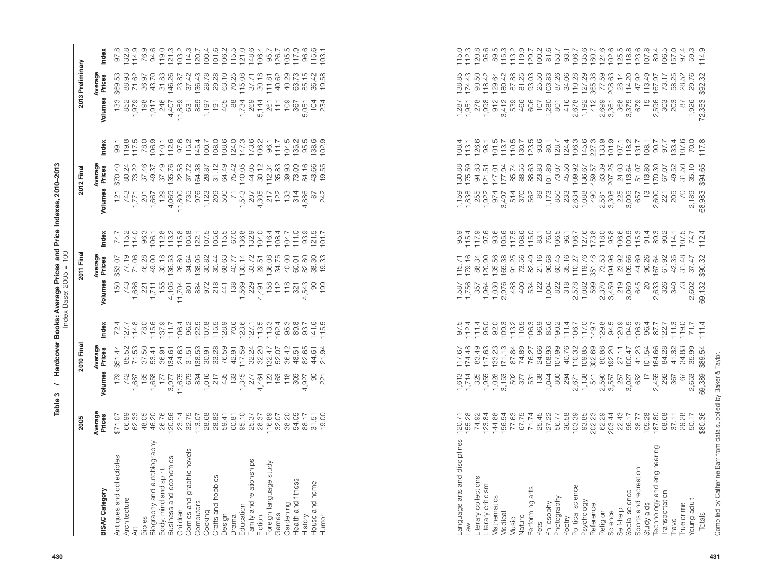|                                                           | 2005                                                                                                                                                                                                                                                                                                                                                                                                                                                            |                                                                                                                                                                                                                                                                                                                                   | 2010 Fina                                                                                                                                                                                                                                                                                                                                                                                                                                                                                                                                                        |                                                                                                                                                                                                                                                                                                                                                                                                                                                                                                   |                                            | 2011 Fina                                                                                                                                                                                                                                                                                                     |                                                                                                                                                                                                                                                                                                                                                                                                                                                                                                                                   |                                                                             | 2012 Fina                                                                                                                                                                                                                                                                                               |                                                                                                                                                                                                                                                                                                                          |                                  | 2013 Preliminary                                                                                                                                                                                                                                                                                                                                                                                                                                                                                                                                                           |               |
|-----------------------------------------------------------|-----------------------------------------------------------------------------------------------------------------------------------------------------------------------------------------------------------------------------------------------------------------------------------------------------------------------------------------------------------------------------------------------------------------------------------------------------------------|-----------------------------------------------------------------------------------------------------------------------------------------------------------------------------------------------------------------------------------------------------------------------------------------------------------------------------------|------------------------------------------------------------------------------------------------------------------------------------------------------------------------------------------------------------------------------------------------------------------------------------------------------------------------------------------------------------------------------------------------------------------------------------------------------------------------------------------------------------------------------------------------------------------|---------------------------------------------------------------------------------------------------------------------------------------------------------------------------------------------------------------------------------------------------------------------------------------------------------------------------------------------------------------------------------------------------------------------------------------------------------------------------------------------------|--------------------------------------------|---------------------------------------------------------------------------------------------------------------------------------------------------------------------------------------------------------------------------------------------------------------------------------------------------------------|-----------------------------------------------------------------------------------------------------------------------------------------------------------------------------------------------------------------------------------------------------------------------------------------------------------------------------------------------------------------------------------------------------------------------------------------------------------------------------------------------------------------------------------|-----------------------------------------------------------------------------|---------------------------------------------------------------------------------------------------------------------------------------------------------------------------------------------------------------------------------------------------------------------------------------------------------|--------------------------------------------------------------------------------------------------------------------------------------------------------------------------------------------------------------------------------------------------------------------------------------------------------------------------|----------------------------------|----------------------------------------------------------------------------------------------------------------------------------------------------------------------------------------------------------------------------------------------------------------------------------------------------------------------------------------------------------------------------------------------------------------------------------------------------------------------------------------------------------------------------------------------------------------------------|---------------|
| <b>BISAC Category</b>                                     | Average<br>Prices                                                                                                                                                                                                                                                                                                                                                                                                                                               | Volumes                                                                                                                                                                                                                                                                                                                           | Average<br>Prices                                                                                                                                                                                                                                                                                                                                                                                                                                                                                                                                                | Index                                                                                                                                                                                                                                                                                                                                                                                                                                                                                             | Volumes                                    | Average<br>Prices                                                                                                                                                                                                                                                                                             | Index                                                                                                                                                                                                                                                                                                                                                                                                                                                                                                                             | Volumes                                                                     | Average<br>Prices                                                                                                                                                                                                                                                                                       | Index                                                                                                                                                                                                                                                                                                                    | Volumes                          | Average<br>Prices                                                                                                                                                                                                                                                                                                                                                                                                                                                                                                                                                          | Index         |
| Antiques and collectibles<br>Architecture<br>Bibles<br>Āt |                                                                                                                                                                                                                                                                                                                                                                                                                                                                 |                                                                                                                                                                                                                                                                                                                                   | $\begin{array}{l} \mathfrak{B}\qquad \mathfrak{B}\qquad \mathfrak{B}\subset \mathfrak{B}\subset \mathfrak{B}\subset \mathfrak{B}\subset \mathfrak{B}\subset \mathfrak{B}\subset \mathfrak{B}\subset \mathfrak{B}\subset \mathfrak{B}\subset \mathfrak{B}\subset \mathfrak{B}\subset \mathfrak{B}\subset \mathfrak{B}\subset \mathfrak{B}\subset \mathfrak{B}\subset \mathfrak{B}\subset \mathfrak{B}\subset \mathfrak{B}\subset \mathfrak{B}\subset \mathfrak{B}\subset \mathfrak{B}\subset \mathfrak{B}\subset \mathfrak{B}\subset \mathfrak{B}\subset \mathfr$ | $\begin{array}{l} \n\begin{array}{l} \n\begin{array}{l} \n\begin{array}{l} \n\begin{array}{l} \n\begin{array}{l} \n\begin{array}{l} \n\begin{array}{l} \n\begin{array}{l} \n\begin{array}{l} \n\begin{array}{l} \n\end{array}\\ \n\end{array}\\ \n\end{array}\\ \n\end{array}\\ \n\begin{array}{l} \n\begin{array}{l} \n\begin{array}{l} \n\begin{array}{l} \n\begin{array}{l} \n\begin{array}{l} \n\end{array}\\ \n\end{array}\\ \n\end{array}\\ \n\end{array}\\ \n\end{array}\\ \n\begin{array$ | 150                                        | $\begin{array}{l} 25.55 & 26.83 & 26.83 & 26.83 & 26.83 & 26.83 & 26.83 & 26.83 & 26.83 & 26.83 & 26.83 & 26.83 & 26.83 & 26.83 & 26.83 & 26.83 & 26.83 & 26.83 & 26.83 & 26.83 & 26.83 & 26.83 & 26.83 & 26.83 & 26.83 & 26.83 & 26.83 & 26.83 & 26.83 & 26.83 & 26$                                         | $\begin{array}{l} \n\uparrow \, \tau \, \stackrel{\tau}{\mapsto} \, \tau \, \stackrel{\tau}{\mapsto} \, \stackrel{\tau}{\mapsto} \, \stackrel{\tau}{\mapsto} \, \stackrel{\tau}{\mapsto} \, \stackrel{\tau}{\mapsto} \, \stackrel{\tau}{\mapsto} \, \stackrel{\tau}{\mapsto} \, \stackrel{\tau}{\mapsto} \, \stackrel{\tau}{\mapsto} \, \stackrel{\tau}{\mapsto} \, \stackrel{\tau}{\mapsto} \, \stackrel{\tau}{\mapsto} \, \stackrel{\tau}{\mapsto} \, \stackrel{\tau}{\mapsto} \, \stackrel{\tau}{\mapsto} \, \stackrel{\tau}{$ | 121                                                                         | \$70.40                                                                                                                                                                                                                                                                                                 | りはけいのはからにはいいのからないです。 けいこう する こうじょう こうじょう こうしょう こうしょう こうじょう こうじょう けいけい しけい しけい しけい こうけい こうじょう じけい                                                                                                                                                                                                                         |                                  | $\begin{array}{l} 33.6 \rightarrow \\ 63.7 \rightarrow \\ 64.8 \rightarrow \\ 65.7 \rightarrow \\ 66.8 \rightarrow \\ 67.8 \rightarrow \\ 68.7 \rightarrow \\ 69.8 \rightarrow \\ 69.8 \rightarrow \\ 69.8 \rightarrow \\ 69.8 \rightarrow \\ 69.8 \rightarrow \\ 69.8 \rightarrow \\ 69.8 \rightarrow \\ 69.8 \rightarrow \\ 69.8 \rightarrow \\ 69.8 \rightarrow \\ 69.8 \rightarrow \\ 69.8 \rightarrow \\ 69.8 \rightarrow \\ 69.8 \rightarrow \\ 69.8 \rightarrow \\ 69.8 \rightarrow \\ 69.8 \rightarrow \\ 69.8 \rightarrow \\ 69.8 \rightarrow \\ 69.8$<br>\$69.53 |               |
| Biography and autobiography<br>Body, mind and spirit      |                                                                                                                                                                                                                                                                                                                                                                                                                                                                 |                                                                                                                                                                                                                                                                                                                                   |                                                                                                                                                                                                                                                                                                                                                                                                                                                                                                                                                                  |                                                                                                                                                                                                                                                                                                                                                                                                                                                                                                   |                                            |                                                                                                                                                                                                                                                                                                               |                                                                                                                                                                                                                                                                                                                                                                                                                                                                                                                                   |                                                                             |                                                                                                                                                                                                                                                                                                         |                                                                                                                                                                                                                                                                                                                          |                                  |                                                                                                                                                                                                                                                                                                                                                                                                                                                                                                                                                                            |               |
| Business and economics<br>Children                        |                                                                                                                                                                                                                                                                                                                                                                                                                                                                 |                                                                                                                                                                                                                                                                                                                                   |                                                                                                                                                                                                                                                                                                                                                                                                                                                                                                                                                                  |                                                                                                                                                                                                                                                                                                                                                                                                                                                                                                   |                                            |                                                                                                                                                                                                                                                                                                               |                                                                                                                                                                                                                                                                                                                                                                                                                                                                                                                                   |                                                                             |                                                                                                                                                                                                                                                                                                         |                                                                                                                                                                                                                                                                                                                          |                                  |                                                                                                                                                                                                                                                                                                                                                                                                                                                                                                                                                                            |               |
| Comics and graphic novels<br>Computers                    |                                                                                                                                                                                                                                                                                                                                                                                                                                                                 |                                                                                                                                                                                                                                                                                                                                   |                                                                                                                                                                                                                                                                                                                                                                                                                                                                                                                                                                  |                                                                                                                                                                                                                                                                                                                                                                                                                                                                                                   |                                            |                                                                                                                                                                                                                                                                                                               |                                                                                                                                                                                                                                                                                                                                                                                                                                                                                                                                   |                                                                             |                                                                                                                                                                                                                                                                                                         |                                                                                                                                                                                                                                                                                                                          |                                  |                                                                                                                                                                                                                                                                                                                                                                                                                                                                                                                                                                            |               |
| Crafts and hobbies<br>Cooking                             |                                                                                                                                                                                                                                                                                                                                                                                                                                                                 |                                                                                                                                                                                                                                                                                                                                   |                                                                                                                                                                                                                                                                                                                                                                                                                                                                                                                                                                  |                                                                                                                                                                                                                                                                                                                                                                                                                                                                                                   |                                            |                                                                                                                                                                                                                                                                                                               |                                                                                                                                                                                                                                                                                                                                                                                                                                                                                                                                   |                                                                             |                                                                                                                                                                                                                                                                                                         |                                                                                                                                                                                                                                                                                                                          |                                  |                                                                                                                                                                                                                                                                                                                                                                                                                                                                                                                                                                            |               |
| Design<br>Drama                                           |                                                                                                                                                                                                                                                                                                                                                                                                                                                                 |                                                                                                                                                                                                                                                                                                                                   |                                                                                                                                                                                                                                                                                                                                                                                                                                                                                                                                                                  |                                                                                                                                                                                                                                                                                                                                                                                                                                                                                                   |                                            |                                                                                                                                                                                                                                                                                                               |                                                                                                                                                                                                                                                                                                                                                                                                                                                                                                                                   |                                                                             |                                                                                                                                                                                                                                                                                                         |                                                                                                                                                                                                                                                                                                                          |                                  |                                                                                                                                                                                                                                                                                                                                                                                                                                                                                                                                                                            |               |
| Education                                                 |                                                                                                                                                                                                                                                                                                                                                                                                                                                                 |                                                                                                                                                                                                                                                                                                                                   |                                                                                                                                                                                                                                                                                                                                                                                                                                                                                                                                                                  |                                                                                                                                                                                                                                                                                                                                                                                                                                                                                                   |                                            |                                                                                                                                                                                                                                                                                                               |                                                                                                                                                                                                                                                                                                                                                                                                                                                                                                                                   |                                                                             |                                                                                                                                                                                                                                                                                                         |                                                                                                                                                                                                                                                                                                                          |                                  |                                                                                                                                                                                                                                                                                                                                                                                                                                                                                                                                                                            |               |
| Family and relationships<br>Fiction                       |                                                                                                                                                                                                                                                                                                                                                                                                                                                                 |                                                                                                                                                                                                                                                                                                                                   |                                                                                                                                                                                                                                                                                                                                                                                                                                                                                                                                                                  |                                                                                                                                                                                                                                                                                                                                                                                                                                                                                                   |                                            |                                                                                                                                                                                                                                                                                                               |                                                                                                                                                                                                                                                                                                                                                                                                                                                                                                                                   |                                                                             |                                                                                                                                                                                                                                                                                                         |                                                                                                                                                                                                                                                                                                                          |                                  |                                                                                                                                                                                                                                                                                                                                                                                                                                                                                                                                                                            |               |
| Foreign language study                                    |                                                                                                                                                                                                                                                                                                                                                                                                                                                                 |                                                                                                                                                                                                                                                                                                                                   |                                                                                                                                                                                                                                                                                                                                                                                                                                                                                                                                                                  |                                                                                                                                                                                                                                                                                                                                                                                                                                                                                                   |                                            |                                                                                                                                                                                                                                                                                                               |                                                                                                                                                                                                                                                                                                                                                                                                                                                                                                                                   |                                                                             |                                                                                                                                                                                                                                                                                                         |                                                                                                                                                                                                                                                                                                                          |                                  |                                                                                                                                                                                                                                                                                                                                                                                                                                                                                                                                                                            |               |
| Gardening<br>Games                                        |                                                                                                                                                                                                                                                                                                                                                                                                                                                                 | 788988787                                                                                                                                                                                                                                                                                                                         |                                                                                                                                                                                                                                                                                                                                                                                                                                                                                                                                                                  |                                                                                                                                                                                                                                                                                                                                                                                                                                                                                                   |                                            | 40.00                                                                                                                                                                                                                                                                                                         | $\begin{array}{c} 116.4 \\ 108.4 \\ 104.7 \\ 11.0 \\ 93.5 \\ 121.5 \\ 101.7 \\ 101.7 \\ \end{array}$                                                                                                                                                                                                                                                                                                                                                                                                                              |                                                                             |                                                                                                                                                                                                                                                                                                         |                                                                                                                                                                                                                                                                                                                          |                                  |                                                                                                                                                                                                                                                                                                                                                                                                                                                                                                                                                                            |               |
| Health and fitness                                        |                                                                                                                                                                                                                                                                                                                                                                                                                                                                 |                                                                                                                                                                                                                                                                                                                                   |                                                                                                                                                                                                                                                                                                                                                                                                                                                                                                                                                                  |                                                                                                                                                                                                                                                                                                                                                                                                                                                                                                   |                                            |                                                                                                                                                                                                                                                                                                               |                                                                                                                                                                                                                                                                                                                                                                                                                                                                                                                                   |                                                                             |                                                                                                                                                                                                                                                                                                         |                                                                                                                                                                                                                                                                                                                          |                                  |                                                                                                                                                                                                                                                                                                                                                                                                                                                                                                                                                                            |               |
| History                                                   |                                                                                                                                                                                                                                                                                                                                                                                                                                                                 | 4                                                                                                                                                                                                                                                                                                                                 |                                                                                                                                                                                                                                                                                                                                                                                                                                                                                                                                                                  |                                                                                                                                                                                                                                                                                                                                                                                                                                                                                                   |                                            | 60.01<br>82.80                                                                                                                                                                                                                                                                                                |                                                                                                                                                                                                                                                                                                                                                                                                                                                                                                                                   |                                                                             |                                                                                                                                                                                                                                                                                                         |                                                                                                                                                                                                                                                                                                                          |                                  |                                                                                                                                                                                                                                                                                                                                                                                                                                                                                                                                                                            |               |
| House and home<br>Humor                                   |                                                                                                                                                                                                                                                                                                                                                                                                                                                                 |                                                                                                                                                                                                                                                                                                                                   | $\mathcal{L}$<br>61<br>$rac{4}{21}$                                                                                                                                                                                                                                                                                                                                                                                                                                                                                                                              |                                                                                                                                                                                                                                                                                                                                                                                                                                                                                                   |                                            | 83<br>$\frac{30}{2}$                                                                                                                                                                                                                                                                                          |                                                                                                                                                                                                                                                                                                                                                                                                                                                                                                                                   | 87<br>242                                                                   |                                                                                                                                                                                                                                                                                                         |                                                                                                                                                                                                                                                                                                                          | $\frac{104}{234}$                |                                                                                                                                                                                                                                                                                                                                                                                                                                                                                                                                                                            |               |
|                                                           |                                                                                                                                                                                                                                                                                                                                                                                                                                                                 |                                                                                                                                                                                                                                                                                                                                   |                                                                                                                                                                                                                                                                                                                                                                                                                                                                                                                                                                  |                                                                                                                                                                                                                                                                                                                                                                                                                                                                                                   |                                            |                                                                                                                                                                                                                                                                                                               |                                                                                                                                                                                                                                                                                                                                                                                                                                                                                                                                   |                                                                             |                                                                                                                                                                                                                                                                                                         |                                                                                                                                                                                                                                                                                                                          |                                  |                                                                                                                                                                                                                                                                                                                                                                                                                                                                                                                                                                            |               |
|                                                           |                                                                                                                                                                                                                                                                                                                                                                                                                                                                 |                                                                                                                                                                                                                                                                                                                                   |                                                                                                                                                                                                                                                                                                                                                                                                                                                                                                                                                                  |                                                                                                                                                                                                                                                                                                                                                                                                                                                                                                   |                                            |                                                                                                                                                                                                                                                                                                               |                                                                                                                                                                                                                                                                                                                                                                                                                                                                                                                                   |                                                                             |                                                                                                                                                                                                                                                                                                         |                                                                                                                                                                                                                                                                                                                          |                                  |                                                                                                                                                                                                                                                                                                                                                                                                                                                                                                                                                                            |               |
|                                                           |                                                                                                                                                                                                                                                                                                                                                                                                                                                                 |                                                                                                                                                                                                                                                                                                                                   |                                                                                                                                                                                                                                                                                                                                                                                                                                                                                                                                                                  |                                                                                                                                                                                                                                                                                                                                                                                                                                                                                                   |                                            |                                                                                                                                                                                                                                                                                                               |                                                                                                                                                                                                                                                                                                                                                                                                                                                                                                                                   |                                                                             |                                                                                                                                                                                                                                                                                                         |                                                                                                                                                                                                                                                                                                                          |                                  |                                                                                                                                                                                                                                                                                                                                                                                                                                                                                                                                                                            |               |
|                                                           |                                                                                                                                                                                                                                                                                                                                                                                                                                                                 |                                                                                                                                                                                                                                                                                                                                   |                                                                                                                                                                                                                                                                                                                                                                                                                                                                                                                                                                  |                                                                                                                                                                                                                                                                                                                                                                                                                                                                                                   |                                            |                                                                                                                                                                                                                                                                                                               |                                                                                                                                                                                                                                                                                                                                                                                                                                                                                                                                   |                                                                             |                                                                                                                                                                                                                                                                                                         |                                                                                                                                                                                                                                                                                                                          |                                  |                                                                                                                                                                                                                                                                                                                                                                                                                                                                                                                                                                            |               |
|                                                           |                                                                                                                                                                                                                                                                                                                                                                                                                                                                 |                                                                                                                                                                                                                                                                                                                                   |                                                                                                                                                                                                                                                                                                                                                                                                                                                                                                                                                                  |                                                                                                                                                                                                                                                                                                                                                                                                                                                                                                   |                                            |                                                                                                                                                                                                                                                                                                               |                                                                                                                                                                                                                                                                                                                                                                                                                                                                                                                                   |                                                                             |                                                                                                                                                                                                                                                                                                         |                                                                                                                                                                                                                                                                                                                          |                                  |                                                                                                                                                                                                                                                                                                                                                                                                                                                                                                                                                                            |               |
|                                                           |                                                                                                                                                                                                                                                                                                                                                                                                                                                                 |                                                                                                                                                                                                                                                                                                                                   |                                                                                                                                                                                                                                                                                                                                                                                                                                                                                                                                                                  |                                                                                                                                                                                                                                                                                                                                                                                                                                                                                                   |                                            |                                                                                                                                                                                                                                                                                                               |                                                                                                                                                                                                                                                                                                                                                                                                                                                                                                                                   |                                                                             |                                                                                                                                                                                                                                                                                                         |                                                                                                                                                                                                                                                                                                                          |                                  |                                                                                                                                                                                                                                                                                                                                                                                                                                                                                                                                                                            |               |
|                                                           |                                                                                                                                                                                                                                                                                                                                                                                                                                                                 |                                                                                                                                                                                                                                                                                                                                   |                                                                                                                                                                                                                                                                                                                                                                                                                                                                                                                                                                  |                                                                                                                                                                                                                                                                                                                                                                                                                                                                                                   |                                            |                                                                                                                                                                                                                                                                                                               |                                                                                                                                                                                                                                                                                                                                                                                                                                                                                                                                   |                                                                             |                                                                                                                                                                                                                                                                                                         |                                                                                                                                                                                                                                                                                                                          |                                  |                                                                                                                                                                                                                                                                                                                                                                                                                                                                                                                                                                            |               |
| Language arts and disciplines                             |                                                                                                                                                                                                                                                                                                                                                                                                                                                                 |                                                                                                                                                                                                                                                                                                                                   |                                                                                                                                                                                                                                                                                                                                                                                                                                                                                                                                                                  |                                                                                                                                                                                                                                                                                                                                                                                                                                                                                                   |                                            |                                                                                                                                                                                                                                                                                                               |                                                                                                                                                                                                                                                                                                                                                                                                                                                                                                                                   | 1,159                                                                       | 130.88<br>175.59                                                                                                                                                                                                                                                                                        | $108.4$<br>$113.1$                                                                                                                                                                                                                                                                                                       |                                  |                                                                                                                                                                                                                                                                                                                                                                                                                                                                                                                                                                            |               |
| MB.                                                       |                                                                                                                                                                                                                                                                                                                                                                                                                                                                 | $1,013$<br>$1,714$<br>$1,055$<br>$1,055$                                                                                                                                                                                                                                                                                          |                                                                                                                                                                                                                                                                                                                                                                                                                                                                                                                                                                  | 97.5<br>112.4<br>95.0<br>97.4                                                                                                                                                                                                                                                                                                                                                                                                                                                                     | 1,587<br>1,756<br>1,587<br>1,587           |                                                                                                                                                                                                                                                                                                               |                                                                                                                                                                                                                                                                                                                                                                                                                                                                                                                                   |                                                                             |                                                                                                                                                                                                                                                                                                         |                                                                                                                                                                                                                                                                                                                          |                                  |                                                                                                                                                                                                                                                                                                                                                                                                                                                                                                                                                                            |               |
| Literary collections<br>Literary criticism                |                                                                                                                                                                                                                                                                                                                                                                                                                                                                 |                                                                                                                                                                                                                                                                                                                                   |                                                                                                                                                                                                                                                                                                                                                                                                                                                                                                                                                                  |                                                                                                                                                                                                                                                                                                                                                                                                                                                                                                   |                                            |                                                                                                                                                                                                                                                                                                               |                                                                                                                                                                                                                                                                                                                                                                                                                                                                                                                                   |                                                                             | 94.83                                                                                                                                                                                                                                                                                                   |                                                                                                                                                                                                                                                                                                                          |                                  |                                                                                                                                                                                                                                                                                                                                                                                                                                                                                                                                                                            |               |
| Mathematics                                               |                                                                                                                                                                                                                                                                                                                                                                                                                                                                 |                                                                                                                                                                                                                                                                                                                                   | $\begin{array}{l} \mathbf{15} \\ \mathbf{16} \\ \mathbf{27} \\ \mathbf{38} \\ \mathbf{49} \\ \mathbf{50} \\ \mathbf{67} \\ \mathbf{78} \\ \mathbf{89} \\ \mathbf{18} \\ \mathbf{19} \\ \mathbf{10} \\ \mathbf{10} \\ \mathbf{12} \\ \mathbf{13} \\ \mathbf{14} \\ \mathbf{15} \\ \mathbf{16} \\ \mathbf{18} \\ \mathbf{18} \\ \mathbf{18} \\ \mathbf{18} \\ \mathbf{18} \\ \mathbf{18} \\ \mathbf{18} \\ \mathbf{18} \\ \mathbf{1$                                                                                                                               |                                                                                                                                                                                                                                                                                                                                                                                                                                                                                                   | 1,030<br>2,976                             |                                                                                                                                                                                                                                                                                                               |                                                                                                                                                                                                                                                                                                                                                                                                                                                                                                                                   | $\begin{array}{c} 1.636 \\ 0.736 \\ 0.057 \\ 0.057 \\ 0.074 \\ \end{array}$ |                                                                                                                                                                                                                                                                                                         |                                                                                                                                                                                                                                                                                                                          |                                  |                                                                                                                                                                                                                                                                                                                                                                                                                                                                                                                                                                            |               |
| Medical                                                   |                                                                                                                                                                                                                                                                                                                                                                                                                                                                 | $\begin{array}{c} 0.028 \\ -0.153 \\ -0.502 \\ -0.507 \\ -0.537 \\ -0.537 \\ -0.538 \\ -0.539 \\ -0.539 \\ -0.539 \\ -0.539 \\ -0.539 \\ -0.539 \\ -0.539 \\ -0.539 \\ -0.539 \\ -0.539 \\ -0.539 \\ -0.539 \\ -0.539 \\ -0.539 \\ -0.539 \\ -0.539 \\ -0.539 \\ -0.539 \\ -0.539 \\ -0.539 \\ -0.539 \\ -0.539 \\ -0.539 \\ -0.$ |                                                                                                                                                                                                                                                                                                                                                                                                                                                                                                                                                                  |                                                                                                                                                                                                                                                                                                                                                                                                                                                                                                   |                                            |                                                                                                                                                                                                                                                                                                               |                                                                                                                                                                                                                                                                                                                                                                                                                                                                                                                                   | 3,497                                                                       |                                                                                                                                                                                                                                                                                                         |                                                                                                                                                                                                                                                                                                                          |                                  |                                                                                                                                                                                                                                                                                                                                                                                                                                                                                                                                                                            |               |
| Nature<br>Music                                           |                                                                                                                                                                                                                                                                                                                                                                                                                                                                 |                                                                                                                                                                                                                                                                                                                                   |                                                                                                                                                                                                                                                                                                                                                                                                                                                                                                                                                                  |                                                                                                                                                                                                                                                                                                                                                                                                                                                                                                   | 488                                        |                                                                                                                                                                                                                                                                                                               |                                                                                                                                                                                                                                                                                                                                                                                                                                                                                                                                   | 570<br>570<br>562                                                           |                                                                                                                                                                                                                                                                                                         |                                                                                                                                                                                                                                                                                                                          | 466                              |                                                                                                                                                                                                                                                                                                                                                                                                                                                                                                                                                                            |               |
| Performing arts                                           |                                                                                                                                                                                                                                                                                                                                                                                                                                                                 |                                                                                                                                                                                                                                                                                                                                   |                                                                                                                                                                                                                                                                                                                                                                                                                                                                                                                                                                  |                                                                                                                                                                                                                                                                                                                                                                                                                                                                                                   | $404$<br>$532$                             |                                                                                                                                                                                                                                                                                                               |                                                                                                                                                                                                                                                                                                                                                                                                                                                                                                                                   |                                                                             |                                                                                                                                                                                                                                                                                                         |                                                                                                                                                                                                                                                                                                                          | 606                              |                                                                                                                                                                                                                                                                                                                                                                                                                                                                                                                                                                            |               |
| Pets                                                      |                                                                                                                                                                                                                                                                                                                                                                                                                                                                 |                                                                                                                                                                                                                                                                                                                                   |                                                                                                                                                                                                                                                                                                                                                                                                                                                                                                                                                                  |                                                                                                                                                                                                                                                                                                                                                                                                                                                                                                   |                                            |                                                                                                                                                                                                                                                                                                               |                                                                                                                                                                                                                                                                                                                                                                                                                                                                                                                                   | 89                                                                          |                                                                                                                                                                                                                                                                                                         |                                                                                                                                                                                                                                                                                                                          | 107                              |                                                                                                                                                                                                                                                                                                                                                                                                                                                                                                                                                                            |               |
| Photography<br>Philosophy                                 |                                                                                                                                                                                                                                                                                                                                                                                                                                                                 | 1,044<br>800                                                                                                                                                                                                                                                                                                                      | 107.99                                                                                                                                                                                                                                                                                                                                                                                                                                                                                                                                                           |                                                                                                                                                                                                                                                                                                                                                                                                                                                                                                   | 1,004                                      |                                                                                                                                                                                                                                                                                                               |                                                                                                                                                                                                                                                                                                                                                                                                                                                                                                                                   | 1,173<br>850                                                                |                                                                                                                                                                                                                                                                                                         |                                                                                                                                                                                                                                                                                                                          | 1,280<br>801                     |                                                                                                                                                                                                                                                                                                                                                                                                                                                                                                                                                                            |               |
| Poetry                                                    |                                                                                                                                                                                                                                                                                                                                                                                                                                                                 | 294                                                                                                                                                                                                                                                                                                                               |                                                                                                                                                                                                                                                                                                                                                                                                                                                                                                                                                                  |                                                                                                                                                                                                                                                                                                                                                                                                                                                                                                   | 822<br>318<br>2,578                        | $\begin{array}{l} 1.65 \\ 1.67 \\ 1.67 \\ 1.78 \\ 1.79 \\ 1.89 \\ 1.69 \\ 1.60 \\ 1.60 \\ 1.60 \\ 1.60 \\ 1.60 \\ 1.60 \\ 1.60 \\ 1.60 \\ 1.60 \\ 1.60 \\ 1.60 \\ 1.60 \\ 1.60 \\ 1.60 \\ 1.60 \\ 1.60 \\ 1.60 \\ 1.60 \\ 1.60 \\ 1.60 \\ 1.60 \\ 1.60 \\ 1.60 \\ 1.60 \\ 1.60 \\ 1.60 \\ 1.60 \\ 1.60 \\ 1.$ |                                                                                                                                                                                                                                                                                                                                                                                                                                                                                                                                   | 233                                                                         |                                                                                                                                                                                                                                                                                                         |                                                                                                                                                                                                                                                                                                                          | 416                              |                                                                                                                                                                                                                                                                                                                                                                                                                                                                                                                                                                            |               |
| Political science                                         |                                                                                                                                                                                                                                                                                                                                                                                                                                                                 | 2,671                                                                                                                                                                                                                                                                                                                             | 40.76<br>110.32<br>109.85                                                                                                                                                                                                                                                                                                                                                                                                                                                                                                                                        |                                                                                                                                                                                                                                                                                                                                                                                                                                                                                                   |                                            |                                                                                                                                                                                                                                                                                                               |                                                                                                                                                                                                                                                                                                                                                                                                                                                                                                                                   | 2,634                                                                       |                                                                                                                                                                                                                                                                                                         |                                                                                                                                                                                                                                                                                                                          | 2,678                            |                                                                                                                                                                                                                                                                                                                                                                                                                                                                                                                                                                            |               |
| Psychology<br>Reference                                   | $\begin{array}{l} \mathcal{L} \ \mathcal{B} \ \mathcal{B} \ \mathcal{C} \ \mathcal{C} \ \mathcal{C} \ \mathcal{C} \ \mathcal{C} \ \mathcal{C} \ \mathcal{C} \ \mathcal{C} \ \mathcal{C} \ \mathcal{C} \ \mathcal{C} \ \mathcal{C} \ \mathcal{C} \ \mathcal{C} \ \mathcal{C} \ \mathcal{C} \ \mathcal{C} \ \mathcal{C} \ \mathcal{C} \ \mathcal{C} \ \mathcal{C} \ \mathcal{C} \ \mathcal{C} \ \mathcal{C} \ \mathcal{C} \ \mathcal{C} \ \mathcal{C} \ \mathcal$ | 1,138<br>541                                                                                                                                                                                                                                                                                                                      | 302.69                                                                                                                                                                                                                                                                                                                                                                                                                                                                                                                                                           |                                                                                                                                                                                                                                                                                                                                                                                                                                                                                                   | 1,082                                      | 110.27<br>119.76<br>351.48<br>353.92<br>105.66<br>105.66                                                                                                                                                                                                                                                      |                                                                                                                                                                                                                                                                                                                                                                                                                                                                                                                                   | 1,088<br>490                                                                | $\begin{array}{l} 75.75 \pm 0.25 \\ 1.75 \pm 0.25 \\ 1.75 \pm 0.36 \\ 1.75 \pm 0.36 \\ 1.75 \pm 0.36 \\ 1.75 \pm 0.36 \\ 1.75 \pm 0.36 \\ 1.75 \pm 0.36 \\ 1.75 \pm 0.36 \\ 1.75 \pm 0.36 \\ 1.75 \pm 0.36 \\ 1.75 \pm 0.36 \\ 1.75 \pm 0.36 \\ 1.75 \pm 0.36 \\ 1.75 \pm 0.36 \\ 1.75 \pm 0.36 \\ 1.7$ | $\begin{smallmatrix} 60 & 7 & 6 \\ 70 & 80 & 7 \\ 80 & 70 & 7 \\ 90 & 90 & 7 \\ 90 & 90 & 7 \\ 90 & 90 & 7 \\ 90 & 90 & 7 \\ 90 & 90 & 9 \\ 90 & 90 & 7 \\ 90 & 90 & 7 \\ 90 & 90 & 7 \\ 90 & 90 & 7 \\ 90 & 90 & 7 \\ 90 & 90 & 7 \\ 90 & 90 & 7 \\ 90 & 90 & 7 \\ 90 & 90 & 7 \\ 90 & 90 & 7 \\ 90 & 90 & 7 \\ 90 & 9$ | 1,192<br>412                     |                                                                                                                                                                                                                                                                                                                                                                                                                                                                                                                                                                            |               |
| Religion                                                  |                                                                                                                                                                                                                                                                                                                                                                                                                                                                 |                                                                                                                                                                                                                                                                                                                                   |                                                                                                                                                                                                                                                                                                                                                                                                                                                                                                                                                                  |                                                                                                                                                                                                                                                                                                                                                                                                                                                                                                   |                                            |                                                                                                                                                                                                                                                                                                               |                                                                                                                                                                                                                                                                                                                                                                                                                                                                                                                                   | 2,581<br>3,308                                                              |                                                                                                                                                                                                                                                                                                         |                                                                                                                                                                                                                                                                                                                          |                                  |                                                                                                                                                                                                                                                                                                                                                                                                                                                                                                                                                                            |               |
| Self-help<br>Science                                      |                                                                                                                                                                                                                                                                                                                                                                                                                                                                 | 2,590<br>3,557<br>257                                                                                                                                                                                                                                                                                                             | 80.88<br>192.20<br>27.11<br>100.47                                                                                                                                                                                                                                                                                                                                                                                                                                                                                                                               |                                                                                                                                                                                                                                                                                                                                                                                                                                                                                                   |                                            |                                                                                                                                                                                                                                                                                                               |                                                                                                                                                                                                                                                                                                                                                                                                                                                                                                                                   | 225                                                                         |                                                                                                                                                                                                                                                                                                         |                                                                                                                                                                                                                                                                                                                          | 2,699<br>3,361<br>3,375<br>3,375 |                                                                                                                                                                                                                                                                                                                                                                                                                                                                                                                                                                            |               |
| Social science                                            |                                                                                                                                                                                                                                                                                                                                                                                                                                                                 | 3,027                                                                                                                                                                                                                                                                                                                             |                                                                                                                                                                                                                                                                                                                                                                                                                                                                                                                                                                  |                                                                                                                                                                                                                                                                                                                                                                                                                                                                                                   |                                            |                                                                                                                                                                                                                                                                                                               |                                                                                                                                                                                                                                                                                                                                                                                                                                                                                                                                   | 3,095                                                                       |                                                                                                                                                                                                                                                                                                         |                                                                                                                                                                                                                                                                                                                          |                                  |                                                                                                                                                                                                                                                                                                                                                                                                                                                                                                                                                                            |               |
| Sports and recreation                                     |                                                                                                                                                                                                                                                                                                                                                                                                                                                                 | 652                                                                                                                                                                                                                                                                                                                               | 41.23                                                                                                                                                                                                                                                                                                                                                                                                                                                                                                                                                            |                                                                                                                                                                                                                                                                                                                                                                                                                                                                                                   | 645                                        | 44.69<br>96.26<br>96.264                                                                                                                                                                                                                                                                                      |                                                                                                                                                                                                                                                                                                                                                                                                                                                                                                                                   | 657                                                                         |                                                                                                                                                                                                                                                                                                         |                                                                                                                                                                                                                                                                                                                          | 679                              |                                                                                                                                                                                                                                                                                                                                                                                                                                                                                                                                                                            |               |
| Technology and engineering<br>Study aids                  |                                                                                                                                                                                                                                                                                                                                                                                                                                                                 | 2,455<br>17                                                                                                                                                                                                                                                                                                                       | 101.54<br>164.66<br>84.28                                                                                                                                                                                                                                                                                                                                                                                                                                                                                                                                        |                                                                                                                                                                                                                                                                                                                                                                                                                                                                                                   | $\overline{c}$<br>$\overline{\mathcal{N}}$ |                                                                                                                                                                                                                                                                                                               |                                                                                                                                                                                                                                                                                                                                                                                                                                                                                                                                   | $\frac{1}{2}$<br>2,600                                                      |                                                                                                                                                                                                                                                                                                         | 90.7                                                                                                                                                                                                                                                                                                                     | $\frac{15}{2}$<br>596<br>$\sim$  |                                                                                                                                                                                                                                                                                                                                                                                                                                                                                                                                                                            |               |
| Transportation                                            |                                                                                                                                                                                                                                                                                                                                                                                                                                                                 |                                                                                                                                                                                                                                                                                                                                   |                                                                                                                                                                                                                                                                                                                                                                                                                                                                                                                                                                  |                                                                                                                                                                                                                                                                                                                                                                                                                                                                                                   | 63<br>32<br>34<br>34<br>3                  | 61.92                                                                                                                                                                                                                                                                                                         |                                                                                                                                                                                                                                                                                                                                                                                                                                                                                                                                   | 221                                                                         |                                                                                                                                                                                                                                                                                                         | 97.7                                                                                                                                                                                                                                                                                                                     | 303                              |                                                                                                                                                                                                                                                                                                                                                                                                                                                                                                                                                                            | 89.4<br>106.5 |
| True crime<br>Travel                                      | 37.11                                                                                                                                                                                                                                                                                                                                                                                                                                                           | 292<br>367<br>67                                                                                                                                                                                                                                                                                                                  | 41.32<br>34.83                                                                                                                                                                                                                                                                                                                                                                                                                                                                                                                                                   | $\begin{array}{c} 1113 \\ 719.7 \\ 71.7 \\ 71.4 \\ \end{array}$                                                                                                                                                                                                                                                                                                                                                                                                                                   | 73                                         | 42.35                                                                                                                                                                                                                                                                                                         | 107.                                                                                                                                                                                                                                                                                                                                                                                                                                                                                                                              | PO <sub>1</sub><br>205                                                      | 52<br>31.50<br>49.                                                                                                                                                                                                                                                                                      | 4<br>133.                                                                                                                                                                                                                                                                                                                | 203<br>$\frac{8}{2}$             | 73.17<br>58.52<br>58.52<br>29.76                                                                                                                                                                                                                                                                                                                                                                                                                                                                                                                                           | 57.0          |
| Young adult                                               | 29.28                                                                                                                                                                                                                                                                                                                                                                                                                                                           | 2,653                                                                                                                                                                                                                                                                                                                             | 35.99                                                                                                                                                                                                                                                                                                                                                                                                                                                                                                                                                            |                                                                                                                                                                                                                                                                                                                                                                                                                                                                                                   | 2,602                                      | 31.48<br>37.47                                                                                                                                                                                                                                                                                                | 07.5<br>74.7                                                                                                                                                                                                                                                                                                                                                                                                                                                                                                                      | 2,189                                                                       | 35.10                                                                                                                                                                                                                                                                                                   | 107.6<br>70.0                                                                                                                                                                                                                                                                                                            | 1,926                            |                                                                                                                                                                                                                                                                                                                                                                                                                                                                                                                                                                            | 97.4<br>59.3  |
| Totals                                                    |                                                                                                                                                                                                                                                                                                                                                                                                                                                                 |                                                                                                                                                                                                                                                                                                                                   |                                                                                                                                                                                                                                                                                                                                                                                                                                                                                                                                                                  |                                                                                                                                                                                                                                                                                                                                                                                                                                                                                                   |                                            |                                                                                                                                                                                                                                                                                                               |                                                                                                                                                                                                                                                                                                                                                                                                                                                                                                                                   |                                                                             |                                                                                                                                                                                                                                                                                                         |                                                                                                                                                                                                                                                                                                                          |                                  |                                                                                                                                                                                                                                                                                                                                                                                                                                                                                                                                                                            |               |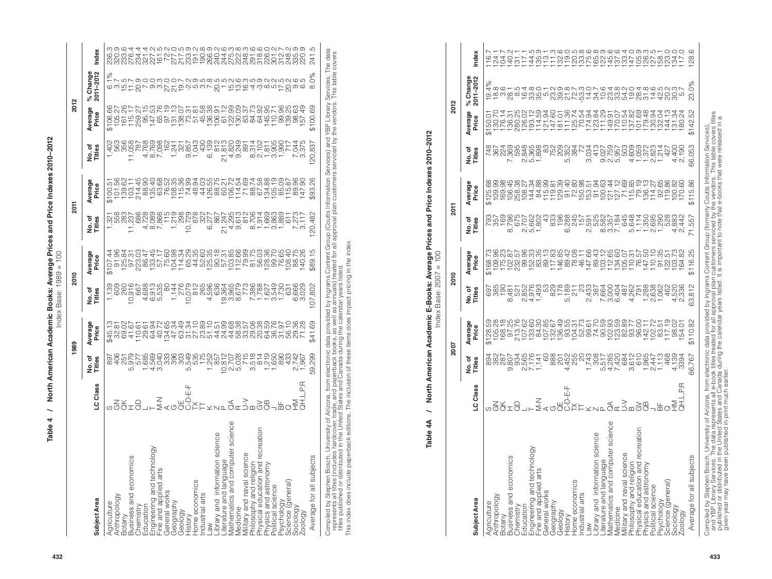| c<br>crc<br>ļ<br>s and Price I<br>i<br>T<br>a Drica<br>ooks: /<br>nmin D.<br>)<br> <br> <br> <br> <br><br><br><br> | $1989 = 100$<br>coo.<br>lex Base: 1<br>Ĕ |
|--------------------------------------------------------------------------------------------------------------------|------------------------------------------|
| ֠                                                                                                                  |                                          |
|                                                                                                                    |                                          |

| 432 | able                                                                                                                                                                                                                                                                                                                                                                                                                                                                                                                                                                                                                                                                                                                                                                   | North                                                                                                                   | $\mathbf{r}$<br>America                                                                                                                                                                                                                                                                                                                                                                                                                                                                                                                                                                   | Index<br>cademic<br>989<br>⋖                                                                                                                   | Books:<br>Base:                                                                                                                                                                                                                                                                                                                                                                                                                             | Prices<br>100<br>Average<br>H<br>1989<br>2010                                                                                                     | Price<br>$\sim$<br>ರ<br>ă                                                                                                                                                                                         | δ<br>gul                                                                                                                                                   | ξ                                                                                                                                                                                                                                                                                                                                                                                                                                                                                                     | ິສ                                                                                                                                                                                                                                                                                                                       | ∾                                                                                                                                                    |                                                                   |
|-----|------------------------------------------------------------------------------------------------------------------------------------------------------------------------------------------------------------------------------------------------------------------------------------------------------------------------------------------------------------------------------------------------------------------------------------------------------------------------------------------------------------------------------------------------------------------------------------------------------------------------------------------------------------------------------------------------------------------------------------------------------------------------|-------------------------------------------------------------------------------------------------------------------------|-------------------------------------------------------------------------------------------------------------------------------------------------------------------------------------------------------------------------------------------------------------------------------------------------------------------------------------------------------------------------------------------------------------------------------------------------------------------------------------------------------------------------------------------------------------------------------------------|------------------------------------------------------------------------------------------------------------------------------------------------|---------------------------------------------------------------------------------------------------------------------------------------------------------------------------------------------------------------------------------------------------------------------------------------------------------------------------------------------------------------------------------------------------------------------------------------------|---------------------------------------------------------------------------------------------------------------------------------------------------|-------------------------------------------------------------------------------------------------------------------------------------------------------------------------------------------------------------------|------------------------------------------------------------------------------------------------------------------------------------------------------------|-------------------------------------------------------------------------------------------------------------------------------------------------------------------------------------------------------------------------------------------------------------------------------------------------------------------------------------------------------------------------------------------------------------------------------------------------------------------------------------------------------|--------------------------------------------------------------------------------------------------------------------------------------------------------------------------------------------------------------------------------------------------------------------------------------------------------------------------|------------------------------------------------------------------------------------------------------------------------------------------------------|-------------------------------------------------------------------|
|     | <b>Subject Area</b>                                                                                                                                                                                                                                                                                                                                                                                                                                                                                                                                                                                                                                                                                                                                                    | ठ<br>ပ                                                                                                                  | No. of<br>Titles                                                                                                                                                                                                                                                                                                                                                                                                                                                                                                                                                                          | verage<br>Price<br>⋖                                                                                                                           | No. of<br>Titles                                                                                                                                                                                                                                                                                                                                                                                                                            | Average<br>Price                                                                                                                                  | ិ ខ្ល<br>양토                                                                                                                                                                                                       | Average<br>Price                                                                                                                                           | No. of<br>Titles                                                                                                                                                                                                                                                                                                                                                                                                                                                                                      | verage<br>Price<br>₹.                                                                                                                                                                                                                                                                                                    | % Change<br>2011-2012                                                                                                                                | dex                                                               |
|     | sity of Ari<br>cover, trac<br>9 United 9<br>$\omega$<br>rsity<br>$\circ$<br>Military and naval science<br>Philosophy and religion<br>Physical education and recreation<br>Physics and astronomy<br>Political science<br>$\overline{\Theta}$<br>ഠ് ⊉<br>$\omega$<br>$\bar{Q}$ $\bar{Q}$ $\in$ $\dot{X}$<br>ŏ<br>.<br>Ö<br>Library and information scien<br>Compiled by Stephen Bosch, University of the Substituted in this index does include paperback<br>It is published or distributed in This index does include paperbac<br>S<br>Literature and language<br>Mathematics and computer<br>Medicine<br>Average for all subjects<br>Psychology<br>Science (general)<br>Sociology<br>Zoology<br>Home economics<br>Industrial arts<br>Anthropology<br>Agriculture<br>aw | 풉<br><u>α</u><br>rizona, fro<br>ade, and <sub>I</sub><br>States ar<br>nggIg <sup>11</sup>                               | , from electronic data production of paperback books, as<br>and Canada during the<br>nolusion of these items of<br>של לאש של לאומי של האודר מלה של האודר מלה של האודר מלחים של היום של היום של היום של היום המלחים המודרים המשפחי<br>המלחמים המלחמים המלחמים המלחמים המלחמים המלחמים המלחמים המלחמים המלחמים המלחמים המלחמים המודרים המלחמים המודרי<br>$\overline{5}$<br>ONIO<br>59                                                                                                                                                                                                       |                                                                                                                                                | a provided by Ingrams Content G<br>s, as well as amuals) treated for a<br>g the calendar years listed.<br>ms does impact pricing in the inde<br>ה כ 4,0,10 ב 20 4,0,000 ביטשה היביטב.<br>בסטרים המשלבו ביטשה המשלבו המסטרים המשלבות המסטרים היה המשלבות המסטרים היה<br>בסטרים המשלבו המסטרים המסטרים המסטרים<br>המסטרים המסטרים המסטרים המס<br>$\overline{8}$<br>$\overline{O}$<br>アートラー<br>$\overline{O}$<br>တ္တြက္တြ<br>$\sim$<br>$\circ$ | 89<br>$\leftrightarrow$                                                                                                                           | - ד לפור – ס ים בליט פיליטיב ריט<br> ממממממממר המראומים המסיכה מה המליח היה<br> מממממממר המראומים המסיכה המליח היה<br> - ממראומים הממורכת המסיכה מראו<br>482<br>Group (Coutts<br>all approval p<br>$\overline{5}$ | ĔĔĿĸĸĸĸĸĸŔĸŔĸĸĸĸĸĸĸĸĸĸĸĸĸĸĸĸĸĸĸĸĸĸĸ<br>ŔŔŔŦŔŎĠŵŖŵŵŵŸŶĸĸĸĸĸĸĸĸŵĠĸŎŖ<br>ĬĿŵਲ਼ĿŔŎĊŵŖŵŵŸŸĊĸĸĸĸĸĸĸ<br>$\overline{\mathsf{N}}$<br>83<br>$\Theta$<br>plan<br>plan | ormation Services) and<br>customers serviced by<br><u>സ</u><br>œ<br>$\circ$<br>$\sim$                                                                                                                                                                                                                                                                                                                                                                                                                 | <b>P</b> Library<br>vendors.<br>state the state of the state of the state of the state of the state of the state of the state of the state of<br>  state the state of the state of the state of the state of the state of the state of the state of the state o<br>vert<br>dev<br>$\leftrightarrow$<br>$\leftrightarrow$ | ces. The<br>$\delta$<br>FLUL QOOWOOL NOWQWAN GWAONNAW GW<br>$\circ$<br>comption on the denouncement designed to a comption of<br>$\infty$<br>Service | data<br>vers<br>$\overline{4}$                                    |
|     | $\mathbf{\hat{4}}$<br>ble<br>$\circ$<br>۴                                                                                                                                                                                                                                                                                                                                                                                                                                                                                                                                                                                                                                                                                                                              | North.<br>The                                                                                                           | American                                                                                                                                                                                                                                                                                                                                                                                                                                                                                                                                                                                  | Index<br>lemic<br>pe:<br>ಕಿ                                                                                                                    | E-Books:<br>Base:                                                                                                                                                                                                                                                                                                                                                                                                                           | the index<br><b>ks:</b> Average I<br>$2007 = 100$                                                                                                 | and Price<br><b>Prices</b>                                                                                                                                                                                        | Indexe                                                                                                                                                     | 2010-201<br><b>SD</b>                                                                                                                                                                                                                                                                                                                                                                                                                                                                                 |                                                                                                                                                                                                                                                                                                                          |                                                                                                                                                      |                                                                   |
|     |                                                                                                                                                                                                                                                                                                                                                                                                                                                                                                                                                                                                                                                                                                                                                                        |                                                                                                                         | ຶ                                                                                                                                                                                                                                                                                                                                                                                                                                                                                                                                                                                         | 700                                                                                                                                            | 2010                                                                                                                                                                                                                                                                                                                                                                                                                                        |                                                                                                                                                   | <b>2011</b>                                                                                                                                                                                                       |                                                                                                                                                            |                                                                                                                                                                                                                                                                                                                                                                                                                                                                                                       | 2012                                                                                                                                                                                                                                                                                                                     |                                                                                                                                                      |                                                                   |
|     | Subject Area                                                                                                                                                                                                                                                                                                                                                                                                                                                                                                                                                                                                                                                                                                                                                           | ಹ<br>$\circ$<br>$\circ$                                                                                                 | No. of<br>Titles                                                                                                                                                                                                                                                                                                                                                                                                                                                                                                                                                                          | werage<br>Price<br>⋖                                                                                                                           | No. of<br>Titles                                                                                                                                                                                                                                                                                                                                                                                                                            | Average<br>Price                                                                                                                                  | No.of<br>Titles                                                                                                                                                                                                   | ω<br>werage<br>Price<br>⋖                                                                                                                                  | No. of<br>Titles                                                                                                                                                                                                                                                                                                                                                                                                                                                                                      | <b>შ</b> ი<br>Averag<br>Price                                                                                                                                                                                                                                                                                            | $\bullet$ $\sim$<br>% Change<br>2011-2012                                                                                                            | ఠ<br>Ě                                                            |
|     | Φ<br>science<br>Literature and language<br>Mathematics and computer science<br>Medicine<br>Military and naval science<br>Physical education and recreation<br>Physics and astronomy<br>Political science<br>$\omega$<br>Ō<br>Library and information scien<br>Bottiny--------<br>Business and economics<br>Chemistry<br>Education<br>Elevaring and technology<br>Fine and works<br>Geography<br>Geography<br>History<br>Average for all subjects<br>Home economics<br>Industrial arts<br>Psychology<br>Science (general)<br>Sociology<br>Zoology<br>Anthropology<br>Agriculture<br>MB                                                                                                                                                                                  | Œ<br>Ц.<br>മ<br>ய்<br>யும்                                                                                              | $\begin{array}{cccc} \text{\tiny Q} & \text{\tiny Q} & \text{\tiny Q} & \text{\tiny Q} & \text{\tiny Q} & \text{\tiny Q} & \text{\tiny Q} & \text{\tiny Q} & \text{\tiny Q} & \text{\tiny Q} & \text{\tiny Q} & \text{\tiny Q} & \text{\tiny Q} & \text{\tiny Q} & \text{\tiny Q} & \text{\tiny Q} & \text{\tiny Q} & \text{\tiny Q} & \text{\tiny Q} & \text{\tiny Q} & \text{\tiny Q} & \text{\tiny Q} & \text{\tiny Q} & \text{\tiny Q} & \text{\tiny Q} & \text{\tiny Q} & \text{\tiny Q} & \text{\tiny Q} & \text{\tiny Q} & \text{\tiny Q} & \text{\$<br>Ö<br>$\overline{ }$<br>66, | URGE SER PRESERTE ESPRESENTES E EL<br>IRGE PRESERTES EN ENGRESENTES EL PRESERTES<br>IRGE PRESERTES EL PRESERTES EL P<br>$\leftrightarrow$<br>↔ | se mandial de la discriminación de la discriminación de la discriminación de la discriminación de la discrimin<br>  programación de la discriminación de la discriminación de la discriminación de la discriminación de la discr<br>$\infty$<br>$\sim$ $\sim$ $\sim$<br>5<br>N N Q<br>$\overline{4}$<br>$-\sim$ $-$<br>4 U W                                                                                                                | ĬĔĿĊĸĸĸĸĸĸĸĸĸĸĸĸĸĸĸĸĸĸĸĸĸĸĸĸĸĸĸĸĸĸĸ<br>ŔŔŔŔŔŔŔŖŔĸŔŔŔŔĊŔŔĸŔŔĊĿŶĿĊĿŔĿĸĸ<br>ĬĔŔŔŶĿŔĸŔĸŔĸŔŔĊĔŔŔĸŔŔĊĊĿŶĿĊ<br>N<br>116<br>$\Theta$<br>$\leftrightarrow$ | brasic cines a mandantique de Languna 4<br>55<br>G<br>$\infty$<br>$\sim$ $\sim$<br>$\sim$ $\infty$ $\sim$<br>$D - C - C$<br>$40 -$                                                                                | @9984%YY&99593489659647@85F706898 &<br>$\leftrightarrow$<br>$\leftrightarrow$                                                                              | $\begin{smallmatrix} \text{1} & \text{9} & \text{9} & \text{9} & \text{9} & \text{9} & \text{9} & \text{9} \\ \text{1} & \text{9} & \text{9} & \text{9} & \text{9} & \text{9} & \text{9} & \text{9} \\ \text{2} & \text{4} & \text{2} & \text{9} & \text{9} & \text{9} & \text{9} & \text{9} \\ \text{3} & \text{5} & \text{4} & \text{3} & \text{9} & \text{9} & \text{9} & \text{9} \\ \text{4} & \text{5} & \text{4} & \text{4$<br>S<br>$\sim$<br>$\sim$ $\sim$ $\sim$<br>5<br>のひち 4トークー<br>4.9.60 | ↔<br>↔                                                                                                                                                                                                                                                                                                                   | $\circ$                                                                                                                                              | L - L V - - L V - - W O - W O O W O O W O O O Q O O W U - O O O O |
| 433 | Compiled by Stephen Bosch, Univ<br>and YBP Library Services. The<br>published or distributed in the U                                                                                                                                                                                                                                                                                                                                                                                                                                                                                                                                                                                                                                                                  | from elec<br>I e-book t<br>Canada c<br>ై⊖<br>$\alpha \neq 0$<br>rsity of Arizona<br>ta represents a<br>tited States and | ectronic<br>titles tre<br>during t                                                                                                                                                                                                                                                                                                                                                                                                                                                                                                                                                        | provide<br>I for all a<br>alendar<br>cata p<br>reated fi<br>the call                                                                           | ded by Ingrams (<br>  approval plan c<br>ar years listed. It                                                                                                                                                                                                                                                                                                                                                                                | is Content Group<br>n customers server<br>. It is important to                                                                                    | roup<br>service                                                                                                                                                                                                   | o (formerly Coutts Inf<br>viced by the vendors<br>o note that e-books t                                                                                    | tion Services),<br>s table covers t<br>ere released in<br>Informatio<br>lors. This ta<br>cs that were                                                                                                                                                                                                                                                                                                                                                                                                 | covers titles<br>eased in a                                                                                                                                                                                                                                                                                              |                                                                                                                                                      |                                                                   |

| 500000                                                                                                                |  |
|-----------------------------------------------------------------------------------------------------------------------|--|
|                                                                                                                       |  |
|                                                                                                                       |  |
|                                                                                                                       |  |
|                                                                                                                       |  |
|                                                                                                                       |  |
|                                                                                                                       |  |
|                                                                                                                       |  |
|                                                                                                                       |  |
| ı                                                                                                                     |  |
|                                                                                                                       |  |
|                                                                                                                       |  |
|                                                                                                                       |  |
|                                                                                                                       |  |
|                                                                                                                       |  |
| l                                                                                                                     |  |
|                                                                                                                       |  |
| י היי יוני יוני יוני ביום.<br>יוני                                                                                    |  |
|                                                                                                                       |  |
|                                                                                                                       |  |
|                                                                                                                       |  |
|                                                                                                                       |  |
|                                                                                                                       |  |
|                                                                                                                       |  |
|                                                                                                                       |  |
| ֧֧֧֧ׅ֧֧֧֧ׅ֧ׅ֧ׅ֧ׅ֧ׅ֧֧֧֧֧֧ׅ֧֧֧֛֪֧֧֧֧֧֧֧֧֧֧֧֧֧֧֧֧֧֧֧֧֧֚֚֚֚֚֚֚֚֚֚֚֚֚֚֚֚֝֝֓֝֓֜֓֝֓֝֓֝֬֜֜֜֜֜֜֝֬֜֝֜֜֝֬֜֝֬<br>֧֧֧֛֧֛֛֛֛֛֜֜֜֜֜֜ |  |
| ı                                                                                                                     |  |
|                                                                                                                       |  |
|                                                                                                                       |  |
|                                                                                                                       |  |
|                                                                                                                       |  |
|                                                                                                                       |  |
|                                                                                                                       |  |
|                                                                                                                       |  |
|                                                                                                                       |  |
|                                                                                                                       |  |
|                                                                                                                       |  |
|                                                                                                                       |  |
|                                                                                                                       |  |
|                                                                                                                       |  |
|                                                                                                                       |  |
|                                                                                                                       |  |
|                                                                                                                       |  |
|                                                                                                                       |  |
|                                                                                                                       |  |
| i                                                                                                                     |  |
| $\overline{a}$                                                                                                        |  |
| $\frac{1}{2}$                                                                                                         |  |
|                                                                                                                       |  |
|                                                                                                                       |  |

| ١      |  |
|--------|--|
|        |  |
| ١<br>Ī |  |
| i      |  |
| inde.  |  |
|        |  |
|        |  |

|                                                                                                                                                                                                                                                        |                           |                                                 | 2007                                                                                                                                                                               |                                                  | 2010                                            |                                                              | 2011                            |                                         |                                        | 2012                                                                      |                    |
|--------------------------------------------------------------------------------------------------------------------------------------------------------------------------------------------------------------------------------------------------------|---------------------------|-------------------------------------------------|------------------------------------------------------------------------------------------------------------------------------------------------------------------------------------|--------------------------------------------------|-------------------------------------------------|--------------------------------------------------------------|---------------------------------|-----------------------------------------|----------------------------------------|---------------------------------------------------------------------------|--------------------|
| Subject Area                                                                                                                                                                                                                                           | LC Class                  | No.of<br>Titles                                 | Average<br>Price                                                                                                                                                                   | No.of<br>Titles                                  | Average<br>Price                                | No.of<br>Titles                                              | Average<br>Price                | No.of<br>Titles                         | Average<br>Price                       | % Change<br>2011-2012                                                     | Index              |
| Agriculture<br>Anthropology                                                                                                                                                                                                                            |                           | ಹಿ.ಜೆ<br>ಹಿ                                     | \$128.59                                                                                                                                                                           | 0000<br>0000                                     | \$168.                                          | 88279887<br>882797887<br>878878787<br>87887                  | \$125.68                        | 7<br>2000<br>2004<br>2014<br>2014       | \$150.0                                | 19.4%                                                                     |                    |
|                                                                                                                                                                                                                                                        |                           |                                                 |                                                                                                                                                                                    |                                                  |                                                 |                                                              |                                 |                                         | 130.70                                 | დ.<br>ლო                                                                  | $\overline{24}$ .  |
|                                                                                                                                                                                                                                                        |                           | 287                                             |                                                                                                                                                                                    |                                                  |                                                 |                                                              |                                 |                                         |                                        |                                                                           |                    |
| Botany<br>Business and economics                                                                                                                                                                                                                       |                           |                                                 | 105.28<br>168.18<br>97.25                                                                                                                                                          |                                                  |                                                 |                                                              |                                 |                                         | 176.14<br>136.35<br>1280.02<br>1280.14 | 28                                                                        | 104.7<br>140.2     |
|                                                                                                                                                                                                                                                        |                           |                                                 |                                                                                                                                                                                    |                                                  |                                                 |                                                              |                                 |                                         |                                        | $\infty$                                                                  |                    |
|                                                                                                                                                                                                                                                        |                           |                                                 |                                                                                                                                                                                    |                                                  |                                                 |                                                              |                                 |                                         |                                        |                                                                           |                    |
| Chemistry<br>Education<br>Engineering and technology<br>Fine and applied arts<br>Geography<br>Geology<br>Geology                                                                                                                                       | ⊃<br>><br>>⊣∟             | 9. 412-4<br>89.10-4<br>99.10-40<br>99.10-40     | thu thu bhu guy chung chung chung<br>Guy chung chung chung chung<br>Kangan chung chung chung chung chung chung chung chung chung chung chung chung chung chung chung chung chung c | 8 0 0 4 4<br>4 0 0 0 4<br>4 0 0 0 4<br>2 0 0 4 4 | 1252225<br>1252283<br>105225                    |                                                              | 0448950<br>04446969<br>04469659 |                                         | 193.12                                 | 6880-<br>6880-                                                            | $0 - 400 - 7$      |
|                                                                                                                                                                                                                                                        |                           |                                                 |                                                                                                                                                                                    |                                                  |                                                 |                                                              |                                 |                                         | cg.                                    |                                                                           |                    |
|                                                                                                                                                                                                                                                        |                           |                                                 |                                                                                                                                                                                    |                                                  |                                                 |                                                              |                                 |                                         | 121.94                                 |                                                                           |                    |
|                                                                                                                                                                                                                                                        |                           |                                                 |                                                                                                                                                                                    |                                                  |                                                 | 833                                                          | $115$<br>$119$                  |                                         | ବ୍                                     |                                                                           |                    |
|                                                                                                                                                                                                                                                        |                           | $\overline{\overset{\circ}{\mathcal{B}}}$       |                                                                                                                                                                                    |                                                  | 83.35<br>89.188<br>89.149.85                    | 196                                                          | 129                             |                                         | Q                                      |                                                                           | 85                 |
|                                                                                                                                                                                                                                                        | 出<br>山<br>ਨੌ              |                                                 |                                                                                                                                                                                    | 825<br>1789<br>5,182                             | $\overline{42}$                                 |                                                              |                                 | r<br>2007<br>2007<br>2007               | $\frac{8}{2}$<br>7707                  |                                                                           |                    |
| Home economics                                                                                                                                                                                                                                         |                           |                                                 |                                                                                                                                                                                    |                                                  | $\overline{6}$<br>884                           |                                                              |                                 |                                         |                                        |                                                                           |                    |
| ndustrial arts                                                                                                                                                                                                                                         |                           | 4,452<br>2550<br>4,                             |                                                                                                                                                                                    | v<br>9880<br>9880<br>9887                        |                                                 | e v aur ni-rai<br>634-038634445-06018<br>8347-03874444450808 | a garag                         |                                         | 77278950788<br>125.<br>70.             | N N N H W H W W W D H V<br>- V W 4 4 O W W 4 D W<br>- W W H W D W W W D 4 |                    |
|                                                                                                                                                                                                                                                        |                           | 1,743                                           |                                                                                                                                                                                    |                                                  | .66<br>147                                      |                                                              |                                 | 3,034                                   |                                        |                                                                           |                    |
|                                                                                                                                                                                                                                                        |                           |                                                 |                                                                                                                                                                                    |                                                  | ্র<br>ব                                         |                                                              |                                 | 413                                     | 123                                    |                                                                           |                    |
| Law<br>Library and information science<br>Literature and language<br>Medicinatics and computer science<br>Medicination and assignce<br>Military and naval science<br>Philosophy and religion<br>Physical aducation and recreation<br>Political science |                           | n41, w. L<br>wiy40000<br>010040000<br>021004000 |                                                                                                                                                                                    |                                                  | $\frac{1}{2}$<br>$\frac{8921}{77}$              |                                                              |                                 | ana 4--w-<br>orangowawi4<br>orangowawit | FALLPPL<br>FALLPPL                     |                                                                           |                    |
|                                                                                                                                                                                                                                                        |                           |                                                 |                                                                                                                                                                                    | 3,004<br>6,404                                   | 134,957<br>134,957,557<br>134,957,557<br>147,59 |                                                              |                                 |                                         |                                        |                                                                           |                    |
|                                                                                                                                                                                                                                                        |                           |                                                 |                                                                                                                                                                                    |                                                  |                                                 |                                                              | まちぬおちらど                         |                                         |                                        |                                                                           | $\frac{0.9}{0.33}$ |
|                                                                                                                                                                                                                                                        | $\stackrel{\frown}{\neg}$ |                                                 |                                                                                                                                                                                    | 487                                              |                                                 |                                                              |                                 |                                         |                                        |                                                                           |                    |
|                                                                                                                                                                                                                                                        |                           |                                                 |                                                                                                                                                                                    | 267<br>288<br>288                                |                                                 |                                                              |                                 |                                         |                                        |                                                                           |                    |
|                                                                                                                                                                                                                                                        |                           |                                                 |                                                                                                                                                                                    |                                                  |                                                 |                                                              |                                 |                                         |                                        |                                                                           |                    |
|                                                                                                                                                                                                                                                        |                           |                                                 |                                                                                                                                                                                    |                                                  |                                                 |                                                              | 136                             |                                         | $rac{a}{x}$                            |                                                                           |                    |
|                                                                                                                                                                                                                                                        |                           | 2,447                                           |                                                                                                                                                                                    | 2,638<br>1,062<br>462                            | $\Xi$                                           |                                                              | $\overline{4}$                  |                                         | ò<br>132                               |                                                                           |                    |
|                                                                                                                                                                                                                                                        |                           | 1,113                                           |                                                                                                                                                                                    |                                                  | 95                                              |                                                              |                                 |                                         | Š                                      |                                                                           | 58.                |
|                                                                                                                                                                                                                                                        |                           |                                                 |                                                                                                                                                                                    |                                                  | ŗó<br>52                                        |                                                              | 92.65<br>I19.86                 |                                         | <u>رب</u><br>—<br>44                   |                                                                           |                    |
| Sociology                                                                                                                                                                                                                                              |                           |                                                 |                                                                                                                                                                                    | 4,528                                            |                                                 | .883                                                         | œ.                              | 4,400                                   | $\overline{\widetilde{\mathcal{C}}}$   | 84009<br>84009<br>8409                                                    |                    |
| Zoology                                                                                                                                                                                                                                                | L.P.R                     |                                                 |                                                                                                                                                                                    |                                                  | 34                                              |                                                              |                                 |                                         | 80                                     |                                                                           |                    |
| Average for all subjects                                                                                                                                                                                                                               |                           | 66,767                                          | \$110.82                                                                                                                                                                           | 63,812                                           | \$116.25                                        | 71,557                                                       | 86<br>\$115.                    | 66,053                                  | \$142.52                               | 23.0%                                                                     | 28.                |
|                                                                                                                                                                                                                                                        |                           |                                                 |                                                                                                                                                                                    |                                                  |                                                 |                                                              |                                 |                                         |                                        |                                                                           |                    |

given year may have been published in print much earlier.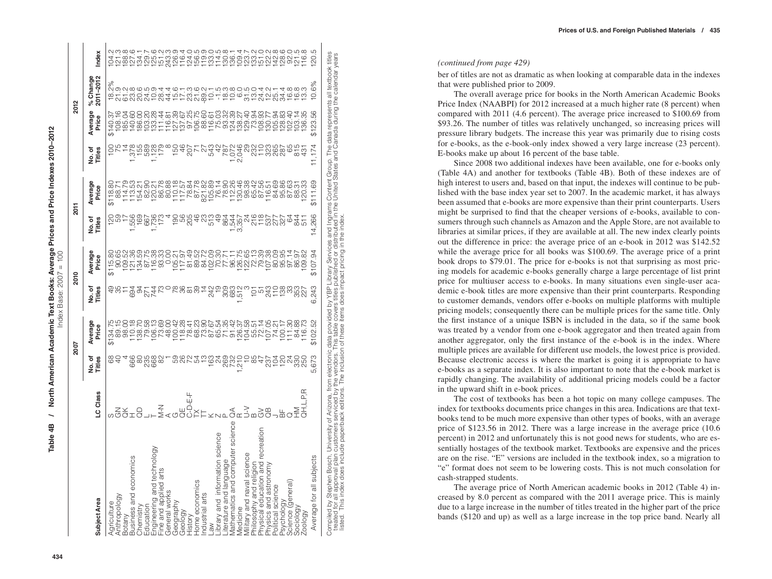$2012$ 

|                                                                                                                                                                                                                                                                                                                                                                                                                 |                          |                        | 2007                                                  |                        | <b>2010</b>                          |                        | 2011                                           |                         |                     | 2012                                                                                                                                                                                                                                                                                                                   |                                                 |
|-----------------------------------------------------------------------------------------------------------------------------------------------------------------------------------------------------------------------------------------------------------------------------------------------------------------------------------------------------------------------------------------------------------------|--------------------------|------------------------|-------------------------------------------------------|------------------------|--------------------------------------|------------------------|------------------------------------------------|-------------------------|---------------------|------------------------------------------------------------------------------------------------------------------------------------------------------------------------------------------------------------------------------------------------------------------------------------------------------------------------|-------------------------------------------------|
| <b>Subject Area</b>                                                                                                                                                                                                                                                                                                                                                                                             | LC Class                 | to.of<br><b>Titles</b> | Average<br>Price                                      | To.of<br>Titles        | Average<br>Price                     | to.of<br><b>Titles</b> | Average<br>Price                               | Titles<br>o.<br>No.of   | Average<br>Price    | % Change<br>2011-2012                                                                                                                                                                                                                                                                                                  | hdex                                            |
| Anthropology<br>Agriculture                                                                                                                                                                                                                                                                                                                                                                                     |                          | 8                      | \$134.75<br>89.15                                     | 95<br>95               | 89.<br>8<br>$\overline{5}$<br>\$115. | $\frac{20}{2}$         | 118.80<br>88.71<br>\$118.                      | $\frac{100}{1}$         | ᢒ<br>\$140.         | se<br>condicidad<br>condicidad<br>sendicidad<br>sendicidad                                                                                                                                                                                                                                                             | oj coj coj coj<br>S<br>$\overline{\mathcal{C}}$ |
| Botany                                                                                                                                                                                                                                                                                                                                                                                                          |                          |                        |                                                       |                        |                                      |                        | 114.79                                         |                         | 185.                |                                                                                                                                                                                                                                                                                                                        |                                                 |
| Business and economics                                                                                                                                                                                                                                                                                                                                                                                          |                          | 666                    |                                                       |                        | 109.52<br>121.59<br>134.59           | 1,556<br>1,556<br>169  |                                                |                         | 28<br>$\frac{1}{4}$ |                                                                                                                                                                                                                                                                                                                        | 188.1<br>1274<br>134                            |
| Chemistry                                                                                                                                                                                                                                                                                                                                                                                                       |                          | $\approx$              |                                                       | 892742<br>892742       |                                      |                        | 113.53<br>154.20<br>82.90                      | 1,359<br>1,589<br>1,128 | 86.                 |                                                                                                                                                                                                                                                                                                                        |                                                 |
| Education                                                                                                                                                                                                                                                                                                                                                                                                       |                          | 235<br>668             |                                                       |                        | 87.75                                | 1,736<br>1,736<br>1736 |                                                |                         | g<br>03.            |                                                                                                                                                                                                                                                                                                                        | 129.7<br>125.9<br>151.2                         |
| Engineering and technology                                                                                                                                                                                                                                                                                                                                                                                      |                          |                        |                                                       |                        | 116.38                               |                        | 120.21                                         |                         | 133.28              |                                                                                                                                                                                                                                                                                                                        |                                                 |
| Fine and applied arts                                                                                                                                                                                                                                                                                                                                                                                           | そう                       | $\frac{8}{2}$          | 73.69<br>48.00                                        |                        | 93.33                                |                        | 86.78                                          |                         | 11.44               |                                                                                                                                                                                                                                                                                                                        |                                                 |
| General works                                                                                                                                                                                                                                                                                                                                                                                                   |                          |                        |                                                       |                        | 8.00                                 |                        | 80.88                                          |                         | 116.81              |                                                                                                                                                                                                                                                                                                                        | 243.3                                           |
| Geography                                                                                                                                                                                                                                                                                                                                                                                                       |                          |                        | 100.42<br>118.28                                      |                        | ń                                    | $\frac{90}{56}$        |                                                | 150                     | 127.39              |                                                                                                                                                                                                                                                                                                                        | 126.9<br>116.4                                  |
| Geology                                                                                                                                                                                                                                                                                                                                                                                                         |                          | 00074<br>0007          |                                                       | 2829                   | 117.97                               |                        | $\frac{110.18}{78.84}$                         | $\frac{6}{4}$           | 137.67              |                                                                                                                                                                                                                                                                                                                        |                                                 |
| History                                                                                                                                                                                                                                                                                                                                                                                                         |                          |                        | 78.41                                                 |                        | $\overline{6}$<br>$\overline{6}$     | 205                    |                                                | 207<br>71               | 8Š<br>97.           |                                                                                                                                                                                                                                                                                                                        | 124.0<br>156.5                                  |
| Home economics<br>ndustrial arts                                                                                                                                                                                                                                                                                                                                                                                |                          |                        | 88254<br>88254                                        |                        | SS.<br>84.72<br>89.                  | $\frac{6}{5}$<br>S.    | 87106827<br>8706882<br>870688                  | 22                      | 106.75              | 4 H H SQ B &<br>4 H H W H B<br>4 H H W H D                                                                                                                                                                                                                                                                             |                                                 |
| $-8o$                                                                                                                                                                                                                                                                                                                                                                                                           |                          |                        |                                                       | 242                    |                                      | 513                    |                                                | 543                     | 88.67<br>16.67      |                                                                                                                                                                                                                                                                                                                        |                                                 |
| library and information science                                                                                                                                                                                                                                                                                                                                                                                 |                          |                        |                                                       | ၣ                      | 102.09<br>70.30                      | $rac{1}{4}$            |                                                | $42$                    | 116.61<br>75.03     |                                                                                                                                                                                                                                                                                                                        |                                                 |
| -iterature and language                                                                                                                                                                                                                                                                                                                                                                                         |                          | 526<br>556             | က္ပြ                                                  |                        | 77.7                                 | 864                    |                                                | 787                     | 93.32               | trabections<br>bradections                                                                                                                                                                                                                                                                                             | 110118<br>00110<br>0010                         |
| science<br>Mathematics and computer                                                                                                                                                                                                                                                                                                                                                                             |                          | 732                    | 42<br>$\frac{1}{9}$                                   | 3037<br>0837           | 96.11                                |                        |                                                | ò.                      | 124.39              |                                                                                                                                                                                                                                                                                                                        | 136.1                                           |
| Medicine                                                                                                                                                                                                                                                                                                                                                                                                        |                          | 210                    | 126.37                                                |                        | 126.75                               | 3,357<br>3,357         | 130.46                                         | 2,046                   | 138.27              |                                                                                                                                                                                                                                                                                                                        | 109.4                                           |
| Military and naval science                                                                                                                                                                                                                                                                                                                                                                                      | $\tilde{z}$              |                        | $\frac{28}{50}$<br>104.                               |                        | 122.65                               | $\frac{5}{4}$          | 98.38                                          |                         | 129.40              |                                                                                                                                                                                                                                                                                                                        | 123.7                                           |
| Philosophy and religion<br>Physical education and recreation                                                                                                                                                                                                                                                                                                                                                    |                          | 58                     | 55.                                                   | ġ                      | 72.13                                | 216                    | 65.42                                          | 232                     | 73.94               |                                                                                                                                                                                                                                                                                                                        | 133.                                            |
|                                                                                                                                                                                                                                                                                                                                                                                                                 | $\widetilde{\mathrm{G}}$ | 4                      | 72.14                                                 | LO <sub>1</sub>        | 79.39                                | $\frac{8}{11}$         | 87.56                                          | $\breve{\tau}$          | S.<br>08.           |                                                                                                                                                                                                                                                                                                                        | 151.                                            |
| Physics and astronomy                                                                                                                                                                                                                                                                                                                                                                                           |                          | 237                    | ರ್ರೈ<br>$\overline{07}$                               | $21 - 28$<br>$21 - 28$ | 107.38                               | 537                    | 116.51                                         | 323                     | 130.77              |                                                                                                                                                                                                                                                                                                                        | 122.2                                           |
| Political science                                                                                                                                                                                                                                                                                                                                                                                               |                          | $\overline{5}$         | 74.                                                   |                        | 80.09                                | 277                    |                                                | 265                     | 2<br>105.           | 25.1                                                                                                                                                                                                                                                                                                                   | 142.8                                           |
|                                                                                                                                                                                                                                                                                                                                                                                                                 |                          |                        |                                                       |                        | 95.95                                | 327                    |                                                | 287                     | 55<br>00<br>128.    |                                                                                                                                                                                                                                                                                                                        | 128.6                                           |
| Psychology<br>Science (general)                                                                                                                                                                                                                                                                                                                                                                                 |                          | $\frac{1}{24}$         | 100.17<br>11.30<br>84.88<br>111.30<br>84.88<br>116.73 | ကိ                     | 97.14                                | ò                      | ಕ್ಷಿ<br>ಕ್ಷಿಪ್ಪಜ್ಞ<br>ಕ್ಷಿಪ್ಪಜ್ಞ<br>ಹಿಂದಿ ಹಿಂದ | 65                      | 102.40              | $\begin{array}{l} 20 - 10 \\ 40 - 10 \\ 40 - 10 \\ 40 - 10 \\ 40 - 10 \\ 40 - 10 \\ 40 - 10 \\ 40 - 10 \\ 40 - 10 \\ 40 - 10 \\ 40 - 10 \\ 40 - 10 \\ 40 - 10 \\ 40 - 10 \\ 40 - 10 \\ 40 - 10 \\ 40 - 10 \\ 40 - 10 \\ 40 - 10 \\ 40 - 10 \\ 40 - 10 \\ 40 - 10 \\ 40 - 10 \\ 40 - 10 \\ 40 - 10 \\ 40 - 10 \\ 40 - $ | 92.5.8<br>2716.8                                |
| Sociology                                                                                                                                                                                                                                                                                                                                                                                                       |                          | 330<br>25              |                                                       | 353<br>221             | 95<br>86.                            | 844                    | $\frac{80}{120}$                               |                         | 103.14<br>136.35    |                                                                                                                                                                                                                                                                                                                        |                                                 |
| Zoology                                                                                                                                                                                                                                                                                                                                                                                                         | QH,L,P,R                 |                        |                                                       |                        | 109.                                 | $\frac{1}{5}$          |                                                | $\frac{3}{4}$           |                     |                                                                                                                                                                                                                                                                                                                        |                                                 |
| Average for all subjects                                                                                                                                                                                                                                                                                                                                                                                        |                          | 5,673                  | S.<br>\$102.                                          | 6,243                  | 99<br>\$107.                         | 266<br>4.              | \$11.69                                        | 11, 174                 | 56<br>\$123.        | 10.6%                                                                                                                                                                                                                                                                                                                  | ഥ<br>$\overline{5}$                             |
| Compiled by Stephen Bosch, University of Arizona, from electronic data provided by YBP Library Services and Ingrams Content Group. The data represents all textbook titles<br>treated for all approval plan customers serviced by the vendors. This table covers titles published or distributed in the United States and Canada during the calendar years<br>listed. This index does include paperback edition |                          |                        |                                                       |                        |                                      |                        |                                                |                         |                     |                                                                                                                                                                                                                                                                                                                        |                                                 |

### *(continued from page 429)*

ber of titles are not as dramatic as when looking at comparable data in the indexes that were published prior to 2009.

The overall average price for books in the North American Academic Books Price Index (NAABPI) for 2012 increased at a much higher rate (8 percent) when compared with 2011 (4.6 percent). The average price increased to \$100.69 from \$93.26. The number of titles was relatively unchanged, so increasing prices will pressure library budgets. The increase this year was primarily due to rising costs for e-books, as the e-book-only index showed a very large increase (23 percent). E-books make up about 16 percent of the base table.

Since 2008 two additional indexes have been available, one for e-books only (Table 4A) and another for textbooks (Table 4B). Both of these indexes are of high interest to users and, based on that input, the indexes will continue to be pub lished with the base index year set to 2007. In the academic market, it has always been assumed that e-books are more expensive than their print counterparts. Users might be surprised to find that the cheaper versions of e-books, available to con sumers through such channels as Amazon and the Apple Store, are not available to libraries at similar prices, if they are available at all. The new index clearly points out the difference in price: the average price of an e-book in 2012 was \$142.52 while the average price for all books was \$100.69. The average price of a print book drops to \$79.01. The price for e-books is not that surprising as most pric ing models for academic e-books generally charge a large percentage of list print price for multiuser access to e-books. In many situations even single-user academic e-book titles are more expensive than their print counterparts. Responding to customer demands, vendors offer e-books on multiple platforms with multiple pricing models; consequently there can be multiple prices for the same title. Only the first instance of a unique ISBN is included in the data, so if the same book was treated by a vendor from one e-book aggregator and then treated again from another aggregator, only the first instance of the e-book is in the index. Where multiple prices are available for different use models, the lowest price is provided. Because electronic access is where the market is going it is appropriate to have e-books as a separate index. It is also important to note that the e-book market is rapidly changing. The availability of additional pricing models could be a factor in the upward shift in e-book prices.

The cost of textbooks has been a hot topic on many college campuses. The index for textbooks documents price changes in this area. Indications are that text books tend to be much more expensive than other types of books, with an average price of \$123.56 in 2012. There was a large increase in the average price (10.6 percent) in 2012 and unfortunately this is not good news for students, who are es sentially hostages of the textbook market. Textbooks are expensive and the prices are on the rise. "E" versions are included in the textbook index, so a migration to "e" format does not seem to be lowering costs. This is not much consolation for cash-strapped students.

The average price of North American academic books in 2012 (Table 4) in creased by 8.0 percent as compared with the 2011 average price. This is mainly due to a large increase in the number of titles treated in the higher part of the price bands (\$120 and up) as well as a large increase in the top price band. Nearly all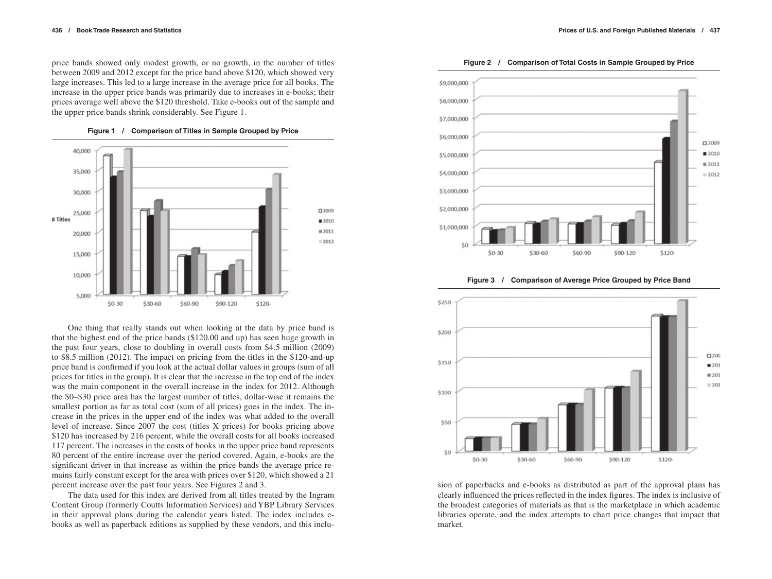price bands showed only modest growth, or no growth, in the number of titles between 2009 and 2012 except for the price band above \$120, which showed very large increases. This led to a large increase in the average price for all books. The increase in the upper price bands was primarily due to increases in e-books; their prices average well above the \$120 threshold. Take e-books out of the sample and the upper price bands shrink considerably. See Figure 1.



**Figure 1 / Comparison of Titles in Sample Grouped by Price**

One thing that really stands out when looking at the data by price band is that the highest end of the price bands (\$120.00 and up) has seen huge growth in the past four years, close to doubling in overall costs from \$4.5 million (2009) to \$8.5 million (2012). The impact on pricing from the titles in the \$120-and-up price band is confirmed if you look at the actual dollar values in groups (sum of all prices for titles in the group). It is clear that the increase in the top end of the index was the main component in the overall increase in the index for 2012. Although the \$0–\$30 price area has the largest number of titles, dollar-wise it remains the smallest portion as far as total cost (sum of all prices) goes in the index. The increase in the prices in the upper end of the index was what added to the overall level of increase. Since 2007 the cost (titles X prices) for books pricing above \$120 has increased by 216 percent, while the overall costs for all books increased 117 percent. The increases in the costs of books in the upper price band represents 80 percent of the entire increase over the period covered. Again, e-books are the significant driver in that increase as within the price bands the average price remains fairly constant except for the area with prices over \$120, which showed a 21 percent increase over the past four years. See Figures 2 and 3.

The data used for this index are derived from all titles treated by the Ingram Content Group (formerly Coutts Information Services) and YBP Library Services in their approval plans during the calendar years listed. The index includes ebooks as well as paperback editions as supplied by these vendors, and this inclu-



**Figure 3 / Comparison of Average Price Grouped by Price Band**



sion of paperbacks and e-books as distributed as part of the approval plans has clearly influenced the prices reflected in the index figures. The index is inclusive of the broadest categories of materials as that is the marketplace in which academic libraries operate, and the index attempts to chart price changes that impact that market.

**Figure 2 / Comparison of Total Costs in Sample Grouped by Price**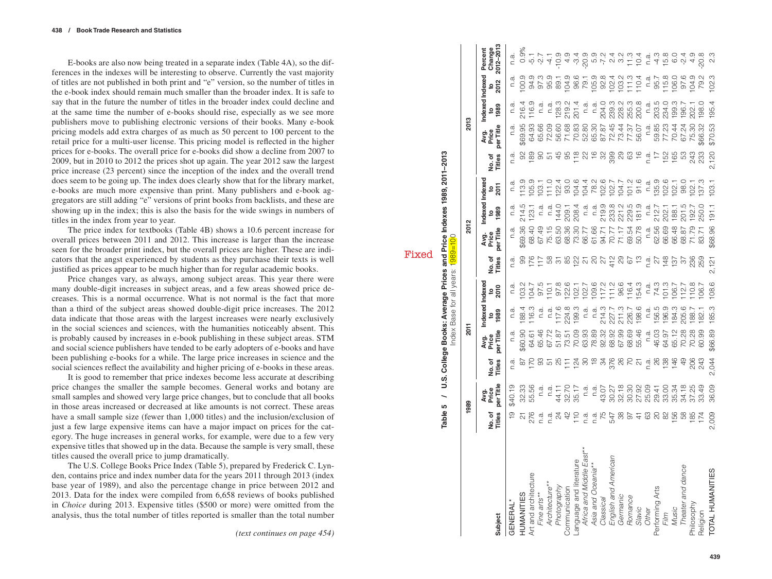E-books are also now being treated in a separate index (Table 4A), so the differences in the indexes will be interesting to observe. Currently the vast majority of titles are not published in both print and "e" version, so the number of titles in the e-book index should remain much smaller than the broader index. It is safe to say that in the future the number of titles in the broader index could decline and at the same time the number of e-books should rise, especially as we see more publishers move to publishing electronic versions of their books. Many e-book pricing models add extra charges of as much as 50 percent to 100 percent to the retail price for a multi-user license. This pricing model is reflected in the higher prices for e-books. The overall price for e-books did show a decline from 2007 to 2009, but in 2010 to 2012 the prices shot up again. The year 2012 saw the largest price increase (23 percent) since the inception of the index and the overall trend does seem to be going up. The index does clearly show that for the library market, e-books are much more expensive than print. Many publishers and e-book ag gregators are still adding "e" versions of print books from backlists, and these are showing up in the index; this is also the basis for the wide swings in numbers of titles in the index from year to year.

The price index for textbooks (Table 4B) shows a 10.6 percent increase for overall prices between 2011 and 2012. This increase is larger than the increase seen for the broader print index, but the overall prices are higher. These are indi cators that the angst experienced by students as they purchase their texts is well justified as prices appear to be much higher than for regular academic books.

Price changes vary, as always, among subject areas. This year there were many double-digit increases in subject areas, and a few areas showed price decreases. This is a normal occurrence. What is not normal is the fact that more than a third of the subject areas showed double-digit price increases. The 2012 data indicate that those areas with the largest increases were nearly exclusively in the social sciences and sciences, with the humanities noticeably absent. This is probably caused by increases in e-book publishing in these subject areas. STM and social science publishers have tended to be early adopters of e-books and have been publishing e-books for a while. The large price increases in science and the social sciences reflect the availability and higher pricing of e-books in these areas.

It is good to remember that price indexes become less accurate at describing price changes the smaller the sample becomes. General works and botany are small samples and showed very large price changes, but to conclude that all books in those areas increased or decreased at like amounts is not correct. These areas have a small sample size (fewer than 1,000 titles) and the inclusion/exclusion of just a few large expensive items can have a major impact on prices for the cat egory. The huge increases in general works, for example, were due to a few very expensive titles that showed up in the data. Because the sample is very small, these titles caused the overall price to jump dramatically.

The U.S. College Books Price Index (Table 5), prepared by Frederick C. Lyn den, contains price and index number data for the years 2011 through 2013 (index base year of 1989), and also the percentage change in price between 2012 and 2013. Data for the index were compiled from 6,658 reviews of books published in *Choice* during 2013. Expensive titles (\$500 or more) were omitted from the analysis, thus the total number of titles reported is smaller than the total number

|                                                                                                                                                                                                          | Table 5                                          |                                                                                                                                                                                                                                  |                                               |                                  |                                          |                                                                                 | Index Base for all years: 1989=100                | U.S. College Books: Average Prices and Price Indexes 1989, 2011-2013 |                                                                                                                                                                                                                                                                                                                                                                                                                                                                               |                                          |                  |                                                       |                                                                                                                                                                                                                                                                                                                                                                                                                                                                |         |                                                                                             |
|----------------------------------------------------------------------------------------------------------------------------------------------------------------------------------------------------------|--------------------------------------------------|----------------------------------------------------------------------------------------------------------------------------------------------------------------------------------------------------------------------------------|-----------------------------------------------|----------------------------------|------------------------------------------|---------------------------------------------------------------------------------|---------------------------------------------------|----------------------------------------------------------------------|-------------------------------------------------------------------------------------------------------------------------------------------------------------------------------------------------------------------------------------------------------------------------------------------------------------------------------------------------------------------------------------------------------------------------------------------------------------------------------|------------------------------------------|------------------|-------------------------------------------------------|----------------------------------------------------------------------------------------------------------------------------------------------------------------------------------------------------------------------------------------------------------------------------------------------------------------------------------------------------------------------------------------------------------------------------------------------------------------|---------|---------------------------------------------------------------------------------------------|
|                                                                                                                                                                                                          |                                                  | 1989                                                                                                                                                                                                                             |                                               | 2011                             |                                          |                                                                                 |                                                   | 2012                                                                 |                                                                                                                                                                                                                                                                                                                                                                                                                                                                               |                                          |                  | 2013                                                  |                                                                                                                                                                                                                                                                                                                                                                                                                                                                |         |                                                                                             |
| Subject                                                                                                                                                                                                  | No.of<br>Titles                                  | per Title<br>Avg.<br>Price                                                                                                                                                                                                       | No.of<br>Titles                               | per Title<br>Avg.<br>Price       | ndexed<br>$\frac{1000}{200}$             | Indexe<br>$\frac{1}{2}$                                                         | No.of<br>Titles                                   | ber Title<br>Avg.<br>Price                                           | ndexed Indexed<br>880<br>1989                                                                                                                                                                                                                                                                                                                                                                                                                                                 | នក្ត                                     | No. of<br>Titles | per Title<br>Avg.<br>Price                            | Indexed Indexed<br><u> ၁ ခု</u><br>၁ ခု                                                                                                                                                                                                                                                                                                                                                                                                                        | ະ<br>ຊຶ | 2012-2013<br>Change<br>Percent                                                              |
| GENERAL*                                                                                                                                                                                                 |                                                  | \$40.19                                                                                                                                                                                                                          | n.a                                           | n.a                              | n.a                                      |                                                                                 | n.a                                               | n.a                                                                  | n.a                                                                                                                                                                                                                                                                                                                                                                                                                                                                           | n.a                                      | n.a              | n.a                                                   | n.a                                                                                                                                                                                                                                                                                                                                                                                                                                                            |         | n.a.                                                                                        |
| HUMANITIES                                                                                                                                                                                               |                                                  | 32.33                                                                                                                                                                                                                            |                                               | \$60.90                          |                                          | nd 2017<br>- 2017: 2020<br>- 2020: 2020: 2020: 2021<br>- 2020: 2020: 2020: 2021 |                                                   | \$69.36                                                              |                                                                                                                                                                                                                                                                                                                                                                                                                                                                               |                                          |                  | \$69.95                                               |                                                                                                                                                                                                                                                                                                                                                                                                                                                                |         |                                                                                             |
| Art and architecture<br>Fine arts**<br>Architecture**<br>Photography<br>Communication<br>Language and Iliterature<br>Africa and Middle East**<br>Asia and Oceania**<br>Classical<br>English and American | 27<br>276                                        | 55.56                                                                                                                                                                                                                            | 8 5 8 2 8 5 5 7 8 8 9 9 9 0 0 1 6 9 9 9 9 0 1 |                                  | 188.4<br>116.3                           |                                                                                 | ទ កែដិ មិន មិន អ្នក មាន ក្នុង ក្នុង ក្នុង មិន មិន | 68.40                                                                | 214.5<br>123.1                                                                                                                                                                                                                                                                                                                                                                                                                                                                |                                          |                  | 64.93                                                 | 216.4<br>116.9                                                                                                                                                                                                                                                                                                                                                                                                                                                 |         | o n v 4 a u v v n v v u c 5 c 4 m o v 4 d<br>o n v 4 a 4 u 6 n v v u c 6 c 4 m o v 4 d<br>% |
|                                                                                                                                                                                                          |                                                  | n.a                                                                                                                                                                                                                              |                                               | 64.61<br>65.46                   | n.a                                      |                                                                                 |                                                   |                                                                      | n.a                                                                                                                                                                                                                                                                                                                                                                                                                                                                           |                                          |                  |                                                       | n.a                                                                                                                                                                                                                                                                                                                                                                                                                                                            |         |                                                                                             |
|                                                                                                                                                                                                          |                                                  |                                                                                                                                                                                                                                  |                                               | 67.72                            |                                          |                                                                                 |                                                   | 67.49<br>75.15                                                       | n.a                                                                                                                                                                                                                                                                                                                                                                                                                                                                           |                                          |                  |                                                       | n.a                                                                                                                                                                                                                                                                                                                                                                                                                                                            |         |                                                                                             |
|                                                                                                                                                                                                          |                                                  | 144.17<br>144.17<br>15.17                                                                                                                                                                                                        |                                               | 51.87                            | n.a.<br>1768<br>1789.3                   |                                                                                 |                                                   | 63.50                                                                | 144.0                                                                                                                                                                                                                                                                                                                                                                                                                                                                         |                                          |                  | 65.66<br>72.09<br>56.60                               |                                                                                                                                                                                                                                                                                                                                                                                                                                                                |         |                                                                                             |
|                                                                                                                                                                                                          |                                                  |                                                                                                                                                                                                                                  |                                               | 73.51                            |                                          |                                                                                 |                                                   | 68.36                                                                |                                                                                                                                                                                                                                                                                                                                                                                                                                                                               |                                          |                  | 71.68                                                 | 128.3<br>219.2<br>201.4                                                                                                                                                                                                                                                                                                                                                                                                                                        |         |                                                                                             |
|                                                                                                                                                                                                          |                                                  |                                                                                                                                                                                                                                  |                                               | 70.09                            |                                          |                                                                                 |                                                   | 73.30                                                                | 209.1<br>208.4                                                                                                                                                                                                                                                                                                                                                                                                                                                                |                                          |                  |                                                       |                                                                                                                                                                                                                                                                                                                                                                                                                                                                |         |                                                                                             |
|                                                                                                                                                                                                          |                                                  | $\overline{n}$ .                                                                                                                                                                                                                 |                                               |                                  | n.a                                      |                                                                                 |                                                   |                                                                      | n.a                                                                                                                                                                                                                                                                                                                                                                                                                                                                           |                                          |                  |                                                       | n.a                                                                                                                                                                                                                                                                                                                                                                                                                                                            |         |                                                                                             |
|                                                                                                                                                                                                          |                                                  |                                                                                                                                                                                                                                  |                                               | 63.93<br>78.89                   |                                          |                                                                                 |                                                   |                                                                      |                                                                                                                                                                                                                                                                                                                                                                                                                                                                               |                                          |                  |                                                       |                                                                                                                                                                                                                                                                                                                                                                                                                                                                |         |                                                                                             |
|                                                                                                                                                                                                          |                                                  |                                                                                                                                                                                                                                  |                                               | 92.32                            |                                          |                                                                                 |                                                   |                                                                      |                                                                                                                                                                                                                                                                                                                                                                                                                                                                               |                                          |                  |                                                       |                                                                                                                                                                                                                                                                                                                                                                                                                                                                |         |                                                                                             |
|                                                                                                                                                                                                          |                                                  |                                                                                                                                                                                                                                  |                                               |                                  |                                          |                                                                                 |                                                   |                                                                      |                                                                                                                                                                                                                                                                                                                                                                                                                                                                               |                                          |                  |                                                       |                                                                                                                                                                                                                                                                                                                                                                                                                                                                |         |                                                                                             |
|                                                                                                                                                                                                          |                                                  |                                                                                                                                                                                                                                  |                                               | 68.92<br>67.99<br>68.69<br>55.46 | n.a.<br>214.3<br>227.7<br>226.7<br>198.6 |                                                                                 |                                                   | 821<br>2411778<br>251178<br>27178<br>27189                           | $\begin{array}{l} \frac{\text{d}}{\text{d}}\,\,\frac{\text{d}}{\text{d}}\,\,\frac{\text{d}}{\text{d}}\,\,\frac{\text{d}}{\text{d}}\,\,\frac{\text{d}}{\text{d}}\,\,\frac{\text{d}}{\text{d}}\,\,\frac{\text{d}}{\text{d}}\,\,\frac{\text{d}}{\text{d}}\,\,\frac{\text{d}}{\text{d}}\,\,\frac{\text{d}}{\text{d}}\,\,\frac{\text{d}}{\text{d}}\,\,\frac{\text{d}}{\text{d}}\,\,\frac{\text{d}}{\text{d}}\,\,\frac{\text{d}}{\text{d}}\,\,\frac{\text{d}}{\text{d}}\,\,\frac{\$ |                                          |                  | 708877776<br>008787776<br>008777776                   | $\begin{array}{l} \mathbf{r} \\ \mathbf{r} \\ \mathbf{r} \\ \mathbf{r} \\ \mathbf{r} \\ \mathbf{r} \\ \mathbf{r} \\ \mathbf{r} \\ \mathbf{r} \\ \mathbf{r} \\ \mathbf{r} \\ \mathbf{r} \\ \mathbf{r} \\ \mathbf{r} \\ \mathbf{r} \\ \mathbf{r} \\ \mathbf{r} \\ \mathbf{r} \\ \mathbf{r} \\ \mathbf{r} \\ \mathbf{r} \\ \mathbf{r} \\ \mathbf{r} \\ \mathbf{r} \\ \mathbf{r} \\ \mathbf{r} \\ \mathbf{r} \\ \mathbf{r} \\ \mathbf{r} \\ \mathbf{r} \\ \mathbf$ |         |                                                                                             |
|                                                                                                                                                                                                          |                                                  |                                                                                                                                                                                                                                  |                                               |                                  |                                          |                                                                                 |                                                   |                                                                      |                                                                                                                                                                                                                                                                                                                                                                                                                                                                               |                                          |                  |                                                       |                                                                                                                                                                                                                                                                                                                                                                                                                                                                |         |                                                                                             |
| Romance<br>Slavic<br>Other                                                                                                                                                                               | Frantische Franken und Francische Franken und Fr | יל פוליט פוליט פוליט פוליט.<br>באירוע פוליט פוליט פוליט פוליט פוליט פוליט פוליט פוליט פוליט פוליט פוליט פוליט פו<br>האירוע פוליט פוליט פוליט פוליט פוליט פוליט פוליט פוליט פוליט פוליט פוליט פוליט פוליט פוליט פוליט פוליט פוליט |                                               |                                  |                                          |                                                                                 |                                                   |                                                                      |                                                                                                                                                                                                                                                                                                                                                                                                                                                                               |                                          |                  |                                                       |                                                                                                                                                                                                                                                                                                                                                                                                                                                                |         |                                                                                             |
|                                                                                                                                                                                                          |                                                  |                                                                                                                                                                                                                                  |                                               |                                  |                                          |                                                                                 |                                                   | n.a.                                                                 |                                                                                                                                                                                                                                                                                                                                                                                                                                                                               |                                          |                  | n.a.                                                  |                                                                                                                                                                                                                                                                                                                                                                                                                                                                |         |                                                                                             |
|                                                                                                                                                                                                          |                                                  |                                                                                                                                                                                                                                  |                                               |                                  |                                          |                                                                                 |                                                   | 62.56<br>66.69                                                       |                                                                                                                                                                                                                                                                                                                                                                                                                                                                               |                                          |                  |                                                       | n.a.<br>2034.0<br>234.3<br>199.3                                                                                                                                                                                                                                                                                                                                                                                                                               |         |                                                                                             |
|                                                                                                                                                                                                          |                                                  |                                                                                                                                                                                                                                  |                                               |                                  |                                          |                                                                                 |                                                   |                                                                      |                                                                                                                                                                                                                                                                                                                                                                                                                                                                               |                                          |                  |                                                       |                                                                                                                                                                                                                                                                                                                                                                                                                                                                |         |                                                                                             |
|                                                                                                                                                                                                          |                                                  |                                                                                                                                                                                                                                  |                                               | n.a.<br>46.03<br>64.97<br>65.12  |                                          |                                                                                 |                                                   | 66.48                                                                | n.a.<br>212.7<br>202.1<br>188.1                                                                                                                                                                                                                                                                                                                                                                                                                                               |                                          |                  |                                                       |                                                                                                                                                                                                                                                                                                                                                                                                                                                                |         |                                                                                             |
| Performing Arts<br>Film<br>Music<br>Theater and dance                                                                                                                                                    |                                                  |                                                                                                                                                                                                                                  |                                               | 70.28                            | n.a.<br>156.9<br>196.3<br>182.1<br>182.1 | n.a.<br>74.3<br>101.2<br>106.7<br>106.7                                         |                                                   | 68.87                                                                | 201.5<br>192.7<br>250.0                                                                                                                                                                                                                                                                                                                                                                                                                                                       | n.a.<br>135.9<br>102.1<br>102.1<br>137.3 |                  | 59.85<br>77.214<br>50.214<br>50.32<br>59.32<br>59.214 | 196.7                                                                                                                                                                                                                                                                                                                                                                                                                                                          |         |                                                                                             |
| Philosophy                                                                                                                                                                                               |                                                  |                                                                                                                                                                                                                                  | 203<br>243                                    |                                  |                                          |                                                                                 |                                                   | 71.79                                                                |                                                                                                                                                                                                                                                                                                                                                                                                                                                                               |                                          |                  |                                                       | 202.1<br>198.0                                                                                                                                                                                                                                                                                                                                                                                                                                                 |         |                                                                                             |
| Religion                                                                                                                                                                                                 |                                                  |                                                                                                                                                                                                                                  |                                               | 60.99                            |                                          |                                                                                 |                                                   | 83.71                                                                |                                                                                                                                                                                                                                                                                                                                                                                                                                                                               |                                          |                  |                                                       |                                                                                                                                                                                                                                                                                                                                                                                                                                                                |         |                                                                                             |
| <b>TOTAL HUMANITIES</b>                                                                                                                                                                                  | 2,009                                            | 36.09                                                                                                                                                                                                                            | 2,044                                         | \$66.89                          | 185.3                                    | 108.6                                                                           | 2,121                                             | \$68.96                                                              | 191.1                                                                                                                                                                                                                                                                                                                                                                                                                                                                         | 103.1                                    | 2,120            | \$70.53                                               | 195.4                                                                                                                                                                                                                                                                                                                                                                                                                                                          | 102.3   | ى<br>2                                                                                      |

Fixed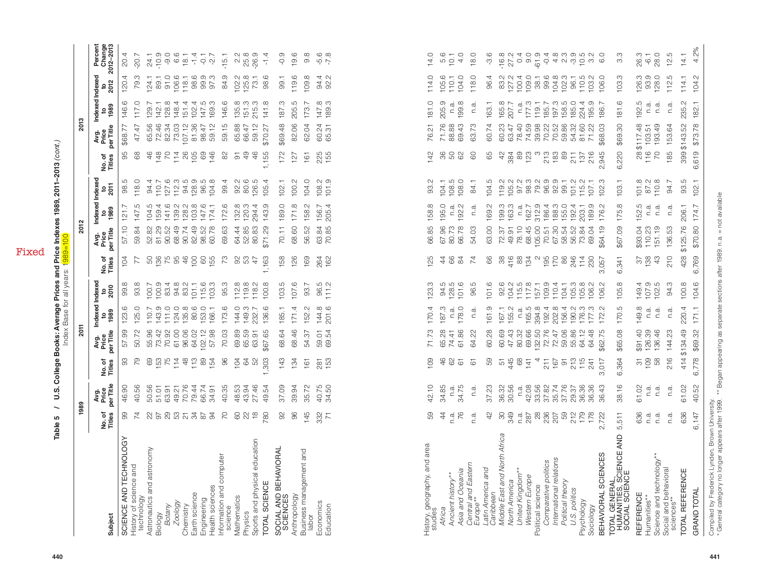Fixed

|                                                    |                 |                            |                 | =<br>S                     |                              |                 |                 | ₹<br>הבו                   |                               |                           |                  | י<br>ק                     |                              |                     |                                |
|----------------------------------------------------|-----------------|----------------------------|-----------------|----------------------------|------------------------------|-----------------|-----------------|----------------------------|-------------------------------|---------------------------|------------------|----------------------------|------------------------------|---------------------|--------------------------------|
| Subject                                            | No.of<br>Titles | per Title<br>Avg.<br>Price | No.of<br>Titles | per Title<br>Price<br>Avg. | Indexed Indexed<br>1989<br>g | ្ធ<br>2010      | Titles<br>No.of | per Title<br>Avg.<br>Price | ndexed Indexed<br><b>1989</b> | ខត្ត                      | Titles<br>No. of | per Title<br>Price<br>Avg. | Indexed Indexed<br>1989<br>9 | ະ<br>ຊຶ             | Percent<br>Change<br>2012-2013 |
| ĞΥ<br>SCIENCE AND TECHNOLO                         | 99              | 8<br>46.                   | 93              | 57.99                      | ပ<br>123.                    | $\infty$<br>99. | 104             | 57.10                      | 121                           | 5<br>98.                  | 95               | \$68.77                    | ပ<br>146.                    | 120.4               | 20.4                           |
| History of science and<br>technology               | 74              | 56<br>40.                  | 79              | 50.72                      | 125.0                        | $\infty$<br>93. | 77              | 59.84                      | LQ.<br>147.                   | 118.0                     | 68               | 47.47                      | 117.                         | 79.3                | $-20.7$                        |
| Astronautics and astronomy                         | 22              | 50.56                      | 69              | 55.96                      | 110.7                        | 100.7           | 50              | 52.82                      | 104.5                         | 94.4                      | 46               | 65.56                      | 129.7                        | 124.1               | 24.1                           |
|                                                    | 50              | 51.01                      |                 | 73.42                      | 143.9                        | 100.9           | 136             | 81.29                      | 159.4                         | 110.7                     | $\frac{48}{5}$   | 72.46                      | 142                          | 89.1                | $-10.9$                        |
| Biology<br>Botany<br>Zoology<br>Chemistry          | 29              | 63.91                      | 153<br>75       | 70.92                      | 111.0                        | 83.4            | 75              | 90.52                      | $\circ$<br>$\frac{4}{1}$      | 127.6                     | PO               | 82.34                      | œ<br>128.                    | $-51$               | $-9.0$                         |
|                                                    | 53              | 49.21                      | 114             | 61.00                      | 124.0                        | 94.8            | 95              | 68.49                      | 139.2                         | 112.3                     | 14.86            | 73.03                      | 148.                         | 106.6               | 6.6                            |
|                                                    | $\frac{5}{9}$   | 70.76                      | $\frac{8}{4}$   | 96.06                      | 135.8                        | 83.2            | $\frac{6}{5}$   | 90.74                      | 128.2                         | 94.5                      |                  | 107.12                     | 151.4                        | 118.1               |                                |
|                                                    |                 | 79.44                      | 113             | 64.02                      | 80.6                         | 101.1           | $\overline{5}$  | 82.49                      | 103.8                         | 128.9                     | 105              | 81.36                      | 4<br>102.                    | 98.6                | $\frac{18.1}{1.4}$             |
| Earth science<br>Engineering<br>Health sciences    | 78              | 66.74                      | 89              | 102.12                     | 153.0                        | 115.6           | 8               | 98.52                      | 147.6                         | 96.5                      | 69               | 98.47                      | rö<br>147.                   | 99.9                | $\frac{1}{\sigma}$             |
|                                                    | $\overline{5}$  | 34.91                      | 54              | 57.98                      | 166.                         | က္<br>103       | 55              | .78<br>S.                  | 174.1                         | 104.8                     | 46               | 59.12                      | ო<br>169.                    | 97.3                | -2.7                           |
| Information and computer<br>science<br>Mathematics | 20              | 40.35                      | 96              | 70.03                      | 173.6                        | က<br>95.        | 73              | 69.63                      | 172.6                         | 99.4                      | 82               | 59.15                      | 146.6                        | 84.9                | $-15.1$                        |
|                                                    | 80              | 48.53                      | 104             | 69.89                      | 144.0                        | œ<br>112.       | 8               | 64.44                      | 132.8                         | 92.2                      | 5                | 65.88                      | 135.8                        | 102.2               | 2.2                            |
| Physics                                            | 22              | 43.94                      | 84              | 65.59                      | 149.3                        | ∞<br>19.        | S3              | 52.85                      | 120.3                         | 80.6                      | 49               | 66.47                      | 151.3                        | 125.8               | 25.8                           |
| Sports and physical education                      |                 | 27.46                      | S <sub>2</sub>  | $\overline{5}$<br>63.      | 232.7                        | N<br>118        | $\overline{4}$  | 83<br>80.                  | 294.4                         | 126.5                     | 46               | 59.12                      | က<br>215.                    | 73.1                | $-26.9$                        |
| TOTAL SCIENCE                                      | 780             | 49.54                      | ,303            | \$67.65                    | 136.6                        | œ<br>100.       | 1,163           | δó<br>$\frac{1}{2}$        | O.<br>143.                    | 105.4                     | 1,155            | \$70.27                    | 141.8                        | 98.6                | $-1.4$                         |
| SOCIAL AND BEHAVIORAL<br>SCIENCES                  | 92              | 37.09                      | 143             | 68.64                      | 185.1                        | rÜ<br>$103$ .   | 58              | 70.11                      | 189.0                         | 102.1                     | 172              | \$69.48                    | 187.3                        | <b>99.1</b>         | $-0.9$                         |
| Anthropology                                       | 96              | 39.94                      | 134             | 68.46                      | 171.4                        | 107.6           | 126             | 68.60                      | 171.8                         | 100.2                     | 127              | 82.06                      | Ю<br>205.                    | 119.6               | 19.6                           |
| Business management and<br>labor                   | 145             | 35.72                      | $\overline{6}$  | 54.37                      | 152.2                        | Ņ<br>93.        | 169             | 56.52                      | 158.2                         | 104.0                     | 161              | 62.04                      | $\sim$<br>173.               | $\infty$<br>$109$ . | œ<br>တ                         |
| Economics                                          | 332             | 40.75                      | 281             | 59.01                      | 144.8                        | 96.5            | 264             | 63.84                      | 156.7                         | Ņ<br>108.                 | 225              | 60.24                      | 147.8                        | 94.4                | $-5.6$                         |
| Education                                          | $\overline{7}$  | 34.50                      | 153             | 69.54                      | ِ<br>201                     | 111.2           | 162             | 70.85                      | 205.4                         | <u>ල</u><br>$\frac{1}{2}$ | 155              | 65.31                      | 189.3                        | 92.2                | $-7.8$                         |
|                                                    |                 |                            |                 |                            |                              |                 |                 |                            |                               |                           |                  |                            |                              |                     |                                |

| $\begin{array}{c} 94.76 \\ 97.76 \\ 10.76 \\ 11.76 \\ 12.76 \\ 13.96 \\ 14.96 \\ 15.96 \\ 16.96 \\ 17.76 \\ 19.96 \\ 19.96 \\ 10.96 \\ 10.96 \\ 10.96 \\ 10.96 \\ 10.96 \\ 10.96 \\ 10.96 \\ 10.96 \\ 10.96 \\ 10.96 \\ 10.96 \\ 10.96 \\ 10.96 \\ 10.96 \\ 10.96 \\ 10.96 \\ 10.96 \\ 10.96 \\ 10$<br>$\begin{array}{l} 10.75 & 0.75 & 0.75 & 0.75 \\ 0.75 & 0.75 & 0.75 & 0.75 \\ 0.75 & 0.75 & 0.75 & 0.75 \\ 0.75 & 0.75 & 0.75 & 0.75 \\ 0.75 & 0.75 & 0.75 & 0.75 \\ 0.75 & 0.75 & 0.75 & 0.75 \\ 0.75 & 0.75 & 0.75 & 0.75 \\ 0.75 & 0.75 & 0.75 & 0.75 \\ 0.75 & 0.75 & 0.75 & 0$<br>Indexed<br>147.6<br>174.1<br>$\begin{array}{c} 162.7 \\ 512.9 \\ 312.4 \\ 186.3 \\ 155.0 \\ 192.4 \\ 192.4 \\ 192.4 \\ 192.4 \\ 192.4 \\ 192.4 \\ 192.4 \\ 192.5 \\ 192.5 \\ 192.5 \\ 192.5 \\ 192.5 \\ 192.5 \\ 192.5 \\ 192.5 \\ 192.5 \\ 192.5 \\ 192.5 \\ 192.5 \\ 192.5 \\ 192.5 \\ 192.5 \\ 192.5 \\ 192.5 \\ 192.5 \\ 19$<br>172.6<br>132.8<br>120.3<br>143.9<br>189.0<br>171.8<br>158.2<br>205.4<br>158.8<br>195.0<br>$199.3$<br>$163.3$<br>189.9<br>175.8<br>152.5<br>rù.<br>104.5<br>159.4<br>294.4<br>156.7<br>192.2<br>169.2<br>n.a.<br>176.2<br>121.7<br>n.a.<br>203.1<br>n.a.<br>n.a.<br>$\begin{array}{c} 10 & 0 \\ 0 & 0 \\ 0 & 0 \end{array}$<br>147<br>57.10<br>69.63<br>64.44<br>52.85<br>80.83<br>\$71.29<br>70.11<br>68.60<br>63.84<br>70.85<br>66.85<br>67.96<br>63.00<br>70.51<br>67.30<br>68.52<br>58.52<br>\$67.09<br>\$93.04<br>59.84<br>9<br>4 7 4 9 0 9<br>9 9 9 9 9<br>9 9 9 9 9<br>56.52<br>80.73<br>66.78<br>78.10<br>68.45<br>105.00<br>73.84<br>110.23<br>52.82<br>81.29<br>90.52<br>54.03<br>72.37<br>49.91<br>69.04<br>\$64.19<br>Avg.<br>Price<br>per Title<br>73<br>95<br>53<br>47<br>,163<br>158<br>126<br>169<br>264<br>162<br>66<br>66<br>88<br>4884<br>N<br>195<br>170<br>246<br>No. of<br>Titles<br>104<br>77<br>125<br>$\ddot{4}$<br>84<br>$\overline{z}$<br>$14$<br>230<br>341<br>76<br>057<br>$\circ$<br>ო<br>Indexed<br>95.3<br>107.6<br>96.5<br>111.2<br>94.5<br>128.5<br>101.6<br>$0.0458799478888$ $0.045779947888$ $0.045779947888$ $0.04587994788$<br>105.8<br>149.4<br>107.9<br>102.5<br>93.8<br>$\begin{array}{c} 112.8 \\ 119.8 \\ 118.2 \end{array}$<br>100.8<br>103.5<br>93.7<br>123.3<br>96.5<br>101.6<br>106.2<br>99.8<br>2010<br>Indexed<br>$110.7$ $143.0$ $124.0$ $135.8$<br>80.6<br>173.6<br><b>144.0</b><br>149.3<br>232.7<br>123.6<br>125.0<br>153.0<br>166.1<br>136.6<br>185.1<br>171.4<br>144.8<br>201.6<br>170.4<br>161.9<br>155.2<br>$169920$<br>$9990$<br>$0090$<br>156.4<br>$190.2$<br>$77.2$<br>$77.3$<br>$77.3$<br>170.5<br>149.8<br>152.2<br>187.3<br>178.0<br>167.1<br>n.a.<br>Ņ<br>n.a.<br>n.a.<br>n.a.<br>1989<br>172.<br>Avg.<br>Price<br>per Title<br>57.99<br>65.59<br>47.43<br>80.32<br>69.66<br>132.50<br>72.76<br>72.47<br>59.06<br>\$91.40<br>50.72<br>55.96<br>73.42<br>70.92<br>61.00<br>96.06<br>102.12<br>70.03<br>69.89<br>68.46<br>71.73<br>65.28<br>60.28<br>60.69<br>55.86<br>64.12<br>\$65.08<br>64.02<br>63.91<br>\$67.65<br>68.64<br>59.54<br>74.41<br>61.86<br>64.22<br>64.48<br>\$62.75<br>54.37<br>$\overline{\widetilde{\mathcal{C}}}$<br>109<br>79<br>69<br>$\begin{array}{c} 12.7 \\ 12.7 \\ 12.7 \\ 12.7 \\ 12.7 \\ 12.7 \\ 12.7 \\ 12.7 \\ 12.7 \\ 12.7 \\ 12.7 \\ 12.7 \\ 12.7 \\ 12.7 \\ 12.7 \\ 12.7 \\ 12.7 \\ 12.7 \\ 12.7 \\ 12.7 \\ 12.7 \\ 12.7 \\ 12.7 \\ 12.7 \\ 12.7 \\ 12.7 \\ 12.7 \\ 12.7 \\ 12.7 \\ 12.7 \\ 12.7 \\ 12.7 \\ 12.7 \\ 12.7 \\ 12.7 \\ 12$<br>96<br>281<br>153<br>46<br>59<br>$546$<br>$45$<br>$68$<br>$71$<br>$213$<br>$15$<br>$241$<br>,364<br>93<br>104<br>52<br>,303<br>143<br>134<br>109<br>62<br>4<br>211<br>$167$<br>91<br>161<br>67<br>$\overline{6}$<br>717<br>No. of<br>Titles<br>ဖ<br>ო<br>Avg.<br>Price<br>per Title<br>38.16<br>40.56<br>50.56<br>63.91<br>49.21<br>70.76<br>79.44<br>66.74<br>48.53<br>27.46<br>37.09<br>35.72<br>40.75<br>34.50<br>42.10<br>36.32<br>30.56<br>42.08<br>33.56<br>37.76<br>37.78<br>37.76<br>36.36<br>36.36<br>61.02<br>46.90<br>34.91<br>40.35<br>43.94<br>49.54<br>39.94<br>34.85<br>n.a.<br>34.75<br>37.23<br>29.37<br>36.43<br>51.01<br>n.a<br>n.a<br>n.a<br>No.of<br>Titles<br>202252628<br>2022526<br>$\overline{70}$<br>60<br>2200<br>780<br>96<br>59<br>349<br>$\begin{array}{c} 1.411 \\ 1.4211 \\ 1.4411 \\ 1.4511 \\ 1.4511 \\ 1.4511 \\ 1.4511 \\ 1.4511 \\ 1.4511 \\ 1.4511 \\ 1.4511 \\ 1.4511 \\ 1.4511 \\ 1.4511 \\ 1.4511 \\ 1.4511 \\ 1.4511 \\ 1.4511 \\ 1.4511 \\ 1.4511 \\ 1.4511 \\ 1.4511 \\ 1.4511 \\ 1.4511 \\ 1.4511 \\ 1.4511 \\ 1.451$<br>636<br>99<br>$\overline{7}$<br>$\frac{2}{3}$<br>145<br>$\frac{337}{71}$<br>$\frac{4}{4}$<br>$n \cdot a$<br>76<br>$\frac{2}{3}$<br>$\overline{30}$<br>,722<br>511<br>n.a.<br>n.a<br>Ю<br>Middle East and North Africa<br><b>AND</b><br>$\delta$<br>Sports and physical education<br>History, geography, and area<br>studies<br>SCIENCE AND TECHNOLO<br>Astronautics and astronomy<br>SOCIAL AND BEHAVIORAL<br>SCIENCES<br>Business management and<br>labor<br>TOTAL GENERAL,<br>HUMANITIES, SCIENCE<br>SOCIAL SCIENCE<br>BEHAVIORAL SCIENCES<br>Information and computer<br>International relations<br>Comparative politics<br>Central and Eastern<br>Europe**<br>History of science and<br>technology<br>Latin America and<br>Asia and Oceania<br>United Kingdom**<br>Western Europe<br>Ancient history*<br>North America<br>Political theory<br>TOTAL SCIENCE<br>Political science<br>Health sciences<br>U.S. politics<br>Caribbean<br>REFERENCE<br>Earth science<br>Anthropology<br>Mathematics<br>Humanities**<br>Engineering<br>Psychology<br><b>Zoology</b><br>Economics<br>Education<br>Chemistry<br>Botany<br>science<br>Sociology<br>Africa<br>Physics<br>Biology<br>Subject | 95<br>No. of<br>Titles<br>Indexed<br>rù.<br>$2\frac{1}{2}$<br>98.       | Indexed                                                                                                    |                                                                                                                                                                                                                                                                              |
|----------------------------------------------------------------------------------------------------------------------------------------------------------------------------------------------------------------------------------------------------------------------------------------------------------------------------------------------------------------------------------------------------------------------------------------------------------------------------------------------------------------------------------------------------------------------------------------------------------------------------------------------------------------------------------------------------------------------------------------------------------------------------------------------------------------------------------------------------------------------------------------------------------------------------------------------------------------------------------------------------------------------------------------------------------------------------------------------------------------------------------------------------------------------------------------------------------------------------------------------------------------------------------------------------------------------------------------------------------------------------------------------------------------------------------------------------------------------------------------------------------------------------------------------------------------------------------------------------------------------------------------------------------------------------------------------------------------------------------------------------------------------------------------------------------------------------------------------------------------------------------------------------------------------------------------------------------------------------------------------------------------------------------------------------------------------------------------------------------------------------------------------------------------------------------------------------------------------------------------------------------------------------------------------------------------------------------------------------------------------------------------------------------------------------------------------------------------------------------------------------------------------------------------------------------------------------------------------------------------------------------------------------------------------------------------------------------------------------------------------------------------------------------------------------------------------------------------------------------------------------------------------------------------------------------------------------------------------------------------------------------------------------------------------------------------------------------------------------------------------------------------------------------------------------------------------------------------------------------------------------------------------------------------------------------------------------------------------------------------------------------------------------------------------------------------------------------------------------------------------------------------------------------------------------------------------------------------------------------------------------------------------------------------------------------------------------------------------------------------------------------------------------------------------------------------------------------------------------------------------------------------------------------------------------------------------------------------------------------------------------------------------------------------------------------------------------------------------------------------------------------------------------------------------------------------------------------------------------------------------------------------------------------------------------------------------------------------------------------------------------------------------------------------------------------------------------------------------------------------------------------------------------------------------------------------------------------------------------------------------------------------------------------------------------------------------------------------------------------------------------------------------------------------------------------------------------------------------------------------------------------------------------------------------------------------------------------------------------------------------------------------------------------------------------------------------------------------------------------------------------------------------------------------------------------------------------------------------------------------------------------------------------------------------------------------------------------------------------------------------------------------------------------------------------------------------------------------------------------------------------------------------------------------------------------------------------------------------------------------------------------------------------------------------------------------------------------------------------------------|-------------------------------------------------------------------------|------------------------------------------------------------------------------------------------------------|------------------------------------------------------------------------------------------------------------------------------------------------------------------------------------------------------------------------------------------------------------------------------|
|                                                                                                                                                                                                                                                                                                                                                                                                                                                                                                                                                                                                                                                                                                                                                                                                                                                                                                                                                                                                                                                                                                                                                                                                                                                                                                                                                                                                                                                                                                                                                                                                                                                                                                                                                                                                                                                                                                                                                                                                                                                                                                                                                                                                                                                                                                                                                                                                                                                                                                                                                                                                                                                                                                                                                                                                                                                                                                                                                                                                                                                                                                                                                                                                                                                                                                                                                                                                                                                                                                                                                                                                                                                                                                                                                                                                                                                                                                                                                                                                                                                                                                                                                                                                                                                                                                                                                                                                                                                                                                                                                                                                                                                                                                                                                                                                                                                                                                                                                                                                                                                                                                                                                                                                                                                                                                                                                                                                                                                                                                                                                                                                                                                                                                                                        |                                                                         | 1989<br>Avg.<br>Price<br>perTitle                                                                          | Percent<br>Change<br>2012-2013<br>Indexed<br>2012<br>₽                                                                                                                                                                                                                       |
|                                                                                                                                                                                                                                                                                                                                                                                                                                                                                                                                                                                                                                                                                                                                                                                                                                                                                                                                                                                                                                                                                                                                                                                                                                                                                                                                                                                                                                                                                                                                                                                                                                                                                                                                                                                                                                                                                                                                                                                                                                                                                                                                                                                                                                                                                                                                                                                                                                                                                                                                                                                                                                                                                                                                                                                                                                                                                                                                                                                                                                                                                                                                                                                                                                                                                                                                                                                                                                                                                                                                                                                                                                                                                                                                                                                                                                                                                                                                                                                                                                                                                                                                                                                                                                                                                                                                                                                                                                                                                                                                                                                                                                                                                                                                                                                                                                                                                                                                                                                                                                                                                                                                                                                                                                                                                                                                                                                                                                                                                                                                                                                                                                                                                                                                        |                                                                         | Q<br>146.<br>\$68.77                                                                                       | 20.4<br>120.4                                                                                                                                                                                                                                                                |
|                                                                                                                                                                                                                                                                                                                                                                                                                                                                                                                                                                                                                                                                                                                                                                                                                                                                                                                                                                                                                                                                                                                                                                                                                                                                                                                                                                                                                                                                                                                                                                                                                                                                                                                                                                                                                                                                                                                                                                                                                                                                                                                                                                                                                                                                                                                                                                                                                                                                                                                                                                                                                                                                                                                                                                                                                                                                                                                                                                                                                                                                                                                                                                                                                                                                                                                                                                                                                                                                                                                                                                                                                                                                                                                                                                                                                                                                                                                                                                                                                                                                                                                                                                                                                                                                                                                                                                                                                                                                                                                                                                                                                                                                                                                                                                                                                                                                                                                                                                                                                                                                                                                                                                                                                                                                                                                                                                                                                                                                                                                                                                                                                                                                                                                                        | 68<br>118.0                                                             | 117.0<br>47.47                                                                                             | $-20.7$<br>79.3                                                                                                                                                                                                                                                              |
|                                                                                                                                                                                                                                                                                                                                                                                                                                                                                                                                                                                                                                                                                                                                                                                                                                                                                                                                                                                                                                                                                                                                                                                                                                                                                                                                                                                                                                                                                                                                                                                                                                                                                                                                                                                                                                                                                                                                                                                                                                                                                                                                                                                                                                                                                                                                                                                                                                                                                                                                                                                                                                                                                                                                                                                                                                                                                                                                                                                                                                                                                                                                                                                                                                                                                                                                                                                                                                                                                                                                                                                                                                                                                                                                                                                                                                                                                                                                                                                                                                                                                                                                                                                                                                                                                                                                                                                                                                                                                                                                                                                                                                                                                                                                                                                                                                                                                                                                                                                                                                                                                                                                                                                                                                                                                                                                                                                                                                                                                                                                                                                                                                                                                                                                        | 46                                                                      | 129.7<br>142.1<br>128.8                                                                                    | $124.1$<br>89.1                                                                                                                                                                                                                                                              |
|                                                                                                                                                                                                                                                                                                                                                                                                                                                                                                                                                                                                                                                                                                                                                                                                                                                                                                                                                                                                                                                                                                                                                                                                                                                                                                                                                                                                                                                                                                                                                                                                                                                                                                                                                                                                                                                                                                                                                                                                                                                                                                                                                                                                                                                                                                                                                                                                                                                                                                                                                                                                                                                                                                                                                                                                                                                                                                                                                                                                                                                                                                                                                                                                                                                                                                                                                                                                                                                                                                                                                                                                                                                                                                                                                                                                                                                                                                                                                                                                                                                                                                                                                                                                                                                                                                                                                                                                                                                                                                                                                                                                                                                                                                                                                                                                                                                                                                                                                                                                                                                                                                                                                                                                                                                                                                                                                                                                                                                                                                                                                                                                                                                                                                                                        |                                                                         |                                                                                                            |                                                                                                                                                                                                                                                                              |
|                                                                                                                                                                                                                                                                                                                                                                                                                                                                                                                                                                                                                                                                                                                                                                                                                                                                                                                                                                                                                                                                                                                                                                                                                                                                                                                                                                                                                                                                                                                                                                                                                                                                                                                                                                                                                                                                                                                                                                                                                                                                                                                                                                                                                                                                                                                                                                                                                                                                                                                                                                                                                                                                                                                                                                                                                                                                                                                                                                                                                                                                                                                                                                                                                                                                                                                                                                                                                                                                                                                                                                                                                                                                                                                                                                                                                                                                                                                                                                                                                                                                                                                                                                                                                                                                                                                                                                                                                                                                                                                                                                                                                                                                                                                                                                                                                                                                                                                                                                                                                                                                                                                                                                                                                                                                                                                                                                                                                                                                                                                                                                                                                                                                                                                                        |                                                                         | 148.4<br>65.56<br>72.34<br>78.34<br>67.12<br>65.34<br>70.78                                                | $74.7$ $9.9$ $9.6$ $10.7$<br>9106<br>10611<br>10806                                                                                                                                                                                                                          |
|                                                                                                                                                                                                                                                                                                                                                                                                                                                                                                                                                                                                                                                                                                                                                                                                                                                                                                                                                                                                                                                                                                                                                                                                                                                                                                                                                                                                                                                                                                                                                                                                                                                                                                                                                                                                                                                                                                                                                                                                                                                                                                                                                                                                                                                                                                                                                                                                                                                                                                                                                                                                                                                                                                                                                                                                                                                                                                                                                                                                                                                                                                                                                                                                                                                                                                                                                                                                                                                                                                                                                                                                                                                                                                                                                                                                                                                                                                                                                                                                                                                                                                                                                                                                                                                                                                                                                                                                                                                                                                                                                                                                                                                                                                                                                                                                                                                                                                                                                                                                                                                                                                                                                                                                                                                                                                                                                                                                                                                                                                                                                                                                                                                                                                                                        |                                                                         | 151.4                                                                                                      |                                                                                                                                                                                                                                                                              |
|                                                                                                                                                                                                                                                                                                                                                                                                                                                                                                                                                                                                                                                                                                                                                                                                                                                                                                                                                                                                                                                                                                                                                                                                                                                                                                                                                                                                                                                                                                                                                                                                                                                                                                                                                                                                                                                                                                                                                                                                                                                                                                                                                                                                                                                                                                                                                                                                                                                                                                                                                                                                                                                                                                                                                                                                                                                                                                                                                                                                                                                                                                                                                                                                                                                                                                                                                                                                                                                                                                                                                                                                                                                                                                                                                                                                                                                                                                                                                                                                                                                                                                                                                                                                                                                                                                                                                                                                                                                                                                                                                                                                                                                                                                                                                                                                                                                                                                                                                                                                                                                                                                                                                                                                                                                                                                                                                                                                                                                                                                                                                                                                                                                                                                                                        | $\begin{array}{c}\n 76 \\  77 \\  78 \\  89 \\  99 \\  6\n \end{array}$ | $102.4$<br>$147.5$<br>$169.3$<br>98.47                                                                     | $\frac{1}{4}$ $\frac{1}{4}$ $\frac{1}{4}$<br>99.3<br>97.3                                                                                                                                                                                                                    |
|                                                                                                                                                                                                                                                                                                                                                                                                                                                                                                                                                                                                                                                                                                                                                                                                                                                                                                                                                                                                                                                                                                                                                                                                                                                                                                                                                                                                                                                                                                                                                                                                                                                                                                                                                                                                                                                                                                                                                                                                                                                                                                                                                                                                                                                                                                                                                                                                                                                                                                                                                                                                                                                                                                                                                                                                                                                                                                                                                                                                                                                                                                                                                                                                                                                                                                                                                                                                                                                                                                                                                                                                                                                                                                                                                                                                                                                                                                                                                                                                                                                                                                                                                                                                                                                                                                                                                                                                                                                                                                                                                                                                                                                                                                                                                                                                                                                                                                                                                                                                                                                                                                                                                                                                                                                                                                                                                                                                                                                                                                                                                                                                                                                                                                                                        |                                                                         | 59.12                                                                                                      |                                                                                                                                                                                                                                                                              |
|                                                                                                                                                                                                                                                                                                                                                                                                                                                                                                                                                                                                                                                                                                                                                                                                                                                                                                                                                                                                                                                                                                                                                                                                                                                                                                                                                                                                                                                                                                                                                                                                                                                                                                                                                                                                                                                                                                                                                                                                                                                                                                                                                                                                                                                                                                                                                                                                                                                                                                                                                                                                                                                                                                                                                                                                                                                                                                                                                                                                                                                                                                                                                                                                                                                                                                                                                                                                                                                                                                                                                                                                                                                                                                                                                                                                                                                                                                                                                                                                                                                                                                                                                                                                                                                                                                                                                                                                                                                                                                                                                                                                                                                                                                                                                                                                                                                                                                                                                                                                                                                                                                                                                                                                                                                                                                                                                                                                                                                                                                                                                                                                                                                                                                                                        | $82$<br>99.4                                                            | 146.6<br>59.15                                                                                             | $-15.1$<br>84.9                                                                                                                                                                                                                                                              |
|                                                                                                                                                                                                                                                                                                                                                                                                                                                                                                                                                                                                                                                                                                                                                                                                                                                                                                                                                                                                                                                                                                                                                                                                                                                                                                                                                                                                                                                                                                                                                                                                                                                                                                                                                                                                                                                                                                                                                                                                                                                                                                                                                                                                                                                                                                                                                                                                                                                                                                                                                                                                                                                                                                                                                                                                                                                                                                                                                                                                                                                                                                                                                                                                                                                                                                                                                                                                                                                                                                                                                                                                                                                                                                                                                                                                                                                                                                                                                                                                                                                                                                                                                                                                                                                                                                                                                                                                                                                                                                                                                                                                                                                                                                                                                                                                                                                                                                                                                                                                                                                                                                                                                                                                                                                                                                                                                                                                                                                                                                                                                                                                                                                                                                                                        | $\frac{1}{6}$<br>$\overline{5}$<br>92.0<br>92.0<br>92.0<br>92.1         | $135.8$<br>$151.3$<br>$215.3$<br>65.88<br>66.47                                                            | 2<br>2<br>2<br>2<br>2<br>2<br>2<br>2<br>102.2<br>125.8                                                                                                                                                                                                                       |
|                                                                                                                                                                                                                                                                                                                                                                                                                                                                                                                                                                                                                                                                                                                                                                                                                                                                                                                                                                                                                                                                                                                                                                                                                                                                                                                                                                                                                                                                                                                                                                                                                                                                                                                                                                                                                                                                                                                                                                                                                                                                                                                                                                                                                                                                                                                                                                                                                                                                                                                                                                                                                                                                                                                                                                                                                                                                                                                                                                                                                                                                                                                                                                                                                                                                                                                                                                                                                                                                                                                                                                                                                                                                                                                                                                                                                                                                                                                                                                                                                                                                                                                                                                                                                                                                                                                                                                                                                                                                                                                                                                                                                                                                                                                                                                                                                                                                                                                                                                                                                                                                                                                                                                                                                                                                                                                                                                                                                                                                                                                                                                                                                                                                                                                                        | $\frac{6}{4}$                                                           | 59.12                                                                                                      | 73.1                                                                                                                                                                                                                                                                         |
|                                                                                                                                                                                                                                                                                                                                                                                                                                                                                                                                                                                                                                                                                                                                                                                                                                                                                                                                                                                                                                                                                                                                                                                                                                                                                                                                                                                                                                                                                                                                                                                                                                                                                                                                                                                                                                                                                                                                                                                                                                                                                                                                                                                                                                                                                                                                                                                                                                                                                                                                                                                                                                                                                                                                                                                                                                                                                                                                                                                                                                                                                                                                                                                                                                                                                                                                                                                                                                                                                                                                                                                                                                                                                                                                                                                                                                                                                                                                                                                                                                                                                                                                                                                                                                                                                                                                                                                                                                                                                                                                                                                                                                                                                                                                                                                                                                                                                                                                                                                                                                                                                                                                                                                                                                                                                                                                                                                                                                                                                                                                                                                                                                                                                                                                        | 1,155<br>105.4                                                          | 141.8<br>\$70.27                                                                                           | $-1.4$<br>98.6                                                                                                                                                                                                                                                               |
|                                                                                                                                                                                                                                                                                                                                                                                                                                                                                                                                                                                                                                                                                                                                                                                                                                                                                                                                                                                                                                                                                                                                                                                                                                                                                                                                                                                                                                                                                                                                                                                                                                                                                                                                                                                                                                                                                                                                                                                                                                                                                                                                                                                                                                                                                                                                                                                                                                                                                                                                                                                                                                                                                                                                                                                                                                                                                                                                                                                                                                                                                                                                                                                                                                                                                                                                                                                                                                                                                                                                                                                                                                                                                                                                                                                                                                                                                                                                                                                                                                                                                                                                                                                                                                                                                                                                                                                                                                                                                                                                                                                                                                                                                                                                                                                                                                                                                                                                                                                                                                                                                                                                                                                                                                                                                                                                                                                                                                                                                                                                                                                                                                                                                                                                        | 172<br>102.1                                                            | 187.3<br>\$69.48                                                                                           | $-0.9$<br>99.1                                                                                                                                                                                                                                                               |
|                                                                                                                                                                                                                                                                                                                                                                                                                                                                                                                                                                                                                                                                                                                                                                                                                                                                                                                                                                                                                                                                                                                                                                                                                                                                                                                                                                                                                                                                                                                                                                                                                                                                                                                                                                                                                                                                                                                                                                                                                                                                                                                                                                                                                                                                                                                                                                                                                                                                                                                                                                                                                                                                                                                                                                                                                                                                                                                                                                                                                                                                                                                                                                                                                                                                                                                                                                                                                                                                                                                                                                                                                                                                                                                                                                                                                                                                                                                                                                                                                                                                                                                                                                                                                                                                                                                                                                                                                                                                                                                                                                                                                                                                                                                                                                                                                                                                                                                                                                                                                                                                                                                                                                                                                                                                                                                                                                                                                                                                                                                                                                                                                                                                                                                                        | 127<br>100.2                                                            | 5<br>205.<br>82.06                                                                                         | 19.6<br>119.6                                                                                                                                                                                                                                                                |
|                                                                                                                                                                                                                                                                                                                                                                                                                                                                                                                                                                                                                                                                                                                                                                                                                                                                                                                                                                                                                                                                                                                                                                                                                                                                                                                                                                                                                                                                                                                                                                                                                                                                                                                                                                                                                                                                                                                                                                                                                                                                                                                                                                                                                                                                                                                                                                                                                                                                                                                                                                                                                                                                                                                                                                                                                                                                                                                                                                                                                                                                                                                                                                                                                                                                                                                                                                                                                                                                                                                                                                                                                                                                                                                                                                                                                                                                                                                                                                                                                                                                                                                                                                                                                                                                                                                                                                                                                                                                                                                                                                                                                                                                                                                                                                                                                                                                                                                                                                                                                                                                                                                                                                                                                                                                                                                                                                                                                                                                                                                                                                                                                                                                                                                                        | 161<br>104.0                                                            | 173.7<br>62.04                                                                                             | $\infty$<br>$\infty$<br>109.8                                                                                                                                                                                                                                                |
|                                                                                                                                                                                                                                                                                                                                                                                                                                                                                                                                                                                                                                                                                                                                                                                                                                                                                                                                                                                                                                                                                                                                                                                                                                                                                                                                                                                                                                                                                                                                                                                                                                                                                                                                                                                                                                                                                                                                                                                                                                                                                                                                                                                                                                                                                                                                                                                                                                                                                                                                                                                                                                                                                                                                                                                                                                                                                                                                                                                                                                                                                                                                                                                                                                                                                                                                                                                                                                                                                                                                                                                                                                                                                                                                                                                                                                                                                                                                                                                                                                                                                                                                                                                                                                                                                                                                                                                                                                                                                                                                                                                                                                                                                                                                                                                                                                                                                                                                                                                                                                                                                                                                                                                                                                                                                                                                                                                                                                                                                                                                                                                                                                                                                                                                        | 225<br>155<br>$108.2$<br>$101.9$                                        | <u>და  ო</u><br>147.<br>189.<br>60.24<br>65.31                                                             | $-5.8$<br>94.4<br>92.2                                                                                                                                                                                                                                                       |
|                                                                                                                                                                                                                                                                                                                                                                                                                                                                                                                                                                                                                                                                                                                                                                                                                                                                                                                                                                                                                                                                                                                                                                                                                                                                                                                                                                                                                                                                                                                                                                                                                                                                                                                                                                                                                                                                                                                                                                                                                                                                                                                                                                                                                                                                                                                                                                                                                                                                                                                                                                                                                                                                                                                                                                                                                                                                                                                                                                                                                                                                                                                                                                                                                                                                                                                                                                                                                                                                                                                                                                                                                                                                                                                                                                                                                                                                                                                                                                                                                                                                                                                                                                                                                                                                                                                                                                                                                                                                                                                                                                                                                                                                                                                                                                                                                                                                                                                                                                                                                                                                                                                                                                                                                                                                                                                                                                                                                                                                                                                                                                                                                                                                                                                                        |                                                                         |                                                                                                            |                                                                                                                                                                                                                                                                              |
|                                                                                                                                                                                                                                                                                                                                                                                                                                                                                                                                                                                                                                                                                                                                                                                                                                                                                                                                                                                                                                                                                                                                                                                                                                                                                                                                                                                                                                                                                                                                                                                                                                                                                                                                                                                                                                                                                                                                                                                                                                                                                                                                                                                                                                                                                                                                                                                                                                                                                                                                                                                                                                                                                                                                                                                                                                                                                                                                                                                                                                                                                                                                                                                                                                                                                                                                                                                                                                                                                                                                                                                                                                                                                                                                                                                                                                                                                                                                                                                                                                                                                                                                                                                                                                                                                                                                                                                                                                                                                                                                                                                                                                                                                                                                                                                                                                                                                                                                                                                                                                                                                                                                                                                                                                                                                                                                                                                                                                                                                                                                                                                                                                                                                                                                        |                                                                         |                                                                                                            |                                                                                                                                                                                                                                                                              |
|                                                                                                                                                                                                                                                                                                                                                                                                                                                                                                                                                                                                                                                                                                                                                                                                                                                                                                                                                                                                                                                                                                                                                                                                                                                                                                                                                                                                                                                                                                                                                                                                                                                                                                                                                                                                                                                                                                                                                                                                                                                                                                                                                                                                                                                                                                                                                                                                                                                                                                                                                                                                                                                                                                                                                                                                                                                                                                                                                                                                                                                                                                                                                                                                                                                                                                                                                                                                                                                                                                                                                                                                                                                                                                                                                                                                                                                                                                                                                                                                                                                                                                                                                                                                                                                                                                                                                                                                                                                                                                                                                                                                                                                                                                                                                                                                                                                                                                                                                                                                                                                                                                                                                                                                                                                                                                                                                                                                                                                                                                                                                                                                                                                                                                                                        | 142<br>93.2                                                             | 181.0<br>76.21                                                                                             | 14.0<br>114.0                                                                                                                                                                                                                                                                |
|                                                                                                                                                                                                                                                                                                                                                                                                                                                                                                                                                                                                                                                                                                                                                                                                                                                                                                                                                                                                                                                                                                                                                                                                                                                                                                                                                                                                                                                                                                                                                                                                                                                                                                                                                                                                                                                                                                                                                                                                                                                                                                                                                                                                                                                                                                                                                                                                                                                                                                                                                                                                                                                                                                                                                                                                                                                                                                                                                                                                                                                                                                                                                                                                                                                                                                                                                                                                                                                                                                                                                                                                                                                                                                                                                                                                                                                                                                                                                                                                                                                                                                                                                                                                                                                                                                                                                                                                                                                                                                                                                                                                                                                                                                                                                                                                                                                                                                                                                                                                                                                                                                                                                                                                                                                                                                                                                                                                                                                                                                                                                                                                                                                                                                                                        | 86                                                                      | 205.9<br>71.76                                                                                             | 5.6<br>105.6                                                                                                                                                                                                                                                                 |
|                                                                                                                                                                                                                                                                                                                                                                                                                                                                                                                                                                                                                                                                                                                                                                                                                                                                                                                                                                                                                                                                                                                                                                                                                                                                                                                                                                                                                                                                                                                                                                                                                                                                                                                                                                                                                                                                                                                                                                                                                                                                                                                                                                                                                                                                                                                                                                                                                                                                                                                                                                                                                                                                                                                                                                                                                                                                                                                                                                                                                                                                                                                                                                                                                                                                                                                                                                                                                                                                                                                                                                                                                                                                                                                                                                                                                                                                                                                                                                                                                                                                                                                                                                                                                                                                                                                                                                                                                                                                                                                                                                                                                                                                                                                                                                                                                                                                                                                                                                                                                                                                                                                                                                                                                                                                                                                                                                                                                                                                                                                                                                                                                                                                                                                                        | 50<br>62<br>$104.1$<br>$108.5$<br>$108.0$                               | 199.8<br>n.a.<br>88.88<br>69.43                                                                            | 4.0<br>10.1<br>104.0<br>110.1                                                                                                                                                                                                                                                |
|                                                                                                                                                                                                                                                                                                                                                                                                                                                                                                                                                                                                                                                                                                                                                                                                                                                                                                                                                                                                                                                                                                                                                                                                                                                                                                                                                                                                                                                                                                                                                                                                                                                                                                                                                                                                                                                                                                                                                                                                                                                                                                                                                                                                                                                                                                                                                                                                                                                                                                                                                                                                                                                                                                                                                                                                                                                                                                                                                                                                                                                                                                                                                                                                                                                                                                                                                                                                                                                                                                                                                                                                                                                                                                                                                                                                                                                                                                                                                                                                                                                                                                                                                                                                                                                                                                                                                                                                                                                                                                                                                                                                                                                                                                                                                                                                                                                                                                                                                                                                                                                                                                                                                                                                                                                                                                                                                                                                                                                                                                                                                                                                                                                                                                                                        | 60<br>84.1                                                              | n.a<br>63.73                                                                                               | 18.0<br>118.0                                                                                                                                                                                                                                                                |
|                                                                                                                                                                                                                                                                                                                                                                                                                                                                                                                                                                                                                                                                                                                                                                                                                                                                                                                                                                                                                                                                                                                                                                                                                                                                                                                                                                                                                                                                                                                                                                                                                                                                                                                                                                                                                                                                                                                                                                                                                                                                                                                                                                                                                                                                                                                                                                                                                                                                                                                                                                                                                                                                                                                                                                                                                                                                                                                                                                                                                                                                                                                                                                                                                                                                                                                                                                                                                                                                                                                                                                                                                                                                                                                                                                                                                                                                                                                                                                                                                                                                                                                                                                                                                                                                                                                                                                                                                                                                                                                                                                                                                                                                                                                                                                                                                                                                                                                                                                                                                                                                                                                                                                                                                                                                                                                                                                                                                                                                                                                                                                                                                                                                                                                                        | 65<br>104.5                                                             | 163.1<br>60.74                                                                                             | $-3.6$<br>96.4                                                                                                                                                                                                                                                               |
|                                                                                                                                                                                                                                                                                                                                                                                                                                                                                                                                                                                                                                                                                                                                                                                                                                                                                                                                                                                                                                                                                                                                                                                                                                                                                                                                                                                                                                                                                                                                                                                                                                                                                                                                                                                                                                                                                                                                                                                                                                                                                                                                                                                                                                                                                                                                                                                                                                                                                                                                                                                                                                                                                                                                                                                                                                                                                                                                                                                                                                                                                                                                                                                                                                                                                                                                                                                                                                                                                                                                                                                                                                                                                                                                                                                                                                                                                                                                                                                                                                                                                                                                                                                                                                                                                                                                                                                                                                                                                                                                                                                                                                                                                                                                                                                                                                                                                                                                                                                                                                                                                                                                                                                                                                                                                                                                                                                                                                                                                                                                                                                                                                                                                                                                        | $\frac{2}{3}$                                                           | 60.23                                                                                                      | $-16.8$                                                                                                                                                                                                                                                                      |
|                                                                                                                                                                                                                                                                                                                                                                                                                                                                                                                                                                                                                                                                                                                                                                                                                                                                                                                                                                                                                                                                                                                                                                                                                                                                                                                                                                                                                                                                                                                                                                                                                                                                                                                                                                                                                                                                                                                                                                                                                                                                                                                                                                                                                                                                                                                                                                                                                                                                                                                                                                                                                                                                                                                                                                                                                                                                                                                                                                                                                                                                                                                                                                                                                                                                                                                                                                                                                                                                                                                                                                                                                                                                                                                                                                                                                                                                                                                                                                                                                                                                                                                                                                                                                                                                                                                                                                                                                                                                                                                                                                                                                                                                                                                                                                                                                                                                                                                                                                                                                                                                                                                                                                                                                                                                                                                                                                                                                                                                                                                                                                                                                                                                                                                                        |                                                                         | 165.8<br>207.7<br>63.47<br>78.40                                                                           | $\begin{array}{l} 22.75 & 24.75 & 25.75 & 25.75 \\ 25.75 & 25.75 & 25.75 & 25.75 \\ 25.75 & 25.75 & 25.75 & 25.75 \\ 25.75 & 25.75 & 25.75 & 25.75 \\ 25.75 & 25.75 & 25.75 & 25.75 \\ 25.75 & 25.75 & 25.75 & 25.75 \\ 25.75 & 25.75 & 25.75 & 25.75 \\ 25.75 & 25.75 & 25$ |
|                                                                                                                                                                                                                                                                                                                                                                                                                                                                                                                                                                                                                                                                                                                                                                                                                                                                                                                                                                                                                                                                                                                                                                                                                                                                                                                                                                                                                                                                                                                                                                                                                                                                                                                                                                                                                                                                                                                                                                                                                                                                                                                                                                                                                                                                                                                                                                                                                                                                                                                                                                                                                                                                                                                                                                                                                                                                                                                                                                                                                                                                                                                                                                                                                                                                                                                                                                                                                                                                                                                                                                                                                                                                                                                                                                                                                                                                                                                                                                                                                                                                                                                                                                                                                                                                                                                                                                                                                                                                                                                                                                                                                                                                                                                                                                                                                                                                                                                                                                                                                                                                                                                                                                                                                                                                                                                                                                                                                                                                                                                                                                                                                                                                                                                                        | 88<br>88<br>92<br>12                                                    | $\overline{n}$ .                                                                                           |                                                                                                                                                                                                                                                                              |
|                                                                                                                                                                                                                                                                                                                                                                                                                                                                                                                                                                                                                                                                                                                                                                                                                                                                                                                                                                                                                                                                                                                                                                                                                                                                                                                                                                                                                                                                                                                                                                                                                                                                                                                                                                                                                                                                                                                                                                                                                                                                                                                                                                                                                                                                                                                                                                                                                                                                                                                                                                                                                                                                                                                                                                                                                                                                                                                                                                                                                                                                                                                                                                                                                                                                                                                                                                                                                                                                                                                                                                                                                                                                                                                                                                                                                                                                                                                                                                                                                                                                                                                                                                                                                                                                                                                                                                                                                                                                                                                                                                                                                                                                                                                                                                                                                                                                                                                                                                                                                                                                                                                                                                                                                                                                                                                                                                                                                                                                                                                                                                                                                                                                                                                                        | S                                                                       | $\begin{array}{c} 177.3 \\ 195.7 \\ 195.7 \\ 197.3 \\ 198.5 \\ 198.5 \\ 199 \end{array}$<br>74.59<br>39.98 |                                                                                                                                                                                                                                                                              |
|                                                                                                                                                                                                                                                                                                                                                                                                                                                                                                                                                                                                                                                                                                                                                                                                                                                                                                                                                                                                                                                                                                                                                                                                                                                                                                                                                                                                                                                                                                                                                                                                                                                                                                                                                                                                                                                                                                                                                                                                                                                                                                                                                                                                                                                                                                                                                                                                                                                                                                                                                                                                                                                                                                                                                                                                                                                                                                                                                                                                                                                                                                                                                                                                                                                                                                                                                                                                                                                                                                                                                                                                                                                                                                                                                                                                                                                                                                                                                                                                                                                                                                                                                                                                                                                                                                                                                                                                                                                                                                                                                                                                                                                                                                                                                                                                                                                                                                                                                                                                                                                                                                                                                                                                                                                                                                                                                                                                                                                                                                                                                                                                                                                                                                                                        | 213                                                                     |                                                                                                            |                                                                                                                                                                                                                                                                              |
|                                                                                                                                                                                                                                                                                                                                                                                                                                                                                                                                                                                                                                                                                                                                                                                                                                                                                                                                                                                                                                                                                                                                                                                                                                                                                                                                                                                                                                                                                                                                                                                                                                                                                                                                                                                                                                                                                                                                                                                                                                                                                                                                                                                                                                                                                                                                                                                                                                                                                                                                                                                                                                                                                                                                                                                                                                                                                                                                                                                                                                                                                                                                                                                                                                                                                                                                                                                                                                                                                                                                                                                                                                                                                                                                                                                                                                                                                                                                                                                                                                                                                                                                                                                                                                                                                                                                                                                                                                                                                                                                                                                                                                                                                                                                                                                                                                                                                                                                                                                                                                                                                                                                                                                                                                                                                                                                                                                                                                                                                                                                                                                                                                                                                                                                        |                                                                         | 70.22<br>70.52<br>59.86                                                                                    |                                                                                                                                                                                                                                                                              |
|                                                                                                                                                                                                                                                                                                                                                                                                                                                                                                                                                                                                                                                                                                                                                                                                                                                                                                                                                                                                                                                                                                                                                                                                                                                                                                                                                                                                                                                                                                                                                                                                                                                                                                                                                                                                                                                                                                                                                                                                                                                                                                                                                                                                                                                                                                                                                                                                                                                                                                                                                                                                                                                                                                                                                                                                                                                                                                                                                                                                                                                                                                                                                                                                                                                                                                                                                                                                                                                                                                                                                                                                                                                                                                                                                                                                                                                                                                                                                                                                                                                                                                                                                                                                                                                                                                                                                                                                                                                                                                                                                                                                                                                                                                                                                                                                                                                                                                                                                                                                                                                                                                                                                                                                                                                                                                                                                                                                                                                                                                                                                                                                                                                                                                                                        |                                                                         | 54.32                                                                                                      |                                                                                                                                                                                                                                                                              |
|                                                                                                                                                                                                                                                                                                                                                                                                                                                                                                                                                                                                                                                                                                                                                                                                                                                                                                                                                                                                                                                                                                                                                                                                                                                                                                                                                                                                                                                                                                                                                                                                                                                                                                                                                                                                                                                                                                                                                                                                                                                                                                                                                                                                                                                                                                                                                                                                                                                                                                                                                                                                                                                                                                                                                                                                                                                                                                                                                                                                                                                                                                                                                                                                                                                                                                                                                                                                                                                                                                                                                                                                                                                                                                                                                                                                                                                                                                                                                                                                                                                                                                                                                                                                                                                                                                                                                                                                                                                                                                                                                                                                                                                                                                                                                                                                                                                                                                                                                                                                                                                                                                                                                                                                                                                                                                                                                                                                                                                                                                                                                                                                                                                                                                                                        | $\begin{array}{c} 183 \\ 89 \\ 211 \\ 196 \\ \hline \end{array}$        | 224.4<br>195.9<br>81.60<br>71.22                                                                           |                                                                                                                                                                                                                                                                              |
|                                                                                                                                                                                                                                                                                                                                                                                                                                                                                                                                                                                                                                                                                                                                                                                                                                                                                                                                                                                                                                                                                                                                                                                                                                                                                                                                                                                                                                                                                                                                                                                                                                                                                                                                                                                                                                                                                                                                                                                                                                                                                                                                                                                                                                                                                                                                                                                                                                                                                                                                                                                                                                                                                                                                                                                                                                                                                                                                                                                                                                                                                                                                                                                                                                                                                                                                                                                                                                                                                                                                                                                                                                                                                                                                                                                                                                                                                                                                                                                                                                                                                                                                                                                                                                                                                                                                                                                                                                                                                                                                                                                                                                                                                                                                                                                                                                                                                                                                                                                                                                                                                                                                                                                                                                                                                                                                                                                                                                                                                                                                                                                                                                                                                                                                        | 945<br>$\sim$<br>က<br>102.                                              | ∼<br>186.<br>\$68.03                                                                                       | 106.0                                                                                                                                                                                                                                                                        |
|                                                                                                                                                                                                                                                                                                                                                                                                                                                                                                                                                                                                                                                                                                                                                                                                                                                                                                                                                                                                                                                                                                                                                                                                                                                                                                                                                                                                                                                                                                                                                                                                                                                                                                                                                                                                                                                                                                                                                                                                                                                                                                                                                                                                                                                                                                                                                                                                                                                                                                                                                                                                                                                                                                                                                                                                                                                                                                                                                                                                                                                                                                                                                                                                                                                                                                                                                                                                                                                                                                                                                                                                                                                                                                                                                                                                                                                                                                                                                                                                                                                                                                                                                                                                                                                                                                                                                                                                                                                                                                                                                                                                                                                                                                                                                                                                                                                                                                                                                                                                                                                                                                                                                                                                                                                                                                                                                                                                                                                                                                                                                                                                                                                                                                                                        | ,220<br>$\circ$<br>103.1                                                | 181.6<br>\$69.30                                                                                           | S<br>က<br>က္<br>103.                                                                                                                                                                                                                                                         |
|                                                                                                                                                                                                                                                                                                                                                                                                                                                                                                                                                                                                                                                                                                                                                                                                                                                                                                                                                                                                                                                                                                                                                                                                                                                                                                                                                                                                                                                                                                                                                                                                                                                                                                                                                                                                                                                                                                                                                                                                                                                                                                                                                                                                                                                                                                                                                                                                                                                                                                                                                                                                                                                                                                                                                                                                                                                                                                                                                                                                                                                                                                                                                                                                                                                                                                                                                                                                                                                                                                                                                                                                                                                                                                                                                                                                                                                                                                                                                                                                                                                                                                                                                                                                                                                                                                                                                                                                                                                                                                                                                                                                                                                                                                                                                                                                                                                                                                                                                                                                                                                                                                                                                                                                                                                                                                                                                                                                                                                                                                                                                                                                                                                                                                                                        | $_{\rm 28}$<br>101.8                                                    | 192.5<br>\$117.48                                                                                          | 26.3<br>126.3                                                                                                                                                                                                                                                                |
| n.a<br>151.19<br>$\frac{1}{2}$<br>n.a.<br>126.39<br>136.46<br>58<br>n.a<br>n.a<br>Science and technology*                                                                                                                                                                                                                                                                                                                                                                                                                                                                                                                                                                                                                                                                                                                                                                                                                                                                                                                                                                                                                                                                                                                                                                                                                                                                                                                                                                                                                                                                                                                                                                                                                                                                                                                                                                                                                                                                                                                                                                                                                                                                                                                                                                                                                                                                                                                                                                                                                                                                                                                                                                                                                                                                                                                                                                                                                                                                                                                                                                                                                                                                                                                                                                                                                                                                                                                                                                                                                                                                                                                                                                                                                                                                                                                                                                                                                                                                                                                                                                                                                                                                                                                                                                                                                                                                                                                                                                                                                                                                                                                                                                                                                                                                                                                                                                                                                                                                                                                                                                                                                                                                                                                                                                                                                                                                                                                                                                                                                                                                                                                                                                                                                              | 116<br>$\overline{C}$<br>$87.2$<br>110.8                                | n.a.<br>n.a<br>193.49<br>103.51                                                                            | 28.0<br>$-6.1$<br>93.9<br>128.0                                                                                                                                                                                                                                              |
| n.a.<br>136.53<br>210<br>94.3<br>n.a.<br>144.23<br>216<br>n.a<br>n.a<br>Social and behavioral<br>sciences**                                                                                                                                                                                                                                                                                                                                                                                                                                                                                                                                                                                                                                                                                                                                                                                                                                                                                                                                                                                                                                                                                                                                                                                                                                                                                                                                                                                                                                                                                                                                                                                                                                                                                                                                                                                                                                                                                                                                                                                                                                                                                                                                                                                                                                                                                                                                                                                                                                                                                                                                                                                                                                                                                                                                                                                                                                                                                                                                                                                                                                                                                                                                                                                                                                                                                                                                                                                                                                                                                                                                                                                                                                                                                                                                                                                                                                                                                                                                                                                                                                                                                                                                                                                                                                                                                                                                                                                                                                                                                                                                                                                                                                                                                                                                                                                                                                                                                                                                                                                                                                                                                                                                                                                                                                                                                                                                                                                                                                                                                                                                                                                                                            | 185<br>94.7                                                             | n.a<br>153.64                                                                                              | 12.5<br>112.5                                                                                                                                                                                                                                                                |
| 206.1<br>\$125.76<br>428<br>100.8<br>220.4<br>\$134.49<br>414<br>61.02<br>636<br>TOTAL REFERENCE                                                                                                                                                                                                                                                                                                                                                                                                                                                                                                                                                                                                                                                                                                                                                                                                                                                                                                                                                                                                                                                                                                                                                                                                                                                                                                                                                                                                                                                                                                                                                                                                                                                                                                                                                                                                                                                                                                                                                                                                                                                                                                                                                                                                                                                                                                                                                                                                                                                                                                                                                                                                                                                                                                                                                                                                                                                                                                                                                                                                                                                                                                                                                                                                                                                                                                                                                                                                                                                                                                                                                                                                                                                                                                                                                                                                                                                                                                                                                                                                                                                                                                                                                                                                                                                                                                                                                                                                                                                                                                                                                                                                                                                                                                                                                                                                                                                                                                                                                                                                                                                                                                                                                                                                                                                                                                                                                                                                                                                                                                                                                                                                                                       | 399<br>5<br>93.                                                         | $\sim$<br>235.<br>\$143.52                                                                                 | $14.1$<br>114.1                                                                                                                                                                                                                                                              |
| 174.<br>\$70.80<br>,769<br>ဖ<br>104.6<br>171,1<br>\$69.32<br>778<br>$\circ$<br>40.52<br>6,147<br><b>GRAND TOTAL</b>                                                                                                                                                                                                                                                                                                                                                                                                                                                                                                                                                                                                                                                                                                                                                                                                                                                                                                                                                                                                                                                                                                                                                                                                                                                                                                                                                                                                                                                                                                                                                                                                                                                                                                                                                                                                                                                                                                                                                                                                                                                                                                                                                                                                                                                                                                                                                                                                                                                                                                                                                                                                                                                                                                                                                                                                                                                                                                                                                                                                                                                                                                                                                                                                                                                                                                                                                                                                                                                                                                                                                                                                                                                                                                                                                                                                                                                                                                                                                                                                                                                                                                                                                                                                                                                                                                                                                                                                                                                                                                                                                                                                                                                                                                                                                                                                                                                                                                                                                                                                                                                                                                                                                                                                                                                                                                                                                                                                                                                                                                                                                                                                                    | 619<br>$\circ$<br>$\overline{ }$<br>102.                                | $\overline{ }$<br>182.<br>\$73.78                                                                          | $2\%$<br>$\overline{4}$<br>$\sim$<br>104.                                                                                                                                                                                                                                    |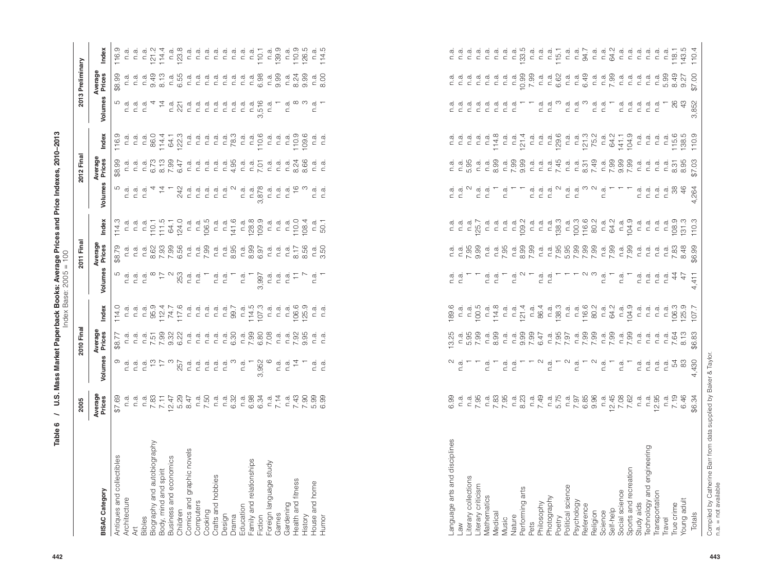| <b>PULL DUC</b><br>i<br>Sa<br>ا مہینہ<br>price l<br><b>Corona</b> Drica<br>i<br>ii e Mace | $2005 = 100$<br><b>CCC</b> |
|-------------------------------------------------------------------------------------------|----------------------------|
|                                                                                           |                            |

|                                                                                     | 2005                                                              |                                                     | 2010 Final                                                                                                                                                                                                                                                                                                             |                                              |         | 2011 Final                              |                                 |                | 2012 Final                  |                                                                                             |                                                                                                                                                                                                                                                                                                                                                                                                                                                                    | 2013 Preliminary                                |                       |
|-------------------------------------------------------------------------------------|-------------------------------------------------------------------|-----------------------------------------------------|------------------------------------------------------------------------------------------------------------------------------------------------------------------------------------------------------------------------------------------------------------------------------------------------------------------------|----------------------------------------------|---------|-----------------------------------------|---------------------------------|----------------|-----------------------------|---------------------------------------------------------------------------------------------|--------------------------------------------------------------------------------------------------------------------------------------------------------------------------------------------------------------------------------------------------------------------------------------------------------------------------------------------------------------------------------------------------------------------------------------------------------------------|-------------------------------------------------|-----------------------|
| <b>BISAC Category</b>                                                               | Average<br>Prices                                                 | Volumes                                             | Average<br>Prices                                                                                                                                                                                                                                                                                                      | Index                                        | Volumes | Average<br>Prices                       | Index                           | Volumes        | Average<br>Prices           | Index                                                                                       | Volumes                                                                                                                                                                                                                                                                                                                                                                                                                                                            | Average<br>Prices                               | Index                 |
| Antiques and collectibles<br>Architecture<br>Art<br>Bibles                          | 69.78                                                             |                                                     | \$8.77                                                                                                                                                                                                                                                                                                                 | 114.0                                        |         | \$8.79                                  | 114.3                           |                | \$8.99                      | 116.9                                                                                       |                                                                                                                                                                                                                                                                                                                                                                                                                                                                    | \$8.99                                          | 116.9                 |
|                                                                                     |                                                                   | n.a                                                 | n.a                                                                                                                                                                                                                                                                                                                    | n.a                                          |         | n.a                                     | n.a                             |                | n.a                         | n.a                                                                                         | n.a                                                                                                                                                                                                                                                                                                                                                                                                                                                                | n.a                                             | n.a                   |
|                                                                                     |                                                                   |                                                     | n.a                                                                                                                                                                                                                                                                                                                    | n.a                                          |         | n.a                                     | n.a                             | αίαία<br>⊂ ⊂ ⊂ | n.a                         | n.a                                                                                         |                                                                                                                                                                                                                                                                                                                                                                                                                                                                    | n.a                                             | n.a                   |
|                                                                                     |                                                                   |                                                     |                                                                                                                                                                                                                                                                                                                        |                                              |         |                                         |                                 |                |                             | n.a                                                                                         | $\begin{array}{ccc} a & a \\ c & c \end{array}$                                                                                                                                                                                                                                                                                                                                                                                                                    | n.a                                             | n.a                   |
|                                                                                     |                                                                   |                                                     |                                                                                                                                                                                                                                                                                                                        |                                              |         |                                         |                                 |                |                             |                                                                                             |                                                                                                                                                                                                                                                                                                                                                                                                                                                                    |                                                 |                       |
| Biography and autobiography<br>Body, mind and spirit                                |                                                                   | sidistic<br>Sidistic                                | <sub>다.</sub><br>- 12 98 98 92<br>- 12 98 92 92                                                                                                                                                                                                                                                                        |                                              |         | F 8 7 7 8<br>F 8 7 7 8 9<br>F 8 7 7 8 9 | n.a.<br>110.1<br>124.1<br>124.0 |                | 다. 2012년<br>1925년<br>1935년  |                                                                                             |                                                                                                                                                                                                                                                                                                                                                                                                                                                                    | $9.13$<br>8.13                                  |                       |
|                                                                                     |                                                                   |                                                     |                                                                                                                                                                                                                                                                                                                        |                                              |         |                                         |                                 |                |                             |                                                                                             |                                                                                                                                                                                                                                                                                                                                                                                                                                                                    |                                                 |                       |
| Business and economics<br>Children                                                  |                                                                   |                                                     |                                                                                                                                                                                                                                                                                                                        | n.a.<br>959.417.6<br>117.6<br>117.6          |         |                                         |                                 |                |                             | 8611522<br>15622<br>15622                                                                   | n.a.<br>221                                                                                                                                                                                                                                                                                                                                                                                                                                                        | n.a.<br>6.55                                    |                       |
| Comics and graphic novels                                                           |                                                                   | n.a.                                                |                                                                                                                                                                                                                                                                                                                        | n.a                                          |         | n.a                                     | n.a                             |                |                             | n.a                                                                                         |                                                                                                                                                                                                                                                                                                                                                                                                                                                                    | n.a                                             |                       |
|                                                                                     |                                                                   | n.a                                                 |                                                                                                                                                                                                                                                                                                                        |                                              |         |                                         |                                 |                |                             |                                                                                             | $\begin{array}{ccc} \vec{a} & \vec{a} \\ \vec{c} & \vec{c} \end{array}$                                                                                                                                                                                                                                                                                                                                                                                            | n.a                                             |                       |
| Computers<br>Cooking<br>Cratts and hobbies<br>Design                                |                                                                   | n.a.                                                | dididi<br>⊂⊂⊂                                                                                                                                                                                                                                                                                                          | e di di di C<br>" di di di C<br>" di di di C |         | $n.a.$<br>7.99                          | n.a.<br>106.5                   |                | c c c c c 4<br>c c c c c 4  | $\begin{array}{ccc} \vec{a} & \vec{a} & \vec{a} \\ \vec{c} & \vec{c} & \vec{c} \end{array}$ | n.a.                                                                                                                                                                                                                                                                                                                                                                                                                                                               | n.a                                             |                       |
|                                                                                     |                                                                   | n.a                                                 | n.a                                                                                                                                                                                                                                                                                                                    |                                              |         |                                         | n.a.                            |                |                             |                                                                                             | n.a                                                                                                                                                                                                                                                                                                                                                                                                                                                                |                                                 |                       |
|                                                                                     |                                                                   |                                                     |                                                                                                                                                                                                                                                                                                                        |                                              |         | $\frac{a}{c}$ a $\frac{a}{a}$ 85        |                                 |                |                             |                                                                                             | n.a.                                                                                                                                                                                                                                                                                                                                                                                                                                                               | $\begin{array}{ccc} a & a \\ c & d \end{array}$ |                       |
|                                                                                     |                                                                   | $\frac{a}{c}$ $\infty$                              |                                                                                                                                                                                                                                                                                                                        |                                              |         |                                         | $\frac{1416}{ }$                |                |                             |                                                                                             | n.a.                                                                                                                                                                                                                                                                                                                                                                                                                                                               | n.a                                             |                       |
|                                                                                     |                                                                   |                                                     |                                                                                                                                                                                                                                                                                                                        |                                              |         |                                         |                                 |                | n.a                         |                                                                                             | n.a.                                                                                                                                                                                                                                                                                                                                                                                                                                                               | $\overline{\mathsf{a}}$ .                       |                       |
|                                                                                     |                                                                   |                                                     |                                                                                                                                                                                                                                                                                                                        |                                              |         |                                         |                                 |                |                             |                                                                                             |                                                                                                                                                                                                                                                                                                                                                                                                                                                                    |                                                 |                       |
| Drama<br>Education<br>Family and relationships<br>Fiction<br>Foreign language study |                                                                   | $n \frac{a}{3}$ , $n \frac{a}{3}$ , $n \frac{b}{3}$ | $\frac{48}{6}$ $\frac{6}{6}$ $\frac{6}{6}$ $\frac{88}{6}$ $\frac{86}{6}$ $\frac{8}{6}$ $\frac{8}{6}$ $\frac{8}{6}$ $\frac{8}{6}$ $\frac{8}{6}$ $\frac{8}{6}$ $\frac{8}{6}$ $\frac{8}{6}$ $\frac{8}{6}$ $\frac{8}{6}$ $\frac{8}{6}$ $\frac{8}{6}$ $\frac{8}{6}$ $\frac{8}{6}$ $\frac{8}{6}$ $\frac{8}{6}$ $\frac{8}{6}$ | $714.3$<br>$74.5$<br>$70.3$                  |         | $\frac{a}{2880}$                        | n.a.<br>128.9<br>109.9          |                | 7.01                        | 10.6<br>10.78 d<br>110.6                                                                    |                                                                                                                                                                                                                                                                                                                                                                                                                                                                    | $\frac{a}{6.98}$                                |                       |
|                                                                                     |                                                                   |                                                     |                                                                                                                                                                                                                                                                                                                        | n.a                                          |         | n.a                                     | $\overline{n}$ .                |                | n.a                         | n.a                                                                                         |                                                                                                                                                                                                                                                                                                                                                                                                                                                                    |                                                 |                       |
| Games<br>Gardening                                                                  |                                                                   |                                                     | n.a                                                                                                                                                                                                                                                                                                                    | n.a                                          |         | n.a                                     | n.a                             |                | n.a                         | n.a                                                                                         |                                                                                                                                                                                                                                                                                                                                                                                                                                                                    | $\frac{a}{2}$ .                                 | $\frac{a}{139}$       |
|                                                                                     |                                                                   |                                                     |                                                                                                                                                                                                                                                                                                                        |                                              |         |                                         |                                 |                |                             |                                                                                             |                                                                                                                                                                                                                                                                                                                                                                                                                                                                    | n.a                                             |                       |
|                                                                                     |                                                                   |                                                     |                                                                                                                                                                                                                                                                                                                        |                                              |         |                                         |                                 |                | $\frac{a}{8}$ $\frac{2}{4}$ |                                                                                             |                                                                                                                                                                                                                                                                                                                                                                                                                                                                    | 8.24                                            |                       |
| Health and fitness<br>History                                                       | e 6 6 5 7 5 7 7 8 9<br>e 9 9 4 5 7 6 9 9 9<br>e 9 9 4 5 7 6 9 9 9 | $\vec{a}$ $\vec{a}$ $\vec{c}$ $\vec{r}$             | $\frac{a}{c} \times \frac{a}{c}$                                                                                                                                                                                                                                                                                       | n.a.<br>106.9<br>125.9                       |         | $\frac{a}{2} \div 26$                   | n.a.<br>100<br>108.4            |                | 8.66                        | n.a.<br>109.6<br>109.6                                                                      | $\begin{array}{l} \frac{1}{2} \begin{array}{c} \frac{1}{2} \end{array} & \frac{1}{2} \begin{array}{c} \frac{1}{2} \end{array} & \frac{1}{2} \begin{array}{c} \frac{1}{2} \end{array} & \frac{1}{2} \begin{array}{c} \frac{1}{2} \end{array} & \frac{1}{2} \begin{array}{c} \frac{1}{2} \end{array} & \frac{1}{2} \begin{array}{c} \frac{1}{2} \end{array} & \frac{1}{2} \begin{array}{c} \frac{1}{2} \end{array} & \frac{1}{2} \begin{array}{c} \frac{1}{2} \end{$ | 9.99                                            | n.a.<br>10.9<br>126.5 |
| House and home                                                                      |                                                                   | n.a.                                                | n.a                                                                                                                                                                                                                                                                                                                    | n.a                                          |         |                                         | n.a                             | n.a            |                             | n.a                                                                                         |                                                                                                                                                                                                                                                                                                                                                                                                                                                                    |                                                 | n.a                   |
| Humor                                                                               | <b>6.99</b>                                                       | n.a                                                 | n.a                                                                                                                                                                                                                                                                                                                    | n.a                                          |         | 3.50                                    | 50.1                            | n.a            | n.a                         | n.a                                                                                         |                                                                                                                                                                                                                                                                                                                                                                                                                                                                    | $\frac{0}{20}$                                  | 114.5                 |
|                                                                                     |                                                                   |                                                     |                                                                                                                                                                                                                                                                                                                        |                                              |         |                                         |                                 |                |                             |                                                                                             |                                                                                                                                                                                                                                                                                                                                                                                                                                                                    |                                                 |                       |

|                                                 | 2005                                        |                                                                       | 2010 Final                                                                                                                                                                                                                                                                                                                                                                                                                                                                                               |                                                                                                                                                                                                                                                                                                                                                              |                                                                                                                                                                                                                                                                                   | 2011 Fina              |                                                                                             |                                                                                                                                                                                                                                                                                                                                                                                                                                   | 2012 Fin                                                                                                                                                                                                                                                                                                                   |                                                                                                                                                                                                                                                                                                                                                                                                  |                                                   | 2013 Preliminary    |                                      |
|-------------------------------------------------|---------------------------------------------|-----------------------------------------------------------------------|----------------------------------------------------------------------------------------------------------------------------------------------------------------------------------------------------------------------------------------------------------------------------------------------------------------------------------------------------------------------------------------------------------------------------------------------------------------------------------------------------------|--------------------------------------------------------------------------------------------------------------------------------------------------------------------------------------------------------------------------------------------------------------------------------------------------------------------------------------------------------------|-----------------------------------------------------------------------------------------------------------------------------------------------------------------------------------------------------------------------------------------------------------------------------------|------------------------|---------------------------------------------------------------------------------------------|-----------------------------------------------------------------------------------------------------------------------------------------------------------------------------------------------------------------------------------------------------------------------------------------------------------------------------------------------------------------------------------------------------------------------------------|----------------------------------------------------------------------------------------------------------------------------------------------------------------------------------------------------------------------------------------------------------------------------------------------------------------------------|--------------------------------------------------------------------------------------------------------------------------------------------------------------------------------------------------------------------------------------------------------------------------------------------------------------------------------------------------------------------------------------------------|---------------------------------------------------|---------------------|--------------------------------------|
| <b>BISAC Category</b>                           | Average<br>Prices                           | Volumes                                                               | Average<br>Prices                                                                                                                                                                                                                                                                                                                                                                                                                                                                                        | Index                                                                                                                                                                                                                                                                                                                                                        | Volumes                                                                                                                                                                                                                                                                           | Average<br>Prices      | Index                                                                                       | Volumes                                                                                                                                                                                                                                                                                                                                                                                                                           | Average<br>Prices                                                                                                                                                                                                                                                                                                          | Index                                                                                                                                                                                                                                                                                                                                                                                            | Volumes                                           | Average<br>Prices   | Index                                |
| Antiques and collectibles                       | \$7.69                                      | တ                                                                     | \$8.77                                                                                                                                                                                                                                                                                                                                                                                                                                                                                                   | 114.0                                                                                                                                                                                                                                                                                                                                                        |                                                                                                                                                                                                                                                                                   | \$8.79                 | 114.3                                                                                       |                                                                                                                                                                                                                                                                                                                                                                                                                                   | \$8.99                                                                                                                                                                                                                                                                                                                     | 116.9                                                                                                                                                                                                                                                                                                                                                                                            |                                                   | \$8.99              | 116.9                                |
| Architecture<br>ξ                               |                                             | ai ai ai fh chogair<br>An ainm airson airson<br>An ainm airson airson |                                                                                                                                                                                                                                                                                                                                                                                                                                                                                                          | ה כ כ 20 אלה ל ה כ כ כ כ 20<br>ה כ כ 20 אלה כ כ כ כ כ 20<br>יו מ מ מ אלה ל ה מ מ מ מ ה                                                                                                                                                                                                                                                                       | $\vec{a}$ $\vec{a}$ $\vec{a}$                                                                                                                                                                                                                                                     |                        | d d d<br>c c c                                                                              |                                                                                                                                                                                                                                                                                                                                                                                                                                   |                                                                                                                                                                                                                                                                                                                            | ה כ כ 20 ב ב כ כ<br>כ כ כ 20 ב ב 20 כ כ כ כ<br>מ מ מ כ ב ב ב                                                                                                                                                                                                                                                                                                                                     |                                                   |                     | n.a<br>n.a                           |
| Bibles                                          |                                             |                                                                       |                                                                                                                                                                                                                                                                                                                                                                                                                                                                                                          |                                                                                                                                                                                                                                                                                                                                                              |                                                                                                                                                                                                                                                                                   |                        |                                                                                             |                                                                                                                                                                                                                                                                                                                                                                                                                                   |                                                                                                                                                                                                                                                                                                                            |                                                                                                                                                                                                                                                                                                                                                                                                  |                                                   |                     |                                      |
| Biography and autobiography                     |                                             |                                                                       |                                                                                                                                                                                                                                                                                                                                                                                                                                                                                                          |                                                                                                                                                                                                                                                                                                                                                              |                                                                                                                                                                                                                                                                                   |                        | $110.1$<br>$11.5$<br>$124.0$<br>$124.0$                                                     |                                                                                                                                                                                                                                                                                                                                                                                                                                   |                                                                                                                                                                                                                                                                                                                            |                                                                                                                                                                                                                                                                                                                                                                                                  |                                                   |                     | $\frac{1214}{1144}$                  |
| Business and economics<br>Body, mind and spirit |                                             |                                                                       |                                                                                                                                                                                                                                                                                                                                                                                                                                                                                                          |                                                                                                                                                                                                                                                                                                                                                              | $\begin{array}{c} \infty \quad \mapsto \quad \infty \\ \infty \quad \mapsto \quad \infty \\ \infty \quad \infty \quad \infty \quad \infty \quad \infty \end{array}$                                                                                                               |                        |                                                                                             | $\frac{1}{4}$                                                                                                                                                                                                                                                                                                                                                                                                                     |                                                                                                                                                                                                                                                                                                                            |                                                                                                                                                                                                                                                                                                                                                                                                  | $\frac{4}{4}$ as $\frac{2}{2}$                    |                     |                                      |
| Children                                        |                                             |                                                                       |                                                                                                                                                                                                                                                                                                                                                                                                                                                                                                          |                                                                                                                                                                                                                                                                                                                                                              |                                                                                                                                                                                                                                                                                   |                        |                                                                                             |                                                                                                                                                                                                                                                                                                                                                                                                                                   |                                                                                                                                                                                                                                                                                                                            |                                                                                                                                                                                                                                                                                                                                                                                                  |                                                   |                     | n.a.<br>123.8                        |
| Comics and graphic novels                       |                                             |                                                                       |                                                                                                                                                                                                                                                                                                                                                                                                                                                                                                          |                                                                                                                                                                                                                                                                                                                                                              |                                                                                                                                                                                                                                                                                   |                        |                                                                                             | $\begin{array}{c} \mathcal{Q} \\ \mathcal{A} \\ \mathcal{O} \end{array} \begin{array}{c} \mathcal{Q} \\ \mathcal{Q} \\ \mathcal{Q} \end{array} \begin{array}{c} \mathcal{Q} \\ \mathcal{Q} \\ \mathcal{Q} \end{array} \begin{array}{c} \mathcal{Q} \\ \mathcal{Q} \\ \mathcal{Q} \end{array} \begin{array}{c} \mathcal{Q} \\ \mathcal{Q} \\ \mathcal{Q} \end{array}$                                                              |                                                                                                                                                                                                                                                                                                                            |                                                                                                                                                                                                                                                                                                                                                                                                  | n.a                                               |                     |                                      |
| Computers                                       |                                             | n.a                                                                   |                                                                                                                                                                                                                                                                                                                                                                                                                                                                                                          |                                                                                                                                                                                                                                                                                                                                                              |                                                                                                                                                                                                                                                                                   |                        |                                                                                             |                                                                                                                                                                                                                                                                                                                                                                                                                                   |                                                                                                                                                                                                                                                                                                                            |                                                                                                                                                                                                                                                                                                                                                                                                  |                                                   |                     | ם<br>כככככככככככ<br>המולח של המולח ב |
| Crafts and hobbies<br>Cooking                   |                                             | n.a<br>n.a                                                            |                                                                                                                                                                                                                                                                                                                                                                                                                                                                                                          |                                                                                                                                                                                                                                                                                                                                                              |                                                                                                                                                                                                                                                                                   |                        |                                                                                             |                                                                                                                                                                                                                                                                                                                                                                                                                                   |                                                                                                                                                                                                                                                                                                                            |                                                                                                                                                                                                                                                                                                                                                                                                  |                                                   |                     |                                      |
| Design                                          |                                             | n.a                                                                   |                                                                                                                                                                                                                                                                                                                                                                                                                                                                                                          |                                                                                                                                                                                                                                                                                                                                                              | n.a                                                                                                                                                                                                                                                                               |                        |                                                                                             | n.a                                                                                                                                                                                                                                                                                                                                                                                                                               |                                                                                                                                                                                                                                                                                                                            |                                                                                                                                                                                                                                                                                                                                                                                                  |                                                   |                     |                                      |
| Drama                                           | $1.50$<br>$7.50$ $1.50$<br>$1.50$<br>$1.52$ |                                                                       |                                                                                                                                                                                                                                                                                                                                                                                                                                                                                                          |                                                                                                                                                                                                                                                                                                                                                              |                                                                                                                                                                                                                                                                                   |                        | $C = \frac{a}{4}$                                                                           |                                                                                                                                                                                                                                                                                                                                                                                                                                   | ה ב ב ב ב ל ב ב צ' ב ב ב א א כ ב ב<br>ב ב ב ב ב ל ב ב צ' ב ב ב א א כ ב ב                                                                                                                                                                                                                                                   | $1.3 \times 78$                                                                                                                                                                                                                                                                                                                                                                                  | בככככככה שכ<br>בכככככככה ב<br>של האישור           |                     |                                      |
| Education                                       |                                             | $\begin{array}{c} \n\infty \ E \\ \n\infty \n\end{array}$             |                                                                                                                                                                                                                                                                                                                                                                                                                                                                                                          |                                                                                                                                                                                                                                                                                                                                                              | n.a                                                                                                                                                                                                                                                                               |                        |                                                                                             |                                                                                                                                                                                                                                                                                                                                                                                                                                   |                                                                                                                                                                                                                                                                                                                            |                                                                                                                                                                                                                                                                                                                                                                                                  |                                                   |                     |                                      |
| Family and relationships                        | n a 88<br>G 88<br>G 84                      |                                                                       |                                                                                                                                                                                                                                                                                                                                                                                                                                                                                                          | $14.5$<br>$14.5$<br>$10.3$<br>$14.5$                                                                                                                                                                                                                                                                                                                         |                                                                                                                                                                                                                                                                                   |                        | $\frac{1280}{1280}$                                                                         | $\begin{array}{ccccccccc}\n\mathbf{a} & \mathbf{a} & \mathbf{b} & \mathbf{c} & \mathbf{c} & \mathbf{c} & \mathbf{c} & \mathbf{c} & \mathbf{c} & \mathbf{c} & \mathbf{c} & \mathbf{c} & \mathbf{c} & \mathbf{c} & \mathbf{c} & \mathbf{c} & \mathbf{c} & \mathbf{c} & \mathbf{c} & \mathbf{c} & \mathbf{c} & \mathbf{c} & \mathbf{c} & \mathbf{c} & \mathbf{c} & \mathbf{c} & \mathbf{c} & \mathbf{c} & \mathbf{c} & \mathbf{c} &$ |                                                                                                                                                                                                                                                                                                                            | $C = 100$                                                                                                                                                                                                                                                                                                                                                                                        |                                                   |                     |                                      |
| Fiction                                         |                                             | 3,952                                                                 |                                                                                                                                                                                                                                                                                                                                                                                                                                                                                                          |                                                                                                                                                                                                                                                                                                                                                              | 3,997                                                                                                                                                                                                                                                                             |                        |                                                                                             | က်                                                                                                                                                                                                                                                                                                                                                                                                                                |                                                                                                                                                                                                                                                                                                                            |                                                                                                                                                                                                                                                                                                                                                                                                  |                                                   |                     |                                      |
| Foreign language study                          |                                             |                                                                       |                                                                                                                                                                                                                                                                                                                                                                                                                                                                                                          |                                                                                                                                                                                                                                                                                                                                                              | $\begin{array}{c} \mathbf{a} \\ \mathbf{c} \\ \mathbf{c} \end{array} \begin{array}{c} \mathbf{a} \\ \mathbf{c} \\ \mathbf{c} \end{array} \begin{array}{c} \mathbf{a} \\ \mathbf{c} \\ \mathbf{c} \end{array} \begin{array}{c} \mathbf{b} \\ \mathbf{c} \\ \mathbf{c} \end{array}$ |                        | dididi<br>⊂⊂⊂                                                                               |                                                                                                                                                                                                                                                                                                                                                                                                                                   |                                                                                                                                                                                                                                                                                                                            | ם הם<br>קבוב                                                                                                                                                                                                                                                                                                                                                                                     |                                                   |                     | n.a.<br>139.9                        |
| Games                                           |                                             | n.a                                                                   |                                                                                                                                                                                                                                                                                                                                                                                                                                                                                                          |                                                                                                                                                                                                                                                                                                                                                              |                                                                                                                                                                                                                                                                                   |                        |                                                                                             |                                                                                                                                                                                                                                                                                                                                                                                                                                   |                                                                                                                                                                                                                                                                                                                            |                                                                                                                                                                                                                                                                                                                                                                                                  |                                                   |                     |                                      |
| Health and fitness<br>Gardening                 |                                             | $\overline{4}$<br>n.a                                                 |                                                                                                                                                                                                                                                                                                                                                                                                                                                                                                          |                                                                                                                                                                                                                                                                                                                                                              |                                                                                                                                                                                                                                                                                   |                        |                                                                                             |                                                                                                                                                                                                                                                                                                                                                                                                                                   |                                                                                                                                                                                                                                                                                                                            |                                                                                                                                                                                                                                                                                                                                                                                                  |                                                   |                     |                                      |
| History                                         | $-7.490000$<br>$-7.490000$<br>$-7.490000$   |                                                                       |                                                                                                                                                                                                                                                                                                                                                                                                                                                                                                          | n a a a c 6<br>n a a c 6<br>n 2<br>n 2                                                                                                                                                                                                                                                                                                                       |                                                                                                                                                                                                                                                                                   |                        | 110.0<br>108.4                                                                              |                                                                                                                                                                                                                                                                                                                                                                                                                                   |                                                                                                                                                                                                                                                                                                                            | 110.9                                                                                                                                                                                                                                                                                                                                                                                            |                                                   |                     | $10.5$<br>$10.9$<br>$126.5$          |
| House and home                                  |                                             |                                                                       |                                                                                                                                                                                                                                                                                                                                                                                                                                                                                                          | n.a                                                                                                                                                                                                                                                                                                                                                          |                                                                                                                                                                                                                                                                                   |                        |                                                                                             |                                                                                                                                                                                                                                                                                                                                                                                                                                   |                                                                                                                                                                                                                                                                                                                            |                                                                                                                                                                                                                                                                                                                                                                                                  |                                                   |                     | n.a                                  |
| Humor                                           |                                             | $\vec{a}$ $\vec{a}$                                                   |                                                                                                                                                                                                                                                                                                                                                                                                                                                                                                          | n.a                                                                                                                                                                                                                                                                                                                                                          | $\frac{a}{c}$                                                                                                                                                                                                                                                                     |                        | $\frac{a}{50.1}$                                                                            | coding<br>Cicle<br>Cicle                                                                                                                                                                                                                                                                                                                                                                                                          |                                                                                                                                                                                                                                                                                                                            | $\begin{array}{ccc} \overline{a} & \overline{a} \\ \overline{c} & \overline{c} \end{array}$                                                                                                                                                                                                                                                                                                      |                                                   | $n \cdot a$<br>8.00 | 114.5                                |
|                                                 |                                             |                                                                       |                                                                                                                                                                                                                                                                                                                                                                                                                                                                                                          |                                                                                                                                                                                                                                                                                                                                                              |                                                                                                                                                                                                                                                                                   |                        |                                                                                             |                                                                                                                                                                                                                                                                                                                                                                                                                                   |                                                                                                                                                                                                                                                                                                                            |                                                                                                                                                                                                                                                                                                                                                                                                  |                                                   |                     |                                      |
|                                                 |                                             |                                                                       |                                                                                                                                                                                                                                                                                                                                                                                                                                                                                                          |                                                                                                                                                                                                                                                                                                                                                              |                                                                                                                                                                                                                                                                                   |                        |                                                                                             |                                                                                                                                                                                                                                                                                                                                                                                                                                   |                                                                                                                                                                                                                                                                                                                            |                                                                                                                                                                                                                                                                                                                                                                                                  |                                                   |                     |                                      |
| Language arts and disciplines                   | 6.99                                        |                                                                       | 3.25                                                                                                                                                                                                                                                                                                                                                                                                                                                                                                     | 189.6                                                                                                                                                                                                                                                                                                                                                        | a a<br>⊂ ⊂                                                                                                                                                                                                                                                                        |                        |                                                                                             |                                                                                                                                                                                                                                                                                                                                                                                                                                   |                                                                                                                                                                                                                                                                                                                            | $\begin{array}{ccc} \overline{a} & \overline{a} \\ \overline{c} & \overline{c} \end{array}$                                                                                                                                                                                                                                                                                                      |                                                   | e a<br>⊂ c          |                                      |
| Law                                             |                                             | n.a                                                                   |                                                                                                                                                                                                                                                                                                                                                                                                                                                                                                          |                                                                                                                                                                                                                                                                                                                                                              |                                                                                                                                                                                                                                                                                   |                        |                                                                                             |                                                                                                                                                                                                                                                                                                                                                                                                                                   |                                                                                                                                                                                                                                                                                                                            |                                                                                                                                                                                                                                                                                                                                                                                                  |                                                   |                     | a<br>⊂ a                             |
| Literary collections                            | n.a.<br>n.a.<br>7.95                        |                                                                       | n 3<br>5<br>5<br>7<br>7                                                                                                                                                                                                                                                                                                                                                                                                                                                                                  |                                                                                                                                                                                                                                                                                                                                                              |                                                                                                                                                                                                                                                                                   | $C = 500$<br>$C = 500$ | n a a a a 125.7                                                                             | $\begin{array}{ccc} \vec{a} & \vec{a} & \vec{\alpha} \\ \vec{c} & \vec{c} & \vec{c} \end{array}$                                                                                                                                                                                                                                                                                                                                  |                                                                                                                                                                                                                                                                                                                            | n.a                                                                                                                                                                                                                                                                                                                                                                                              |                                                   | n.a                 | n.a                                  |
| Literary criticism<br>Mathematics               |                                             |                                                                       |                                                                                                                                                                                                                                                                                                                                                                                                                                                                                                          |                                                                                                                                                                                                                                                                                                                                                              |                                                                                                                                                                                                                                                                                   |                        |                                                                                             |                                                                                                                                                                                                                                                                                                                                                                                                                                   |                                                                                                                                                                                                                                                                                                                            | $\begin{array}{ccc} \vec{a} & \vec{a} \\ \vec{c} & \vec{c} \end{array}$                                                                                                                                                                                                                                                                                                                          |                                                   |                     | n.a                                  |
| Medical                                         | n.a.<br>7.83<br>7.95                        | $\frac{a}{c}$                                                         | $\frac{a}{2}$ .                                                                                                                                                                                                                                                                                                                                                                                                                                                                                          | ra di 5<br>100 di 4.8<br>114.8                                                                                                                                                                                                                                                                                                                               | n.a<br>$\frac{a}{c}$                                                                                                                                                                                                                                                              |                        | $\begin{array}{ccc} \overline{a} & \overline{a} \\ \overline{c} & \overline{c} \end{array}$ | $\frac{a}{c}$                                                                                                                                                                                                                                                                                                                                                                                                                     | $\begin{array}{cccccc} c_1^1&\dot c_2^1&\dot c_3^1&\dot c_3^1&\dot c_3^1&\dot c_3^1&\dot c_3^1&\dot c_3^1&\dot c_3^1&\dot c_3^1&\dot c_3^1&\dot c_3^1&\dot c_3^1&\dot c_3^1&\dot c_3^1&\dot c_3^1&\dot c_3^1&\dot c_3^1&\dot c_3^1&\dot c_3^1&\dot c_3^1&\dot c_3^1&\dot c_3^1&\dot c_3^1&\dot c_3^1&\dot c_3^1&\dot c_3^$ | 114.8                                                                                                                                                                                                                                                                                                                                                                                            | ם בכככככ<br>כככככככ                               | cccc<br>ccc         | n.a<br>n.a                           |
| Music                                           |                                             | cia<br>Cia                                                            |                                                                                                                                                                                                                                                                                                                                                                                                                                                                                                          |                                                                                                                                                                                                                                                                                                                                                              |                                                                                                                                                                                                                                                                                   |                        |                                                                                             | n.a                                                                                                                                                                                                                                                                                                                                                                                                                               |                                                                                                                                                                                                                                                                                                                            |                                                                                                                                                                                                                                                                                                                                                                                                  |                                                   |                     |                                      |
| Nature                                          |                                             |                                                                       | $\begin{array}{l} \mbox{\tt c} \end{array} \begin{array}{l} \mbox{\tt c} \end{array} \begin{array}{l} \mbox{\tt d} \end{array} \begin{array}{l} \mbox{\tt d} \end{array} \begin{array}{l} \mbox{\tt d} \end{array} \begin{array}{l} \mbox{\tt d} \end{array} \begin{array}{l} \mbox{\tt d} \end{array} \begin{array}{l} \mbox{\tt d} \end{array} \begin{array}{l} \mbox{\tt d} \end{array} \begin{array}{l} \mbox{\tt d} \end{array} \begin{array}{l} \mbox{\tt d} \end{array} \begin{array}{l} \mbox{\$ | $C = C$<br>$C = C$<br>$C = C$<br>$C = C$<br>$C = C$<br>$C = C$<br>$C = C$<br>$C = C$<br>$C = C$<br>$C = C$<br>$C = C$<br>$C = C$<br>$C = C$<br>$C = C$<br>$C = C$<br>$C = C$<br>$C = C$<br>$C = C$<br>$C = C$<br>$C = C$<br>$C = C$<br>$C = C$<br>$C = C$<br>$C = C$<br>$C = C$<br>$C = C$<br>$C = C$<br>$C = C$<br>$C = C$<br>$C = C$<br>$C = C$<br>$C = C$ | $\begin{array}{c} \n\vec{a} & \Delta \downarrow \\ \vec{b} & \Delta \downarrow \\ \vec{c} & \vec{c}\n\end{array}$                                                                                                                                                                 |                        | $18.4$<br>$18.4$<br>$19.2$                                                                  |                                                                                                                                                                                                                                                                                                                                                                                                                                   |                                                                                                                                                                                                                                                                                                                            | $\begin{array}{l} \mbox{c} \\ \mbox{c} \\ \mbox{c} \\ \mbox{c} \\ \mbox{d} \\ \mbox{e} \\ \mbox{e} \\ \mbox{f} \\ \mbox{f} \\ \mbox{g} \\ \mbox{g} \\ \mbox{h} \\ \mbox{h} \\ \mbox{h} \\ \mbox{h} \\ \mbox{h} \\ \mbox{h} \\ \mbox{h} \\ \mbox{h} \\ \mbox{h} \\ \mbox{h} \\ \mbox{h} \\ \mbox{h} \\ \mbox{h} \\ \mbox{h} \\ \mbox{h} \\ \mbox{h} \\ \mbox{h} \\ \mbox{h} \\ \mbox{h} \\ \mbox$ |                                                   |                     | $C = 5$<br>$C = 5$<br>$C = 5$        |
| Performing arts<br>Pets                         |                                             |                                                                       |                                                                                                                                                                                                                                                                                                                                                                                                                                                                                                          |                                                                                                                                                                                                                                                                                                                                                              |                                                                                                                                                                                                                                                                                   |                        |                                                                                             |                                                                                                                                                                                                                                                                                                                                                                                                                                   |                                                                                                                                                                                                                                                                                                                            |                                                                                                                                                                                                                                                                                                                                                                                                  |                                                   |                     | n.a                                  |
| Philosophy                                      |                                             |                                                                       |                                                                                                                                                                                                                                                                                                                                                                                                                                                                                                          |                                                                                                                                                                                                                                                                                                                                                              |                                                                                                                                                                                                                                                                                   |                        | e di di di co<br>Si di di co<br>Si di co                                                    | $\vec{a}$ $\vec{a}$                                                                                                                                                                                                                                                                                                                                                                                                               |                                                                                                                                                                                                                                                                                                                            |                                                                                                                                                                                                                                                                                                                                                                                                  | n.a                                               |                     |                                      |
| Photography                                     |                                             |                                                                       |                                                                                                                                                                                                                                                                                                                                                                                                                                                                                                          | n.a.<br>138.3                                                                                                                                                                                                                                                                                                                                                |                                                                                                                                                                                                                                                                                   |                        |                                                                                             |                                                                                                                                                                                                                                                                                                                                                                                                                                   |                                                                                                                                                                                                                                                                                                                            |                                                                                                                                                                                                                                                                                                                                                                                                  | n.a                                               |                     | $A = 15.1$                           |
| Poetry                                          |                                             |                                                                       |                                                                                                                                                                                                                                                                                                                                                                                                                                                                                                          |                                                                                                                                                                                                                                                                                                                                                              |                                                                                                                                                                                                                                                                                   |                        |                                                                                             | $\begin{array}{ccc}\n\mathbf{a} & \mathbf{c} & \mathbf{c} \\ \mathbf{c} & \mathbf{c} & \mathbf{c}\n\end{array}$                                                                                                                                                                                                                                                                                                                   |                                                                                                                                                                                                                                                                                                                            |                                                                                                                                                                                                                                                                                                                                                                                                  | $\frac{1}{\sqrt{2}}$                              |                     |                                      |
| Political science                               |                                             |                                                                       |                                                                                                                                                                                                                                                                                                                                                                                                                                                                                                          |                                                                                                                                                                                                                                                                                                                                                              |                                                                                                                                                                                                                                                                                   |                        |                                                                                             |                                                                                                                                                                                                                                                                                                                                                                                                                                   |                                                                                                                                                                                                                                                                                                                            |                                                                                                                                                                                                                                                                                                                                                                                                  |                                                   |                     |                                      |
| Psychology<br>Reference                         |                                             | FFN ar N ar N<br>FFN ar N ar N                                        |                                                                                                                                                                                                                                                                                                                                                                                                                                                                                                          |                                                                                                                                                                                                                                                                                                                                                              | $   \alpha$ $\varnothing$                                                                                                                                                                                                                                                         |                        | $100000$<br>$100000$<br>$10000$                                                             |                                                                                                                                                                                                                                                                                                                                                                                                                                   |                                                                                                                                                                                                                                                                                                                            | n a a a 2<br>1212<br>1252                                                                                                                                                                                                                                                                                                                                                                        | n.a                                               |                     | r. a.<br>1947<br>1947                |
| Religion                                        |                                             |                                                                       |                                                                                                                                                                                                                                                                                                                                                                                                                                                                                                          |                                                                                                                                                                                                                                                                                                                                                              |                                                                                                                                                                                                                                                                                   |                        |                                                                                             |                                                                                                                                                                                                                                                                                                                                                                                                                                   |                                                                                                                                                                                                                                                                                                                            |                                                                                                                                                                                                                                                                                                                                                                                                  | $\begin{array}{c}\n\infty \\ \infty\n\end{array}$ |                     |                                      |
| Science                                         |                                             | n.a                                                                   |                                                                                                                                                                                                                                                                                                                                                                                                                                                                                                          |                                                                                                                                                                                                                                                                                                                                                              | n.a                                                                                                                                                                                                                                                                               |                        | n.a.<br>64.2                                                                                | n.a                                                                                                                                                                                                                                                                                                                                                                                                                               |                                                                                                                                                                                                                                                                                                                            |                                                                                                                                                                                                                                                                                                                                                                                                  | n.a                                               |                     |                                      |
| Self-help                                       |                                             |                                                                       |                                                                                                                                                                                                                                                                                                                                                                                                                                                                                                          |                                                                                                                                                                                                                                                                                                                                                              |                                                                                                                                                                                                                                                                                   |                        |                                                                                             |                                                                                                                                                                                                                                                                                                                                                                                                                                   |                                                                                                                                                                                                                                                                                                                            |                                                                                                                                                                                                                                                                                                                                                                                                  |                                                   |                     |                                      |
| Sports and recreation<br>Social science         | 1215<br>1215<br>12162                       | n.a                                                                   |                                                                                                                                                                                                                                                                                                                                                                                                                                                                                                          | n.a.<br>104.9                                                                                                                                                                                                                                                                                                                                                | n.a                                                                                                                                                                                                                                                                               |                        | 104.9<br>n.a                                                                                |                                                                                                                                                                                                                                                                                                                                                                                                                                   |                                                                                                                                                                                                                                                                                                                            | r. 4.1<br>64.1<br>64.1<br>104.10                                                                                                                                                                                                                                                                                                                                                                 | n.a                                               |                     | ק בק בק בק בק בק<br>ק בק בק בק בק ב  |
| Study aids                                      |                                             | n.a                                                                   |                                                                                                                                                                                                                                                                                                                                                                                                                                                                                                          |                                                                                                                                                                                                                                                                                                                                                              |                                                                                                                                                                                                                                                                                   |                        | $\vec{a}$                                                                                   |                                                                                                                                                                                                                                                                                                                                                                                                                                   |                                                                                                                                                                                                                                                                                                                            | $\overline{n}$                                                                                                                                                                                                                                                                                                                                                                                   | ם הם הם<br>הם הם הם                               |                     |                                      |
| Technology and engineering                      | n.a.<br>n.a.<br>12.95                       |                                                                       |                                                                                                                                                                                                                                                                                                                                                                                                                                                                                                          | ם הם הם<br>קודו הם הם                                                                                                                                                                                                                                                                                                                                        | ם הם הם<br>הם הם הם                                                                                                                                                                                                                                                               |                        | n.a                                                                                         | ם הם הם<br>הם הם הם                                                                                                                                                                                                                                                                                                                                                                                                               |                                                                                                                                                                                                                                                                                                                            | n.a                                                                                                                                                                                                                                                                                                                                                                                              |                                                   |                     |                                      |
| Transportation                                  |                                             |                                                                       |                                                                                                                                                                                                                                                                                                                                                                                                                                                                                                          |                                                                                                                                                                                                                                                                                                                                                              |                                                                                                                                                                                                                                                                                   |                        | n.a                                                                                         |                                                                                                                                                                                                                                                                                                                                                                                                                                   |                                                                                                                                                                                                                                                                                                                            | n.a                                                                                                                                                                                                                                                                                                                                                                                              |                                                   |                     |                                      |
| Travel                                          | n.a.<br>7.19<br>6.46                        |                                                                       |                                                                                                                                                                                                                                                                                                                                                                                                                                                                                                          |                                                                                                                                                                                                                                                                                                                                                              |                                                                                                                                                                                                                                                                                   |                        | n.a                                                                                         |                                                                                                                                                                                                                                                                                                                                                                                                                                   |                                                                                                                                                                                                                                                                                                                            | n.a                                                                                                                                                                                                                                                                                                                                                                                              |                                                   |                     |                                      |
| Young adult<br>True crime                       |                                             |                                                                       | 7.64<br>8.13                                                                                                                                                                                                                                                                                                                                                                                                                                                                                             | 106.3<br>125.9<br>107.7                                                                                                                                                                                                                                                                                                                                      | $\frac{4}{4}$<br>$\frac{4}{7}$                                                                                                                                                                                                                                                    |                        | $\frac{1089}{131.3}$                                                                        | 384                                                                                                                                                                                                                                                                                                                                                                                                                               | $8.\overline{31}$<br>$8.\overline{95}$                                                                                                                                                                                                                                                                                     | $\begin{array}{c} 115.6 \\ 138.5 \\ 10.9 \end{array}$                                                                                                                                                                                                                                                                                                                                            | 43<br>88                                          |                     | 118.1<br>143.5                       |
| Totals                                          |                                             |                                                                       |                                                                                                                                                                                                                                                                                                                                                                                                                                                                                                          |                                                                                                                                                                                                                                                                                                                                                              |                                                                                                                                                                                                                                                                                   |                        |                                                                                             |                                                                                                                                                                                                                                                                                                                                                                                                                                   |                                                                                                                                                                                                                                                                                                                            |                                                                                                                                                                                                                                                                                                                                                                                                  |                                                   |                     |                                      |
|                                                 | \$6.34                                      | 4,430                                                                 | \$6.83                                                                                                                                                                                                                                                                                                                                                                                                                                                                                                   |                                                                                                                                                                                                                                                                                                                                                              | 4,411                                                                                                                                                                                                                                                                             | \$6.99                 |                                                                                             | 4,264                                                                                                                                                                                                                                                                                                                                                                                                                             | \$7.03                                                                                                                                                                                                                                                                                                                     |                                                                                                                                                                                                                                                                                                                                                                                                  | 3,852                                             |                     | 110.4                                |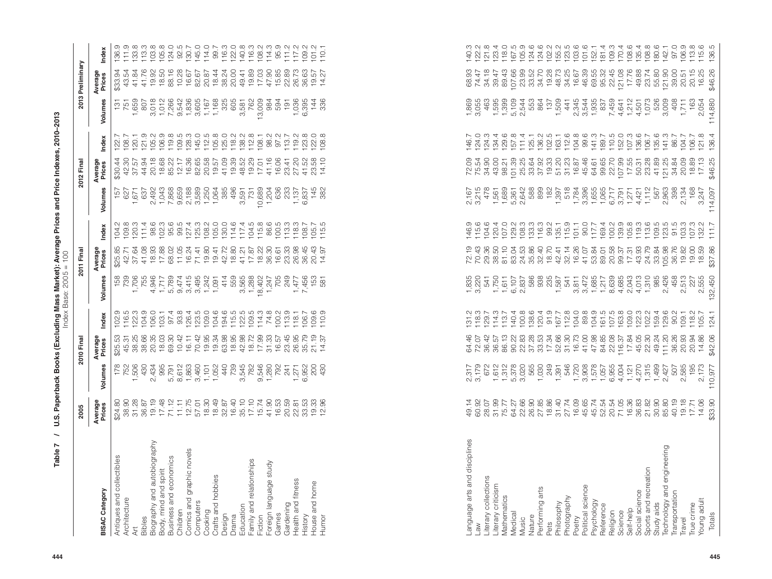|                                                      | 2005              |                                                                                                                                                                                                                                                                                                                                                                                                                                                                       | 2010 Final                                                                                                                                                                                                                                                                                                                  |                                                                                                                                                                                                                                                                                                                                                                                                                                                                                                                                              |                              | 2011 Final                              |                                                                                                                                                                                                                                                                            |                                                                                                                                                                                                                                                                                                                                            | 2012 Final         |                                                                                                                                                                                                                                         |                     | 2013 Preliminary                                                                                                                                                                                                                                                                                                                                                                                                                                                                                                  |                                                                                                                                                                                                                                                                                                                                                                                                                                                                                               |
|------------------------------------------------------|-------------------|-----------------------------------------------------------------------------------------------------------------------------------------------------------------------------------------------------------------------------------------------------------------------------------------------------------------------------------------------------------------------------------------------------------------------------------------------------------------------|-----------------------------------------------------------------------------------------------------------------------------------------------------------------------------------------------------------------------------------------------------------------------------------------------------------------------------|----------------------------------------------------------------------------------------------------------------------------------------------------------------------------------------------------------------------------------------------------------------------------------------------------------------------------------------------------------------------------------------------------------------------------------------------------------------------------------------------------------------------------------------------|------------------------------|-----------------------------------------|----------------------------------------------------------------------------------------------------------------------------------------------------------------------------------------------------------------------------------------------------------------------------|--------------------------------------------------------------------------------------------------------------------------------------------------------------------------------------------------------------------------------------------------------------------------------------------------------------------------------------------|--------------------|-----------------------------------------------------------------------------------------------------------------------------------------------------------------------------------------------------------------------------------------|---------------------|-------------------------------------------------------------------------------------------------------------------------------------------------------------------------------------------------------------------------------------------------------------------------------------------------------------------------------------------------------------------------------------------------------------------------------------------------------------------------------------------------------------------|-----------------------------------------------------------------------------------------------------------------------------------------------------------------------------------------------------------------------------------------------------------------------------------------------------------------------------------------------------------------------------------------------------------------------------------------------------------------------------------------------|
| <b>BISAC Category</b>                                | Average<br>Prices | Volumes                                                                                                                                                                                                                                                                                                                                                                                                                                                               | Average<br>Prices                                                                                                                                                                                                                                                                                                           | Index                                                                                                                                                                                                                                                                                                                                                                                                                                                                                                                                        | Volumes                      | Average<br>Prices                       | Index                                                                                                                                                                                                                                                                      | Volumes                                                                                                                                                                                                                                                                                                                                    | Average<br>Prices  | Index                                                                                                                                                                                                                                   | Volumes             | Average<br>Prices                                                                                                                                                                                                                                                                                                                                                                                                                                                                                                 | Index                                                                                                                                                                                                                                                                                                                                                                                                                                                                                         |
| Antiques and collectibles<br>Architecture<br>ξ       |                   | $\begin{array}{cccccccccccccccccc} \mathcal{R} & \mathcal{N} & \mathcal{Q} & \mathcal{Q} & \mathcal{R} & \mathcal{R} & \mathcal{N} & \mathcal{N} & \mathcal{N} & \mathcal{N} & \mathcal{N} & \mathcal{N} & \mathcal{N} & \mathcal{N} & \mathcal{N} & \mathcal{N} & \mathcal{N} & \mathcal{N} & \mathcal{N} & \mathcal{N} & \mathcal{N} & \mathcal{N} & \mathcal{N} & \mathcal{N} & \mathcal{N} & \mathcal{N} & \mathcal{N} & \mathcal{N} & \mathcal{N} & \mathcal{N}$ | $\begin{array}{l} 0.75 \, \pi \, 0.6 \, \pi \, 0.8 \, \pi \, 0.7 \, \pi \, 0.8 \, \pi \, 0.9 \, \pi \, 0.9 \, \pi \, 0.9 \, \pi \, 0.9 \, \pi \, 0.9 \, \pi \, 0.9 \, \pi \, 0.9 \, \pi \, 0.9 \, \pi \, 0.9 \, \pi \, 0.9 \, \pi \, 0.9 \, \pi \, 0.9 \, \pi \, 0.9 \, \pi \, 0.9 \, \pi \, 0.9 \, \pi \, 0.9 \, \pi \, 0$ | $\begin{array}{l} \mathcal{Q}_1 \mathrel{\mathop:} \mathrel{\mathop:} \mathrel{\mathop:} \mathrel{\mathop:} \mathrel{\mathop:} \mathrel{\mathop:} \mathrel{\mathop:} \mathrel{\mathop:} \mathrel{\mathop:} \mathrel{\mathop:} \mathrel{\mathop:} \mathrel{\mathop:} \mathrel{\mathop:} \mathrel{\mathop:} \mathrel{\mathop:} \mathrel{\mathop:} \mathrel{\mathop:} \mathrel{\mathop:} \mathrel{\mathop:} \mathrel{\mathop:} \mathrel{\mathop:} \mathrel{\mathop:} \mathrel{\mathop:} \mathrel{\mathop:} \mathrel{\mathop:} \mathrel{\mathop$ |                              |                                         | $\begin{array}{l} 10.75 & 0.75 & 0.75 & 0.75 & 0.75 & 0.75 & 0.75 & 0.75 & 0.75 & 0.75 & 0.75 & 0.75 & 0.75 & 0.75 & 0.75 & 0.75 & 0.75 & 0.75 & 0.75 & 0.75 & 0.75 & 0.75 & 0.75 & 0.75 & 0.75 & 0.75 & 0.75 & 0.75 & 0.75 & 0.75 & 0.75 & 0.75 & 0.75 & 0.75 & 0.75 & 0$ |                                                                                                                                                                                                                                                                                                                                            |                    | $\begin{array}{l} 7.75.75.9349.93440.04030.04030.040030.04000.04000.04000.04000.04000.04000.04000.04000.04000.04000.04000.04000.04000.04000.04000.04000.04000.04000.04000.04000.04000.04000.04000.04000.04000.04000.04000.04000.04000.$ |                     |                                                                                                                                                                                                                                                                                                                                                                                                                                                                                                                   |                                                                                                                                                                                                                                                                                                                                                                                                                                                                                               |
| Bibles                                               |                   |                                                                                                                                                                                                                                                                                                                                                                                                                                                                       |                                                                                                                                                                                                                                                                                                                             |                                                                                                                                                                                                                                                                                                                                                                                                                                                                                                                                              |                              |                                         |                                                                                                                                                                                                                                                                            |                                                                                                                                                                                                                                                                                                                                            |                    |                                                                                                                                                                                                                                         |                     |                                                                                                                                                                                                                                                                                                                                                                                                                                                                                                                   |                                                                                                                                                                                                                                                                                                                                                                                                                                                                                               |
| Biography and autobiography<br>Body, mind and spirit |                   |                                                                                                                                                                                                                                                                                                                                                                                                                                                                       |                                                                                                                                                                                                                                                                                                                             |                                                                                                                                                                                                                                                                                                                                                                                                                                                                                                                                              |                              |                                         |                                                                                                                                                                                                                                                                            |                                                                                                                                                                                                                                                                                                                                            |                    |                                                                                                                                                                                                                                         |                     |                                                                                                                                                                                                                                                                                                                                                                                                                                                                                                                   |                                                                                                                                                                                                                                                                                                                                                                                                                                                                                               |
| Business and economics                               |                   |                                                                                                                                                                                                                                                                                                                                                                                                                                                                       |                                                                                                                                                                                                                                                                                                                             |                                                                                                                                                                                                                                                                                                                                                                                                                                                                                                                                              |                              |                                         |                                                                                                                                                                                                                                                                            |                                                                                                                                                                                                                                                                                                                                            |                    |                                                                                                                                                                                                                                         |                     |                                                                                                                                                                                                                                                                                                                                                                                                                                                                                                                   |                                                                                                                                                                                                                                                                                                                                                                                                                                                                                               |
| Comics and graphic novels<br>Children                |                   |                                                                                                                                                                                                                                                                                                                                                                                                                                                                       |                                                                                                                                                                                                                                                                                                                             |                                                                                                                                                                                                                                                                                                                                                                                                                                                                                                                                              |                              |                                         |                                                                                                                                                                                                                                                                            |                                                                                                                                                                                                                                                                                                                                            |                    |                                                                                                                                                                                                                                         |                     |                                                                                                                                                                                                                                                                                                                                                                                                                                                                                                                   |                                                                                                                                                                                                                                                                                                                                                                                                                                                                                               |
| Computers                                            |                   |                                                                                                                                                                                                                                                                                                                                                                                                                                                                       |                                                                                                                                                                                                                                                                                                                             |                                                                                                                                                                                                                                                                                                                                                                                                                                                                                                                                              |                              |                                         |                                                                                                                                                                                                                                                                            |                                                                                                                                                                                                                                                                                                                                            |                    |                                                                                                                                                                                                                                         |                     |                                                                                                                                                                                                                                                                                                                                                                                                                                                                                                                   |                                                                                                                                                                                                                                                                                                                                                                                                                                                                                               |
| Cooking                                              |                   |                                                                                                                                                                                                                                                                                                                                                                                                                                                                       |                                                                                                                                                                                                                                                                                                                             |                                                                                                                                                                                                                                                                                                                                                                                                                                                                                                                                              |                              |                                         |                                                                                                                                                                                                                                                                            |                                                                                                                                                                                                                                                                                                                                            |                    |                                                                                                                                                                                                                                         |                     |                                                                                                                                                                                                                                                                                                                                                                                                                                                                                                                   |                                                                                                                                                                                                                                                                                                                                                                                                                                                                                               |
| Crafts and hobbies                                   |                   |                                                                                                                                                                                                                                                                                                                                                                                                                                                                       |                                                                                                                                                                                                                                                                                                                             |                                                                                                                                                                                                                                                                                                                                                                                                                                                                                                                                              |                              |                                         |                                                                                                                                                                                                                                                                            |                                                                                                                                                                                                                                                                                                                                            |                    |                                                                                                                                                                                                                                         |                     |                                                                                                                                                                                                                                                                                                                                                                                                                                                                                                                   |                                                                                                                                                                                                                                                                                                                                                                                                                                                                                               |
| Design<br>Drama                                      |                   |                                                                                                                                                                                                                                                                                                                                                                                                                                                                       |                                                                                                                                                                                                                                                                                                                             |                                                                                                                                                                                                                                                                                                                                                                                                                                                                                                                                              |                              |                                         |                                                                                                                                                                                                                                                                            |                                                                                                                                                                                                                                                                                                                                            |                    |                                                                                                                                                                                                                                         |                     |                                                                                                                                                                                                                                                                                                                                                                                                                                                                                                                   |                                                                                                                                                                                                                                                                                                                                                                                                                                                                                               |
| Education                                            |                   |                                                                                                                                                                                                                                                                                                                                                                                                                                                                       |                                                                                                                                                                                                                                                                                                                             |                                                                                                                                                                                                                                                                                                                                                                                                                                                                                                                                              |                              |                                         |                                                                                                                                                                                                                                                                            |                                                                                                                                                                                                                                                                                                                                            |                    |                                                                                                                                                                                                                                         |                     |                                                                                                                                                                                                                                                                                                                                                                                                                                                                                                                   |                                                                                                                                                                                                                                                                                                                                                                                                                                                                                               |
| Family and relationships<br>Fiction                  |                   |                                                                                                                                                                                                                                                                                                                                                                                                                                                                       |                                                                                                                                                                                                                                                                                                                             |                                                                                                                                                                                                                                                                                                                                                                                                                                                                                                                                              |                              |                                         |                                                                                                                                                                                                                                                                            |                                                                                                                                                                                                                                                                                                                                            |                    |                                                                                                                                                                                                                                         |                     |                                                                                                                                                                                                                                                                                                                                                                                                                                                                                                                   |                                                                                                                                                                                                                                                                                                                                                                                                                                                                                               |
| Foreign language study                               |                   |                                                                                                                                                                                                                                                                                                                                                                                                                                                                       |                                                                                                                                                                                                                                                                                                                             |                                                                                                                                                                                                                                                                                                                                                                                                                                                                                                                                              |                              |                                         |                                                                                                                                                                                                                                                                            |                                                                                                                                                                                                                                                                                                                                            |                    |                                                                                                                                                                                                                                         |                     |                                                                                                                                                                                                                                                                                                                                                                                                                                                                                                                   |                                                                                                                                                                                                                                                                                                                                                                                                                                                                                               |
| Games                                                |                   |                                                                                                                                                                                                                                                                                                                                                                                                                                                                       |                                                                                                                                                                                                                                                                                                                             |                                                                                                                                                                                                                                                                                                                                                                                                                                                                                                                                              |                              |                                         |                                                                                                                                                                                                                                                                            |                                                                                                                                                                                                                                                                                                                                            |                    |                                                                                                                                                                                                                                         |                     |                                                                                                                                                                                                                                                                                                                                                                                                                                                                                                                   |                                                                                                                                                                                                                                                                                                                                                                                                                                                                                               |
| Gardening                                            |                   |                                                                                                                                                                                                                                                                                                                                                                                                                                                                       |                                                                                                                                                                                                                                                                                                                             |                                                                                                                                                                                                                                                                                                                                                                                                                                                                                                                                              |                              |                                         |                                                                                                                                                                                                                                                                            |                                                                                                                                                                                                                                                                                                                                            |                    |                                                                                                                                                                                                                                         |                     |                                                                                                                                                                                                                                                                                                                                                                                                                                                                                                                   |                                                                                                                                                                                                                                                                                                                                                                                                                                                                                               |
| Health and fitness                                   |                   |                                                                                                                                                                                                                                                                                                                                                                                                                                                                       |                                                                                                                                                                                                                                                                                                                             |                                                                                                                                                                                                                                                                                                                                                                                                                                                                                                                                              |                              |                                         |                                                                                                                                                                                                                                                                            |                                                                                                                                                                                                                                                                                                                                            |                    |                                                                                                                                                                                                                                         |                     |                                                                                                                                                                                                                                                                                                                                                                                                                                                                                                                   |                                                                                                                                                                                                                                                                                                                                                                                                                                                                                               |
| House and home<br>History                            |                   |                                                                                                                                                                                                                                                                                                                                                                                                                                                                       |                                                                                                                                                                                                                                                                                                                             |                                                                                                                                                                                                                                                                                                                                                                                                                                                                                                                                              |                              |                                         |                                                                                                                                                                                                                                                                            |                                                                                                                                                                                                                                                                                                                                            |                    |                                                                                                                                                                                                                                         |                     |                                                                                                                                                                                                                                                                                                                                                                                                                                                                                                                   |                                                                                                                                                                                                                                                                                                                                                                                                                                                                                               |
| Humor                                                |                   |                                                                                                                                                                                                                                                                                                                                                                                                                                                                       |                                                                                                                                                                                                                                                                                                                             |                                                                                                                                                                                                                                                                                                                                                                                                                                                                                                                                              |                              |                                         |                                                                                                                                                                                                                                                                            |                                                                                                                                                                                                                                                                                                                                            | 14.10              |                                                                                                                                                                                                                                         |                     |                                                                                                                                                                                                                                                                                                                                                                                                                                                                                                                   |                                                                                                                                                                                                                                                                                                                                                                                                                                                                                               |
|                                                      |                   |                                                                                                                                                                                                                                                                                                                                                                                                                                                                       |                                                                                                                                                                                                                                                                                                                             |                                                                                                                                                                                                                                                                                                                                                                                                                                                                                                                                              |                              |                                         |                                                                                                                                                                                                                                                                            |                                                                                                                                                                                                                                                                                                                                            |                    |                                                                                                                                                                                                                                         |                     |                                                                                                                                                                                                                                                                                                                                                                                                                                                                                                                   |                                                                                                                                                                                                                                                                                                                                                                                                                                                                                               |
|                                                      |                   |                                                                                                                                                                                                                                                                                                                                                                                                                                                                       |                                                                                                                                                                                                                                                                                                                             |                                                                                                                                                                                                                                                                                                                                                                                                                                                                                                                                              |                              |                                         |                                                                                                                                                                                                                                                                            |                                                                                                                                                                                                                                                                                                                                            |                    |                                                                                                                                                                                                                                         |                     |                                                                                                                                                                                                                                                                                                                                                                                                                                                                                                                   |                                                                                                                                                                                                                                                                                                                                                                                                                                                                                               |
|                                                      |                   |                                                                                                                                                                                                                                                                                                                                                                                                                                                                       |                                                                                                                                                                                                                                                                                                                             |                                                                                                                                                                                                                                                                                                                                                                                                                                                                                                                                              |                              |                                         |                                                                                                                                                                                                                                                                            |                                                                                                                                                                                                                                                                                                                                            |                    |                                                                                                                                                                                                                                         |                     |                                                                                                                                                                                                                                                                                                                                                                                                                                                                                                                   |                                                                                                                                                                                                                                                                                                                                                                                                                                                                                               |
| Language arts and disciplines                        |                   |                                                                                                                                                                                                                                                                                                                                                                                                                                                                       |                                                                                                                                                                                                                                                                                                                             |                                                                                                                                                                                                                                                                                                                                                                                                                                                                                                                                              |                              |                                         |                                                                                                                                                                                                                                                                            |                                                                                                                                                                                                                                                                                                                                            |                    |                                                                                                                                                                                                                                         |                     |                                                                                                                                                                                                                                                                                                                                                                                                                                                                                                                   |                                                                                                                                                                                                                                                                                                                                                                                                                                                                                               |
| Literary collections<br>Law                          |                   |                                                                                                                                                                                                                                                                                                                                                                                                                                                                       |                                                                                                                                                                                                                                                                                                                             |                                                                                                                                                                                                                                                                                                                                                                                                                                                                                                                                              |                              |                                         |                                                                                                                                                                                                                                                                            |                                                                                                                                                                                                                                                                                                                                            |                    |                                                                                                                                                                                                                                         |                     |                                                                                                                                                                                                                                                                                                                                                                                                                                                                                                                   |                                                                                                                                                                                                                                                                                                                                                                                                                                                                                               |
| Literary criticism                                   |                   |                                                                                                                                                                                                                                                                                                                                                                                                                                                                       |                                                                                                                                                                                                                                                                                                                             |                                                                                                                                                                                                                                                                                                                                                                                                                                                                                                                                              |                              |                                         |                                                                                                                                                                                                                                                                            |                                                                                                                                                                                                                                                                                                                                            |                    |                                                                                                                                                                                                                                         |                     |                                                                                                                                                                                                                                                                                                                                                                                                                                                                                                                   |                                                                                                                                                                                                                                                                                                                                                                                                                                                                                               |
| Mathematics                                          |                   |                                                                                                                                                                                                                                                                                                                                                                                                                                                                       |                                                                                                                                                                                                                                                                                                                             |                                                                                                                                                                                                                                                                                                                                                                                                                                                                                                                                              |                              |                                         |                                                                                                                                                                                                                                                                            |                                                                                                                                                                                                                                                                                                                                            |                    |                                                                                                                                                                                                                                         |                     |                                                                                                                                                                                                                                                                                                                                                                                                                                                                                                                   |                                                                                                                                                                                                                                                                                                                                                                                                                                                                                               |
| Medical<br>Music                                     |                   |                                                                                                                                                                                                                                                                                                                                                                                                                                                                       |                                                                                                                                                                                                                                                                                                                             |                                                                                                                                                                                                                                                                                                                                                                                                                                                                                                                                              |                              |                                         |                                                                                                                                                                                                                                                                            |                                                                                                                                                                                                                                                                                                                                            |                    |                                                                                                                                                                                                                                         |                     |                                                                                                                                                                                                                                                                                                                                                                                                                                                                                                                   |                                                                                                                                                                                                                                                                                                                                                                                                                                                                                               |
| Nature                                               |                   |                                                                                                                                                                                                                                                                                                                                                                                                                                                                       |                                                                                                                                                                                                                                                                                                                             |                                                                                                                                                                                                                                                                                                                                                                                                                                                                                                                                              |                              |                                         |                                                                                                                                                                                                                                                                            |                                                                                                                                                                                                                                                                                                                                            |                    |                                                                                                                                                                                                                                         |                     |                                                                                                                                                                                                                                                                                                                                                                                                                                                                                                                   |                                                                                                                                                                                                                                                                                                                                                                                                                                                                                               |
| Performing arts                                      |                   |                                                                                                                                                                                                                                                                                                                                                                                                                                                                       |                                                                                                                                                                                                                                                                                                                             |                                                                                                                                                                                                                                                                                                                                                                                                                                                                                                                                              |                              |                                         |                                                                                                                                                                                                                                                                            |                                                                                                                                                                                                                                                                                                                                            |                    |                                                                                                                                                                                                                                         |                     |                                                                                                                                                                                                                                                                                                                                                                                                                                                                                                                   |                                                                                                                                                                                                                                                                                                                                                                                                                                                                                               |
| Philosophy<br>Pets                                   |                   |                                                                                                                                                                                                                                                                                                                                                                                                                                                                       |                                                                                                                                                                                                                                                                                                                             |                                                                                                                                                                                                                                                                                                                                                                                                                                                                                                                                              |                              |                                         |                                                                                                                                                                                                                                                                            |                                                                                                                                                                                                                                                                                                                                            |                    |                                                                                                                                                                                                                                         |                     |                                                                                                                                                                                                                                                                                                                                                                                                                                                                                                                   |                                                                                                                                                                                                                                                                                                                                                                                                                                                                                               |
| Photography                                          |                   |                                                                                                                                                                                                                                                                                                                                                                                                                                                                       |                                                                                                                                                                                                                                                                                                                             |                                                                                                                                                                                                                                                                                                                                                                                                                                                                                                                                              |                              |                                         |                                                                                                                                                                                                                                                                            |                                                                                                                                                                                                                                                                                                                                            |                    |                                                                                                                                                                                                                                         |                     |                                                                                                                                                                                                                                                                                                                                                                                                                                                                                                                   |                                                                                                                                                                                                                                                                                                                                                                                                                                                                                               |
| Poetry                                               |                   |                                                                                                                                                                                                                                                                                                                                                                                                                                                                       |                                                                                                                                                                                                                                                                                                                             |                                                                                                                                                                                                                                                                                                                                                                                                                                                                                                                                              |                              |                                         |                                                                                                                                                                                                                                                                            |                                                                                                                                                                                                                                                                                                                                            |                    |                                                                                                                                                                                                                                         |                     |                                                                                                                                                                                                                                                                                                                                                                                                                                                                                                                   |                                                                                                                                                                                                                                                                                                                                                                                                                                                                                               |
| Political science                                    |                   |                                                                                                                                                                                                                                                                                                                                                                                                                                                                       |                                                                                                                                                                                                                                                                                                                             |                                                                                                                                                                                                                                                                                                                                                                                                                                                                                                                                              |                              |                                         |                                                                                                                                                                                                                                                                            |                                                                                                                                                                                                                                                                                                                                            |                    |                                                                                                                                                                                                                                         |                     |                                                                                                                                                                                                                                                                                                                                                                                                                                                                                                                   |                                                                                                                                                                                                                                                                                                                                                                                                                                                                                               |
| Psychology<br>Reference                              |                   |                                                                                                                                                                                                                                                                                                                                                                                                                                                                       |                                                                                                                                                                                                                                                                                                                             |                                                                                                                                                                                                                                                                                                                                                                                                                                                                                                                                              |                              |                                         |                                                                                                                                                                                                                                                                            |                                                                                                                                                                                                                                                                                                                                            |                    |                                                                                                                                                                                                                                         |                     |                                                                                                                                                                                                                                                                                                                                                                                                                                                                                                                   |                                                                                                                                                                                                                                                                                                                                                                                                                                                                                               |
| Religion                                             |                   |                                                                                                                                                                                                                                                                                                                                                                                                                                                                       |                                                                                                                                                                                                                                                                                                                             |                                                                                                                                                                                                                                                                                                                                                                                                                                                                                                                                              |                              |                                         |                                                                                                                                                                                                                                                                            |                                                                                                                                                                                                                                                                                                                                            |                    |                                                                                                                                                                                                                                         |                     |                                                                                                                                                                                                                                                                                                                                                                                                                                                                                                                   |                                                                                                                                                                                                                                                                                                                                                                                                                                                                                               |
| Science                                              |                   |                                                                                                                                                                                                                                                                                                                                                                                                                                                                       |                                                                                                                                                                                                                                                                                                                             |                                                                                                                                                                                                                                                                                                                                                                                                                                                                                                                                              |                              |                                         |                                                                                                                                                                                                                                                                            |                                                                                                                                                                                                                                                                                                                                            |                    |                                                                                                                                                                                                                                         |                     |                                                                                                                                                                                                                                                                                                                                                                                                                                                                                                                   |                                                                                                                                                                                                                                                                                                                                                                                                                                                                                               |
| Social science<br>Self-help                          |                   |                                                                                                                                                                                                                                                                                                                                                                                                                                                                       |                                                                                                                                                                                                                                                                                                                             |                                                                                                                                                                                                                                                                                                                                                                                                                                                                                                                                              |                              |                                         |                                                                                                                                                                                                                                                                            |                                                                                                                                                                                                                                                                                                                                            |                    |                                                                                                                                                                                                                                         |                     |                                                                                                                                                                                                                                                                                                                                                                                                                                                                                                                   |                                                                                                                                                                                                                                                                                                                                                                                                                                                                                               |
| Sports and recreation                                |                   |                                                                                                                                                                                                                                                                                                                                                                                                                                                                       |                                                                                                                                                                                                                                                                                                                             |                                                                                                                                                                                                                                                                                                                                                                                                                                                                                                                                              |                              |                                         |                                                                                                                                                                                                                                                                            |                                                                                                                                                                                                                                                                                                                                            |                    |                                                                                                                                                                                                                                         |                     |                                                                                                                                                                                                                                                                                                                                                                                                                                                                                                                   |                                                                                                                                                                                                                                                                                                                                                                                                                                                                                               |
| Technology and engineering<br>Study aids             |                   | טיט ברפט ב ב בטיבה ספראקימים מין<br>שביט המטפט איט הספט המטפט באלסיט<br>האט האט הספט המטפט המטפט המטפט באלסיט<br>האט האט הספט המטפט ב                                                                                                                                                                                                                                                                                                                                 | $\begin{array}{l} 49.7 & 46.7 & 47.7 & 47.7 & 47.7 & 47.7 & 47.7 & 47.7 & 47.7 & 47.7 & 47.7 & 47.7 & 47.7 & 47.7 & 47.7 & 47.7 & 47.7 & 47.7 & 47.7 & 47.7 & 47.7 & 47.7 & 47.7 & 47.7 & 47.7 & 47.7 & 47.7 & 47.7 & 47.7 & 47.7 & 47.7 & 47.7 & 47.7 & 47.7 & 47.7 & 47$                                                  | $\begin{array}{l} 12.75 & 0.75 & 0.75 & 0.75 & 0.75 & 0.75 & 0.75 & 0.75 & 0.75 & 0.75 & 0.75 & 0.75 & 0.75 & 0.75 & 0.75 & 0.75 & 0.75 & 0.75 & 0.75 & 0.75 & 0.75 & 0.75 & 0.75 & 0.75 & 0.75 & 0.75 & 0.75 & 0.75 & 0.75 & 0.75 & 0.75 & 0.75 & 0.75 & 0.75 & 0.75 & 0$                                                                                                                                                                                                                                                                   |                              | $7589553838384538484253385338388395348$ |                                                                                                                                                                                                                                                                            | $\begin{array}{l} \n 0.65 & \mbox{a} \\ \n 0.75 & \mbox{b} \\ \n 0.75 & \mbox{c} \\ \n 0.87 & \mbox{d} \\ \n 0.97 & \mbox{e} \\ \n 0.98 & \mbox{d} \\ \n 0.99 & \mbox{d} \\ \n 0.99 & \mbox{d} \\ \n 0.99 & \mbox{d} \\ \n 0.99 & \mbox{d} \\ \n 0.99 & \mbox{d} \\ \n 0.99 & \mbox{d} \\ \n 0.99 & \mbox{d} \\ \n 0.99 & \mbox{d} \\ \n $ |                    |                                                                                                                                                                                                                                         |                     | $\begin{array}{l} 3.75 \text{ } \tilde{\varphi} \text{ } \tilde{\varphi} \text{ } \tilde{\varphi} \text{ } \tilde{\varphi} \text{ } \tilde{\varphi} \text{ } \tilde{\varphi} \text{ } \tilde{\varphi} \text{ } \tilde{\varphi} \text{ } \tilde{\varphi} \text{ } \tilde{\varphi} \text{ } \tilde{\varphi} \text{ } \tilde{\varphi} \text{ } \tilde{\varphi} \text{ } \tilde{\varphi} \text{ } \tilde{\varphi} \text{ } \tilde{\varphi} \text{ } \tilde{\varphi} \text{ } \tilde{\varphi} \text{ } \tilde{\varphi$ | $\begin{array}{l} \mathcal{L} \\ \mathcal{L} \\ \mathcal{L} \\ \mathcal{L} \\ \mathcal{L} \\ \mathcal{L} \\ \mathcal{L} \\ \mathcal{L} \\ \mathcal{L} \\ \mathcal{L} \\ \mathcal{L} \\ \mathcal{L} \\ \mathcal{L} \\ \mathcal{L} \\ \mathcal{L} \\ \mathcal{L} \\ \mathcal{L} \\ \mathcal{L} \\ \mathcal{L} \\ \mathcal{L} \\ \mathcal{L} \\ \mathcal{L} \\ \mathcal{L} \\ \mathcal{L} \\ \mathcal{L} \\ \mathcal{L} \\ \mathcal{L} \\ \mathcal{L} \\ \mathcal{L} \\ \mathcal{L} \\ \mathcal$ |
| Transportation                                       |                   |                                                                                                                                                                                                                                                                                                                                                                                                                                                                       |                                                                                                                                                                                                                                                                                                                             |                                                                                                                                                                                                                                                                                                                                                                                                                                                                                                                                              |                              |                                         |                                                                                                                                                                                                                                                                            |                                                                                                                                                                                                                                                                                                                                            |                    |                                                                                                                                                                                                                                         |                     |                                                                                                                                                                                                                                                                                                                                                                                                                                                                                                                   |                                                                                                                                                                                                                                                                                                                                                                                                                                                                                               |
| Travel                                               |                   |                                                                                                                                                                                                                                                                                                                                                                                                                                                                       |                                                                                                                                                                                                                                                                                                                             |                                                                                                                                                                                                                                                                                                                                                                                                                                                                                                                                              |                              |                                         |                                                                                                                                                                                                                                                                            |                                                                                                                                                                                                                                                                                                                                            |                    |                                                                                                                                                                                                                                         | 408<br>1,711<br>163 |                                                                                                                                                                                                                                                                                                                                                                                                                                                                                                                   |                                                                                                                                                                                                                                                                                                                                                                                                                                                                                               |
| Young adult<br>True crime                            |                   |                                                                                                                                                                                                                                                                                                                                                                                                                                                                       | 14.86<br>20.94                                                                                                                                                                                                                                                                                                              |                                                                                                                                                                                                                                                                                                                                                                                                                                                                                                                                              | 2<br>12020<br>12020<br>12020 |                                         |                                                                                                                                                                                                                                                                            | 2,134<br>168<br>3,247                                                                                                                                                                                                                                                                                                                      | $18.89$<br>$17.13$ |                                                                                                                                                                                                                                         | 2,054               |                                                                                                                                                                                                                                                                                                                                                                                                                                                                                                                   |                                                                                                                                                                                                                                                                                                                                                                                                                                                                                               |
| Totals                                               | \$33.90           | 195<br>2,173<br>110,977                                                                                                                                                                                                                                                                                                                                                                                                                                               | \$42.06                                                                                                                                                                                                                                                                                                                     | 124.1                                                                                                                                                                                                                                                                                                                                                                                                                                                                                                                                        | 132,450                      | \$37.86                                 |                                                                                                                                                                                                                                                                            | 114,097                                                                                                                                                                                                                                                                                                                                    | \$46.25            | 136.4                                                                                                                                                                                                                                   | 114,880             | \$46.26                                                                                                                                                                                                                                                                                                                                                                                                                                                                                                           | $106.9$<br>$12.8$<br>$15.6$<br>$136.5$                                                                                                                                                                                                                                                                                                                                                                                                                                                        |
|                                                      |                   |                                                                                                                                                                                                                                                                                                                                                                                                                                                                       |                                                                                                                                                                                                                                                                                                                             |                                                                                                                                                                                                                                                                                                                                                                                                                                                                                                                                              |                              |                                         |                                                                                                                                                                                                                                                                            |                                                                                                                                                                                                                                                                                                                                            |                    |                                                                                                                                                                                                                                         |                     |                                                                                                                                                                                                                                                                                                                                                                                                                                                                                                                   |                                                                                                                                                                                                                                                                                                                                                                                                                                                                                               |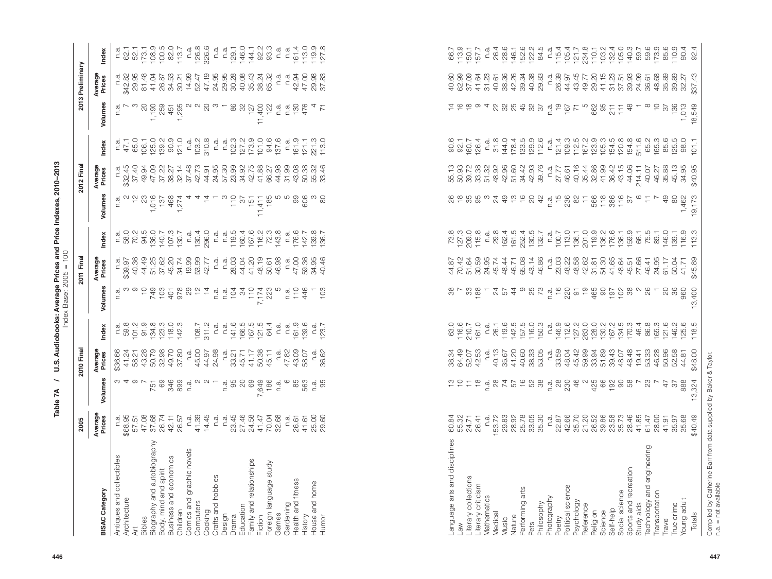|                                      | 2005                                                                                                                                                                                                                                                                                                     |                                                                                                                                                                                                                                                                                                                                                                                                                                                   | 2010 Fina                                                               |                                  |                                                                                                                                                                                                                                                                                                                     | 2011 Final                                                                                                                                                                                                                                                                                                                                                                                                                                                                                  |                                                                                                                                                                                                                                                                                                                                                                                                                                                               |                                                                                                                                                                                                                                                                                                                                                                                                   | 2012 Fina                                                                                                                                                                                                                                                                                                                                                                                                |                                                                                                                                                                                                                                                                                                                                                                                                                                           |                                                                                                                                                                                                                                                                                                                                                                                                                                                                       | 2013 Preliminary            |                                                                                                                                                                                                                                                                                                               |
|--------------------------------------|----------------------------------------------------------------------------------------------------------------------------------------------------------------------------------------------------------------------------------------------------------------------------------------------------------|---------------------------------------------------------------------------------------------------------------------------------------------------------------------------------------------------------------------------------------------------------------------------------------------------------------------------------------------------------------------------------------------------------------------------------------------------|-------------------------------------------------------------------------|----------------------------------|---------------------------------------------------------------------------------------------------------------------------------------------------------------------------------------------------------------------------------------------------------------------------------------------------------------------|---------------------------------------------------------------------------------------------------------------------------------------------------------------------------------------------------------------------------------------------------------------------------------------------------------------------------------------------------------------------------------------------------------------------------------------------------------------------------------------------|---------------------------------------------------------------------------------------------------------------------------------------------------------------------------------------------------------------------------------------------------------------------------------------------------------------------------------------------------------------------------------------------------------------------------------------------------------------|---------------------------------------------------------------------------------------------------------------------------------------------------------------------------------------------------------------------------------------------------------------------------------------------------------------------------------------------------------------------------------------------------|----------------------------------------------------------------------------------------------------------------------------------------------------------------------------------------------------------------------------------------------------------------------------------------------------------------------------------------------------------------------------------------------------------|-------------------------------------------------------------------------------------------------------------------------------------------------------------------------------------------------------------------------------------------------------------------------------------------------------------------------------------------------------------------------------------------------------------------------------------------|-----------------------------------------------------------------------------------------------------------------------------------------------------------------------------------------------------------------------------------------------------------------------------------------------------------------------------------------------------------------------------------------------------------------------------------------------------------------------|-----------------------------|---------------------------------------------------------------------------------------------------------------------------------------------------------------------------------------------------------------------------------------------------------------------------------------------------------------|
| <b>BISAC Category</b>                | Average<br>Prices                                                                                                                                                                                                                                                                                        | Volumes                                                                                                                                                                                                                                                                                                                                                                                                                                           | Average<br>Prices                                                       | Index                            | Volumes                                                                                                                                                                                                                                                                                                             | Average<br>Prices                                                                                                                                                                                                                                                                                                                                                                                                                                                                           | Index                                                                                                                                                                                                                                                                                                                                                                                                                                                         | Volumes                                                                                                                                                                                                                                                                                                                                                                                           | Average<br>Prices                                                                                                                                                                                                                                                                                                                                                                                        | Index                                                                                                                                                                                                                                                                                                                                                                                                                                     | Volumes                                                                                                                                                                                                                                                                                                                                                                                                                                                               | Average<br>Prices           | Index                                                                                                                                                                                                                                                                                                         |
| Antiques and collectibles            |                                                                                                                                                                                                                                                                                                          |                                                                                                                                                                                                                                                                                                                                                                                                                                                   | \$36.66                                                                 | ⊓.ai                             | n.a                                                                                                                                                                                                                                                                                                                 | $\begin{array}{l} \mathfrak{g}\overset{\mathcal{L}}{\mathfrak{g}}\mathfrak{g}\overset{\mathcal{L}}{\mathfrak{g}}\mathfrak{g}\overset{\mathcal{L}}{\mathfrak{g}}\mathfrak{g}\overset{\mathcal{L}}{\mathfrak{g}}\mathfrak{g}\overset{\mathcal{L}}{\mathfrak{g}}\mathfrak{g}\overset{\mathcal{L}}{\mathfrak{g}}\mathfrak{g}\overset{\mathcal{L}}{\mathfrak{g}}\mathfrak{g}\overset{\mathcal{L}}{\mathfrak{g}}\mathfrak{g}\overset{\mathcal{L}}{\mathfrak{g}}\mathfrak{g}\overset{\mathcal{L}}$ | n.a.                                                                                                                                                                                                                                                                                                                                                                                                                                                          | n.a                                                                                                                                                                                                                                                                                                                                                                                               | $\begin{array}{c} \mathbb{S}^{3}_{0} \cong \mathbb{S}^{4} \cong \mathbb{S}^{4} \cong \mathbb{S}^{4} \cong \mathbb{S}^{4} \cong \mathbb{S}^{4} \cong \mathbb{S}^{4} \cong \mathbb{S}^{4} \cong \mathbb{S}^{4} \cong \mathbb{S}^{4} \cong \mathbb{S}^{4} \cong \mathbb{S}^{4} \cong \mathbb{S}^{4} \cong \mathbb{S}^{4} \cong \mathbb{S}^{4} \cong \mathbb{S}^{4} \cong \mathbb{S}^{4} \cong \mathbb{S}^{$ | n.a                                                                                                                                                                                                                                                                                                                                                                                                                                       | n.a                                                                                                                                                                                                                                                                                                                                                                                                                                                                   |                             | n.a                                                                                                                                                                                                                                                                                                           |
| Architecture<br>ξ                    | n.a.<br>\$68.95<br>57.51<br>57.68<br>57.57<br>57.57<br>26.57                                                                                                                                                                                                                                             | $\omega \not\sim \omega$ $\sim$                                                                                                                                                                                                                                                                                                                                                                                                                   | 41<br>2828<br>28388<br>2838                                             |                                  |                                                                                                                                                                                                                                                                                                                     |                                                                                                                                                                                                                                                                                                                                                                                                                                                                                             | 58.0<br>004.007.307<br>004.007.307<br>00.207                                                                                                                                                                                                                                                                                                                                                                                                                  | $7.574$ $1.0168$ $1.0168$ $1.0168$ $1.0084$                                                                                                                                                                                                                                                                                                                                                       |                                                                                                                                                                                                                                                                                                                                                                                                          | $47.0$ $65.0$ $70.0$ $65.0$ $65.0$ $65.0$ $65.0$ $65.0$ $65.0$ $65.0$ $65.0$ $65.0$ $65.0$ $65.0$ $65.0$ $65.0$ $65.0$ $65.0$ $65.0$ $65.0$ $65.0$ $65.0$ $65.0$ $65.0$ $65.0$ $65.0$ $65.0$ $65.0$ $65.0$ $65.0$ $65.0$ $65.$                                                                                                                                                                                                            |                                                                                                                                                                                                                                                                                                                                                                                                                                                                       |                             | $\begin{array}{c} 62.1 \\ 62.1 \\ 73.0 \\ 76.0 \\ 17.0 \\ 18.0 \\ 19.0 \\ 19.0 \\ 19.0 \\ 19.0 \\ 19.0 \\ 19.0 \\ 19.0 \\ 19.0 \\ 19.0 \\ 19.0 \\ 19.0 \\ 19.0 \\ 19.0 \\ 19.0 \\ 19.0 \\ 19.0 \\ 19.0 \\ 19.0 \\ 19.0 \\ 19.0 \\ 19.0 \\ 19.0 \\ 19.0 \\ 19.0 \\ 19.0 \\ 19.0 \\ 19.0 \\ 19.0 \\ 19.0 \\ 19$ |
| Bibles                               |                                                                                                                                                                                                                                                                                                          |                                                                                                                                                                                                                                                                                                                                                                                                                                                   |                                                                         |                                  |                                                                                                                                                                                                                                                                                                                     |                                                                                                                                                                                                                                                                                                                                                                                                                                                                                             |                                                                                                                                                                                                                                                                                                                                                                                                                                                               |                                                                                                                                                                                                                                                                                                                                                                                                   |                                                                                                                                                                                                                                                                                                                                                                                                          |                                                                                                                                                                                                                                                                                                                                                                                                                                           |                                                                                                                                                                                                                                                                                                                                                                                                                                                                       |                             |                                                                                                                                                                                                                                                                                                               |
| Biography and autobiography          |                                                                                                                                                                                                                                                                                                          | 750 \$89 a:<br>889 a:                                                                                                                                                                                                                                                                                                                                                                                                                             |                                                                         |                                  |                                                                                                                                                                                                                                                                                                                     |                                                                                                                                                                                                                                                                                                                                                                                                                                                                                             |                                                                                                                                                                                                                                                                                                                                                                                                                                                               |                                                                                                                                                                                                                                                                                                                                                                                                   |                                                                                                                                                                                                                                                                                                                                                                                                          |                                                                                                                                                                                                                                                                                                                                                                                                                                           |                                                                                                                                                                                                                                                                                                                                                                                                                                                                       |                             |                                                                                                                                                                                                                                                                                                               |
| Body, mind and spirit                |                                                                                                                                                                                                                                                                                                          |                                                                                                                                                                                                                                                                                                                                                                                                                                                   |                                                                         |                                  |                                                                                                                                                                                                                                                                                                                     |                                                                                                                                                                                                                                                                                                                                                                                                                                                                                             |                                                                                                                                                                                                                                                                                                                                                                                                                                                               |                                                                                                                                                                                                                                                                                                                                                                                                   |                                                                                                                                                                                                                                                                                                                                                                                                          |                                                                                                                                                                                                                                                                                                                                                                                                                                           |                                                                                                                                                                                                                                                                                                                                                                                                                                                                       |                             |                                                                                                                                                                                                                                                                                                               |
| Business and economics<br>Children   |                                                                                                                                                                                                                                                                                                          |                                                                                                                                                                                                                                                                                                                                                                                                                                                   | 49.70<br>37.80                                                          |                                  |                                                                                                                                                                                                                                                                                                                     |                                                                                                                                                                                                                                                                                                                                                                                                                                                                                             |                                                                                                                                                                                                                                                                                                                                                                                                                                                               |                                                                                                                                                                                                                                                                                                                                                                                                   |                                                                                                                                                                                                                                                                                                                                                                                                          |                                                                                                                                                                                                                                                                                                                                                                                                                                           |                                                                                                                                                                                                                                                                                                                                                                                                                                                                       |                             |                                                                                                                                                                                                                                                                                                               |
| Comics and graphic novels            |                                                                                                                                                                                                                                                                                                          |                                                                                                                                                                                                                                                                                                                                                                                                                                                   |                                                                         |                                  |                                                                                                                                                                                                                                                                                                                     |                                                                                                                                                                                                                                                                                                                                                                                                                                                                                             |                                                                                                                                                                                                                                                                                                                                                                                                                                                               |                                                                                                                                                                                                                                                                                                                                                                                                   |                                                                                                                                                                                                                                                                                                                                                                                                          |                                                                                                                                                                                                                                                                                                                                                                                                                                           |                                                                                                                                                                                                                                                                                                                                                                                                                                                                       |                             |                                                                                                                                                                                                                                                                                                               |
| Computers                            | n.a.<br>41.39<br>14.45                                                                                                                                                                                                                                                                                   |                                                                                                                                                                                                                                                                                                                                                                                                                                                   |                                                                         | 108.7<br>311.2                   |                                                                                                                                                                                                                                                                                                                     |                                                                                                                                                                                                                                                                                                                                                                                                                                                                                             | n.a.<br>130.4<br>296.0                                                                                                                                                                                                                                                                                                                                                                                                                                        |                                                                                                                                                                                                                                                                                                                                                                                                   |                                                                                                                                                                                                                                                                                                                                                                                                          | n.a.<br>103.2<br>310.8                                                                                                                                                                                                                                                                                                                                                                                                                    |                                                                                                                                                                                                                                                                                                                                                                                                                                                                       |                             | n.a.<br>126.8<br>326.6                                                                                                                                                                                                                                                                                        |
| Crafts and hobbies<br>Cooking        |                                                                                                                                                                                                                                                                                                          |                                                                                                                                                                                                                                                                                                                                                                                                                                                   | $4442$<br>$443$<br>$443$                                                | n.a.                             |                                                                                                                                                                                                                                                                                                                     | $n \cdot a$                                                                                                                                                                                                                                                                                                                                                                                                                                                                                 | $\overline{n}$ .                                                                                                                                                                                                                                                                                                                                                                                                                                              | $\overline{4}$                                                                                                                                                                                                                                                                                                                                                                                    |                                                                                                                                                                                                                                                                                                                                                                                                          | n.a.                                                                                                                                                                                                                                                                                                                                                                                                                                      |                                                                                                                                                                                                                                                                                                                                                                                                                                                                       |                             |                                                                                                                                                                                                                                                                                                               |
| Design                               |                                                                                                                                                                                                                                                                                                          |                                                                                                                                                                                                                                                                                                                                                                                                                                                   |                                                                         | n.a.                             |                                                                                                                                                                                                                                                                                                                     |                                                                                                                                                                                                                                                                                                                                                                                                                                                                                             |                                                                                                                                                                                                                                                                                                                                                                                                                                                               |                                                                                                                                                                                                                                                                                                                                                                                                   |                                                                                                                                                                                                                                                                                                                                                                                                          |                                                                                                                                                                                                                                                                                                                                                                                                                                           |                                                                                                                                                                                                                                                                                                                                                                                                                                                                       |                             |                                                                                                                                                                                                                                                                                                               |
| Drama                                | n. a.<br>n. a. 45<br>23, 45<br>24. 58<br>24. 58                                                                                                                                                                                                                                                          | $\begin{array}{c} \n \alpha \leftarrow & \alpha \in \mathbb{C} \\ \n \alpha \leftarrow & \alpha \in \mathbb{C} \\ \n \alpha \leftarrow & \alpha \in \mathbb{C} \\ \n \alpha \leftarrow & \alpha \in \mathbb{C} \end{array}$                                                                                                                                                                                                                       | n.a.<br>33.21<br>45.71                                                  |                                  | ਰ ਰੱਸੂ ਲ੍ਹੇ<br>ਕੰਕੰਨ੍ਰੋ ਲ੍ਹੇ                                                                                                                                                                                                                                                                                        | n.a.<br>28.03                                                                                                                                                                                                                                                                                                                                                                                                                                                                               | n.a.<br>119.5<br>160.4<br>160.2<br>143.8                                                                                                                                                                                                                                                                                                                                                                                                                      | $\begin{array}{c}\n 110 \\  110 \\  151 \\  1411 \\  150\n \end{array}$                                                                                                                                                                                                                                                                                                                           |                                                                                                                                                                                                                                                                                                                                                                                                          | 102.3<br>102.3<br>102.9<br>102.9<br>102.9<br>102.9                                                                                                                                                                                                                                                                                                                                                                                        |                                                                                                                                                                                                                                                                                                                                                                                                                                                                       |                             |                                                                                                                                                                                                                                                                                                               |
| Education                            |                                                                                                                                                                                                                                                                                                          |                                                                                                                                                                                                                                                                                                                                                                                                                                                   |                                                                         |                                  |                                                                                                                                                                                                                                                                                                                     | 44.04                                                                                                                                                                                                                                                                                                                                                                                                                                                                                       |                                                                                                                                                                                                                                                                                                                                                                                                                                                               |                                                                                                                                                                                                                                                                                                                                                                                                   |                                                                                                                                                                                                                                                                                                                                                                                                          |                                                                                                                                                                                                                                                                                                                                                                                                                                           |                                                                                                                                                                                                                                                                                                                                                                                                                                                                       |                             |                                                                                                                                                                                                                                                                                                               |
| Family and relationships             |                                                                                                                                                                                                                                                                                                          | $\overline{\phantom{0}}$                                                                                                                                                                                                                                                                                                                                                                                                                          | 41.17<br>50.38<br>45.11                                                 | 141.6<br>166.5<br>167.5<br>64.4  | $7.174$<br>$7.174$                                                                                                                                                                                                                                                                                                  | 41.20                                                                                                                                                                                                                                                                                                                                                                                                                                                                                       |                                                                                                                                                                                                                                                                                                                                                                                                                                                               |                                                                                                                                                                                                                                                                                                                                                                                                   |                                                                                                                                                                                                                                                                                                                                                                                                          |                                                                                                                                                                                                                                                                                                                                                                                                                                           |                                                                                                                                                                                                                                                                                                                                                                                                                                                                       |                             |                                                                                                                                                                                                                                                                                                               |
| Foreign language study<br>Fiction    | 41.47                                                                                                                                                                                                                                                                                                    |                                                                                                                                                                                                                                                                                                                                                                                                                                                   |                                                                         |                                  |                                                                                                                                                                                                                                                                                                                     | 48.19<br>50.61                                                                                                                                                                                                                                                                                                                                                                                                                                                                              |                                                                                                                                                                                                                                                                                                                                                                                                                                                               |                                                                                                                                                                                                                                                                                                                                                                                                   |                                                                                                                                                                                                                                                                                                                                                                                                          |                                                                                                                                                                                                                                                                                                                                                                                                                                           |                                                                                                                                                                                                                                                                                                                                                                                                                                                                       |                             |                                                                                                                                                                                                                                                                                                               |
| Games                                | 70.04                                                                                                                                                                                                                                                                                                    |                                                                                                                                                                                                                                                                                                                                                                                                                                                   |                                                                         | $\overline{n}$ .                 |                                                                                                                                                                                                                                                                                                                     | 46.98                                                                                                                                                                                                                                                                                                                                                                                                                                                                                       |                                                                                                                                                                                                                                                                                                                                                                                                                                                               |                                                                                                                                                                                                                                                                                                                                                                                                   |                                                                                                                                                                                                                                                                                                                                                                                                          |                                                                                                                                                                                                                                                                                                                                                                                                                                           |                                                                                                                                                                                                                                                                                                                                                                                                                                                                       | n.a                         | n.a.                                                                                                                                                                                                                                                                                                          |
| Gardening                            | n.a.                                                                                                                                                                                                                                                                                                     | $\circ$<br>$\sum_{i=1}^{n}$                                                                                                                                                                                                                                                                                                                                                                                                                       | n.a.<br>47.82                                                           | n.a.                             |                                                                                                                                                                                                                                                                                                                     |                                                                                                                                                                                                                                                                                                                                                                                                                                                                                             |                                                                                                                                                                                                                                                                                                                                                                                                                                                               |                                                                                                                                                                                                                                                                                                                                                                                                   |                                                                                                                                                                                                                                                                                                                                                                                                          | $\overline{n}$ .                                                                                                                                                                                                                                                                                                                                                                                                                          |                                                                                                                                                                                                                                                                                                                                                                                                                                                                       |                             | n.a                                                                                                                                                                                                                                                                                                           |
| Health and fitness                   |                                                                                                                                                                                                                                                                                                          |                                                                                                                                                                                                                                                                                                                                                                                                                                                   |                                                                         |                                  | $\frac{a}{c} = \frac{4}{4}$                                                                                                                                                                                                                                                                                         | n.a.<br>47.00                                                                                                                                                                                                                                                                                                                                                                                                                                                                               |                                                                                                                                                                                                                                                                                                                                                                                                                                                               |                                                                                                                                                                                                                                                                                                                                                                                                   |                                                                                                                                                                                                                                                                                                                                                                                                          |                                                                                                                                                                                                                                                                                                                                                                                                                                           |                                                                                                                                                                                                                                                                                                                                                                                                                                                                       |                             | 161.4                                                                                                                                                                                                                                                                                                         |
| History                              |                                                                                                                                                                                                                                                                                                          |                                                                                                                                                                                                                                                                                                                                                                                                                                                   | 43.09<br>58.07                                                          | 161.9                            |                                                                                                                                                                                                                                                                                                                     | 59.36                                                                                                                                                                                                                                                                                                                                                                                                                                                                                       |                                                                                                                                                                                                                                                                                                                                                                                                                                                               | 8<br>8<br>8                                                                                                                                                                                                                                                                                                                                                                                       |                                                                                                                                                                                                                                                                                                                                                                                                          |                                                                                                                                                                                                                                                                                                                                                                                                                                           |                                                                                                                                                                                                                                                                                                                                                                                                                                                                       |                             |                                                                                                                                                                                                                                                                                                               |
| House and home                       | 26.61<br>25.00<br>29.62                                                                                                                                                                                                                                                                                  | 80 3 4<br>80 5 8<br>50 5 8                                                                                                                                                                                                                                                                                                                                                                                                                        | n.a.<br>36.62                                                           | $n.a.$<br>23.7                   |                                                                                                                                                                                                                                                                                                                     | 34.95                                                                                                                                                                                                                                                                                                                                                                                                                                                                                       | n.a.<br>176.6<br>142.7<br>130.7<br>136.7                                                                                                                                                                                                                                                                                                                                                                                                                      |                                                                                                                                                                                                                                                                                                                                                                                                   | 50.38<br>55.32<br>33.46                                                                                                                                                                                                                                                                                                                                                                                  | $\begin{array}{c} 161.9 \\ 121.3 \\ 221.3 \\ 130 \end{array}$                                                                                                                                                                                                                                                                                                                                                                             |                                                                                                                                                                                                                                                                                                                                                                                                                                                                       | 4440983<br>4450883<br>44508 | $\begin{array}{c} 113.0 \\ 19.8 \\ 127.8 \end{array}$                                                                                                                                                                                                                                                         |
| Humor                                |                                                                                                                                                                                                                                                                                                          |                                                                                                                                                                                                                                                                                                                                                                                                                                                   |                                                                         |                                  | 103                                                                                                                                                                                                                                                                                                                 | 40.46                                                                                                                                                                                                                                                                                                                                                                                                                                                                                       |                                                                                                                                                                                                                                                                                                                                                                                                                                                               | 80                                                                                                                                                                                                                                                                                                                                                                                                |                                                                                                                                                                                                                                                                                                                                                                                                          |                                                                                                                                                                                                                                                                                                                                                                                                                                           | $\overline{K}$                                                                                                                                                                                                                                                                                                                                                                                                                                                        |                             |                                                                                                                                                                                                                                                                                                               |
|                                      |                                                                                                                                                                                                                                                                                                          |                                                                                                                                                                                                                                                                                                                                                                                                                                                   |                                                                         |                                  |                                                                                                                                                                                                                                                                                                                     |                                                                                                                                                                                                                                                                                                                                                                                                                                                                                             |                                                                                                                                                                                                                                                                                                                                                                                                                                                               |                                                                                                                                                                                                                                                                                                                                                                                                   |                                                                                                                                                                                                                                                                                                                                                                                                          |                                                                                                                                                                                                                                                                                                                                                                                                                                           |                                                                                                                                                                                                                                                                                                                                                                                                                                                                       |                             |                                                                                                                                                                                                                                                                                                               |
|                                      |                                                                                                                                                                                                                                                                                                          |                                                                                                                                                                                                                                                                                                                                                                                                                                                   |                                                                         |                                  |                                                                                                                                                                                                                                                                                                                     |                                                                                                                                                                                                                                                                                                                                                                                                                                                                                             |                                                                                                                                                                                                                                                                                                                                                                                                                                                               |                                                                                                                                                                                                                                                                                                                                                                                                   |                                                                                                                                                                                                                                                                                                                                                                                                          |                                                                                                                                                                                                                                                                                                                                                                                                                                           |                                                                                                                                                                                                                                                                                                                                                                                                                                                                       |                             |                                                                                                                                                                                                                                                                                                               |
| Language arts and disciplines<br>Law |                                                                                                                                                                                                                                                                                                          | $\begin{array}{l} \mathbf{\ddot{u}} \mathbf{\ddot{v}} = \mathbf{\ddot{u}} \mathbf{\ddot{u}} \mathbf{\ddot{u}} \mathbf{\ddot{v}} \mathbf{\ddot{v}} \mathbf{\ddot{v}} \mathbf{\ddot{v}} \mathbf{\ddot{v}} \\ \mathbf{\ddot{u}} \mathbf{\ddot{v}} = \mathbf{\ddot{u}} \mathbf{\ddot{v}} \mathbf{\ddot{v}} \mathbf{\ddot{v}} \mathbf{\ddot{v}} \mathbf{\ddot{v}} \mathbf{\ddot{v}} \mathbf{\ddot{v}} \mathbf{\ddot{v}} \mathbf{\ddot{v}} \end{array}$ |                                                                         | 63.0<br>116.6<br>161.7<br>161.0  |                                                                                                                                                                                                                                                                                                                     | $44.87$<br>$76.42$<br>$42.59$<br>$42.59$                                                                                                                                                                                                                                                                                                                                                                                                                                                    | 73.300<br>7200.8<br>72015                                                                                                                                                                                                                                                                                                                                                                                                                                     | 8 2 3 3 3 4 5 5 6 7 4                                                                                                                                                                                                                                                                                                                                                                             |                                                                                                                                                                                                                                                                                                                                                                                                          | 90.1<br>92.1<br>90.7<br>126.4                                                                                                                                                                                                                                                                                                                                                                                                             | $\begin{array}{cccccccccc} \Sigma & \mathcal{L} & \mathcal{L} & \mathcal{L} & \mathcal{L} & \mathcal{L} & \mathcal{L} & \mathcal{L} & \mathcal{L} & \mathcal{L} & \mathcal{L} & \mathcal{L} & \mathcal{L} & \mathcal{L} & \mathcal{L} & \mathcal{L} & \mathcal{L} & \mathcal{L} & \mathcal{L} & \mathcal{L} & \mathcal{L} & \mathcal{L} & \mathcal{L} & \mathcal{L} & \mathcal{L} & \mathcal{L} & \mathcal{L} & \mathcal{L} & \mathcal{L} & \mathcal{L} & \mathcal{L$ |                             |                                                                                                                                                                                                                                                                                                               |
| Literary collections                 |                                                                                                                                                                                                                                                                                                          |                                                                                                                                                                                                                                                                                                                                                                                                                                                   |                                                                         |                                  | $\frac{38}{18}$                                                                                                                                                                                                                                                                                                     |                                                                                                                                                                                                                                                                                                                                                                                                                                                                                             |                                                                                                                                                                                                                                                                                                                                                                                                                                                               |                                                                                                                                                                                                                                                                                                                                                                                                   |                                                                                                                                                                                                                                                                                                                                                                                                          |                                                                                                                                                                                                                                                                                                                                                                                                                                           |                                                                                                                                                                                                                                                                                                                                                                                                                                                                       |                             | 66.7<br>150.1<br>150.1<br>157.7                                                                                                                                                                                                                                                                               |
| Literary criticism                   |                                                                                                                                                                                                                                                                                                          |                                                                                                                                                                                                                                                                                                                                                                                                                                                   |                                                                         |                                  |                                                                                                                                                                                                                                                                                                                     |                                                                                                                                                                                                                                                                                                                                                                                                                                                                                             |                                                                                                                                                                                                                                                                                                                                                                                                                                                               |                                                                                                                                                                                                                                                                                                                                                                                                   |                                                                                                                                                                                                                                                                                                                                                                                                          |                                                                                                                                                                                                                                                                                                                                                                                                                                           |                                                                                                                                                                                                                                                                                                                                                                                                                                                                       |                             |                                                                                                                                                                                                                                                                                                               |
| Mathematics                          | n.a.<br>153.72<br>29.83 20.85<br>20.85 20.95                                                                                                                                                                                                                                                             |                                                                                                                                                                                                                                                                                                                                                                                                                                                   | n.a.<br>40.13                                                           | n.a.                             |                                                                                                                                                                                                                                                                                                                     | 24.95<br>45.74                                                                                                                                                                                                                                                                                                                                                                                                                                                                              | n.a.                                                                                                                                                                                                                                                                                                                                                                                                                                                          |                                                                                                                                                                                                                                                                                                                                                                                                   |                                                                                                                                                                                                                                                                                                                                                                                                          | $n.a.$<br>31.8                                                                                                                                                                                                                                                                                                                                                                                                                            |                                                                                                                                                                                                                                                                                                                                                                                                                                                                       |                             | 1.364                                                                                                                                                                                                                                                                                                         |
| Medical<br>Music                     |                                                                                                                                                                                                                                                                                                          |                                                                                                                                                                                                                                                                                                                                                                                                                                                   |                                                                         | 26.1                             |                                                                                                                                                                                                                                                                                                                     |                                                                                                                                                                                                                                                                                                                                                                                                                                                                                             |                                                                                                                                                                                                                                                                                                                                                                                                                                                               |                                                                                                                                                                                                                                                                                                                                                                                                   |                                                                                                                                                                                                                                                                                                                                                                                                          |                                                                                                                                                                                                                                                                                                                                                                                                                                           |                                                                                                                                                                                                                                                                                                                                                                                                                                                                       |                             |                                                                                                                                                                                                                                                                                                               |
| Nature                               |                                                                                                                                                                                                                                                                                                          |                                                                                                                                                                                                                                                                                                                                                                                                                                                   | 35.67                                                                   |                                  |                                                                                                                                                                                                                                                                                                                     | 48.44<br>46.71                                                                                                                                                                                                                                                                                                                                                                                                                                                                              |                                                                                                                                                                                                                                                                                                                                                                                                                                                               |                                                                                                                                                                                                                                                                                                                                                                                                   |                                                                                                                                                                                                                                                                                                                                                                                                          |                                                                                                                                                                                                                                                                                                                                                                                                                                           |                                                                                                                                                                                                                                                                                                                                                                                                                                                                       |                             | 128.6                                                                                                                                                                                                                                                                                                         |
| Performing arts                      |                                                                                                                                                                                                                                                                                                          |                                                                                                                                                                                                                                                                                                                                                                                                                                                   |                                                                         |                                  |                                                                                                                                                                                                                                                                                                                     |                                                                                                                                                                                                                                                                                                                                                                                                                                                                                             |                                                                                                                                                                                                                                                                                                                                                                                                                                                               |                                                                                                                                                                                                                                                                                                                                                                                                   |                                                                                                                                                                                                                                                                                                                                                                                                          |                                                                                                                                                                                                                                                                                                                                                                                                                                           |                                                                                                                                                                                                                                                                                                                                                                                                                                                                       |                             |                                                                                                                                                                                                                                                                                                               |
| Pets                                 |                                                                                                                                                                                                                                                                                                          |                                                                                                                                                                                                                                                                                                                                                                                                                                                   | $\begin{array}{c} 20 \\ 4 \\ 9 \\ 6 \\ 9 \\ 8 \\ 3 \\ 1 \\ \end{array}$ | 119.6<br>142.5<br>157.0<br>150.3 | 222082                                                                                                                                                                                                                                                                                                              | 65.08<br>43.14                                                                                                                                                                                                                                                                                                                                                                                                                                                                              | 29.8<br>162.4<br>163.4<br>192.7<br>202.7                                                                                                                                                                                                                                                                                                                                                                                                                      |                                                                                                                                                                                                                                                                                                                                                                                                   | $\begin{array}{c} 9000\\ 0000\\ 0000\\ 0000\\ 0000\\ 0000\\ 0000\\ 000\\ 000\\ 000\\ 000\\ 000\\ 000\\ 000\\ 000\\ 000\\ 000\\ 000\\ 000\\ 000\\ 000\\ 000\\ 000\\ 000\\ 000\\ 000\\ 000\\ 000\\ 000\\ 000\\ 000\\ 000\\ 000\\ 000\\ 000\\ 000\\ 000\\ 000\\ 000\\ 000\\ 000\\ $                                                                                                                         | $\begin{array}{c} 144.0 \\ 178.4 \\ 178.9 \\ 129.9 \\ 112.6 \end{array}$                                                                                                                                                                                                                                                                                                                                                                  |                                                                                                                                                                                                                                                                                                                                                                                                                                                                       |                             | $140.78$ $150.78$ $150.75$ $150.75$                                                                                                                                                                                                                                                                           |
| Philosophy                           |                                                                                                                                                                                                                                                                                                          |                                                                                                                                                                                                                                                                                                                                                                                                                                                   |                                                                         |                                  |                                                                                                                                                                                                                                                                                                                     | 46.86                                                                                                                                                                                                                                                                                                                                                                                                                                                                                       |                                                                                                                                                                                                                                                                                                                                                                                                                                                               |                                                                                                                                                                                                                                                                                                                                                                                                   |                                                                                                                                                                                                                                                                                                                                                                                                          |                                                                                                                                                                                                                                                                                                                                                                                                                                           |                                                                                                                                                                                                                                                                                                                                                                                                                                                                       |                             |                                                                                                                                                                                                                                                                                                               |
| Photography<br>Poetry                |                                                                                                                                                                                                                                                                                                          |                                                                                                                                                                                                                                                                                                                                                                                                                                                   |                                                                         | n.a.                             |                                                                                                                                                                                                                                                                                                                     |                                                                                                                                                                                                                                                                                                                                                                                                                                                                                             |                                                                                                                                                                                                                                                                                                                                                                                                                                                               |                                                                                                                                                                                                                                                                                                                                                                                                   | $n.a.$<br>27.77                                                                                                                                                                                                                                                                                                                                                                                          |                                                                                                                                                                                                                                                                                                                                                                                                                                           |                                                                                                                                                                                                                                                                                                                                                                                                                                                                       | 26.39<br>n.a                |                                                                                                                                                                                                                                                                                                               |
| Political science                    |                                                                                                                                                                                                                                                                                                          |                                                                                                                                                                                                                                                                                                                                                                                                                                                   |                                                                         |                                  |                                                                                                                                                                                                                                                                                                                     |                                                                                                                                                                                                                                                                                                                                                                                                                                                                                             |                                                                                                                                                                                                                                                                                                                                                                                                                                                               |                                                                                                                                                                                                                                                                                                                                                                                                   |                                                                                                                                                                                                                                                                                                                                                                                                          |                                                                                                                                                                                                                                                                                                                                                                                                                                           |                                                                                                                                                                                                                                                                                                                                                                                                                                                                       |                             |                                                                                                                                                                                                                                                                                                               |
| Psychology                           |                                                                                                                                                                                                                                                                                                          |                                                                                                                                                                                                                                                                                                                                                                                                                                                   |                                                                         |                                  |                                                                                                                                                                                                                                                                                                                     | n.a.<br>03 02 03<br>03 04 09                                                                                                                                                                                                                                                                                                                                                                                                                                                                |                                                                                                                                                                                                                                                                                                                                                                                                                                                               |                                                                                                                                                                                                                                                                                                                                                                                                   |                                                                                                                                                                                                                                                                                                                                                                                                          |                                                                                                                                                                                                                                                                                                                                                                                                                                           |                                                                                                                                                                                                                                                                                                                                                                                                                                                                       |                             |                                                                                                                                                                                                                                                                                                               |
| Reference                            | $\begin{array}{l} \frac{1}{6} \, \, 24 \, \, 25 \, \, 26 \, \, 27 \, \, 28 \, \, 27 \, \, 28 \, \, 29 \, \, 29 \, \, 29 \, \, 29 \, \, 29 \, \, 29 \, \, 29 \, \, 29 \, \, 29 \, \, 29 \, \, 29 \, \, 29 \, \, 29 \, \, 29 \, \, 29 \, \, 29 \, \, 29 \, \, 29 \, \, 29 \, \, 29 \, \, 29 \, \, 29 \, \$ |                                                                                                                                                                                                                                                                                                                                                                                                                                                   |                                                                         |                                  | $\frac{1}{6}$ $\frac{1}{6}$ $\frac{1}{6}$ $\frac{1}{6}$ $\frac{1}{6}$ $\frac{1}{6}$ $\frac{1}{6}$ $\frac{1}{6}$ $\frac{1}{6}$ $\frac{1}{6}$ $\frac{1}{6}$ $\frac{1}{6}$ $\frac{1}{6}$ $\frac{1}{6}$ $\frac{1}{6}$ $\frac{1}{6}$ $\frac{1}{6}$ $\frac{1}{6}$ $\frac{1}{6}$ $\frac{1}{6}$ $\frac{1}{6}$ $\frac{1}{6}$ | $42.62$<br>$31.51$<br>$54.30$                                                                                                                                                                                                                                                                                                                                                                                                                                                               | $\begin{array}{l} \mathbf{r} = \mathbf{0} \\ \mathbf{0} \\ \mathbf{1} \\ \mathbf{1} \\ \mathbf{2} \\ \mathbf{3} \\ \mathbf{4} \\ \mathbf{5} \\ \mathbf{6} \\ \mathbf{7} \\ \mathbf{8} \\ \mathbf{9} \\ \mathbf{1} \\ \mathbf{1} \\ \mathbf{2} \\ \mathbf{3} \\ \mathbf{4} \\ \mathbf{5} \\ \mathbf{6} \\ \mathbf{7} \\ \mathbf{8} \\ \mathbf{8} \\ \mathbf{9} \\ \mathbf{1} \\ \mathbf{1} \\ \mathbf{1} \\ \mathbf{1} \\ \mathbf{1} \\ \mathbf{1} \\ \mathbf$ | $\begin{array}{l} \bar{u} & \bar{u} & \bar{u} \\ \bar{u} & \bar{u} & \bar{u} \\ \bar{u} & \bar{u} & \bar{u} \\ \bar{u} & \bar{u} & \bar{u} \\ \bar{u} & \bar{u} & \bar{u} \\ \bar{u} & \bar{u} & \bar{u} \\ \bar{u} & \bar{u} & \bar{u} \\ \bar{u} & \bar{u} & \bar{u} \\ \bar{u} & \bar{u} & \bar{u} \\ \bar{u} & \bar{u} & \bar{u} \\ \bar{u} & \bar{u} & \bar{u} \\ \bar{u} & \bar{u} & \bar{$ | $40.76$ $40.76$ $40.76$ $40.76$ $40.76$ $40.76$ $40.76$ $40.76$ $40.76$                                                                                                                                                                                                                                                                                                                                  | $\begin{array}{cccccccccc} c&\texttt{1}&\texttt{2}&\texttt{3}&\texttt{4}&\texttt{5}&\texttt{6}\\ \texttt{2}&\texttt{1}&\texttt{2}&\texttt{3}&\texttt{5}&\texttt{6}&\texttt{6}\\ \texttt{3}&\texttt{4}&\texttt{5}&\texttt{5}&\texttt{6}&\texttt{6}\\ \texttt{4}&\texttt{5}&\texttt{6}&\texttt{5}&\texttt{6}\\ \texttt{5}&\texttt{6}&\texttt{6}&\texttt{6}\\ \texttt{6}&\texttt{7}&\texttt{8}&\texttt{7}\\ \texttt{8}&\texttt{9}&\texttt{1$ |                                                                                                                                                                                                                                                                                                                                                                                                                                                                       |                             |                                                                                                                                                                                                                                                                                                               |
| Religion<br>Science                  |                                                                                                                                                                                                                                                                                                          |                                                                                                                                                                                                                                                                                                                                                                                                                                                   |                                                                         |                                  |                                                                                                                                                                                                                                                                                                                     |                                                                                                                                                                                                                                                                                                                                                                                                                                                                                             |                                                                                                                                                                                                                                                                                                                                                                                                                                                               |                                                                                                                                                                                                                                                                                                                                                                                                   |                                                                                                                                                                                                                                                                                                                                                                                                          |                                                                                                                                                                                                                                                                                                                                                                                                                                           |                                                                                                                                                                                                                                                                                                                                                                                                                                                                       |                             |                                                                                                                                                                                                                                                                                                               |
| Self-help                            |                                                                                                                                                                                                                                                                                                          |                                                                                                                                                                                                                                                                                                                                                                                                                                                   |                                                                         |                                  |                                                                                                                                                                                                                                                                                                                     | 41.65                                                                                                                                                                                                                                                                                                                                                                                                                                                                                       |                                                                                                                                                                                                                                                                                                                                                                                                                                                               |                                                                                                                                                                                                                                                                                                                                                                                                   |                                                                                                                                                                                                                                                                                                                                                                                                          |                                                                                                                                                                                                                                                                                                                                                                                                                                           |                                                                                                                                                                                                                                                                                                                                                                                                                                                                       |                             |                                                                                                                                                                                                                                                                                                               |
| Social science                       |                                                                                                                                                                                                                                                                                                          |                                                                                                                                                                                                                                                                                                                                                                                                                                                   | 48.07                                                                   |                                  |                                                                                                                                                                                                                                                                                                                     |                                                                                                                                                                                                                                                                                                                                                                                                                                                                                             |                                                                                                                                                                                                                                                                                                                                                                                                                                                               |                                                                                                                                                                                                                                                                                                                                                                                                   |                                                                                                                                                                                                                                                                                                                                                                                                          |                                                                                                                                                                                                                                                                                                                                                                                                                                           |                                                                                                                                                                                                                                                                                                                                                                                                                                                                       |                             |                                                                                                                                                                                                                                                                                                               |
| Sports and recreation                |                                                                                                                                                                                                                                                                                                          |                                                                                                                                                                                                                                                                                                                                                                                                                                                   | 48.48                                                                   |                                  |                                                                                                                                                                                                                                                                                                                     | 48.64<br>45.51<br>27.66                                                                                                                                                                                                                                                                                                                                                                                                                                                                     |                                                                                                                                                                                                                                                                                                                                                                                                                                                               |                                                                                                                                                                                                                                                                                                                                                                                                   | 44.06<br>214.11<br>214.07<br>46.27<br>46.88                                                                                                                                                                                                                                                                                                                                                              |                                                                                                                                                                                                                                                                                                                                                                                                                                           |                                                                                                                                                                                                                                                                                                                                                                                                                                                                       |                             |                                                                                                                                                                                                                                                                                                               |
| Study aids                           |                                                                                                                                                                                                                                                                                                          |                                                                                                                                                                                                                                                                                                                                                                                                                                                   | $19.41$<br>53.33                                                        |                                  | $\frac{2}{10}$                                                                                                                                                                                                                                                                                                      |                                                                                                                                                                                                                                                                                                                                                                                                                                                                                             |                                                                                                                                                                                                                                                                                                                                                                                                                                                               | $\circ$                                                                                                                                                                                                                                                                                                                                                                                           |                                                                                                                                                                                                                                                                                                                                                                                                          |                                                                                                                                                                                                                                                                                                                                                                                                                                           | $-\infty$                                                                                                                                                                                                                                                                                                                                                                                                                                                             |                             |                                                                                                                                                                                                                                                                                                               |
| Technology and engineering           |                                                                                                                                                                                                                                                                                                          |                                                                                                                                                                                                                                                                                                                                                                                                                                                   |                                                                         |                                  |                                                                                                                                                                                                                                                                                                                     | 46.41<br>24.95                                                                                                                                                                                                                                                                                                                                                                                                                                                                              |                                                                                                                                                                                                                                                                                                                                                                                                                                                               | $\stackrel{-}{\sim}$ $\stackrel{-}{\sim}$                                                                                                                                                                                                                                                                                                                                                         |                                                                                                                                                                                                                                                                                                                                                                                                          |                                                                                                                                                                                                                                                                                                                                                                                                                                           |                                                                                                                                                                                                                                                                                                                                                                                                                                                                       |                             |                                                                                                                                                                                                                                                                                                               |
| Transportation<br>Travel             |                                                                                                                                                                                                                                                                                                          |                                                                                                                                                                                                                                                                                                                                                                                                                                                   | 46.28                                                                   |                                  |                                                                                                                                                                                                                                                                                                                     | 61.17                                                                                                                                                                                                                                                                                                                                                                                                                                                                                       | 146.0                                                                                                                                                                                                                                                                                                                                                                                                                                                         |                                                                                                                                                                                                                                                                                                                                                                                                   |                                                                                                                                                                                                                                                                                                                                                                                                          | 85.6                                                                                                                                                                                                                                                                                                                                                                                                                                      |                                                                                                                                                                                                                                                                                                                                                                                                                                                                       |                             |                                                                                                                                                                                                                                                                                                               |
| True crime                           |                                                                                                                                                                                                                                                                                                          | $4888$<br>$758$                                                                                                                                                                                                                                                                                                                                                                                                                                   | 50.96<br>52.58                                                          | 121.6<br>146.2<br>125.6          |                                                                                                                                                                                                                                                                                                                     | 50.04                                                                                                                                                                                                                                                                                                                                                                                                                                                                                       |                                                                                                                                                                                                                                                                                                                                                                                                                                                               | $rac{4}{3}$                                                                                                                                                                                                                                                                                                                                                                                       |                                                                                                                                                                                                                                                                                                                                                                                                          | 125.5                                                                                                                                                                                                                                                                                                                                                                                                                                     | $10$<br>$37$<br>$156$<br>$156$                                                                                                                                                                                                                                                                                                                                                                                                                                        |                             | 110.9                                                                                                                                                                                                                                                                                                         |
| Young adult                          |                                                                                                                                                                                                                                                                                                          |                                                                                                                                                                                                                                                                                                                                                                                                                                                   | 44.81                                                                   |                                  | 960                                                                                                                                                                                                                                                                                                                 | 41.71                                                                                                                                                                                                                                                                                                                                                                                                                                                                                       | $139.1$<br>$116.9$<br>$113.3$                                                                                                                                                                                                                                                                                                                                                                                                                                 | 1,462                                                                                                                                                                                                                                                                                                                                                                                             | 45.13<br>34.95                                                                                                                                                                                                                                                                                                                                                                                           | 98.0                                                                                                                                                                                                                                                                                                                                                                                                                                      |                                                                                                                                                                                                                                                                                                                                                                                                                                                                       |                             | 90.4                                                                                                                                                                                                                                                                                                          |
| Totals                               | \$40.49                                                                                                                                                                                                                                                                                                  | 13,324                                                                                                                                                                                                                                                                                                                                                                                                                                            | \$48.00                                                                 | 118.5                            |                                                                                                                                                                                                                                                                                                                     |                                                                                                                                                                                                                                                                                                                                                                                                                                                                                             | $\frac{3}{11}$                                                                                                                                                                                                                                                                                                                                                                                                                                                | 19,173                                                                                                                                                                                                                                                                                                                                                                                            |                                                                                                                                                                                                                                                                                                                                                                                                          |                                                                                                                                                                                                                                                                                                                                                                                                                                           | 18,549                                                                                                                                                                                                                                                                                                                                                                                                                                                                |                             | 92.4                                                                                                                                                                                                                                                                                                          |
|                                      |                                                                                                                                                                                                                                                                                                          |                                                                                                                                                                                                                                                                                                                                                                                                                                                   |                                                                         |                                  | 13,400                                                                                                                                                                                                                                                                                                              | \$45.89                                                                                                                                                                                                                                                                                                                                                                                                                                                                                     |                                                                                                                                                                                                                                                                                                                                                                                                                                                               |                                                                                                                                                                                                                                                                                                                                                                                                   | \$40.95                                                                                                                                                                                                                                                                                                                                                                                                  | 101.1                                                                                                                                                                                                                                                                                                                                                                                                                                     |                                                                                                                                                                                                                                                                                                                                                                                                                                                                       | 43<br>\$37.                 |                                                                                                                                                                                                                                                                                                               |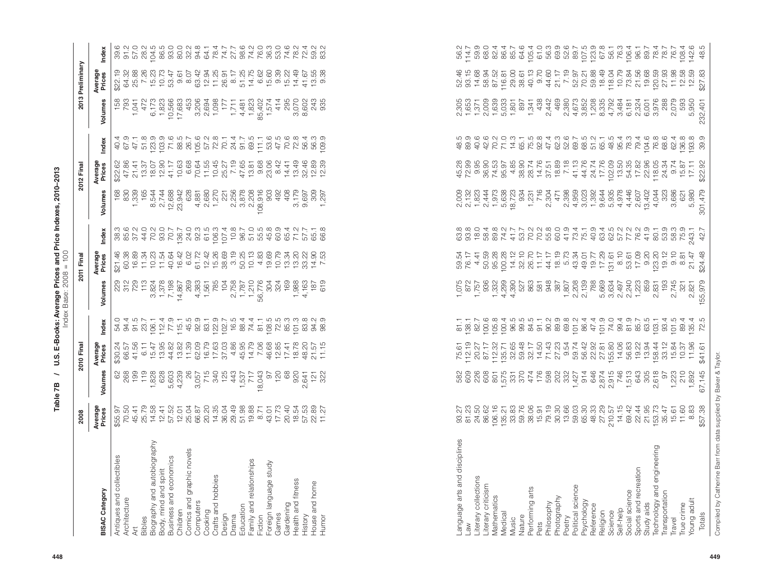| $\begin{array}{l} \mathfrak{B} \mathfrak{B} \mathfrak{A} \mathfrak{A} \mathfrak{A} \mathfrak{C} \mathfrak{A} \mathfrak{C} \mathfrak{C} \mathfrak{A} \mathfrak{A} \mathfrak{C} \mathfrak{C} \mathfrak{C} \mathfrak{C} \mathfrak{A} \mathfrak{C} \mathfrak{C} \mathfrak{C} \mathfrak{C} \mathfrak{A} \mathfrak{A} \mathfrak{C} \mathfrak{C} \mathfrak{C} \mathfrak{C} \mathfrak{A} \mathfrak{A} \mathfrak{C} \mathfrak{C} \mathfr$<br>52.46<br>93.15<br>14.68<br>70.21<br>59.88<br>18.49<br>118.04<br>10.79<br>73.84<br>21.56<br>21.17<br>7.19<br>52.97<br>Volumes<br>$2, 305$ $0, 653$ $0, 653$ $0, 653$ $0, 653$ $0, 653$ $0, 653$ $0, 653$ $0, 653$ $0, 653$<br>1,341<br>438<br>2,442<br>469<br>2,380<br>4,673<br>3,852<br>158<br>85<br>070<br>08<br>243<br>935<br>288<br>2,079<br>593<br>5,950<br>897<br>232,401<br>က် ထါ<br>$\begin{array}{l} \mathcal{A}\ \mathcal{A}\ \mathcal{C}\ \mathcal{L}\ \mathcal{L}\ \mathcal{L}\ \mathcal{L}\ \mathcal{L}\ \mathcal{R}\ \mathcal{C}\ \mathcal{C}\ \mathcal{C}\ \mathcal{C}\ \mathcal{C}\ \mathcal{C}\ \mathcal{C}\ \mathcal{C}\ \mathcal{C}\ \mathcal{C}\ \mathcal{C}\ \mathcal{C}\ \mathcal{C}\ \mathcal{C}\ \mathcal{C}\ \mathcal{C}\ \mathcal{C}\ \mathcal{C}\ \mathcal{C}\ \mathcal{C}\ \mathcal{C}\ \mathcal{C}\ \mathcal{C}\ \mathcal{C}\ \mathcal{C}\ \mathcal{C}\ \mathcal$<br>$\begin{array}{l} \mathcal{Q}\stackrel{\mathcal{L}}{\rightarrow} \mathcal{L}\stackrel{\mathcal{L}}{\rightarrow} \mathcal{Q}\stackrel{\mathcal{L}}{\rightarrow} \mathcal{Q}\stackrel{\mathcal{L}}{\rightarrow} \mathcal{Q}\stackrel{\mathcal{L}}{\rightarrow} \mathcal{Q}\stackrel{\mathcal{L}}{\rightarrow} \mathcal{Q}\stackrel{\mathcal{L}}{\rightarrow} \mathcal{Q}\stackrel{\mathcal{L}}{\rightarrow} \mathcal{Q}\stackrel{\mathcal{L}}{\rightarrow} \mathcal{Q}\stackrel{\mathcal{L}}{\rightarrow} \mathcal{Q}\stackrel{\mathcal{L}}{\rightarrow} \mathcal{Q}\stackrel{\mathcal{L}}{\rightarrow} \mathcal{Q}\stackrel{\$<br>տ ၈<br>8<br>8<br>8<br>1<br>8<br>1<br>8<br>8<br>40.4<br>62.4<br>Index<br>Average<br>Prices<br>$\begin{array}{l} \left( \begin{array}{l} 0 & \frac{1}{2} \\ 0 & \frac{1}{2} \\ 0 & \frac{1}{2} \\ \frac{1}{2} \\ \frac{1}{2} \\ \frac{1}{2} \\ \frac{1}{2} \\ \frac{1}{2} \\ \frac{1}{2} \\ \frac{1}{2} \\ \frac{1}{2} \\ \frac{1}{2} \\ \frac{1}{2} \\ \frac{1}{2} \\ \frac{1}{2} \\ \frac{1}{2} \\ \frac{1}{2} \\ \frac{1}{2} \\ \frac{1}{2} \\ \frac{1}{2} \\ \frac{1}{2} \\ \frac{1}{2} \\ \frac{1}{2} \\ \frac{1}{2} \\ \frac$<br>$4884585674444555545888458$<br>\$22.92<br>118.05<br>24.34<br>9.74<br>17.11<br>15.87<br>$\begin{array}{cccc} 63.8 & 63.8 & 64.8 & 65.8 & 65.8 & 65.8 & 65.8 & 65.8 & 65.8 & 65.8 & 65.8 & 65.8 & 65.8 & 65.8 & 65.8 & 65.8 & 65.8 & 65.8 & 65.8 & 65.8 & 65.8 & 65.8 & 65.8 & 65.8 & 65.8 & 65.8 & 65.8 & 65.8 & 65.8 & 65.8 & 65.8 & 65.8 & 65.8 & 65.8 & 65.8 & 65$<br>Volumes<br>903<br>2009<br>2013 40:00:00<br>2013 40:00:00<br>2014 20:00:00<br>$1,231$<br>716<br>2,304<br>4,044<br>323<br>5,980<br>168<br>492<br>408<br>3,179<br>9,697<br>3,686<br>309<br>621<br>297<br>$\overline{ }$<br>$\begin{array}{l} 699776700 \\ 309776700 \\ 45977600 \\ 4597900 \\ 4599900 \\ 4599900 \\ 4599900 \\ 4599900 \\ 4599900 \\ 4599900 \\ 4599900 \\ 4599900 \\ 4599900 \\ 4599900 \\ 4599900 \\ 4599900 \\ 4599900 \\ 4599900 \\ 4599900 \\ 4599900 \\ 4599900 \\ 4599900 \\ 4599900 \\ $<br>$\begin{array}{cccccccccc} \n\text{A} & \text{A} & \text{B} & \text{B} & \text{B} & \text{B} & \text{C} & \text{B} & \text{B} & \text{B} & \text{C} & \text{A} & \text{A} & \text{B} & \text{B} & \text{C} & \text{B} & \text{B} & \text{C} & \text{B} & \text{B} & \text{C} & \text{B} & \text{B} & \text{C} & \text{B} & \text{B} & \text{C} & \text{B} & \text{B} & \text{C} & \text{B} & \text{B} & \text{C} & \text{B}$<br>243.1<br>Index<br>Average<br>Prices<br>$\begin{array}{l} \mathfrak{B} \\ \mathfrak{B} \\ \mathfrak{B} \\ \mathfrak{B} \\ \mathfrak{B} \\ \mathfrak{B} \\ \mathfrak{B} \\ \mathfrak{B} \\ \mathfrak{B} \\ \mathfrak{B} \\ \mathfrak{B} \\ \mathfrak{B} \\ \mathfrak{B} \\ \mathfrak{B} \\ \mathfrak{B} \\ \mathfrak{B} \\ \mathfrak{B} \\ \mathfrak{B} \\ \mathfrak{B} \\ \mathfrak{B} \\ \mathfrak{B} \\ \mathfrak{B} \\ \mathfrak{B} \\ \mathfrak{B} \\ \mathfrak{B} \\ \mathfrak{B} \\ \mathfrak{$<br>$\begin{array}{c} 0.10 \\ 0.01 \\ 0.01 \\ 0.02 \\ 0.03 \\ 0.01 \\ 0.00 \\ 0.01 \\ 0.01 \\ 0.01 \\ 0.01 \\ 0.01 \\ 0.01 \\ 0.01 \\ 0.01 \\ 0.01 \\ 0.01 \\ 0.01 \\ 0.01 \\ 0.01 \\ 0.01 \\ 0.01 \\ 0.01 \\ 0.01 \\ 0.01 \\ 0.01 \\ 0.01 \\ 0.01 \\ 0.01 \\ 0.01 \\ 0.01 \\ 0.01 \\ 0.01 \\ 0.01 \\ 0.01 \\ 0.$<br>$0.10$<br>8.81<br>59.54<br>76.17<br>4.41<br>19.12<br>21.47<br>105688990589589585<br>05658899058958958<br>1056899058958<br>Volumes<br>$\frac{1}{2}$ , 807<br>2, 208<br>2, 139<br>788<br>5,634<br>6,634<br>5,634<br>5,634<br>6,00<br>1,223<br>193<br>$4,163$<br>187<br>619<br>2,831<br>2,745<br>2,821<br>321<br>$\begin{array}{l} \mathcal{L}\ \mathcal{L}\ \mathcal{L}\ \mathcal{L}\ \mathcal{L}\ \mathcal{L}\ \mathcal{L}\ \mathcal{L}\ \mathcal{L}\ \mathcal{L}\ \mathcal{L}\ \mathcal{L}\ \mathcal{L}\ \mathcal{L}\ \mathcal{L}\ \mathcal{L}\ \mathcal{L}\ \mathcal{L}\ \mathcal{L}\ \mathcal{L}\ \mathcal{L}\ \mathcal{L}\ \mathcal{L}\ \mathcal{L}\ \mathcal{L}\ \mathcal{L}\ \mathcal{L}\ \mathcal{L}\ \mathcal{L}\ \mathcal{L}\ \mathcal{L}\ \mathcal{L}\ \mathcal{L}\ \mathcal{L}\ \mathcal{L}\ \mathcal$<br>81.1<br>138.7<br>82.7<br>$103.1$<br>$93.4$<br>101.5<br>89.4<br>135.4<br>Index<br>Average<br>Prices<br>$\begin{array}{c} 14.06 \\ 56.83 \\ 56.22 \\ 154 \\ 144 \\ \end{array}$<br>33.12<br>15.84<br>11.96<br>10.37<br>Volumes<br>$\begin{array}{ccccccccc} 88 & 8 & \text{m} & \text{m} & \text{m} & \text{m} & \text{m} & \text{m} & \text{m} & \text{m} & \text{m} & \text{m} & \text{m} & \text{m} & \text{m} & \text{m} & \text{m} & \text{m} & \text{m} & \text{m} & \text{m} & \text{m} & \text{m} & \text{m} & \text{m} & \text{m} & \text{m} & \text{m} & \text{m} & \text{m} & \text{m} & \text{m} & \text{m} & \text{m} & \text{m} & \text{m} &$<br>2,618<br>8<br>1,223<br>210<br>1,892<br>6<br>Average<br>Prices<br>$\begin{array}{l} 224 & 256 & 266 \\ 274 & 276 & 266 \\ 285 & 276 & 266 \\ 296 & 296 & 276 \\ 207 & 208 & 276 \\ 208 & 209 & 276 \\ 209 & 209 & 276 \\ 209 & 209 & 276 \\ 209 & 209 & 276 \\ 209 & 209 & 276 \\ 209 & 209 & 276 \\ 201 & 209 & 276 \\ 201 & 209 & 276 \\ 201 & 209 & 276 \\ 20$<br>$\frac{11.60}{8.83}$<br>Language arts and disciplines<br>Biography and autobiography<br>Technology and engineering<br>Comics and graphic novels<br>Antiques and collectibles<br>Business and economics<br>Family and relationships<br>Foreign language study<br>Sports and recreation<br>Body, mind and spirit<br>Crafts and hobbies<br>Literary collections<br>Health and fitness<br>House and home<br>Literary criticism<br>Political science<br>Performing arts<br><b>BISAC Category</b><br>Social science<br>Transportation<br>Mathematics<br>Photography<br>Architecture<br>Young adult<br>Psychology<br>Computers<br>Philosophy<br>Study aids<br>Gardening<br>True crime<br>Reference<br>Education<br>Self-help<br>Children<br>Religion<br>Cooking<br>Medical<br>Science<br>Games<br>Design<br>History<br>Drama<br>Fiction<br>Humor<br>Nature<br>Bibles<br>Poetry<br>Music<br>Travel<br>Pets<br>MB.<br>Āt |        | 2008    |        | 2010 Final |      |         | 2011 Final |      |         | 2012 Final |  | 2013 Preliminary  |               |
|-----------------------------------------------------------------------------------------------------------------------------------------------------------------------------------------------------------------------------------------------------------------------------------------------------------------------------------------------------------------------------------------------------------------------------------------------------------------------------------------------------------------------------------------------------------------------------------------------------------------------------------------------------------------------------------------------------------------------------------------------------------------------------------------------------------------------------------------------------------------------------------------------------------------------------------------------------------------------------------------------------------------------------------------------------------------------------------------------------------------------------------------------------------------------------------------------------------------------------------------------------------------------------------------------------------------------------------------------------------------------------------------------------------------------------------------------------------------------------------------------------------------------------------------------------------------------------------------------------------------------------------------------------------------------------------------------------------------------------------------------------------------------------------------------------------------------------------------------------------------------------------------------------------------------------------------------------------------------------------------------------------------------------------------------------------------------------------------------------------------------------------------------------------------------------------------------------------------------------------------------------------------------------------------------------------------------------------------------------------------------------------------------------------------------------------------------------------------------------------------------------------------------------------------------------------------------------------------------------------------------------------------------------------------------------------------------------------------------------------------------------------------------------------------------------------------------------------------------------------------------------------------------------------------------------------------------------------------------------------------------------------------------------------------------------------------------------------------------------------------------------------------------------------------------------------------------------------------------------------------------------------------------------------------------------------------------------------------------------------------------------------------------------------------------------------------------------------------------------------------------------------------------------------------------------------------------------------------------------------------------------------------------------------------------------------------------------------------------------------------------------------------------------------------------------------------------------------------------------------------------------------------------------------------------------------------------------------------------------------------------------------------------------------------------------------------------------------------------------------------------------------------------------------------------------------------------------------------------------------------------------------------------------------------------------------------------------------------------------------------------------------------------------------------------------------------------------------------------------------------------------------------------------------------------------------------------------------------------------------------------------------------------------------------------------------------------------------------------------------------------------------------------------------------------------------------------------------------------------------------------------------------------------------------------------------------------------------------------------------------------------------------------------------------------------------------------------------------------------------------------------------------------------------------------------------------------------------------------------------------------------------------------------------------------------------------------------------------------------------------------------------------------------------------------------------------------------------------------------------------------------------------------------------------------------------------------------------------------------------------------------------------------------------------------------------------------------------------------------------------------------------------------------------------------------------------------------------------------------------------------------------------------------------------------------------------------------------------------------------------------------------------------------------------------------------------------------------------------------------------------------------------------------------------------------------------------------------------------------------------------------------------------------------------------------------------------------------------------------------------------------------------------------------------------------------------------------------------------------------------------------------------------------------------------------------------------------------------------------------------------------------------------------------------------------------------------------------------------------------------------------------------------------------------------------------------------------------------------------------------------------------------------------------------------------------------------------------------------------------------------------------------------------------------------------------------------------------------------------------------------------------------------------------------------------------------------------------------------------------------------------------------------------------------------------------------------------------------------------------------------------------------------------------------------------------|--------|---------|--------|------------|------|---------|------------|------|---------|------------|--|-------------------|---------------|
|                                                                                                                                                                                                                                                                                                                                                                                                                                                                                                                                                                                                                                                                                                                                                                                                                                                                                                                                                                                                                                                                                                                                                                                                                                                                                                                                                                                                                                                                                                                                                                                                                                                                                                                                                                                                                                                                                                                                                                                                                                                                                                                                                                                                                                                                                                                                                                                                                                                                                                                                                                                                                                                                                                                                                                                                                                                                                                                                                                                                                                                                                                                                                                                                                                                                                                                                                                                                                                                                                                                                                                                                                                                                                                                                                                                                                                                                                                                                                                                                                                                                                                                                                                                                                                                                                                                                                                                                                                                                                                                                                                                                                                                                                                                                                                                                                                                                                                                                                                                                                                                                                                                                                                                                                                                                                                                                                                                                                                                                                                                                                                                                                                                                                                                                                                                                                                                                                                                                                                                                                                                                                                                                                                                                                                                                                                                                                                                                                                                                                                                                                                                                                                                                                                                                                                                                                                                                                                                                                                                                                                                                                                                                                                                                                                                                                                                                                                                                                                   |        |         |        |            |      |         |            |      |         |            |  | Average<br>Prices | Index         |
|                                                                                                                                                                                                                                                                                                                                                                                                                                                                                                                                                                                                                                                                                                                                                                                                                                                                                                                                                                                                                                                                                                                                                                                                                                                                                                                                                                                                                                                                                                                                                                                                                                                                                                                                                                                                                                                                                                                                                                                                                                                                                                                                                                                                                                                                                                                                                                                                                                                                                                                                                                                                                                                                                                                                                                                                                                                                                                                                                                                                                                                                                                                                                                                                                                                                                                                                                                                                                                                                                                                                                                                                                                                                                                                                                                                                                                                                                                                                                                                                                                                                                                                                                                                                                                                                                                                                                                                                                                                                                                                                                                                                                                                                                                                                                                                                                                                                                                                                                                                                                                                                                                                                                                                                                                                                                                                                                                                                                                                                                                                                                                                                                                                                                                                                                                                                                                                                                                                                                                                                                                                                                                                                                                                                                                                                                                                                                                                                                                                                                                                                                                                                                                                                                                                                                                                                                                                                                                                                                                                                                                                                                                                                                                                                                                                                                                                                                                                                                                   |        |         |        |            |      |         |            |      |         |            |  |                   | 39.6          |
|                                                                                                                                                                                                                                                                                                                                                                                                                                                                                                                                                                                                                                                                                                                                                                                                                                                                                                                                                                                                                                                                                                                                                                                                                                                                                                                                                                                                                                                                                                                                                                                                                                                                                                                                                                                                                                                                                                                                                                                                                                                                                                                                                                                                                                                                                                                                                                                                                                                                                                                                                                                                                                                                                                                                                                                                                                                                                                                                                                                                                                                                                                                                                                                                                                                                                                                                                                                                                                                                                                                                                                                                                                                                                                                                                                                                                                                                                                                                                                                                                                                                                                                                                                                                                                                                                                                                                                                                                                                                                                                                                                                                                                                                                                                                                                                                                                                                                                                                                                                                                                                                                                                                                                                                                                                                                                                                                                                                                                                                                                                                                                                                                                                                                                                                                                                                                                                                                                                                                                                                                                                                                                                                                                                                                                                                                                                                                                                                                                                                                                                                                                                                                                                                                                                                                                                                                                                                                                                                                                                                                                                                                                                                                                                                                                                                                                                                                                                                                                   |        |         |        |            |      |         |            |      |         |            |  |                   |               |
|                                                                                                                                                                                                                                                                                                                                                                                                                                                                                                                                                                                                                                                                                                                                                                                                                                                                                                                                                                                                                                                                                                                                                                                                                                                                                                                                                                                                                                                                                                                                                                                                                                                                                                                                                                                                                                                                                                                                                                                                                                                                                                                                                                                                                                                                                                                                                                                                                                                                                                                                                                                                                                                                                                                                                                                                                                                                                                                                                                                                                                                                                                                                                                                                                                                                                                                                                                                                                                                                                                                                                                                                                                                                                                                                                                                                                                                                                                                                                                                                                                                                                                                                                                                                                                                                                                                                                                                                                                                                                                                                                                                                                                                                                                                                                                                                                                                                                                                                                                                                                                                                                                                                                                                                                                                                                                                                                                                                                                                                                                                                                                                                                                                                                                                                                                                                                                                                                                                                                                                                                                                                                                                                                                                                                                                                                                                                                                                                                                                                                                                                                                                                                                                                                                                                                                                                                                                                                                                                                                                                                                                                                                                                                                                                                                                                                                                                                                                                                                   |        |         |        |            |      |         |            |      |         |            |  |                   |               |
|                                                                                                                                                                                                                                                                                                                                                                                                                                                                                                                                                                                                                                                                                                                                                                                                                                                                                                                                                                                                                                                                                                                                                                                                                                                                                                                                                                                                                                                                                                                                                                                                                                                                                                                                                                                                                                                                                                                                                                                                                                                                                                                                                                                                                                                                                                                                                                                                                                                                                                                                                                                                                                                                                                                                                                                                                                                                                                                                                                                                                                                                                                                                                                                                                                                                                                                                                                                                                                                                                                                                                                                                                                                                                                                                                                                                                                                                                                                                                                                                                                                                                                                                                                                                                                                                                                                                                                                                                                                                                                                                                                                                                                                                                                                                                                                                                                                                                                                                                                                                                                                                                                                                                                                                                                                                                                                                                                                                                                                                                                                                                                                                                                                                                                                                                                                                                                                                                                                                                                                                                                                                                                                                                                                                                                                                                                                                                                                                                                                                                                                                                                                                                                                                                                                                                                                                                                                                                                                                                                                                                                                                                                                                                                                                                                                                                                                                                                                                                                   |        |         |        |            |      |         |            |      |         |            |  |                   |               |
|                                                                                                                                                                                                                                                                                                                                                                                                                                                                                                                                                                                                                                                                                                                                                                                                                                                                                                                                                                                                                                                                                                                                                                                                                                                                                                                                                                                                                                                                                                                                                                                                                                                                                                                                                                                                                                                                                                                                                                                                                                                                                                                                                                                                                                                                                                                                                                                                                                                                                                                                                                                                                                                                                                                                                                                                                                                                                                                                                                                                                                                                                                                                                                                                                                                                                                                                                                                                                                                                                                                                                                                                                                                                                                                                                                                                                                                                                                                                                                                                                                                                                                                                                                                                                                                                                                                                                                                                                                                                                                                                                                                                                                                                                                                                                                                                                                                                                                                                                                                                                                                                                                                                                                                                                                                                                                                                                                                                                                                                                                                                                                                                                                                                                                                                                                                                                                                                                                                                                                                                                                                                                                                                                                                                                                                                                                                                                                                                                                                                                                                                                                                                                                                                                                                                                                                                                                                                                                                                                                                                                                                                                                                                                                                                                                                                                                                                                                                                                                   |        |         |        |            |      |         |            |      |         |            |  |                   |               |
|                                                                                                                                                                                                                                                                                                                                                                                                                                                                                                                                                                                                                                                                                                                                                                                                                                                                                                                                                                                                                                                                                                                                                                                                                                                                                                                                                                                                                                                                                                                                                                                                                                                                                                                                                                                                                                                                                                                                                                                                                                                                                                                                                                                                                                                                                                                                                                                                                                                                                                                                                                                                                                                                                                                                                                                                                                                                                                                                                                                                                                                                                                                                                                                                                                                                                                                                                                                                                                                                                                                                                                                                                                                                                                                                                                                                                                                                                                                                                                                                                                                                                                                                                                                                                                                                                                                                                                                                                                                                                                                                                                                                                                                                                                                                                                                                                                                                                                                                                                                                                                                                                                                                                                                                                                                                                                                                                                                                                                                                                                                                                                                                                                                                                                                                                                                                                                                                                                                                                                                                                                                                                                                                                                                                                                                                                                                                                                                                                                                                                                                                                                                                                                                                                                                                                                                                                                                                                                                                                                                                                                                                                                                                                                                                                                                                                                                                                                                                                                   |        |         |        |            |      |         |            |      |         |            |  |                   |               |
|                                                                                                                                                                                                                                                                                                                                                                                                                                                                                                                                                                                                                                                                                                                                                                                                                                                                                                                                                                                                                                                                                                                                                                                                                                                                                                                                                                                                                                                                                                                                                                                                                                                                                                                                                                                                                                                                                                                                                                                                                                                                                                                                                                                                                                                                                                                                                                                                                                                                                                                                                                                                                                                                                                                                                                                                                                                                                                                                                                                                                                                                                                                                                                                                                                                                                                                                                                                                                                                                                                                                                                                                                                                                                                                                                                                                                                                                                                                                                                                                                                                                                                                                                                                                                                                                                                                                                                                                                                                                                                                                                                                                                                                                                                                                                                                                                                                                                                                                                                                                                                                                                                                                                                                                                                                                                                                                                                                                                                                                                                                                                                                                                                                                                                                                                                                                                                                                                                                                                                                                                                                                                                                                                                                                                                                                                                                                                                                                                                                                                                                                                                                                                                                                                                                                                                                                                                                                                                                                                                                                                                                                                                                                                                                                                                                                                                                                                                                                                                   |        |         |        |            |      |         |            |      |         |            |  |                   |               |
|                                                                                                                                                                                                                                                                                                                                                                                                                                                                                                                                                                                                                                                                                                                                                                                                                                                                                                                                                                                                                                                                                                                                                                                                                                                                                                                                                                                                                                                                                                                                                                                                                                                                                                                                                                                                                                                                                                                                                                                                                                                                                                                                                                                                                                                                                                                                                                                                                                                                                                                                                                                                                                                                                                                                                                                                                                                                                                                                                                                                                                                                                                                                                                                                                                                                                                                                                                                                                                                                                                                                                                                                                                                                                                                                                                                                                                                                                                                                                                                                                                                                                                                                                                                                                                                                                                                                                                                                                                                                                                                                                                                                                                                                                                                                                                                                                                                                                                                                                                                                                                                                                                                                                                                                                                                                                                                                                                                                                                                                                                                                                                                                                                                                                                                                                                                                                                                                                                                                                                                                                                                                                                                                                                                                                                                                                                                                                                                                                                                                                                                                                                                                                                                                                                                                                                                                                                                                                                                                                                                                                                                                                                                                                                                                                                                                                                                                                                                                                                   |        |         |        |            |      |         |            |      |         |            |  |                   |               |
|                                                                                                                                                                                                                                                                                                                                                                                                                                                                                                                                                                                                                                                                                                                                                                                                                                                                                                                                                                                                                                                                                                                                                                                                                                                                                                                                                                                                                                                                                                                                                                                                                                                                                                                                                                                                                                                                                                                                                                                                                                                                                                                                                                                                                                                                                                                                                                                                                                                                                                                                                                                                                                                                                                                                                                                                                                                                                                                                                                                                                                                                                                                                                                                                                                                                                                                                                                                                                                                                                                                                                                                                                                                                                                                                                                                                                                                                                                                                                                                                                                                                                                                                                                                                                                                                                                                                                                                                                                                                                                                                                                                                                                                                                                                                                                                                                                                                                                                                                                                                                                                                                                                                                                                                                                                                                                                                                                                                                                                                                                                                                                                                                                                                                                                                                                                                                                                                                                                                                                                                                                                                                                                                                                                                                                                                                                                                                                                                                                                                                                                                                                                                                                                                                                                                                                                                                                                                                                                                                                                                                                                                                                                                                                                                                                                                                                                                                                                                                                   |        |         |        |            |      |         |            |      |         |            |  |                   |               |
|                                                                                                                                                                                                                                                                                                                                                                                                                                                                                                                                                                                                                                                                                                                                                                                                                                                                                                                                                                                                                                                                                                                                                                                                                                                                                                                                                                                                                                                                                                                                                                                                                                                                                                                                                                                                                                                                                                                                                                                                                                                                                                                                                                                                                                                                                                                                                                                                                                                                                                                                                                                                                                                                                                                                                                                                                                                                                                                                                                                                                                                                                                                                                                                                                                                                                                                                                                                                                                                                                                                                                                                                                                                                                                                                                                                                                                                                                                                                                                                                                                                                                                                                                                                                                                                                                                                                                                                                                                                                                                                                                                                                                                                                                                                                                                                                                                                                                                                                                                                                                                                                                                                                                                                                                                                                                                                                                                                                                                                                                                                                                                                                                                                                                                                                                                                                                                                                                                                                                                                                                                                                                                                                                                                                                                                                                                                                                                                                                                                                                                                                                                                                                                                                                                                                                                                                                                                                                                                                                                                                                                                                                                                                                                                                                                                                                                                                                                                                                                   |        |         |        |            |      |         |            |      |         |            |  |                   |               |
|                                                                                                                                                                                                                                                                                                                                                                                                                                                                                                                                                                                                                                                                                                                                                                                                                                                                                                                                                                                                                                                                                                                                                                                                                                                                                                                                                                                                                                                                                                                                                                                                                                                                                                                                                                                                                                                                                                                                                                                                                                                                                                                                                                                                                                                                                                                                                                                                                                                                                                                                                                                                                                                                                                                                                                                                                                                                                                                                                                                                                                                                                                                                                                                                                                                                                                                                                                                                                                                                                                                                                                                                                                                                                                                                                                                                                                                                                                                                                                                                                                                                                                                                                                                                                                                                                                                                                                                                                                                                                                                                                                                                                                                                                                                                                                                                                                                                                                                                                                                                                                                                                                                                                                                                                                                                                                                                                                                                                                                                                                                                                                                                                                                                                                                                                                                                                                                                                                                                                                                                                                                                                                                                                                                                                                                                                                                                                                                                                                                                                                                                                                                                                                                                                                                                                                                                                                                                                                                                                                                                                                                                                                                                                                                                                                                                                                                                                                                                                                   |        |         |        |            |      |         |            |      |         |            |  |                   |               |
|                                                                                                                                                                                                                                                                                                                                                                                                                                                                                                                                                                                                                                                                                                                                                                                                                                                                                                                                                                                                                                                                                                                                                                                                                                                                                                                                                                                                                                                                                                                                                                                                                                                                                                                                                                                                                                                                                                                                                                                                                                                                                                                                                                                                                                                                                                                                                                                                                                                                                                                                                                                                                                                                                                                                                                                                                                                                                                                                                                                                                                                                                                                                                                                                                                                                                                                                                                                                                                                                                                                                                                                                                                                                                                                                                                                                                                                                                                                                                                                                                                                                                                                                                                                                                                                                                                                                                                                                                                                                                                                                                                                                                                                                                                                                                                                                                                                                                                                                                                                                                                                                                                                                                                                                                                                                                                                                                                                                                                                                                                                                                                                                                                                                                                                                                                                                                                                                                                                                                                                                                                                                                                                                                                                                                                                                                                                                                                                                                                                                                                                                                                                                                                                                                                                                                                                                                                                                                                                                                                                                                                                                                                                                                                                                                                                                                                                                                                                                                                   |        |         |        |            |      |         |            |      |         |            |  |                   |               |
|                                                                                                                                                                                                                                                                                                                                                                                                                                                                                                                                                                                                                                                                                                                                                                                                                                                                                                                                                                                                                                                                                                                                                                                                                                                                                                                                                                                                                                                                                                                                                                                                                                                                                                                                                                                                                                                                                                                                                                                                                                                                                                                                                                                                                                                                                                                                                                                                                                                                                                                                                                                                                                                                                                                                                                                                                                                                                                                                                                                                                                                                                                                                                                                                                                                                                                                                                                                                                                                                                                                                                                                                                                                                                                                                                                                                                                                                                                                                                                                                                                                                                                                                                                                                                                                                                                                                                                                                                                                                                                                                                                                                                                                                                                                                                                                                                                                                                                                                                                                                                                                                                                                                                                                                                                                                                                                                                                                                                                                                                                                                                                                                                                                                                                                                                                                                                                                                                                                                                                                                                                                                                                                                                                                                                                                                                                                                                                                                                                                                                                                                                                                                                                                                                                                                                                                                                                                                                                                                                                                                                                                                                                                                                                                                                                                                                                                                                                                                                                   |        |         |        |            |      |         |            |      |         |            |  |                   |               |
|                                                                                                                                                                                                                                                                                                                                                                                                                                                                                                                                                                                                                                                                                                                                                                                                                                                                                                                                                                                                                                                                                                                                                                                                                                                                                                                                                                                                                                                                                                                                                                                                                                                                                                                                                                                                                                                                                                                                                                                                                                                                                                                                                                                                                                                                                                                                                                                                                                                                                                                                                                                                                                                                                                                                                                                                                                                                                                                                                                                                                                                                                                                                                                                                                                                                                                                                                                                                                                                                                                                                                                                                                                                                                                                                                                                                                                                                                                                                                                                                                                                                                                                                                                                                                                                                                                                                                                                                                                                                                                                                                                                                                                                                                                                                                                                                                                                                                                                                                                                                                                                                                                                                                                                                                                                                                                                                                                                                                                                                                                                                                                                                                                                                                                                                                                                                                                                                                                                                                                                                                                                                                                                                                                                                                                                                                                                                                                                                                                                                                                                                                                                                                                                                                                                                                                                                                                                                                                                                                                                                                                                                                                                                                                                                                                                                                                                                                                                                                                   |        |         |        |            |      |         |            |      |         |            |  |                   |               |
|                                                                                                                                                                                                                                                                                                                                                                                                                                                                                                                                                                                                                                                                                                                                                                                                                                                                                                                                                                                                                                                                                                                                                                                                                                                                                                                                                                                                                                                                                                                                                                                                                                                                                                                                                                                                                                                                                                                                                                                                                                                                                                                                                                                                                                                                                                                                                                                                                                                                                                                                                                                                                                                                                                                                                                                                                                                                                                                                                                                                                                                                                                                                                                                                                                                                                                                                                                                                                                                                                                                                                                                                                                                                                                                                                                                                                                                                                                                                                                                                                                                                                                                                                                                                                                                                                                                                                                                                                                                                                                                                                                                                                                                                                                                                                                                                                                                                                                                                                                                                                                                                                                                                                                                                                                                                                                                                                                                                                                                                                                                                                                                                                                                                                                                                                                                                                                                                                                                                                                                                                                                                                                                                                                                                                                                                                                                                                                                                                                                                                                                                                                                                                                                                                                                                                                                                                                                                                                                                                                                                                                                                                                                                                                                                                                                                                                                                                                                                                                   |        |         |        |            |      |         |            |      |         |            |  |                   |               |
|                                                                                                                                                                                                                                                                                                                                                                                                                                                                                                                                                                                                                                                                                                                                                                                                                                                                                                                                                                                                                                                                                                                                                                                                                                                                                                                                                                                                                                                                                                                                                                                                                                                                                                                                                                                                                                                                                                                                                                                                                                                                                                                                                                                                                                                                                                                                                                                                                                                                                                                                                                                                                                                                                                                                                                                                                                                                                                                                                                                                                                                                                                                                                                                                                                                                                                                                                                                                                                                                                                                                                                                                                                                                                                                                                                                                                                                                                                                                                                                                                                                                                                                                                                                                                                                                                                                                                                                                                                                                                                                                                                                                                                                                                                                                                                                                                                                                                                                                                                                                                                                                                                                                                                                                                                                                                                                                                                                                                                                                                                                                                                                                                                                                                                                                                                                                                                                                                                                                                                                                                                                                                                                                                                                                                                                                                                                                                                                                                                                                                                                                                                                                                                                                                                                                                                                                                                                                                                                                                                                                                                                                                                                                                                                                                                                                                                                                                                                                                                   |        |         |        |            |      |         |            |      |         |            |  |                   |               |
|                                                                                                                                                                                                                                                                                                                                                                                                                                                                                                                                                                                                                                                                                                                                                                                                                                                                                                                                                                                                                                                                                                                                                                                                                                                                                                                                                                                                                                                                                                                                                                                                                                                                                                                                                                                                                                                                                                                                                                                                                                                                                                                                                                                                                                                                                                                                                                                                                                                                                                                                                                                                                                                                                                                                                                                                                                                                                                                                                                                                                                                                                                                                                                                                                                                                                                                                                                                                                                                                                                                                                                                                                                                                                                                                                                                                                                                                                                                                                                                                                                                                                                                                                                                                                                                                                                                                                                                                                                                                                                                                                                                                                                                                                                                                                                                                                                                                                                                                                                                                                                                                                                                                                                                                                                                                                                                                                                                                                                                                                                                                                                                                                                                                                                                                                                                                                                                                                                                                                                                                                                                                                                                                                                                                                                                                                                                                                                                                                                                                                                                                                                                                                                                                                                                                                                                                                                                                                                                                                                                                                                                                                                                                                                                                                                                                                                                                                                                                                                   |        |         |        |            |      |         |            |      |         |            |  |                   |               |
|                                                                                                                                                                                                                                                                                                                                                                                                                                                                                                                                                                                                                                                                                                                                                                                                                                                                                                                                                                                                                                                                                                                                                                                                                                                                                                                                                                                                                                                                                                                                                                                                                                                                                                                                                                                                                                                                                                                                                                                                                                                                                                                                                                                                                                                                                                                                                                                                                                                                                                                                                                                                                                                                                                                                                                                                                                                                                                                                                                                                                                                                                                                                                                                                                                                                                                                                                                                                                                                                                                                                                                                                                                                                                                                                                                                                                                                                                                                                                                                                                                                                                                                                                                                                                                                                                                                                                                                                                                                                                                                                                                                                                                                                                                                                                                                                                                                                                                                                                                                                                                                                                                                                                                                                                                                                                                                                                                                                                                                                                                                                                                                                                                                                                                                                                                                                                                                                                                                                                                                                                                                                                                                                                                                                                                                                                                                                                                                                                                                                                                                                                                                                                                                                                                                                                                                                                                                                                                                                                                                                                                                                                                                                                                                                                                                                                                                                                                                                                                   |        |         |        |            |      |         |            |      |         |            |  |                   |               |
|                                                                                                                                                                                                                                                                                                                                                                                                                                                                                                                                                                                                                                                                                                                                                                                                                                                                                                                                                                                                                                                                                                                                                                                                                                                                                                                                                                                                                                                                                                                                                                                                                                                                                                                                                                                                                                                                                                                                                                                                                                                                                                                                                                                                                                                                                                                                                                                                                                                                                                                                                                                                                                                                                                                                                                                                                                                                                                                                                                                                                                                                                                                                                                                                                                                                                                                                                                                                                                                                                                                                                                                                                                                                                                                                                                                                                                                                                                                                                                                                                                                                                                                                                                                                                                                                                                                                                                                                                                                                                                                                                                                                                                                                                                                                                                                                                                                                                                                                                                                                                                                                                                                                                                                                                                                                                                                                                                                                                                                                                                                                                                                                                                                                                                                                                                                                                                                                                                                                                                                                                                                                                                                                                                                                                                                                                                                                                                                                                                                                                                                                                                                                                                                                                                                                                                                                                                                                                                                                                                                                                                                                                                                                                                                                                                                                                                                                                                                                                                   |        |         |        |            |      |         |            |      |         |            |  |                   |               |
|                                                                                                                                                                                                                                                                                                                                                                                                                                                                                                                                                                                                                                                                                                                                                                                                                                                                                                                                                                                                                                                                                                                                                                                                                                                                                                                                                                                                                                                                                                                                                                                                                                                                                                                                                                                                                                                                                                                                                                                                                                                                                                                                                                                                                                                                                                                                                                                                                                                                                                                                                                                                                                                                                                                                                                                                                                                                                                                                                                                                                                                                                                                                                                                                                                                                                                                                                                                                                                                                                                                                                                                                                                                                                                                                                                                                                                                                                                                                                                                                                                                                                                                                                                                                                                                                                                                                                                                                                                                                                                                                                                                                                                                                                                                                                                                                                                                                                                                                                                                                                                                                                                                                                                                                                                                                                                                                                                                                                                                                                                                                                                                                                                                                                                                                                                                                                                                                                                                                                                                                                                                                                                                                                                                                                                                                                                                                                                                                                                                                                                                                                                                                                                                                                                                                                                                                                                                                                                                                                                                                                                                                                                                                                                                                                                                                                                                                                                                                                                   |        |         |        |            |      |         |            |      |         |            |  |                   |               |
|                                                                                                                                                                                                                                                                                                                                                                                                                                                                                                                                                                                                                                                                                                                                                                                                                                                                                                                                                                                                                                                                                                                                                                                                                                                                                                                                                                                                                                                                                                                                                                                                                                                                                                                                                                                                                                                                                                                                                                                                                                                                                                                                                                                                                                                                                                                                                                                                                                                                                                                                                                                                                                                                                                                                                                                                                                                                                                                                                                                                                                                                                                                                                                                                                                                                                                                                                                                                                                                                                                                                                                                                                                                                                                                                                                                                                                                                                                                                                                                                                                                                                                                                                                                                                                                                                                                                                                                                                                                                                                                                                                                                                                                                                                                                                                                                                                                                                                                                                                                                                                                                                                                                                                                                                                                                                                                                                                                                                                                                                                                                                                                                                                                                                                                                                                                                                                                                                                                                                                                                                                                                                                                                                                                                                                                                                                                                                                                                                                                                                                                                                                                                                                                                                                                                                                                                                                                                                                                                                                                                                                                                                                                                                                                                                                                                                                                                                                                                                                   |        |         |        |            |      |         |            |      |         |            |  |                   |               |
|                                                                                                                                                                                                                                                                                                                                                                                                                                                                                                                                                                                                                                                                                                                                                                                                                                                                                                                                                                                                                                                                                                                                                                                                                                                                                                                                                                                                                                                                                                                                                                                                                                                                                                                                                                                                                                                                                                                                                                                                                                                                                                                                                                                                                                                                                                                                                                                                                                                                                                                                                                                                                                                                                                                                                                                                                                                                                                                                                                                                                                                                                                                                                                                                                                                                                                                                                                                                                                                                                                                                                                                                                                                                                                                                                                                                                                                                                                                                                                                                                                                                                                                                                                                                                                                                                                                                                                                                                                                                                                                                                                                                                                                                                                                                                                                                                                                                                                                                                                                                                                                                                                                                                                                                                                                                                                                                                                                                                                                                                                                                                                                                                                                                                                                                                                                                                                                                                                                                                                                                                                                                                                                                                                                                                                                                                                                                                                                                                                                                                                                                                                                                                                                                                                                                                                                                                                                                                                                                                                                                                                                                                                                                                                                                                                                                                                                                                                                                                                   |        |         |        |            |      |         |            |      |         |            |  |                   |               |
|                                                                                                                                                                                                                                                                                                                                                                                                                                                                                                                                                                                                                                                                                                                                                                                                                                                                                                                                                                                                                                                                                                                                                                                                                                                                                                                                                                                                                                                                                                                                                                                                                                                                                                                                                                                                                                                                                                                                                                                                                                                                                                                                                                                                                                                                                                                                                                                                                                                                                                                                                                                                                                                                                                                                                                                                                                                                                                                                                                                                                                                                                                                                                                                                                                                                                                                                                                                                                                                                                                                                                                                                                                                                                                                                                                                                                                                                                                                                                                                                                                                                                                                                                                                                                                                                                                                                                                                                                                                                                                                                                                                                                                                                                                                                                                                                                                                                                                                                                                                                                                                                                                                                                                                                                                                                                                                                                                                                                                                                                                                                                                                                                                                                                                                                                                                                                                                                                                                                                                                                                                                                                                                                                                                                                                                                                                                                                                                                                                                                                                                                                                                                                                                                                                                                                                                                                                                                                                                                                                                                                                                                                                                                                                                                                                                                                                                                                                                                                                   |        |         |        |            |      |         |            |      |         |            |  |                   |               |
|                                                                                                                                                                                                                                                                                                                                                                                                                                                                                                                                                                                                                                                                                                                                                                                                                                                                                                                                                                                                                                                                                                                                                                                                                                                                                                                                                                                                                                                                                                                                                                                                                                                                                                                                                                                                                                                                                                                                                                                                                                                                                                                                                                                                                                                                                                                                                                                                                                                                                                                                                                                                                                                                                                                                                                                                                                                                                                                                                                                                                                                                                                                                                                                                                                                                                                                                                                                                                                                                                                                                                                                                                                                                                                                                                                                                                                                                                                                                                                                                                                                                                                                                                                                                                                                                                                                                                                                                                                                                                                                                                                                                                                                                                                                                                                                                                                                                                                                                                                                                                                                                                                                                                                                                                                                                                                                                                                                                                                                                                                                                                                                                                                                                                                                                                                                                                                                                                                                                                                                                                                                                                                                                                                                                                                                                                                                                                                                                                                                                                                                                                                                                                                                                                                                                                                                                                                                                                                                                                                                                                                                                                                                                                                                                                                                                                                                                                                                                                                   |        |         |        |            |      |         |            |      |         |            |  | 58.94<br>87.52    |               |
|                                                                                                                                                                                                                                                                                                                                                                                                                                                                                                                                                                                                                                                                                                                                                                                                                                                                                                                                                                                                                                                                                                                                                                                                                                                                                                                                                                                                                                                                                                                                                                                                                                                                                                                                                                                                                                                                                                                                                                                                                                                                                                                                                                                                                                                                                                                                                                                                                                                                                                                                                                                                                                                                                                                                                                                                                                                                                                                                                                                                                                                                                                                                                                                                                                                                                                                                                                                                                                                                                                                                                                                                                                                                                                                                                                                                                                                                                                                                                                                                                                                                                                                                                                                                                                                                                                                                                                                                                                                                                                                                                                                                                                                                                                                                                                                                                                                                                                                                                                                                                                                                                                                                                                                                                                                                                                                                                                                                                                                                                                                                                                                                                                                                                                                                                                                                                                                                                                                                                                                                                                                                                                                                                                                                                                                                                                                                                                                                                                                                                                                                                                                                                                                                                                                                                                                                                                                                                                                                                                                                                                                                                                                                                                                                                                                                                                                                                                                                                                   |        |         |        |            |      |         |            |      |         |            |  | 116.81            |               |
|                                                                                                                                                                                                                                                                                                                                                                                                                                                                                                                                                                                                                                                                                                                                                                                                                                                                                                                                                                                                                                                                                                                                                                                                                                                                                                                                                                                                                                                                                                                                                                                                                                                                                                                                                                                                                                                                                                                                                                                                                                                                                                                                                                                                                                                                                                                                                                                                                                                                                                                                                                                                                                                                                                                                                                                                                                                                                                                                                                                                                                                                                                                                                                                                                                                                                                                                                                                                                                                                                                                                                                                                                                                                                                                                                                                                                                                                                                                                                                                                                                                                                                                                                                                                                                                                                                                                                                                                                                                                                                                                                                                                                                                                                                                                                                                                                                                                                                                                                                                                                                                                                                                                                                                                                                                                                                                                                                                                                                                                                                                                                                                                                                                                                                                                                                                                                                                                                                                                                                                                                                                                                                                                                                                                                                                                                                                                                                                                                                                                                                                                                                                                                                                                                                                                                                                                                                                                                                                                                                                                                                                                                                                                                                                                                                                                                                                                                                                                                                   |        |         |        |            |      |         |            |      |         |            |  | 29.00<br>38.61    |               |
|                                                                                                                                                                                                                                                                                                                                                                                                                                                                                                                                                                                                                                                                                                                                                                                                                                                                                                                                                                                                                                                                                                                                                                                                                                                                                                                                                                                                                                                                                                                                                                                                                                                                                                                                                                                                                                                                                                                                                                                                                                                                                                                                                                                                                                                                                                                                                                                                                                                                                                                                                                                                                                                                                                                                                                                                                                                                                                                                                                                                                                                                                                                                                                                                                                                                                                                                                                                                                                                                                                                                                                                                                                                                                                                                                                                                                                                                                                                                                                                                                                                                                                                                                                                                                                                                                                                                                                                                                                                                                                                                                                                                                                                                                                                                                                                                                                                                                                                                                                                                                                                                                                                                                                                                                                                                                                                                                                                                                                                                                                                                                                                                                                                                                                                                                                                                                                                                                                                                                                                                                                                                                                                                                                                                                                                                                                                                                                                                                                                                                                                                                                                                                                                                                                                                                                                                                                                                                                                                                                                                                                                                                                                                                                                                                                                                                                                                                                                                                                   |        |         |        |            |      |         |            |      |         |            |  | 40.13<br>9.70     |               |
|                                                                                                                                                                                                                                                                                                                                                                                                                                                                                                                                                                                                                                                                                                                                                                                                                                                                                                                                                                                                                                                                                                                                                                                                                                                                                                                                                                                                                                                                                                                                                                                                                                                                                                                                                                                                                                                                                                                                                                                                                                                                                                                                                                                                                                                                                                                                                                                                                                                                                                                                                                                                                                                                                                                                                                                                                                                                                                                                                                                                                                                                                                                                                                                                                                                                                                                                                                                                                                                                                                                                                                                                                                                                                                                                                                                                                                                                                                                                                                                                                                                                                                                                                                                                                                                                                                                                                                                                                                                                                                                                                                                                                                                                                                                                                                                                                                                                                                                                                                                                                                                                                                                                                                                                                                                                                                                                                                                                                                                                                                                                                                                                                                                                                                                                                                                                                                                                                                                                                                                                                                                                                                                                                                                                                                                                                                                                                                                                                                                                                                                                                                                                                                                                                                                                                                                                                                                                                                                                                                                                                                                                                                                                                                                                                                                                                                                                                                                                                                   |        |         |        |            |      |         |            |      |         |            |  |                   |               |
|                                                                                                                                                                                                                                                                                                                                                                                                                                                                                                                                                                                                                                                                                                                                                                                                                                                                                                                                                                                                                                                                                                                                                                                                                                                                                                                                                                                                                                                                                                                                                                                                                                                                                                                                                                                                                                                                                                                                                                                                                                                                                                                                                                                                                                                                                                                                                                                                                                                                                                                                                                                                                                                                                                                                                                                                                                                                                                                                                                                                                                                                                                                                                                                                                                                                                                                                                                                                                                                                                                                                                                                                                                                                                                                                                                                                                                                                                                                                                                                                                                                                                                                                                                                                                                                                                                                                                                                                                                                                                                                                                                                                                                                                                                                                                                                                                                                                                                                                                                                                                                                                                                                                                                                                                                                                                                                                                                                                                                                                                                                                                                                                                                                                                                                                                                                                                                                                                                                                                                                                                                                                                                                                                                                                                                                                                                                                                                                                                                                                                                                                                                                                                                                                                                                                                                                                                                                                                                                                                                                                                                                                                                                                                                                                                                                                                                                                                                                                                                   |        |         |        |            |      |         |            |      |         |            |  | 44.60             |               |
|                                                                                                                                                                                                                                                                                                                                                                                                                                                                                                                                                                                                                                                                                                                                                                                                                                                                                                                                                                                                                                                                                                                                                                                                                                                                                                                                                                                                                                                                                                                                                                                                                                                                                                                                                                                                                                                                                                                                                                                                                                                                                                                                                                                                                                                                                                                                                                                                                                                                                                                                                                                                                                                                                                                                                                                                                                                                                                                                                                                                                                                                                                                                                                                                                                                                                                                                                                                                                                                                                                                                                                                                                                                                                                                                                                                                                                                                                                                                                                                                                                                                                                                                                                                                                                                                                                                                                                                                                                                                                                                                                                                                                                                                                                                                                                                                                                                                                                                                                                                                                                                                                                                                                                                                                                                                                                                                                                                                                                                                                                                                                                                                                                                                                                                                                                                                                                                                                                                                                                                                                                                                                                                                                                                                                                                                                                                                                                                                                                                                                                                                                                                                                                                                                                                                                                                                                                                                                                                                                                                                                                                                                                                                                                                                                                                                                                                                                                                                                                   |        |         |        |            |      |         |            |      |         |            |  |                   |               |
|                                                                                                                                                                                                                                                                                                                                                                                                                                                                                                                                                                                                                                                                                                                                                                                                                                                                                                                                                                                                                                                                                                                                                                                                                                                                                                                                                                                                                                                                                                                                                                                                                                                                                                                                                                                                                                                                                                                                                                                                                                                                                                                                                                                                                                                                                                                                                                                                                                                                                                                                                                                                                                                                                                                                                                                                                                                                                                                                                                                                                                                                                                                                                                                                                                                                                                                                                                                                                                                                                                                                                                                                                                                                                                                                                                                                                                                                                                                                                                                                                                                                                                                                                                                                                                                                                                                                                                                                                                                                                                                                                                                                                                                                                                                                                                                                                                                                                                                                                                                                                                                                                                                                                                                                                                                                                                                                                                                                                                                                                                                                                                                                                                                                                                                                                                                                                                                                                                                                                                                                                                                                                                                                                                                                                                                                                                                                                                                                                                                                                                                                                                                                                                                                                                                                                                                                                                                                                                                                                                                                                                                                                                                                                                                                                                                                                                                                                                                                                                   |        |         |        |            |      |         |            |      |         |            |  |                   |               |
|                                                                                                                                                                                                                                                                                                                                                                                                                                                                                                                                                                                                                                                                                                                                                                                                                                                                                                                                                                                                                                                                                                                                                                                                                                                                                                                                                                                                                                                                                                                                                                                                                                                                                                                                                                                                                                                                                                                                                                                                                                                                                                                                                                                                                                                                                                                                                                                                                                                                                                                                                                                                                                                                                                                                                                                                                                                                                                                                                                                                                                                                                                                                                                                                                                                                                                                                                                                                                                                                                                                                                                                                                                                                                                                                                                                                                                                                                                                                                                                                                                                                                                                                                                                                                                                                                                                                                                                                                                                                                                                                                                                                                                                                                                                                                                                                                                                                                                                                                                                                                                                                                                                                                                                                                                                                                                                                                                                                                                                                                                                                                                                                                                                                                                                                                                                                                                                                                                                                                                                                                                                                                                                                                                                                                                                                                                                                                                                                                                                                                                                                                                                                                                                                                                                                                                                                                                                                                                                                                                                                                                                                                                                                                                                                                                                                                                                                                                                                                                   |        |         |        |            |      |         |            |      |         |            |  |                   |               |
|                                                                                                                                                                                                                                                                                                                                                                                                                                                                                                                                                                                                                                                                                                                                                                                                                                                                                                                                                                                                                                                                                                                                                                                                                                                                                                                                                                                                                                                                                                                                                                                                                                                                                                                                                                                                                                                                                                                                                                                                                                                                                                                                                                                                                                                                                                                                                                                                                                                                                                                                                                                                                                                                                                                                                                                                                                                                                                                                                                                                                                                                                                                                                                                                                                                                                                                                                                                                                                                                                                                                                                                                                                                                                                                                                                                                                                                                                                                                                                                                                                                                                                                                                                                                                                                                                                                                                                                                                                                                                                                                                                                                                                                                                                                                                                                                                                                                                                                                                                                                                                                                                                                                                                                                                                                                                                                                                                                                                                                                                                                                                                                                                                                                                                                                                                                                                                                                                                                                                                                                                                                                                                                                                                                                                                                                                                                                                                                                                                                                                                                                                                                                                                                                                                                                                                                                                                                                                                                                                                                                                                                                                                                                                                                                                                                                                                                                                                                                                                   |        |         |        |            |      |         |            |      |         |            |  |                   |               |
|                                                                                                                                                                                                                                                                                                                                                                                                                                                                                                                                                                                                                                                                                                                                                                                                                                                                                                                                                                                                                                                                                                                                                                                                                                                                                                                                                                                                                                                                                                                                                                                                                                                                                                                                                                                                                                                                                                                                                                                                                                                                                                                                                                                                                                                                                                                                                                                                                                                                                                                                                                                                                                                                                                                                                                                                                                                                                                                                                                                                                                                                                                                                                                                                                                                                                                                                                                                                                                                                                                                                                                                                                                                                                                                                                                                                                                                                                                                                                                                                                                                                                                                                                                                                                                                                                                                                                                                                                                                                                                                                                                                                                                                                                                                                                                                                                                                                                                                                                                                                                                                                                                                                                                                                                                                                                                                                                                                                                                                                                                                                                                                                                                                                                                                                                                                                                                                                                                                                                                                                                                                                                                                                                                                                                                                                                                                                                                                                                                                                                                                                                                                                                                                                                                                                                                                                                                                                                                                                                                                                                                                                                                                                                                                                                                                                                                                                                                                                                                   |        |         |        |            |      |         |            |      |         |            |  |                   |               |
|                                                                                                                                                                                                                                                                                                                                                                                                                                                                                                                                                                                                                                                                                                                                                                                                                                                                                                                                                                                                                                                                                                                                                                                                                                                                                                                                                                                                                                                                                                                                                                                                                                                                                                                                                                                                                                                                                                                                                                                                                                                                                                                                                                                                                                                                                                                                                                                                                                                                                                                                                                                                                                                                                                                                                                                                                                                                                                                                                                                                                                                                                                                                                                                                                                                                                                                                                                                                                                                                                                                                                                                                                                                                                                                                                                                                                                                                                                                                                                                                                                                                                                                                                                                                                                                                                                                                                                                                                                                                                                                                                                                                                                                                                                                                                                                                                                                                                                                                                                                                                                                                                                                                                                                                                                                                                                                                                                                                                                                                                                                                                                                                                                                                                                                                                                                                                                                                                                                                                                                                                                                                                                                                                                                                                                                                                                                                                                                                                                                                                                                                                                                                                                                                                                                                                                                                                                                                                                                                                                                                                                                                                                                                                                                                                                                                                                                                                                                                                                   |        |         |        |            |      |         |            |      |         |            |  |                   |               |
|                                                                                                                                                                                                                                                                                                                                                                                                                                                                                                                                                                                                                                                                                                                                                                                                                                                                                                                                                                                                                                                                                                                                                                                                                                                                                                                                                                                                                                                                                                                                                                                                                                                                                                                                                                                                                                                                                                                                                                                                                                                                                                                                                                                                                                                                                                                                                                                                                                                                                                                                                                                                                                                                                                                                                                                                                                                                                                                                                                                                                                                                                                                                                                                                                                                                                                                                                                                                                                                                                                                                                                                                                                                                                                                                                                                                                                                                                                                                                                                                                                                                                                                                                                                                                                                                                                                                                                                                                                                                                                                                                                                                                                                                                                                                                                                                                                                                                                                                                                                                                                                                                                                                                                                                                                                                                                                                                                                                                                                                                                                                                                                                                                                                                                                                                                                                                                                                                                                                                                                                                                                                                                                                                                                                                                                                                                                                                                                                                                                                                                                                                                                                                                                                                                                                                                                                                                                                                                                                                                                                                                                                                                                                                                                                                                                                                                                                                                                                                                   |        |         |        |            |      |         |            |      |         |            |  |                   |               |
|                                                                                                                                                                                                                                                                                                                                                                                                                                                                                                                                                                                                                                                                                                                                                                                                                                                                                                                                                                                                                                                                                                                                                                                                                                                                                                                                                                                                                                                                                                                                                                                                                                                                                                                                                                                                                                                                                                                                                                                                                                                                                                                                                                                                                                                                                                                                                                                                                                                                                                                                                                                                                                                                                                                                                                                                                                                                                                                                                                                                                                                                                                                                                                                                                                                                                                                                                                                                                                                                                                                                                                                                                                                                                                                                                                                                                                                                                                                                                                                                                                                                                                                                                                                                                                                                                                                                                                                                                                                                                                                                                                                                                                                                                                                                                                                                                                                                                                                                                                                                                                                                                                                                                                                                                                                                                                                                                                                                                                                                                                                                                                                                                                                                                                                                                                                                                                                                                                                                                                                                                                                                                                                                                                                                                                                                                                                                                                                                                                                                                                                                                                                                                                                                                                                                                                                                                                                                                                                                                                                                                                                                                                                                                                                                                                                                                                                                                                                                                                   |        |         |        |            |      |         |            |      |         |            |  | 19.68             |               |
|                                                                                                                                                                                                                                                                                                                                                                                                                                                                                                                                                                                                                                                                                                                                                                                                                                                                                                                                                                                                                                                                                                                                                                                                                                                                                                                                                                                                                                                                                                                                                                                                                                                                                                                                                                                                                                                                                                                                                                                                                                                                                                                                                                                                                                                                                                                                                                                                                                                                                                                                                                                                                                                                                                                                                                                                                                                                                                                                                                                                                                                                                                                                                                                                                                                                                                                                                                                                                                                                                                                                                                                                                                                                                                                                                                                                                                                                                                                                                                                                                                                                                                                                                                                                                                                                                                                                                                                                                                                                                                                                                                                                                                                                                                                                                                                                                                                                                                                                                                                                                                                                                                                                                                                                                                                                                                                                                                                                                                                                                                                                                                                                                                                                                                                                                                                                                                                                                                                                                                                                                                                                                                                                                                                                                                                                                                                                                                                                                                                                                                                                                                                                                                                                                                                                                                                                                                                                                                                                                                                                                                                                                                                                                                                                                                                                                                                                                                                                                                   |        |         |        |            |      |         |            |      |         |            |  | 120.59<br>27.93   |               |
|                                                                                                                                                                                                                                                                                                                                                                                                                                                                                                                                                                                                                                                                                                                                                                                                                                                                                                                                                                                                                                                                                                                                                                                                                                                                                                                                                                                                                                                                                                                                                                                                                                                                                                                                                                                                                                                                                                                                                                                                                                                                                                                                                                                                                                                                                                                                                                                                                                                                                                                                                                                                                                                                                                                                                                                                                                                                                                                                                                                                                                                                                                                                                                                                                                                                                                                                                                                                                                                                                                                                                                                                                                                                                                                                                                                                                                                                                                                                                                                                                                                                                                                                                                                                                                                                                                                                                                                                                                                                                                                                                                                                                                                                                                                                                                                                                                                                                                                                                                                                                                                                                                                                                                                                                                                                                                                                                                                                                                                                                                                                                                                                                                                                                                                                                                                                                                                                                                                                                                                                                                                                                                                                                                                                                                                                                                                                                                                                                                                                                                                                                                                                                                                                                                                                                                                                                                                                                                                                                                                                                                                                                                                                                                                                                                                                                                                                                                                                                                   |        |         |        |            |      |         |            |      |         |            |  | 11.98             |               |
|                                                                                                                                                                                                                                                                                                                                                                                                                                                                                                                                                                                                                                                                                                                                                                                                                                                                                                                                                                                                                                                                                                                                                                                                                                                                                                                                                                                                                                                                                                                                                                                                                                                                                                                                                                                                                                                                                                                                                                                                                                                                                                                                                                                                                                                                                                                                                                                                                                                                                                                                                                                                                                                                                                                                                                                                                                                                                                                                                                                                                                                                                                                                                                                                                                                                                                                                                                                                                                                                                                                                                                                                                                                                                                                                                                                                                                                                                                                                                                                                                                                                                                                                                                                                                                                                                                                                                                                                                                                                                                                                                                                                                                                                                                                                                                                                                                                                                                                                                                                                                                                                                                                                                                                                                                                                                                                                                                                                                                                                                                                                                                                                                                                                                                                                                                                                                                                                                                                                                                                                                                                                                                                                                                                                                                                                                                                                                                                                                                                                                                                                                                                                                                                                                                                                                                                                                                                                                                                                                                                                                                                                                                                                                                                                                                                                                                                                                                                                                                   |        |         |        |            |      |         |            |      |         |            |  | 12.58<br>12.59    | 108.4         |
|                                                                                                                                                                                                                                                                                                                                                                                                                                                                                                                                                                                                                                                                                                                                                                                                                                                                                                                                                                                                                                                                                                                                                                                                                                                                                                                                                                                                                                                                                                                                                                                                                                                                                                                                                                                                                                                                                                                                                                                                                                                                                                                                                                                                                                                                                                                                                                                                                                                                                                                                                                                                                                                                                                                                                                                                                                                                                                                                                                                                                                                                                                                                                                                                                                                                                                                                                                                                                                                                                                                                                                                                                                                                                                                                                                                                                                                                                                                                                                                                                                                                                                                                                                                                                                                                                                                                                                                                                                                                                                                                                                                                                                                                                                                                                                                                                                                                                                                                                                                                                                                                                                                                                                                                                                                                                                                                                                                                                                                                                                                                                                                                                                                                                                                                                                                                                                                                                                                                                                                                                                                                                                                                                                                                                                                                                                                                                                                                                                                                                                                                                                                                                                                                                                                                                                                                                                                                                                                                                                                                                                                                                                                                                                                                                                                                                                                                                                                                                                   | Totals | \$57.38 | 67,145 | \$41.61    | 72.5 | 155,979 | \$24.48    | 42.7 | 301,479 |            |  | \$27.83           | 142.6<br>48.5 |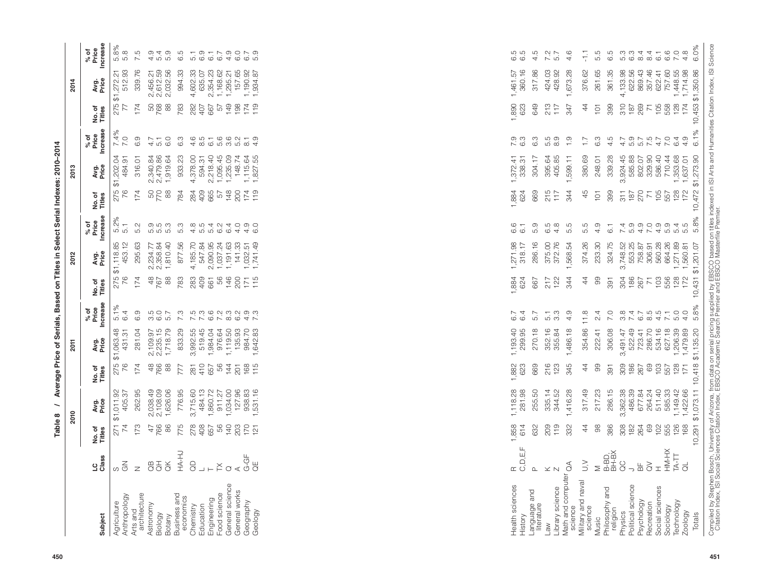|                                                                                                                                                                        |             |                             | 2010          |                    | 2011                 |                          |                 | 2012          |                                                          |                 | 2013                 |                          |                        | 2014           |                          |
|------------------------------------------------------------------------------------------------------------------------------------------------------------------------|-------------|-----------------------------|---------------|--------------------|----------------------|--------------------------|-----------------|---------------|----------------------------------------------------------|-----------------|----------------------|--------------------------|------------------------|----------------|--------------------------|
|                                                                                                                                                                        |             |                             |               |                    |                      |                          |                 |               |                                                          |                 |                      |                          |                        |                |                          |
| <b>ubject</b>                                                                                                                                                          | LC<br>Class | No.of<br>Titles             | Avg.<br>Price | No.of<br>Titles    | Avg.<br>Price        | % of<br>Price<br>ncrease | No.of<br>Titles | Avg.<br>Price | % of<br>Price<br>Increase                                | No.of<br>Titles | Avg.<br>Price        | % of<br>Price<br>ncrease | No.of<br><b>Titles</b> | Avg.<br>Price  | % of<br>Price<br>ncrease |
| riculture                                                                                                                                                              |             | 271                         | \$1,011.92    | 275                | \$1,063.48           | $5.1\%$                  | 275             | \$1,118.85    | 5.2%                                                     | 275             | \$1,202.04           | 7.4%                     |                        | 275 \$1,272.21 | 5.8%                     |
|                                                                                                                                                                        |             |                             | 405.37        | 76                 | 431.31               | 6.4                      | 76              | 453.12        | 5.1                                                      | 76              | 484.91               | 7.0                      |                        | 512.93         | 5.8                      |
| Anthropology<br>Arts and<br>architecture<br>architecture<br>astronomy<br>Station<br>Business and<br>Demistry<br>Chemistry<br>Cod science<br>Figineering<br>Figineering |             | 173                         | 262.95        | 174                | 281.04               | 0.9                      | 74              | 295.63        | 5.2                                                      | 174             | 316.01               | 6.9                      | 174                    | 339.76         | 7.5                      |
|                                                                                                                                                                        |             |                             |               |                    |                      |                          |                 | 2,234.77      |                                                          |                 |                      |                          |                        | 2,456.21       | 4.9                      |
|                                                                                                                                                                        |             | 47<br>766                   | 2,038.49      | 48<br>766          | 2,109.97<br>2,235.15 | 5<br>6.0<br>6            | 48<br>767       | 2,358.84      | e<br>co co co<br>co co                                   | 50<br>770       | 2,340.84<br>2,479.86 |                          | 50<br>768              | 2,612.59       | 5.4                      |
|                                                                                                                                                                        |             | 88                          | ,626.06       | 88                 | ,718.79              |                          | 88              | 1,810.40      |                                                          | 88              | 919.64               | 6.0                      | 88                     | 2,032.56       | 5.9                      |
|                                                                                                                                                                        |             | 775                         | 776.95        | 777                | 833.29               | 7.3                      | 783             | 877.56        | 5.3                                                      | 784             | 933.23               | 6.3                      | 783                    | 994.33         | G.S                      |
|                                                                                                                                                                        |             |                             | 3,715.60      |                    | 3,992.55             |                          |                 | 4,185.70      |                                                          |                 | 4,378.00             | 4.6                      | 282                    | 4,602.33       | 5.1                      |
|                                                                                                                                                                        |             |                             | 484.13        |                    | 519.45               |                          | 283<br>409      | 547.84        |                                                          | 284<br>409      | 594.31               | 8.5                      | 407                    | 635.07         | 6.9                      |
|                                                                                                                                                                        |             | 8 영문 8 원 8 원<br>8 원 정 명 정 원 | ,860.72       | 281<br>4057<br>565 | ,984.04              | ちょうこうとう<br>こうこうこうこう      | 661             | 2,090.95      | 4 ro ro ro 4 4 0<br>co ro 4 co 6 0<br>co 7 4 co 4 co 6 0 | 665             | 2,218.40             | $\overline{6}$ .         | 667                    | 2,354.23       |                          |
|                                                                                                                                                                        |             |                             | 911.27        |                    | 976.64               |                          | SG              | ,037.24       |                                                          | 57              | 1,095.45             |                          | 57                     | 1,168.62       | 6.7                      |
|                                                                                                                                                                        |             |                             | ,034.00       | 144                | ,119.50              |                          | 146             | ,191.63       |                                                          | 148             | 1,235.09             |                          | $\frac{9}{4}$          | 1,295.21       | 4.9                      |
| General works<br>Geography                                                                                                                                             |             |                             | 127.96        | 201                | 135.93               |                          | 200             | 141.33        |                                                          | 200             | 148.74               | 6001                     | 198                    | 157.65         | 6.7<br>6.7               |
|                                                                                                                                                                        |             |                             | 938.83        | 168                | 984.70               |                          | 171             | ,032.51       |                                                          | 174             | 1,115.64             |                          | 174                    | 1,190.92       |                          |
| Gology                                                                                                                                                                 |             | 121                         | 531.16        | 115                | 642.83               | 7.3                      | 115             | ,741.49       |                                                          | 119             | ,827.55              |                          | 119                    | 1,934.87       |                          |
|                                                                                                                                                                        |             |                             |               |                    |                      |                          |                 |               |                                                          |                 |                      |                          |                        |                |                          |

| ing creat<br>֖֖֧ׅׅׅׅ֖֚֚֚֚֚֚֚֚֚֚֚֚֚֚֚֚֚֚֚֚֚֚֚֡֝֝֝֝֝֬֝֬֓ |
|--------------------------------------------------------|
| ֠                                                      |
|                                                        |
|                                                        |
|                                                        |
|                                                        |
|                                                        |
|                                                        |
|                                                        |
|                                                        |
| l                                                      |
| ١<br>l                                                 |
|                                                        |
| į                                                      |

| architecture<br>Subject                          |                          |                                  | 2010                                                                                                  |                          |                                                                         |                                    |                        |                                               |                                      |                                                            | 2013                                                                                  |                                    |                         |                                            |                                                                                                                                                                                                             |
|--------------------------------------------------|--------------------------|----------------------------------|-------------------------------------------------------------------------------------------------------|--------------------------|-------------------------------------------------------------------------|------------------------------------|------------------------|-----------------------------------------------|--------------------------------------|------------------------------------------------------------|---------------------------------------------------------------------------------------|------------------------------------|-------------------------|--------------------------------------------|-------------------------------------------------------------------------------------------------------------------------------------------------------------------------------------------------------------|
| Anthropology<br>Agriculture<br>Arts and          | LC<br>Class              | No. of<br>Titles                 | Avg.<br>Price                                                                                         | No. of<br>Titles         | Avg.<br>Price                                                           | % of<br>Price<br>Increase          | No.of<br>Titles        | Ag.<br>Price                                  | % of<br>Price<br>Increase            | No.of<br>Titles                                            | Avg.<br>Price                                                                         | % of<br>Price<br>Increase          | No.of<br>Titles         | Age<br>Price                               | % of<br>Price<br>Increase                                                                                                                                                                                   |
|                                                  | $\leq$<br>S              | $\overleftarrow{S}$<br>271<br>74 | ,011.92<br>405.37                                                                                     | 275<br>76                | \$1,063.48<br>431.31                                                    | $\frac{5.1\%}{6.4}$                | 275<br>76              | $$1,118.85$<br>453.12                         | $5.2\%$<br>$5.1$                     | 275<br>76                                                  | \$1,202.04<br>484.91                                                                  | 7.4%<br>7.0                        | 275<br>77               | $$1,272.21$<br>$$12.93$                    | 5.8%<br>5.8                                                                                                                                                                                                 |
| Astronomy<br>Biology                             | $\mathbb Z$              | 173                              | 262.95                                                                                                | 174                      | 281.04                                                                  | 6.9                                | 174                    | 295.63                                        | 5.2                                  | 174                                                        | 316.01                                                                                | 6.9                                | 174                     | 339.76                                     | rù<br>$\overline{\sim}$                                                                                                                                                                                     |
| Business and<br>economics<br>Chemistry<br>Botany | $\overline{\mathcal{C}}$ | 47                               | ,038.49<br>N N                                                                                        |                          |                                                                         |                                    |                        | 2,234.77<br>2,358.84                          |                                      | 50<br>770                                                  |                                                                                       |                                    | 50<br>768               |                                            | 4.0                                                                                                                                                                                                         |
|                                                  | $\breve{\sigma}$         | 766<br>86                        | ,626.06                                                                                               | 4808                     | 2,109.97<br>2,235.15<br>1,718.79                                        |                                    | $rac{48}{760}$         | 1,810.40                                      | e in in<br>ci n in                   | 88                                                         | 2,340.84<br>2,479.86<br>1,919.64                                                      | $4.7$<br>$6.0$                     | $88$                    | 2,456.21<br>2,612.59<br>2,032.56           | $\omega \neq \omega$<br>ம்                                                                                                                                                                                  |
|                                                  | HA-HJ                    | 775                              | 776.95                                                                                                | 777                      | 833.29                                                                  | 7.3                                | 783                    | 877.56                                        | 5.3                                  | 784                                                        | 933.23                                                                                | 6.3                                | 783                     | 994.33                                     | 6.5                                                                                                                                                                                                         |
|                                                  | $\rm G$                  | 278                              | ,715.60<br>ო                                                                                          | 281                      | 3,992.55                                                                |                                    | 283                    | 4,185.70                                      |                                      | 284                                                        | 4,378.00                                                                              |                                    | 282                     | 4,602.33                                   |                                                                                                                                                                                                             |
| Education                                        | ┙                        | 408                              |                                                                                                       |                          | 519.45                                                                  |                                    | 409                    | 547.84                                        |                                      | 409                                                        | 594.31                                                                                |                                    | 407                     | 635.07<br>2,354.23                         |                                                                                                                                                                                                             |
| Food science<br>Engineering                      | ¥                        | 99<br>657                        | $\begin{array}{r} 484.13 \\ 4860.72 \\ 911.27 \\ 914.00 \\ 127.83 \\ 128.83 \\ 128.31.16 \end{array}$ | 408700470001             | 1,984.04                                                                | Froragar<br>Nacional               | 85<br>661              | 2,090.95<br>1,037.24                          | 4 n n n n a 4 4 0<br>a n 4 v 4 0 0 0 | 665<br>57                                                  | 2,218.40                                                                              |                                    | 667                     | 1,168.62                                   | $\begin{array}{cccccccccc} \tau & \circ & \tau & \cdot & \circ & \circ & \cdot & \circ & \circ \\ \hline \tau & \circ & \circ & \tau & \cdot & \circ & \circ & \circ & \cdot & \circ \\ \hline \end{array}$ |
|                                                  | $\circlearrowleft$       |                                  |                                                                                                       |                          | 976.64<br>1,119.50<br>135.93<br>1,642.83<br>1,642.83                    |                                    |                        |                                               |                                      |                                                            | $\begin{array}{c} 1,095.45 \\ 1,235.09 \\ 148.74 \\ 1,115.64 \\ 1,115.64 \end{array}$ |                                    | <b>6788751</b><br>19887 |                                            |                                                                                                                                                                                                             |
| General science<br>General works                 | $\prec$                  |                                  |                                                                                                       |                          |                                                                         |                                    |                        |                                               |                                      |                                                            |                                                                                       |                                    |                         |                                            |                                                                                                                                                                                                             |
| Geography                                        | $G-GF$                   | 78827                            |                                                                                                       |                          |                                                                         |                                    | $148$<br>$285$<br>$15$ | 1, 191.63<br>141.33<br>1, 032.51<br>1, 741.49 |                                      | $780770$<br>$790770$                                       |                                                                                       |                                    |                         | 1,295.21<br>157.65<br>1,190.92<br>1,934.87 |                                                                                                                                                                                                             |
| Geology                                          | $\overline{d}$           |                                  |                                                                                                       |                          |                                                                         |                                    |                        |                                               |                                      |                                                            |                                                                                       |                                    |                         |                                            |                                                                                                                                                                                                             |
|                                                  |                          |                                  |                                                                                                       |                          |                                                                         |                                    |                        |                                               |                                      |                                                            |                                                                                       |                                    |                         |                                            |                                                                                                                                                                                                             |
|                                                  |                          |                                  |                                                                                                       |                          |                                                                         |                                    |                        |                                               |                                      |                                                            |                                                                                       |                                    |                         |                                            |                                                                                                                                                                                                             |
|                                                  |                          |                                  |                                                                                                       |                          |                                                                         |                                    |                        |                                               |                                      |                                                            |                                                                                       |                                    |                         |                                            |                                                                                                                                                                                                             |
|                                                  |                          |                                  |                                                                                                       |                          |                                                                         |                                    |                        |                                               |                                      |                                                            |                                                                                       |                                    |                         |                                            |                                                                                                                                                                                                             |
|                                                  |                          |                                  |                                                                                                       |                          |                                                                         |                                    |                        |                                               |                                      |                                                            |                                                                                       |                                    |                         |                                            |                                                                                                                                                                                                             |
|                                                  |                          |                                  |                                                                                                       |                          |                                                                         |                                    |                        |                                               |                                      |                                                            |                                                                                       |                                    |                         |                                            |                                                                                                                                                                                                             |
|                                                  |                          |                                  |                                                                                                       |                          |                                                                         |                                    |                        |                                               |                                      |                                                            |                                                                                       |                                    |                         |                                            |                                                                                                                                                                                                             |
|                                                  |                          |                                  |                                                                                                       |                          |                                                                         |                                    |                        |                                               |                                      |                                                            |                                                                                       |                                    |                         |                                            |                                                                                                                                                                                                             |
|                                                  |                          |                                  |                                                                                                       |                          |                                                                         |                                    |                        |                                               |                                      |                                                            |                                                                                       |                                    |                         |                                            |                                                                                                                                                                                                             |
|                                                  |                          |                                  |                                                                                                       |                          |                                                                         |                                    |                        |                                               |                                      |                                                            |                                                                                       |                                    |                         |                                            |                                                                                                                                                                                                             |
|                                                  |                          |                                  |                                                                                                       |                          |                                                                         |                                    |                        |                                               |                                      |                                                            |                                                                                       |                                    |                         |                                            |                                                                                                                                                                                                             |
|                                                  |                          |                                  |                                                                                                       |                          |                                                                         |                                    |                        |                                               |                                      |                                                            |                                                                                       |                                    |                         |                                            |                                                                                                                                                                                                             |
|                                                  |                          |                                  |                                                                                                       |                          |                                                                         |                                    |                        |                                               |                                      |                                                            |                                                                                       |                                    |                         |                                            |                                                                                                                                                                                                             |
|                                                  |                          |                                  |                                                                                                       |                          |                                                                         |                                    |                        |                                               |                                      |                                                            |                                                                                       |                                    |                         |                                            |                                                                                                                                                                                                             |
|                                                  |                          |                                  |                                                                                                       |                          |                                                                         |                                    |                        |                                               |                                      |                                                            |                                                                                       |                                    |                         |                                            |                                                                                                                                                                                                             |
| Health sciences                                  | $\simeq$                 | 1,858                            | ,118.28                                                                                               | $\overline{\phantom{0}}$ | 1,193.40                                                                | 6.7                                | 1,884                  | 1,271.98                                      | 6.6                                  | 1,884                                                      | 1,372.41                                                                              |                                    |                         | 1,461.57                                   |                                                                                                                                                                                                             |
| History                                          | C, D, E, F               | 614                              | 281.98                                                                                                | 8823                     | 299.95                                                                  | 6.4                                | 624                    | 318.17                                        | $\overline{6}$ 1                     | 624                                                        | 338.31                                                                                | $7.\overline{3}$<br>6.3            | <b>890</b><br>623       | 360.16                                     | 6.5<br>6.6                                                                                                                                                                                                  |
| Language and<br>literature                       | $\mathbf{\Omega}$        | 632                              | 255.50                                                                                                | 669                      | 270.18                                                                  | 5.7                                | 667                    | 286.16                                        | 5.9                                  | 669                                                        | 304.17                                                                                | 6.3                                | 649                     | 317.86                                     | 4.5                                                                                                                                                                                                         |
| Law                                              | $\times$                 | 209                              |                                                                                                       |                          | 352.16                                                                  |                                    |                        |                                               | $6.\overline{9}$<br>$6.\overline{9}$ |                                                            | 395.64                                                                                | 5.0<br>5.00                        |                         | 424.03                                     | 7.2<br>5.7                                                                                                                                                                                                  |
| Library science                                  |                          | 119                              | 335.14<br>344.52                                                                                      | 216<br>123               | 355.84                                                                  | $\frac{1}{5}$ 3                    | $217$<br>$122$         | 375.00<br>372.76                              |                                      | $215$<br>$117$                                             | 405.85                                                                                |                                    | $213$<br>$117$          | 428.92                                     |                                                                                                                                                                                                             |
| Math and computer<br>science                     | $\mathcal{E}$            | 332                              | 416.28                                                                                                | 345                      | 1,486.18                                                                | 4.9                                | 344                    | 1,568.54                                      | 5.5                                  | 344                                                        | 1,599.11                                                                              | $\frac{0}{1}$                      | 347                     | 1,673.28                                   | 4.6                                                                                                                                                                                                         |
| Military and naval<br>science                    | $\geq$                   | $\ddot{4}$                       | 317.49                                                                                                | $\overline{4}$           | 354.86                                                                  | $\frac{8}{1}$                      | $\ddot{4}$             | 374.26                                        | 5.5                                  | 45                                                         | 380.69                                                                                | $\overline{1}$ :                   | $\frac{4}{4}$           | 376.62                                     | 두                                                                                                                                                                                                           |
| Music                                            | Σ                        | 88                               | 217.23                                                                                                | 99                       | 222.41                                                                  | 2.4                                | 99                     | 233.30                                        | 4.9                                  | 101                                                        | 248.01                                                                                | 6.3                                | 101                     | 261.65                                     | 5.5                                                                                                                                                                                                         |
| Philosophy and                                   | B-BD,<br>BH-BX           | 386                              | 286.15                                                                                                | 391                      | 306.08                                                                  | 7.0                                | 391                    | 324.75                                        | $\overline{6}$ 1                     | 399                                                        | 339.28                                                                                | 4.5                                | 399                     | 361.35                                     | 6.5                                                                                                                                                                                                         |
| religion<br>Physics                              | OC                       | 308                              | က                                                                                                     |                          |                                                                         |                                    |                        |                                               |                                      |                                                            | ,924.45<br>က်                                                                         |                                    |                         |                                            |                                                                                                                                                                                                             |
| Political science                                | ⊃                        | 182                              | ,362.38<br>486.39<br>677.84                                                                           |                          | 3,491.47<br>522.49<br>523.41<br>7236.70<br>627.18<br>627.18<br>1.206.39 | $0, 4, 6, 6, 4$<br>$0, 4, 6, 6, 4$ | 785<br>1867<br>1967    | 3,748.52<br>553.25<br>758.87<br>306.91        | て<br>2000000<br>2000000              | $\begin{array}{c} 311 \\ 187 \\ 270 \\ 765 \\ \end{array}$ | 585.88                                                                                | 4 5 5 7 4 7 6 4<br>ア 9 7 5 7 6 4 9 | $77888877$              | 4,133.98<br>622.56                         |                                                                                                                                                                                                             |
| Psychology                                       | 品                        | 264                              |                                                                                                       |                          |                                                                         |                                    |                        |                                               |                                      |                                                            | 802.07                                                                                |                                    |                         | 869.43<br>357.46<br>622.41                 |                                                                                                                                                                                                             |
| Recreation                                       | $\gtrsim$                | 69                               | 264.24                                                                                                |                          |                                                                         |                                    |                        |                                               |                                      |                                                            | 329.90<br>586.40                                                                      |                                    |                         |                                            |                                                                                                                                                                                                             |
| Social sciences                                  | $\mathbb{I}$             | 102                              | 511.40                                                                                                |                          |                                                                         |                                    | 103                    | 560.28                                        |                                      |                                                            |                                                                                       |                                    |                         |                                            |                                                                                                                                                                                                             |
| Technology<br>Sociology                          | HM-HX<br>TA-TT           | 126<br>555                       | 585.33<br>1,149.42                                                                                    |                          |                                                                         | $7.00$<br>$7.00$                   | 556                    | 664.26                                        |                                      | 557                                                        | 1,353.68<br>710.44                                                                    |                                    |                         | 757.60<br>1,448.55                         |                                                                                                                                                                                                             |
| Zoology                                          | $\overline{d}$           | 168                              | ,422.66                                                                                               |                          | 1,479.89                                                                |                                    | $128$<br>$172$         | 1,271.89<br>1,560.81                          | 5.5<br>5.5                           | 128                                                        | 1,637.01                                                                              |                                    |                         | 1,714.98                                   |                                                                                                                                                                                                             |
| Totals                                           |                          | 10,291                           | \$1,073.11                                                                                            | 10,418                   | \$1,135.20                                                              | 5.8%                               | 10,431                 | \$1,201.07                                    | 5.8%                                 | 10,472                                                     | \$1,273.90                                                                            | 6.1%                               | 10,453                  | \$1,350.86                                 | 6.0%                                                                                                                                                                                                        |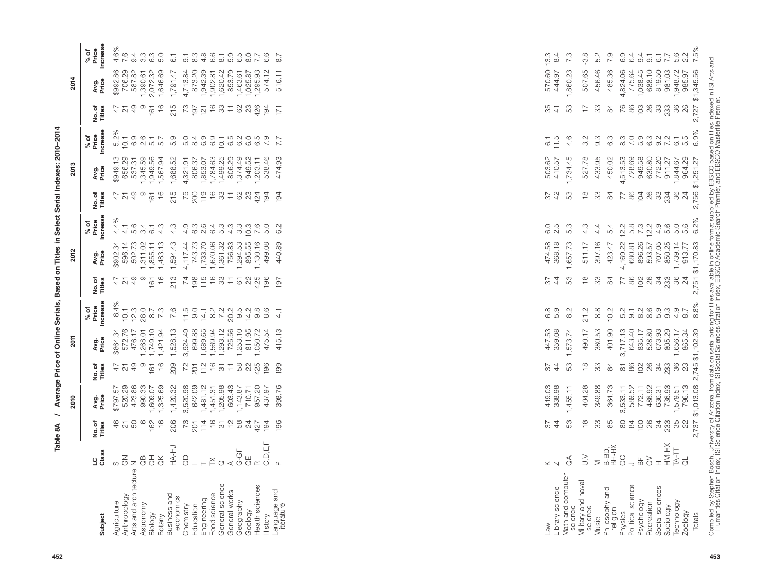| % of<br>Price<br>Increase<br>8.4%<br>7.6<br>6.8<br>5.9<br>$\frac{2}{8}$<br>8.8<br>10.2<br>$\overline{\phantom{0}}$<br>21.2<br>$\overline{4}$<br>572.76<br>1,268.01<br>1,749.10<br>1,421.94<br>1,528.13<br>3,924.49<br>699.88<br>$\begin{array}{r} 1,689,68 \\ 1,689,34 \\ 1,293,12 \\ 1,255,56 \\ 1,255,56 \\ 1,255,30 \\ 1,050,72 \\ 1,050,74 \\ 1,050,74 \\ 1,050,74 \\ 1,050,74 \\ 1,050,74 \\ 1,050,74 \\ 1,050,75 \\ 1,050,76 \\ 1,050,76 \\ 1,050,76 \\ 1,050,76 \\ 1,050,76 \\ 1,050,76 \\ 1,050,76 \\ 1,$<br>447.53<br>359.08<br>380.53<br>401.90<br>3,717.13<br>643.40<br>635.17<br>673.38<br>665.34<br>1,656.34<br>\$864.34<br>415.13<br>,573.74<br>490.17<br>476.17<br>2011<br>Avg.<br>Price<br>5 8 9 9 8 3 9 9 8 9<br>479<br>တ<br>$\frac{6}{1}$<br>209<br>53<br>33<br>161<br>199<br>$\frac{4}{4}$<br>$\frac{8}{1}$<br>84<br>76<br>No. of<br>Titles<br>1,481.12<br>1,451.31<br>1,451.38<br>1,205.98<br>1,143.87<br>110.71<br>057.20<br>057.97<br>437.97<br>364.73<br>1533.11<br>589.52<br>589.572.11<br>486.35<br>796.13<br>796.13<br>990.33<br>1,325.69<br>3,520.98<br>642.09<br>398.76<br>419.03<br>338.98<br>404.28<br>349.88<br>\$797.57<br>520.29<br>423.86<br>1,420.32<br>,609.07<br>,455.11<br>Avg.<br>Price<br>2010<br>S<br>50<br>162<br>206<br>53<br>33<br>8 2 5 8 2 3 3 3 8 9<br>$\frac{6}{4}$<br>$\circ$<br>196<br>$\overline{4}$<br>$\frac{\infty}{\infty}$<br>85<br>$\overline{\sim}$<br>22<br>No.of<br>$\mathbf{\mathsf{u}}$<br>HA-HJ<br>R<br>C,D,E,F<br>B-BD,<br>BH-BX<br>$G-\overline{G}F$<br>LC<br>Class<br>$\Theta$<br>$\overline{G}$<br>$\geq$<br>$\lessgtr$<br>8<br>$_{\odot}$ $_{\odot}^{\simeq}$<br>$\stackrel{\bot}{\ominus}$<br>$z\overset{m}{\circ}$<br>$\mathcal{E}$<br>$\frac{\mathsf{L}}{\mathsf{D}}$<br>$\underset{\leftarrow}{\times}$<br>$\geq$<br>$\circ$<br>$\bot \vdash$<br>$\Delta$<br>$\leq$ $\mathrel{\mathop{\mathsf{N}}\nolimits}$<br>っ<br>Arts and architecture<br>Math and computer<br>science<br>Military and naval<br>science<br>General science<br>General works<br>Political science<br>Psychology<br>Health sciences<br>Library science<br>Philosophy and<br>Language and<br>literature<br>Food science<br>Business and<br>Anthropology<br>economics<br>Engineering<br>Geography<br>Agriculture<br>Astronomy<br>Chemistry<br>Education<br>religion<br>Geology<br>Physics<br>Biology<br>History<br>Subject<br>Botany<br>Music<br>Law | No. of<br>Titles                                                                                                                                                                                                                                                                                    | 2012                                                                           |                                         |                                                   | 20                                                                                                 |                                  |                                                                                                                                                                             | 2014                                                                                                                                                            |                                                 |
|----------------------------------------------------------------------------------------------------------------------------------------------------------------------------------------------------------------------------------------------------------------------------------------------------------------------------------------------------------------------------------------------------------------------------------------------------------------------------------------------------------------------------------------------------------------------------------------------------------------------------------------------------------------------------------------------------------------------------------------------------------------------------------------------------------------------------------------------------------------------------------------------------------------------------------------------------------------------------------------------------------------------------------------------------------------------------------------------------------------------------------------------------------------------------------------------------------------------------------------------------------------------------------------------------------------------------------------------------------------------------------------------------------------------------------------------------------------------------------------------------------------------------------------------------------------------------------------------------------------------------------------------------------------------------------------------------------------------------------------------------------------------------------------------------------------------------------------------------------------------------------------------------------------------------------------------------------------------------------------------------------------------------------------------------------------------------------------------------------------------------------------------------------------------------------------------------------------------------------------------------------------------------------------------------------------------------------------------------------------------------------------------|-----------------------------------------------------------------------------------------------------------------------------------------------------------------------------------------------------------------------------------------------------------------------------------------------------|--------------------------------------------------------------------------------|-----------------------------------------|---------------------------------------------------|----------------------------------------------------------------------------------------------------|----------------------------------|-----------------------------------------------------------------------------------------------------------------------------------------------------------------------------|-----------------------------------------------------------------------------------------------------------------------------------------------------------------|-------------------------------------------------|
|                                                                                                                                                                                                                                                                                                                                                                                                                                                                                                                                                                                                                                                                                                                                                                                                                                                                                                                                                                                                                                                                                                                                                                                                                                                                                                                                                                                                                                                                                                                                                                                                                                                                                                                                                                                                                                                                                                                                                                                                                                                                                                                                                                                                                                                                                                                                                                                              |                                                                                                                                                                                                                                                                                                     |                                                                                |                                         |                                                   |                                                                                                    |                                  |                                                                                                                                                                             |                                                                                                                                                                 |                                                 |
|                                                                                                                                                                                                                                                                                                                                                                                                                                                                                                                                                                                                                                                                                                                                                                                                                                                                                                                                                                                                                                                                                                                                                                                                                                                                                                                                                                                                                                                                                                                                                                                                                                                                                                                                                                                                                                                                                                                                                                                                                                                                                                                                                                                                                                                                                                                                                                                              |                                                                                                                                                                                                                                                                                                     | Avg.<br>Price                                                                  | % of<br>Price<br>Increase               | No.of<br>Titles                                   | Avg.<br>Price                                                                                      | <b>Increase</b><br>% of<br>Price | No.of<br>Titles                                                                                                                                                             | Avg.<br>Price                                                                                                                                                   | <b>Increase</b><br>% of<br>Price                |
|                                                                                                                                                                                                                                                                                                                                                                                                                                                                                                                                                                                                                                                                                                                                                                                                                                                                                                                                                                                                                                                                                                                                                                                                                                                                                                                                                                                                                                                                                                                                                                                                                                                                                                                                                                                                                                                                                                                                                                                                                                                                                                                                                                                                                                                                                                                                                                                              | $\overline{2}$<br>တ<br>$\frac{6}{5}$<br>161<br>47                                                                                                                                                                                                                                                   | 502.73<br>\$902.34<br>596.14<br>1,311.02<br>1,855.11<br>1,483.13               | 4.4%<br>$64 - 64$<br>$04 - 64$<br>$4.1$ | $\frac{6}{5}$<br>707<br>တ<br>161<br>$\frac{1}{4}$ | 1,345.59<br>1,949.56<br>1,567.94<br>656.29<br>537.31<br>\$949.13                                   | 5.2%<br>$0.700 - 0.0000$         | $\overline{49}$<br>တ<br>$\frac{6}{5}$<br>$\overline{161}$<br>47<br>5                                                                                                        | 29<br>82<br>1,390.61<br>2,072.32<br>1,646.69<br>86<br>706.<br>\$992.<br>587.                                                                                    | .6%<br>$\circ$<br>a wa mo<br>4 wa mo<br>$4\sim$ |
|                                                                                                                                                                                                                                                                                                                                                                                                                                                                                                                                                                                                                                                                                                                                                                                                                                                                                                                                                                                                                                                                                                                                                                                                                                                                                                                                                                                                                                                                                                                                                                                                                                                                                                                                                                                                                                                                                                                                                                                                                                                                                                                                                                                                                                                                                                                                                                                              | 213                                                                                                                                                                                                                                                                                                 | 1,594.43                                                                       | က္<br>4                                 | 215                                               | 1,688.52                                                                                           |                                  | 215                                                                                                                                                                         | 1,791.47                                                                                                                                                        | $\top$<br>$\circ$                               |
|                                                                                                                                                                                                                                                                                                                                                                                                                                                                                                                                                                                                                                                                                                                                                                                                                                                                                                                                                                                                                                                                                                                                                                                                                                                                                                                                                                                                                                                                                                                                                                                                                                                                                                                                                                                                                                                                                                                                                                                                                                                                                                                                                                                                                                                                                                                                                                                              | $\overline{\mathcal{A}}$                                                                                                                                                                                                                                                                            | 4,117.44<br>743.73<br>1,733.70<br>1,361.32<br>1,294.55<br>1,130.16<br>1,130.16 |                                         |                                                   | 4,321.91<br>806.37<br>1,853.07<br>1,784.63<br>1,499.25                                             |                                  | $k$ $\frac{1}{2}$ $\frac{1}{2}$ $\frac{1}{2}$ $\frac{1}{2}$ $\frac{1}{2}$ $\frac{1}{2}$ $\frac{1}{2}$ $\frac{1}{2}$ $\frac{1}{2}$ $\frac{1}{2}$ $\frac{1}{2}$ $\frac{1}{2}$ | $\begin{array}{l} 4,713.84 \\ 873.20 \\ 1,942.39 \\ 1,942.39 \\ 1,902.42 \\ 1,620.42 \\ 1,620.5 \\ 1,025.87 \\ 1,025.87 \\ 1,295.93 \\ 1,295.93 \\ \end{array}$ | O 8 4 6 8 8 9 9 9 9 9 9<br>L & & & B & B & D &  |
|                                                                                                                                                                                                                                                                                                                                                                                                                                                                                                                                                                                                                                                                                                                                                                                                                                                                                                                                                                                                                                                                                                                                                                                                                                                                                                                                                                                                                                                                                                                                                                                                                                                                                                                                                                                                                                                                                                                                                                                                                                                                                                                                                                                                                                                                                                                                                                                              |                                                                                                                                                                                                                                                                                                     |                                                                                |                                         |                                                   |                                                                                                    |                                  |                                                                                                                                                                             |                                                                                                                                                                 |                                                 |
|                                                                                                                                                                                                                                                                                                                                                                                                                                                                                                                                                                                                                                                                                                                                                                                                                                                                                                                                                                                                                                                                                                                                                                                                                                                                                                                                                                                                                                                                                                                                                                                                                                                                                                                                                                                                                                                                                                                                                                                                                                                                                                                                                                                                                                                                                                                                                                                              | $\begin{array}{l} 26.75 \\ 27.75 \\ 28.75 \\ 29.75 \\ 20.75 \\ 21.75 \\ 22.75 \\ 23.75 \\ 24.75 \\ 25.75 \\ 26.75 \\ 27.75 \\ 28.75 \\ 29.75 \\ 20.75 \\ 23.75 \\ 24.75 \\ 25.75 \\ 26.75 \\ 27.75 \\ 28.75 \\ 29.75 \\ 29.75 \\ 29.75 \\ 29.75 \\ 29.75 \\ 29.75 \\ 29.75 \\ 29.75 \\ 29.75 \\ 29$ |                                                                                |                                         |                                                   |                                                                                                    |                                  |                                                                                                                                                                             |                                                                                                                                                                 |                                                 |
|                                                                                                                                                                                                                                                                                                                                                                                                                                                                                                                                                                                                                                                                                                                                                                                                                                                                                                                                                                                                                                                                                                                                                                                                                                                                                                                                                                                                                                                                                                                                                                                                                                                                                                                                                                                                                                                                                                                                                                                                                                                                                                                                                                                                                                                                                                                                                                                              |                                                                                                                                                                                                                                                                                                     |                                                                                |                                         |                                                   |                                                                                                    |                                  |                                                                                                                                                                             |                                                                                                                                                                 |                                                 |
|                                                                                                                                                                                                                                                                                                                                                                                                                                                                                                                                                                                                                                                                                                                                                                                                                                                                                                                                                                                                                                                                                                                                                                                                                                                                                                                                                                                                                                                                                                                                                                                                                                                                                                                                                                                                                                                                                                                                                                                                                                                                                                                                                                                                                                                                                                                                                                                              |                                                                                                                                                                                                                                                                                                     |                                                                                |                                         |                                                   |                                                                                                    |                                  |                                                                                                                                                                             |                                                                                                                                                                 |                                                 |
|                                                                                                                                                                                                                                                                                                                                                                                                                                                                                                                                                                                                                                                                                                                                                                                                                                                                                                                                                                                                                                                                                                                                                                                                                                                                                                                                                                                                                                                                                                                                                                                                                                                                                                                                                                                                                                                                                                                                                                                                                                                                                                                                                                                                                                                                                                                                                                                              |                                                                                                                                                                                                                                                                                                     | 499.08                                                                         |                                         |                                                   | 806.29<br>1,374.49<br>1,203.11<br>1,203.46                                                         |                                  |                                                                                                                                                                             |                                                                                                                                                                 |                                                 |
|                                                                                                                                                                                                                                                                                                                                                                                                                                                                                                                                                                                                                                                                                                                                                                                                                                                                                                                                                                                                                                                                                                                                                                                                                                                                                                                                                                                                                                                                                                                                                                                                                                                                                                                                                                                                                                                                                                                                                                                                                                                                                                                                                                                                                                                                                                                                                                                              | 197                                                                                                                                                                                                                                                                                                 | 440.89                                                                         | Z<br>$\dot{\circ}$                      | 94                                                | 474.93                                                                                             | L.<br>$\overline{N}$             | 171                                                                                                                                                                         | 516.11                                                                                                                                                          | $\overline{ }$<br>$\infty$                      |
|                                                                                                                                                                                                                                                                                                                                                                                                                                                                                                                                                                                                                                                                                                                                                                                                                                                                                                                                                                                                                                                                                                                                                                                                                                                                                                                                                                                                                                                                                                                                                                                                                                                                                                                                                                                                                                                                                                                                                                                                                                                                                                                                                                                                                                                                                                                                                                                              |                                                                                                                                                                                                                                                                                                     |                                                                                |                                         |                                                   |                                                                                                    |                                  |                                                                                                                                                                             |                                                                                                                                                                 |                                                 |
|                                                                                                                                                                                                                                                                                                                                                                                                                                                                                                                                                                                                                                                                                                                                                                                                                                                                                                                                                                                                                                                                                                                                                                                                                                                                                                                                                                                                                                                                                                                                                                                                                                                                                                                                                                                                                                                                                                                                                                                                                                                                                                                                                                                                                                                                                                                                                                                              | 22                                                                                                                                                                                                                                                                                                  | 474.58                                                                         | <b>G.O</b>                              | 76                                                |                                                                                                    |                                  | 35                                                                                                                                                                          | 570.60                                                                                                                                                          | က္<br>$\frac{1}{2}$                             |
|                                                                                                                                                                                                                                                                                                                                                                                                                                                                                                                                                                                                                                                                                                                                                                                                                                                                                                                                                                                                                                                                                                                                                                                                                                                                                                                                                                                                                                                                                                                                                                                                                                                                                                                                                                                                                                                                                                                                                                                                                                                                                                                                                                                                                                                                                                                                                                                              | $\ddot{4}$                                                                                                                                                                                                                                                                                          | 368.18                                                                         | rù.<br>$\sim$                           | $\frac{2}{3}$                                     | 503.62<br>410.57                                                                                   | $6.1$<br>11.5                    | $\frac{1}{4}$                                                                                                                                                               | 444.97                                                                                                                                                          | 4<br>$\infty$                                   |
|                                                                                                                                                                                                                                                                                                                                                                                                                                                                                                                                                                                                                                                                                                                                                                                                                                                                                                                                                                                                                                                                                                                                                                                                                                                                                                                                                                                                                                                                                                                                                                                                                                                                                                                                                                                                                                                                                                                                                                                                                                                                                                                                                                                                                                                                                                                                                                                              | S3                                                                                                                                                                                                                                                                                                  | 1,657.73                                                                       | 5.3                                     | 53                                                | 1,734.45                                                                                           | 4.6                              | S3                                                                                                                                                                          | 1,860.23                                                                                                                                                        | 7.3                                             |
|                                                                                                                                                                                                                                                                                                                                                                                                                                                                                                                                                                                                                                                                                                                                                                                                                                                                                                                                                                                                                                                                                                                                                                                                                                                                                                                                                                                                                                                                                                                                                                                                                                                                                                                                                                                                                                                                                                                                                                                                                                                                                                                                                                                                                                                                                                                                                                                              | $\frac{8}{10}$                                                                                                                                                                                                                                                                                      | 511.17                                                                         | $4.\overline{3}$                        | $\frac{8}{1}$                                     | 527.78                                                                                             | $3.\overline{2}$                 | 17                                                                                                                                                                          | 507.65                                                                                                                                                          | $-3.8$                                          |
|                                                                                                                                                                                                                                                                                                                                                                                                                                                                                                                                                                                                                                                                                                                                                                                                                                                                                                                                                                                                                                                                                                                                                                                                                                                                                                                                                                                                                                                                                                                                                                                                                                                                                                                                                                                                                                                                                                                                                                                                                                                                                                                                                                                                                                                                                                                                                                                              | 33                                                                                                                                                                                                                                                                                                  | 397.16                                                                         | 4.4                                     | 33                                                | 433.95                                                                                             | $9.\overline{3}$                 | 33                                                                                                                                                                          | 456.46                                                                                                                                                          | 5.2                                             |
|                                                                                                                                                                                                                                                                                                                                                                                                                                                                                                                                                                                                                                                                                                                                                                                                                                                                                                                                                                                                                                                                                                                                                                                                                                                                                                                                                                                                                                                                                                                                                                                                                                                                                                                                                                                                                                                                                                                                                                                                                                                                                                                                                                                                                                                                                                                                                                                              | 84                                                                                                                                                                                                                                                                                                  | 423.47                                                                         | 5.4                                     | 84                                                | 450.02                                                                                             | 6.3                              | 84                                                                                                                                                                          | 485.36                                                                                                                                                          | 7.9                                             |
|                                                                                                                                                                                                                                                                                                                                                                                                                                                                                                                                                                                                                                                                                                                                                                                                                                                                                                                                                                                                                                                                                                                                                                                                                                                                                                                                                                                                                                                                                                                                                                                                                                                                                                                                                                                                                                                                                                                                                                                                                                                                                                                                                                                                                                                                                                                                                                                              | 77                                                                                                                                                                                                                                                                                                  |                                                                                |                                         | 77                                                |                                                                                                    |                                  |                                                                                                                                                                             |                                                                                                                                                                 | 6.9                                             |
|                                                                                                                                                                                                                                                                                                                                                                                                                                                                                                                                                                                                                                                                                                                                                                                                                                                                                                                                                                                                                                                                                                                                                                                                                                                                                                                                                                                                                                                                                                                                                                                                                                                                                                                                                                                                                                                                                                                                                                                                                                                                                                                                                                                                                                                                                                                                                                                              | 86                                                                                                                                                                                                                                                                                                  |                                                                                |                                         |                                                   |                                                                                                    |                                  |                                                                                                                                                                             |                                                                                                                                                                 | 4<br>9.4<br>0                                   |
| $\gtrsim$ $\pm$<br>Recreation                                                                                                                                                                                                                                                                                                                                                                                                                                                                                                                                                                                                                                                                                                                                                                                                                                                                                                                                                                                                                                                                                                                                                                                                                                                                                                                                                                                                                                                                                                                                                                                                                                                                                                                                                                                                                                                                                                                                                                                                                                                                                                                                                                                                                                                                                                                                                                |                                                                                                                                                                                                                                                                                                     |                                                                                |                                         |                                                   |                                                                                                    |                                  |                                                                                                                                                                             |                                                                                                                                                                 | $\overline{9}$ .                                |
| Social sciences                                                                                                                                                                                                                                                                                                                                                                                                                                                                                                                                                                                                                                                                                                                                                                                                                                                                                                                                                                                                                                                                                                                                                                                                                                                                                                                                                                                                                                                                                                                                                                                                                                                                                                                                                                                                                                                                                                                                                                                                                                                                                                                                                                                                                                                                                                                                                                              |                                                                                                                                                                                                                                                                                                     |                                                                                |                                         |                                                   |                                                                                                    |                                  |                                                                                                                                                                             |                                                                                                                                                                 |                                                 |
| $\overline{\phantom{0}}$<br>HM-HX<br>TA-TT<br>QL<br>Technology<br>Sociology                                                                                                                                                                                                                                                                                                                                                                                                                                                                                                                                                                                                                                                                                                                                                                                                                                                                                                                                                                                                                                                                                                                                                                                                                                                                                                                                                                                                                                                                                                                                                                                                                                                                                                                                                                                                                                                                                                                                                                                                                                                                                                                                                                                                                                                                                                                  | $\frac{5}{5}$ $\frac{8}{5}$ $\frac{2}{5}$ $\frac{2}{5}$ $\frac{2}{5}$ $\frac{2}{5}$ $\frac{2}{5}$ $\frac{2}{5}$ $\frac{2}{5}$                                                                                                                                                                       | 4,169.22<br>680.81<br>680.36<br>693.57<br>707.05<br>7,739.14<br>1,739.17       |                                         |                                                   | $4,513.53$<br>$728.59$<br>$728.58$<br>$949.58$<br>$630.80$<br>$772.20$<br>$1,344.67$<br>$1,844.67$ |                                  | $8898888888$                                                                                                                                                                | 4,824.06<br>775.64<br>1,038.45<br>1,948.72<br>1,948.72<br>1,948.72                                                                                              |                                                 |
| 8.8%<br>\$1,102.39<br>2,745<br>,013.08<br>$\overline{5}$<br>737<br>$\sim$<br>Zoology<br>Totals                                                                                                                                                                                                                                                                                                                                                                                                                                                                                                                                                                                                                                                                                                                                                                                                                                                                                                                                                                                                                                                                                                                                                                                                                                                                                                                                                                                                                                                                                                                                                                                                                                                                                                                                                                                                                                                                                                                                                                                                                                                                                                                                                                                                                                                                                               | 2,751                                                                                                                                                                                                                                                                                               | \$1,170.83                                                                     | 6.2%                                    | 2,756                                             | \$1,251.27                                                                                         | 6.9%                             | 2,727                                                                                                                                                                       | \$1,345.56                                                                                                                                                      | 5%<br>$\overline{\phantom{a}}$                  |

| i           |
|-------------|
| .<br>.<br>. |
|             |
|             |
|             |
|             |
|             |
|             |
|             |
|             |
|             |
|             |
|             |
| I           |
| ֡֡֡֡֡֡֡֡֡   |
|             |
|             |

|                      |                         | $\overline{r}$ .             | ကုံ                                          | S.               | Ņ.                         | $\ddot{\circ}$                                | $\ddot{\circ}$ $\ddot{\circ}$ |                                                            | $\circ$ $\circ$ $\sim$ $\circ$ $\circ$ |                 |                                                                   |            |                                  | $\overline{r}$   |
|----------------------|-------------------------|------------------------------|----------------------------------------------|------------------|----------------------------|-----------------------------------------------|-------------------------------|------------------------------------------------------------|----------------------------------------|-----------------|-------------------------------------------------------------------|------------|----------------------------------|------------------|
|                      | 570.60 13.<br>444.97 8. | 1,860.23                     | 507.65                                       | 456.46           | 485.36                     |                                               | 4,824.06<br>775.64            |                                                            | 1,038.45<br>688.10<br>819.50<br>981.03 |                 |                                                                   | 1,948.72   | 985.97                           | \$1,345.56       |
| 85<br>41             |                         | 53                           |                                              | 33               | 84                         |                                               |                               |                                                            |                                        |                 | ន ន ក្នុ ន ន ន ន ន ន                                              |            |                                  | 2,727            |
|                      | $6.1$<br>$1.5$          | 4.6                          | $3.\overline{2}$                             | $9.\overline{3}$ | 6.3                        |                                               |                               |                                                            |                                        |                 |                                                                   |            |                                  | 6.9%             |
|                      | 503.62<br>410.57        | 1,734.45                     | 527.78                                       | 433.95           | 450.02                     |                                               |                               |                                                            |                                        |                 | 4,513.53<br>728.69<br>949.58<br>630.80<br>6772.27<br>911.27       | 1,844.67   | 964.29                           | \$1,251.27       |
| 37<br>42             |                         | 53                           | $\frac{8}{1}$                                | 33               | 84                         |                                               |                               | 782833                                                     |                                        |                 |                                                                   | 36<br>24   |                                  | 2,756            |
| 0.<br>0.<br>0.<br>0. |                         | 5.3                          | $4\frac{4}{4}$                               |                  | 5.4                        | $\begin{array}{c} 7.000 \\ 0.000 \end{array}$ |                               | $7.3$<br>12.2                                              |                                        |                 | $40000$<br>$9000$                                                 |            |                                  | 6.2%             |
|                      | 474.58<br>368.18        | 1,657.73                     | 511.17<br>397.16                             |                  | 423.47                     |                                               |                               | 4,169.22<br>680.81<br>680.26<br>690.25<br>550.25<br>850.25 |                                        |                 |                                                                   | 1,739.14   | 913.77                           | \$1,170.83       |
| 92<br>24             |                         | 53                           | $\frac{8}{1}$                                | 33               | 84                         |                                               |                               |                                                            |                                        |                 | 789838888                                                         |            |                                  | 2,751            |
|                      | 6<br>6 5<br>6           | 8.2                          | 21.2                                         | $\frac{8}{8}$    | 10.2                       |                                               |                               |                                                            |                                        |                 |                                                                   |            |                                  | 8.8%             |
|                      | 447.53<br>359.08        | 1,573.74                     | 490.17                                       | 380.53           | 401.90                     | 3,717.13                                      |                               | 43.43<br>635.17<br>638.33<br>622.33<br>625.39              |                                        |                 |                                                                   | 1,656.17   | 865.34                           | 2,745 \$1,102.39 |
|                      | $\frac{4}{4}$           | 53                           | $\frac{8}{1}$                                | 33               | 84                         |                                               |                               |                                                            |                                        |                 | 5 8 9 8 3 5 8 8 8                                                 |            |                                  |                  |
|                      | 419.03<br>338.98        | 1,455.11                     | 404.28<br>349.88                             |                  | 364.73                     |                                               |                               |                                                            |                                        |                 | 3,533.11<br>589.52<br>772.12 33<br>486.35<br>1,579.51<br>1,579.61 |            |                                  | 2,737 \$1,013.08 |
| $\frac{4}{4}$        |                         | 53                           | $\frac{\infty}{\infty}$                      | 33               | 85                         |                                               |                               |                                                            |                                        |                 | 8 8 9 8 9 8 9 8 8                                                 |            |                                  |                  |
|                      |                         |                              | $\begin{matrix} 1 & 1 \\ 2 & 1 \end{matrix}$ |                  | 으면<br>마구 C<br>무구 C 구 무 오 エ |                                               |                               |                                                            |                                        |                 |                                                                   |            | $\frac{H M - H X}{T A - T T}$ QL |                  |
| <b>Law</b>           | ibrary science          | Math and computer<br>science | Military and naval<br>science                | Vlusic           | Philosophy and<br>religion | Physics                                       |                               | Political science<br>Psychology<br>Recreation              |                                        | Social sciences | Sociology                                                         | Technology | Zoology                          | Totals           |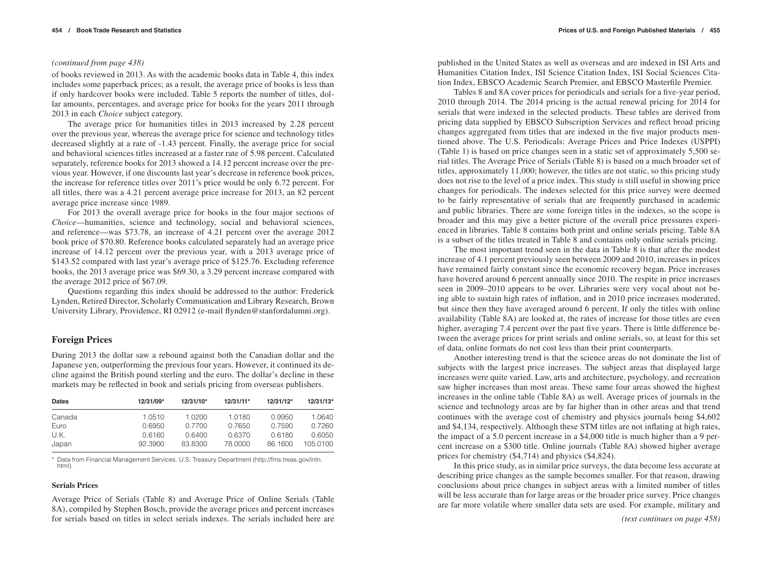### *(continued from page 438)*

of books reviewed in 2013. As with the academic books data in Table 4, this index includes some paperback prices; as a result, the average price of books is less than if only hardcover books were included. Table 5 reports the number of titles, dollar amounts, percentages, and average price for books for the years 2011 through 2013 in each *Choice* subject category.

The average price for humanities titles in 2013 increased by 2.28 percent over the previous year, whereas the average price for science and technology titles decreased slightly at a rate of -1.43 percent. Finally, the average price for social and behavioral sciences titles increased at a faster rate of 5.98 percent. Calculated separately, reference books for 2013 showed a 14.12 percent increase over the previous year. However, if one discounts last year's decrease in reference book prices, the increase for reference titles over 2011's price would be only 6.72 percent. For all titles, there was a 4.21 percent average price increase for 2013, an 82 percent average price increase since 1989.

For 2013 the overall average price for books in the four major sections of *Choice*—humanities, science and technology, social and behavioral sciences, and reference—was \$73.78, an increase of 4.21 percent over the average 2012 book price of \$70.80. Reference books calculated separately had an average price increase of 14.12 percent over the previous year, with a 2013 average price of \$143.52 compared with last year's average price of \$125.76. Excluding reference books, the 2013 average price was \$69.30, a 3.29 percent increase compared with the average 2012 price of \$67.09.

Questions regarding this index should be addressed to the author: Frederick Lynden, Retired Director, Scholarly Communication and Library Research, Brown University Library, Providence, RI 02912 (e-mail flynden@stanfordalumni.org).

# **Foreign Prices**

During 2013 the dollar saw a rebound against both the Canadian dollar and the Japanese yen, outperforming the previous four years. However, it continued its decline against the British pound sterling and the euro. The dollar's decline in these markets may be reflected in book and serials pricing from overseas publishers.

| <b>Dates</b> | 12/31/09* | 12/31/10* | $12/31/11*$ | $12/31/12*$ | $12/31/13*$ |
|--------------|-----------|-----------|-------------|-------------|-------------|
| Canada       | 1.0510    | 1.0200    | 1.0180      | 0.9950      | 1.0640      |
| Euro         | 0.6950    | 0.7700    | 0.7650      | 0.7590      | 0.7260      |
| U.K.         | 0.6160    | 0.6400    | 0.6370      | 0.6180      | 0.6050      |
| Japan        | 92.3900   | 83.8300   | 78,0000     | 86.1600     | 105.0100    |

\* Data from Financial Management Services. U.S. Treasury Department (http://fms.treas.gov/intn. html).

### **Serials Prices**

Average Price of Serials (Table 8) and Average Price of Online Serials (Table 8A), compiled by Stephen Bosch, provide the average prices and percent increases for serials based on titles in select serials indexes. The serials included here are published in the United States as well as overseas and are indexed in ISI Arts and Humanities Citation Index, ISI Science Citation Index, ISI Social Sciences Citation Index, EBSCO Academic Search Premier, and EBSCO Masterfile Premier.

Tables 8 and 8A cover prices for periodicals and serials for a five-year period, 2010 through 2014. The 2014 pricing is the actual renewal pricing for 2014 for serials that were indexed in the selected products. These tables are derived from pricing data supplied by EBSCO Subscription Services and reflect broad pricing changes aggregated from titles that are indexed in the five major products mentioned above. The U.S. Periodicals: Average Prices and Price Indexes (USPPI) (Table 1) is based on price changes seen in a static set of approximately 5,500 serial titles. The Average Price of Serials (Table 8) is based on a much broader set of titles, approximately 11,000; however, the titles are not static, so this pricing study does not rise to the level of a price index. This study is still useful in showing price changes for periodicals. The indexes selected for this price survey were deemed to be fairly representative of serials that are frequently purchased in academic and public libraries. There are some foreign titles in the indexes, so the scope is broader and this may give a better picture of the overall price pressures experienced in libraries. Table 8 contains both print and online serials pricing. Table 8A is a subset of the titles treated in Table 8 and contains only online serials pricing.

The most important trend seen in the data in Table 8 is that after the modest increase of 4.1 percent previously seen between 2009 and 2010, increases in prices have remained fairly constant since the economic recovery began. Price increases have hovered around 6 percent annually since 2010. The respite in price increases seen in 2009–2010 appears to be over. Libraries were very vocal about not being able to sustain high rates of inflation, and in 2010 price increases moderated, but since then they have averaged around 6 percent. If only the titles with online availability (Table 8A) are looked at, the rates of increase for those titles are even higher, averaging 7.4 percent over the past five years. There is little difference between the average prices for print serials and online serials, so, at least for this set of data, online formats do not cost less than their print counterparts.

Another interesting trend is that the science areas do not dominate the list of subjects with the largest price increases. The subject areas that displayed large increases were quite varied. Law, arts and architecture, psychology, and recreation saw higher increases than most areas. These same four areas showed the highest increases in the online table (Table 8A) as well. Average prices of journals in the science and technology areas are by far higher than in other areas and that trend continues with the average cost of chemistry and physics journals being \$4,602 and \$4,134, respectively. Although these STM titles are not inflating at high rates, the impact of a 5.0 percent increase in a \$4,000 title is much higher than a 9 percent increase on a \$300 title. Online journals (Table 8A) showed higher average prices for chemistry (\$4,714) and physics (\$4,824).

In this price study, as in similar price surveys, the data become less accurate at describing price changes as the sample becomes smaller. For that reason, drawing conclusions about price changes in subject areas with a limited number of titles will be less accurate than for large areas or the broader price survey. Price changes are far more volatile where smaller data sets are used. For example, military and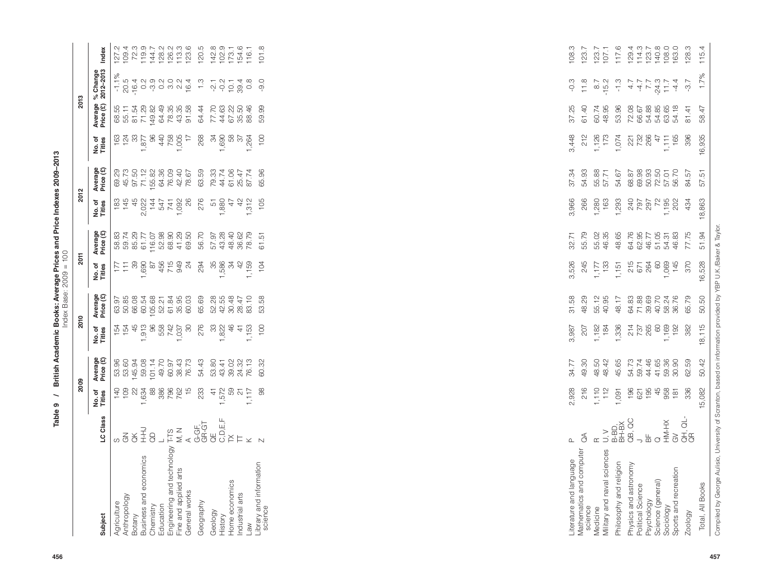| $-2009 - 7$<br>֚֚֚֬<br>s and Price<br>Price<br><b>Page Find</b><br>$\frac{a}{b}$<br><b>C</b> Books: A<br>خ<br><b>Dritic</b> | $\tilde{C}$<br>$2009 = 101$<br>lndex Rase: ? |
|-----------------------------------------------------------------------------------------------------------------------------|----------------------------------------------|
| თ                                                                                                                           |                                              |
|                                                                                                                             |                                              |

|                                                     |                                                                                                                                                                                                                                                                                                                                                                                                                                                                | 2009                                          |                                                             | 2010                                                             |                         | 2011                                                                                |                                                 | 2012                                                                                                                                                                                                                                                                                                                                                 |                                              |                                                    | 2013                                      |                                                                                                                                                                                                                                                                                                                                                                                                                                                                            |                                                                                                                                                                                                                                                                                                               |
|-----------------------------------------------------|----------------------------------------------------------------------------------------------------------------------------------------------------------------------------------------------------------------------------------------------------------------------------------------------------------------------------------------------------------------------------------------------------------------------------------------------------------------|-----------------------------------------------|-------------------------------------------------------------|------------------------------------------------------------------|-------------------------|-------------------------------------------------------------------------------------|-------------------------------------------------|------------------------------------------------------------------------------------------------------------------------------------------------------------------------------------------------------------------------------------------------------------------------------------------------------------------------------------------------------|----------------------------------------------|----------------------------------------------------|-------------------------------------------|----------------------------------------------------------------------------------------------------------------------------------------------------------------------------------------------------------------------------------------------------------------------------------------------------------------------------------------------------------------------------------------------------------------------------------------------------------------------------|---------------------------------------------------------------------------------------------------------------------------------------------------------------------------------------------------------------------------------------------------------------------------------------------------------------|
| Subject                                             | Class<br>5                                                                                                                                                                                                                                                                                                                                                                                                                                                     | No.of<br>Titles                               | Average<br>Price (£)                                        | No.of<br>Titles                                                  | Average<br>Price (£)    | đ<br>No. of<br>Titles                                                               | Average<br>Price (£)                            | đ<br>No. of<br>Titles                                                                                                                                                                                                                                                                                                                                | Average<br>Price (£)                         | No. of<br>Titles                                   | Average<br>Price (£)                      | % Change<br>2012-2013                                                                                                                                                                                                                                                                                                                                                                                                                                                      | Index                                                                                                                                                                                                                                                                                                         |
| Anthropology<br>Agriculture<br>Botany               | $\begin{array}{c}\n\stackrel{\rightharpoonup}{\leftrightarrow} & \xrightarrow{\rightharpoonup} \\ \n\stackrel{\rightharpoonup}{\leftrightarrow} & \xrightarrow{\rightharpoonup} \\ \n\end{array}$<br>$\mathcal{Z}_{\mathcal{O}}$<br>လ                                                                                                                                                                                                                          | 140<br>$\frac{109}{22}$                       | 53.96<br>53.90<br>53.90<br>53.91<br>53.93<br>53.93<br>49.70 |                                                                  |                         | $\begin{array}{c} 12.7 \\ 11.7 \\ 20.7 \\ 11.7 \end{array}$                         | 88.77<br>59.78.29<br>59.77 59.88<br>59.77 59.88 | $\begin{array}{r} 145 \\ 450 \\ 451 \\ 452 \\ 454 \\ 454 \\ 454 \\ 454 \\ 450 \\ 46 \\ 47 \\ 48 \\ 49 \\ 40 \\ 40 \\ 41 \\ 42 \\ 43 \\ 44 \\ 45 \\ 46 \\ 48 \\ 49 \\ 40 \\ 40 \\ 42 \\ 43 \\ 44 \\ 45 \\ 46 \\ 48 \\ 49 \\ 40 \\ 49 \\ 40 \\ 40 \\ 42 \\ 43 \\ 44 \\ 45 \\ 46 \\ 48 \\ 49 \\ 40 \\ 49 \\ 40 \\ 40 \\ 42 \\ 43 \\ 44 \\ 45 \\$<br>183 | 09.73<br>45.75<br>97.50.38<br>64.38<br>64.36 | $^{+63}_{+24}$<br>$^{+8}_{-79}$<br>$^{+63}_{-79}$  | 68.55<br>55.11<br>51.54<br>71.82<br>749.2 | $-1.1\%$<br>$\begin{array}{l} \mathbb{C} \\ \mathbb{C} \\ \mathbb{C} \\ \mathbb{C} \\ \mathbb{C} \\ \mathbb{C} \\ \mathbb{C} \\ \mathbb{C} \\ \mathbb{C} \\ \mathbb{C} \\ \mathbb{C} \\ \mathbb{C} \\ \mathbb{C} \\ \mathbb{C} \\ \mathbb{C} \\ \mathbb{C} \\ \mathbb{C} \\ \mathbb{C} \\ \mathbb{C} \\ \mathbb{C} \\ \mathbb{C} \\ \mathbb{C} \\ \mathbb{C} \\ \mathbb{C} \\ \mathbb{C} \\ \mathbb{C} \\ \mathbb{C} \\ \mathbb{C} \\ \mathbb{C} \\ \mathbb{C} \\ \mathbb$ | $\begin{array}{l} 27.7 \\ 20.7 \\ 21.8 \\ 22.9 \\ 23.9 \\ 24.8 \\ 25.9 \\ 26.9 \\ 27.9 \\ 28.9 \\ 29.7 \\ 29.9 \\ 20.7 \\ 20.9 \\ 20.9 \\ 20.9 \\ 20.9 \\ 20.9 \\ 20.9 \\ 20.9 \\ 20.9 \\ 20.9 \\ 20.9 \\ 20.9 \\ 20.9 \\ 20.9 \\ 20.9 \\ 20.9 \\ 20.9 \\ 20.9 \\ 20.9 \\ 20.9 \\ 20.9 \\ 20.9 \\ 20.9 \\ 20$ |
| Business and economics<br>Chemistry<br>Education    |                                                                                                                                                                                                                                                                                                                                                                                                                                                                | 88<br>1,634                                   |                                                             |                                                                  |                         | $\begin{array}{c}\n 1.690 \\  8749 \\  756 \\  749 \\  944 \\  \hline\n\end{array}$ |                                                 |                                                                                                                                                                                                                                                                                                                                                      |                                              |                                                    | 64.49                                     |                                                                                                                                                                                                                                                                                                                                                                                                                                                                            |                                                                                                                                                                                                                                                                                                               |
| Engineering and technology<br>Fine and applied arts | TH M S T LE F<br>L S T Q F M U U V L X V<br>T F M Q Q Q Q L F X V                                                                                                                                                                                                                                                                                                                                                                                              | 886<br>782<br>787                             | 60.97                                                       |                                                                  |                         |                                                                                     |                                                 |                                                                                                                                                                                                                                                                                                                                                      | 76.09<br>42.40                               | $7,005$<br>$7,005$<br>$1,005$                      | 78.35<br>43.35                            |                                                                                                                                                                                                                                                                                                                                                                                                                                                                            |                                                                                                                                                                                                                                                                                                               |
| General works                                       |                                                                                                                                                                                                                                                                                                                                                                                                                                                                |                                               | 38.43<br>76.73                                              |                                                                  |                         |                                                                                     | 41.29<br>69.50                                  |                                                                                                                                                                                                                                                                                                                                                      | 78.67                                        |                                                    | 91.58                                     |                                                                                                                                                                                                                                                                                                                                                                                                                                                                            |                                                                                                                                                                                                                                                                                                               |
| Geography                                           |                                                                                                                                                                                                                                                                                                                                                                                                                                                                | 233                                           | 54.43                                                       | 276                                                              | 65.69                   | 294                                                                                 | 56.70                                           | 276                                                                                                                                                                                                                                                                                                                                                  | 63.59                                        | 268                                                | 64.44                                     | $\frac{3}{2}$                                                                                                                                                                                                                                                                                                                                                                                                                                                              | 120.5                                                                                                                                                                                                                                                                                                         |
| Geology<br>History                                  |                                                                                                                                                                                                                                                                                                                                                                                                                                                                | $1,572$<br>$1,572$<br>$59$<br>$51$<br>$1,117$ | 53.80<br>43.41                                              | 38040                                                            | 52.28<br>42.55          | 35                                                                                  | 57.97                                           | 51,880                                                                                                                                                                                                                                                                                                                                               | 2410274<br>441047<br>56174<br>56174          | 34                                                 | 77.70                                     | $-2.1$                                                                                                                                                                                                                                                                                                                                                                                                                                                                     | 142.8<br>102.9<br>103.1<br>116.1                                                                                                                                                                                                                                                                              |
| Home economics                                      |                                                                                                                                                                                                                                                                                                                                                                                                                                                                |                                               |                                                             |                                                                  | 30.48                   | 1,586<br>34                                                                         | 43.28<br>48.40<br>48.62<br>78.79                | 47                                                                                                                                                                                                                                                                                                                                                   |                                              | $1,690$<br>58<br>58<br>57<br>54<br>59<br>1,26<br>4 | 44.63<br>67.22<br>95.50                   | $0.7780$<br>$0.748$                                                                                                                                                                                                                                                                                                                                                                                                                                                        |                                                                                                                                                                                                                                                                                                               |
| Industrial arts                                     |                                                                                                                                                                                                                                                                                                                                                                                                                                                                |                                               | 39.02<br>24.32<br>76.13                                     | 1,153<br>$\pm$                                                   | 83.10<br>28.47          | $\frac{2}{3}$<br>1,159                                                              |                                                 | $42$<br>$312$<br>$\overline{\phantom{0}}$                                                                                                                                                                                                                                                                                                            |                                              |                                                    | 88.46                                     |                                                                                                                                                                                                                                                                                                                                                                                                                                                                            |                                                                                                                                                                                                                                                                                                               |
| Library and information<br>science<br><b>Law</b>    |                                                                                                                                                                                                                                                                                                                                                                                                                                                                | 88                                            | 60.32                                                       | 100                                                              | 53.58                   | 104                                                                                 | 61.51                                           | 105                                                                                                                                                                                                                                                                                                                                                  | 65.96                                        | 100                                                | 59.99                                     | $-9.0$                                                                                                                                                                                                                                                                                                                                                                                                                                                                     | 101.8                                                                                                                                                                                                                                                                                                         |
|                                                     |                                                                                                                                                                                                                                                                                                                                                                                                                                                                |                                               |                                                             |                                                                  |                         |                                                                                     |                                                 |                                                                                                                                                                                                                                                                                                                                                      |                                              |                                                    |                                           |                                                                                                                                                                                                                                                                                                                                                                                                                                                                            |                                                                                                                                                                                                                                                                                                               |
| Literature and language                             | $\mathbf{\Omega}$                                                                                                                                                                                                                                                                                                                                                                                                                                              | 2,928                                         | 34.77                                                       | 3,987                                                            | 31.58                   | 3,526                                                                               | 32.71                                           | 3,966                                                                                                                                                                                                                                                                                                                                                | 37.34                                        | 3,448                                              | 37.25                                     | $-0.3$                                                                                                                                                                                                                                                                                                                                                                                                                                                                     | 108.3                                                                                                                                                                                                                                                                                                         |
| Mathematics and computer<br>science                 | $\mathcal{E}$                                                                                                                                                                                                                                                                                                                                                                                                                                                  | 216                                           | 49.30                                                       | 207                                                              | 48.29                   | 245                                                                                 | 55.79                                           | 266                                                                                                                                                                                                                                                                                                                                                  | 54.93                                        | 212                                                | 61.40                                     | 11.8                                                                                                                                                                                                                                                                                                                                                                                                                                                                       | 123.7                                                                                                                                                                                                                                                                                                         |
| Military and naval sciences<br>Medicine             | $\begin{array}{c} \mathbb{R} \\ \mathbb{R} \\ \mathbb{R} \\ \mathbb{L} \\ \mathbb{R} \\ \mathbb{L} \\ \mathbb{R} \\ \mathbb{R} \\ \mathbb{R} \\ \mathbb{R} \\ \mathbb{R} \\ \mathbb{R} \\ \mathbb{R} \\ \mathbb{R} \\ \mathbb{R} \\ \mathbb{R} \\ \mathbb{R} \\ \mathbb{R} \\ \mathbb{R} \\ \mathbb{R} \\ \mathbb{R} \\ \mathbb{R} \\ \mathbb{R} \\ \mathbb{R} \\ \mathbb{R} \\ \mathbb{R} \\ \mathbb{R} \\ \mathbb{R} \\ \mathbb{R} \\ \mathbb{R} \\ \mathbb$ | 1,110<br>112                                  | 48.50<br>48.42                                              | ,182<br>184                                                      | 55.12                   | 1,177<br>133                                                                        | 55.02<br>46.35                                  | 1,280<br>163                                                                                                                                                                                                                                                                                                                                         | 55.88<br>57.71                               | 1,126<br>173                                       | 60.74<br>48.95                            | $-15.2$<br>$\overline{ }$                                                                                                                                                                                                                                                                                                                                                                                                                                                  | $123.7$<br>$107.1$                                                                                                                                                                                                                                                                                            |
| Philosophy and religion                             |                                                                                                                                                                                                                                                                                                                                                                                                                                                                | 1,091                                         | 45.65                                                       | ,336                                                             | 48.17                   | 1,151                                                                               | 48.65                                           | 1,293                                                                                                                                                                                                                                                                                                                                                | 54.67                                        | 1,074                                              | 53.96                                     | $-1.3$                                                                                                                                                                                                                                                                                                                                                                                                                                                                     | 117.6                                                                                                                                                                                                                                                                                                         |
| Physics and astronomy                               |                                                                                                                                                                                                                                                                                                                                                                                                                                                                | 196                                           | 54.73                                                       |                                                                  | 64.83                   | 215<br>671                                                                          | 64.76                                           |                                                                                                                                                                                                                                                                                                                                                      | 68.87                                        |                                                    | 72.08                                     | $4.7$                                                                                                                                                                                                                                                                                                                                                                                                                                                                      |                                                                                                                                                                                                                                                                                                               |
| Political Science<br>Psychology                     | $\rightarrow$ $\stackrel{\scriptscriptstyle \leftarrow}{\scriptscriptstyle \leftarrow}$                                                                                                                                                                                                                                                                                                                                                                        | 195<br>621                                    | 44.46<br>59.74                                              |                                                                  | 71.88<br>39.69          | 264                                                                                 | 62.95<br>46.77                                  |                                                                                                                                                                                                                                                                                                                                                      | 69.98<br>50.93                               | 221<br>732<br>266                                  | 54.88<br>66.67                            |                                                                                                                                                                                                                                                                                                                                                                                                                                                                            |                                                                                                                                                                                                                                                                                                               |
| Science (general)                                   | $\begin{array}{c}\n\text{Q} \\ \text{H} \text{M-HX}\n\end{array}$                                                                                                                                                                                                                                                                                                                                                                                              | 45                                            | 41.65<br>59.36<br>30.90                                     | $\begin{array}{c} 214 \\ 736 \\ 460 \\ 600 \\ 90 \\ \end{array}$ | 40.70<br>58.24<br>36.76 | $60\,$                                                                              | 51.05<br>54.31<br>46.83                         | 1,195<br>1977<br>1955<br>1,195                                                                                                                                                                                                                                                                                                                       | 72.50<br>57.01<br>56.70                      | $1,111$<br>165                                     | 54.85<br>63.65                            | $-47$<br>$-79$<br>$-7$<br>$-7$<br>$-7$<br>$-7$<br>$-7$                                                                                                                                                                                                                                                                                                                                                                                                                     | $\begin{array}{l} 129.4 \\ 174.0 \\ 174.0 \\ 140.0 \\ 140.0 \\ 140.0 \\ 163.0 \\ \end{array}$                                                                                                                                                                                                                 |
| Sports and recreation<br>Sociology                  | $\mathfrak{S}$                                                                                                                                                                                                                                                                                                                                                                                                                                                 | 958<br>181                                    |                                                             |                                                                  |                         | 1,069<br>145                                                                        |                                                 | 202                                                                                                                                                                                                                                                                                                                                                  |                                              |                                                    | 54.18                                     | $-4.4$                                                                                                                                                                                                                                                                                                                                                                                                                                                                     |                                                                                                                                                                                                                                                                                                               |
| Zoology                                             | GH, QL<br>GR                                                                                                                                                                                                                                                                                                                                                                                                                                                   | 336                                           | 62.59                                                       | 382                                                              | 65.79                   | 370                                                                                 | 77.75                                           | 434                                                                                                                                                                                                                                                                                                                                                  | 84.57                                        | 396                                                | 81.41                                     | $-3.7$                                                                                                                                                                                                                                                                                                                                                                                                                                                                     | 128.3                                                                                                                                                                                                                                                                                                         |
| Total, All Books                                    |                                                                                                                                                                                                                                                                                                                                                                                                                                                                | 15,082                                        | 50.42                                                       | 18,115                                                           | 50.50                   | 16,528                                                                              | 51.94                                           | 18,863                                                                                                                                                                                                                                                                                                                                               | 57.51                                        |                                                    |                                           |                                                                                                                                                                                                                                                                                                                                                                                                                                                                            | $\overrightarrow{4}$<br>115.                                                                                                                                                                                                                                                                                  |

| iterature and language                     | Δ.      |                                        |                | 3,987        | 31.58                                                       | 3,526  |                | 3,966                               | 37.34 | 3,448                                              |                | $-0.3$ | 108.3 |
|--------------------------------------------|---------|----------------------------------------|----------------|--------------|-------------------------------------------------------------|--------|----------------|-------------------------------------|-------|----------------------------------------------------|----------------|--------|-------|
| <b>Aathematics and computer</b><br>science | $\beta$ | 2,928<br>216                           | 34.77<br>49.30 | 207          | 48.29                                                       | 245    | 32.71<br>55.79 | 266                                 |       | 212                                                | 37.25<br>61.40 | 11.8   | 123.7 |
| <i><b>Medicine</b></i>                     |         |                                        |                | 1,182<br>184 |                                                             |        |                | 1,280<br>163                        |       |                                                    |                |        |       |
| Ailitary and naval sciences                |         |                                        |                |              |                                                             |        |                |                                     |       |                                                    |                |        |       |
| hilosophy and religion                     |         | 1,110<br>112<br>1,090 1956<br>1967 498 |                |              | 55.79<br>56.75 38800<br>56.75 38800<br>56.76 38800<br>56.79 |        |                | 1,293                               |       | 1,126<br>1,074<br>1,074<br>1,074<br>1,128<br>1,155 |                |        |       |
| hysics and astronomy                       |         |                                        |                |              |                                                             |        |                |                                     |       |                                                    |                |        |       |
| Political Science                          |         |                                        |                |              |                                                             |        |                |                                     |       |                                                    |                |        |       |
| veppology                                  |         |                                        |                |              |                                                             |        |                |                                     |       |                                                    |                |        |       |
| icience (general)                          |         |                                        |                |              |                                                             |        |                | 240<br>2007<br>2008<br>2008<br>2009 |       |                                                    |                |        |       |
| Sociology                                  |         |                                        |                |              |                                                             |        |                |                                     |       |                                                    |                |        |       |
| sports and recreation                      |         |                                        |                |              |                                                             |        |                |                                     |       |                                                    |                |        |       |
| Zoology                                    |         | 336                                    | 62.59          | 382          |                                                             |        |                | 434                                 |       | 396                                                | 81.41          | $-3.7$ | 128.3 |
| Total, All Books                           |         | 15,082                                 | 50.42          | 18,115       | 50.50                                                       | 16,528 | 51.94          | 18,863                              | 57.51 | 16,935                                             | 58.47          | 1.7%   | 115.4 |
|                                            |         |                                        |                |              |                                                             |        |                |                                     |       |                                                    |                |        |       |